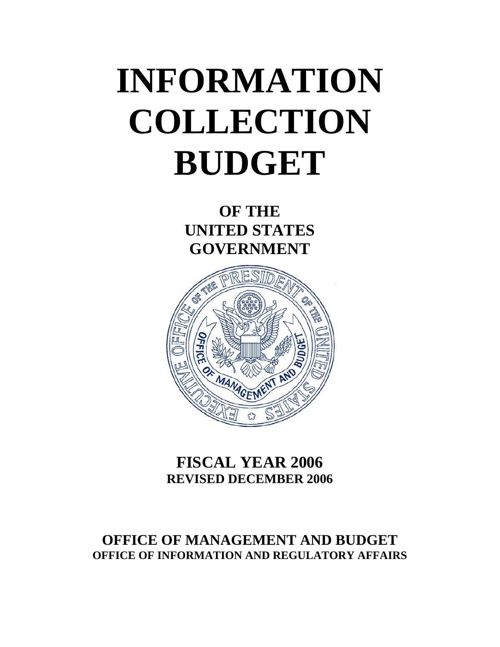# **INFORMATION COLLECTION BUDGET**

**OF THE UNITED STATES GOVERNMENT** 



# **FISCAL YEAR 2006 REVISED DECEMBER 2006**

# **OFFICE OF MANAGEMENT AND BUDGET OFFICE OF INFORMATION AND REGULATORY AFFAIRS**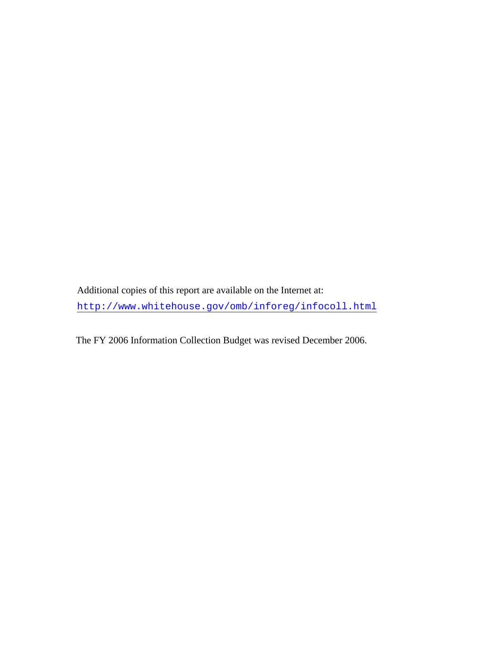Additional copies of this report are available on the Internet at: <http://www.whitehouse.gov/omb/inforeg/infocoll.html>

The FY 2006 Information Collection Budget was revised December 2006.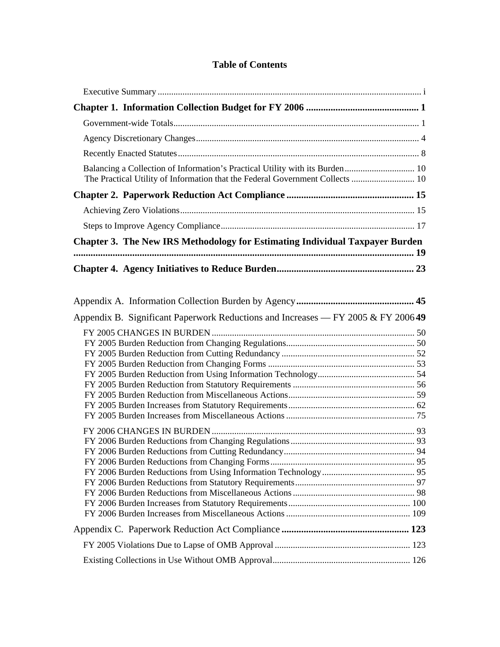| The Practical Utility of Information that the Federal Government Collects  10       |  |
|-------------------------------------------------------------------------------------|--|
|                                                                                     |  |
|                                                                                     |  |
|                                                                                     |  |
| <b>Chapter 3. The New IRS Methodology for Estimating Individual Taxpayer Burden</b> |  |
|                                                                                     |  |

#### **Table of Contents**

| Appendix B. Significant Paperwork Reductions and Increases — FY 2005 & FY 200649 |  |
|----------------------------------------------------------------------------------|--|
|                                                                                  |  |
|                                                                                  |  |
|                                                                                  |  |
|                                                                                  |  |
|                                                                                  |  |
|                                                                                  |  |
|                                                                                  |  |
|                                                                                  |  |
|                                                                                  |  |
|                                                                                  |  |
|                                                                                  |  |
|                                                                                  |  |
|                                                                                  |  |
|                                                                                  |  |
|                                                                                  |  |
|                                                                                  |  |
|                                                                                  |  |
|                                                                                  |  |
|                                                                                  |  |
|                                                                                  |  |
|                                                                                  |  |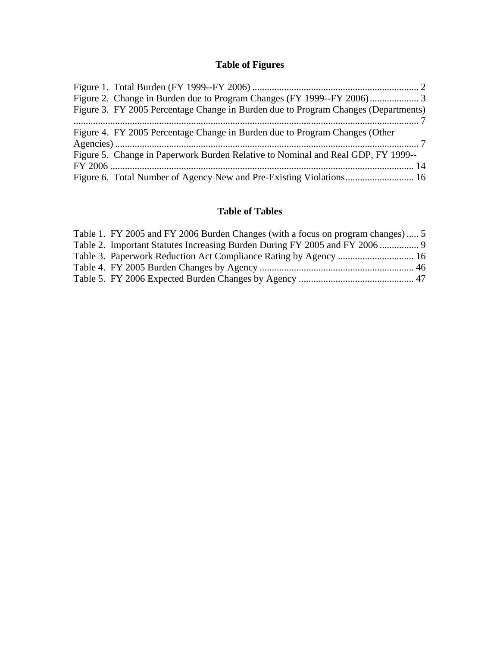# **Table of Figures**

| Figure 3. FY 2005 Percentage Change in Burden due to Program Changes (Departments) |
|------------------------------------------------------------------------------------|
|                                                                                    |
| Figure 4. FY 2005 Percentage Change in Burden due to Program Changes (Other        |
|                                                                                    |
| Figure 5. Change in Paperwork Burden Relative to Nominal and Real GDP, FY 1999--   |
|                                                                                    |
|                                                                                    |

# **Table of Tables**

| Table 1. FY 2005 and FY 2006 Burden Changes (with a focus on program changes) 5 |  |
|---------------------------------------------------------------------------------|--|
|                                                                                 |  |
|                                                                                 |  |
|                                                                                 |  |
|                                                                                 |  |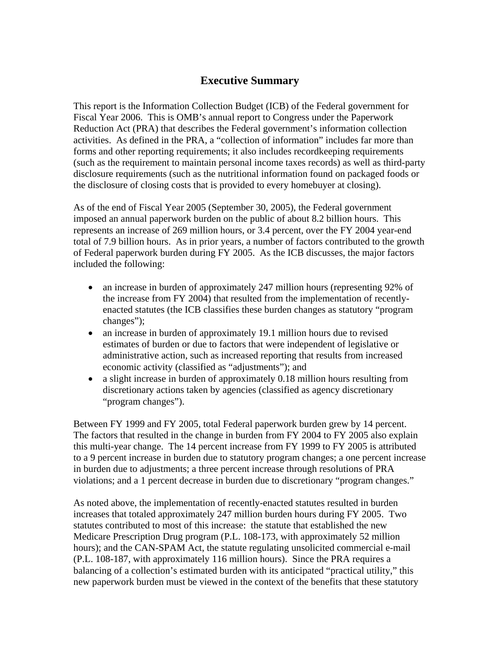### **Executive Summary**

<span id="page-6-0"></span>This report is the Information Collection Budget (ICB) of the Federal government for Fiscal Year 2006. This is OMB's annual report to Congress under the Paperwork Reduction Act (PRA) that describes the Federal government's information collection activities. As defined in the PRA, a "collection of information" includes far more than forms and other reporting requirements; it also includes recordkeeping requirements (such as the requirement to maintain personal income taxes records) as well as third-party disclosure requirements (such as the nutritional information found on packaged foods or the disclosure of closing costs that is provided to every homebuyer at closing).

As of the end of Fiscal Year 2005 (September 30, 2005), the Federal government imposed an annual paperwork burden on the public of about 8.2 billion hours. This represents an increase of 269 million hours, or 3.4 percent, over the FY 2004 year-end total of 7.9 billion hours. As in prior years, a number of factors contributed to the growth of Federal paperwork burden during FY 2005. As the ICB discusses, the major factors included the following:

- an increase in burden of approximately 247 million hours (representing 92% of the increase from FY 2004) that resulted from the implementation of recentlyenacted statutes (the ICB classifies these burden changes as statutory "program changes");
- an increase in burden of approximately 19.1 million hours due to revised estimates of burden or due to factors that were independent of legislative or administrative action, such as increased reporting that results from increased economic activity (classified as "adjustments"); and
- a slight increase in burden of approximately 0.18 million hours resulting from discretionary actions taken by agencies (classified as agency discretionary "program changes").

Between FY 1999 and FY 2005, total Federal paperwork burden grew by 14 percent. The factors that resulted in the change in burden from FY 2004 to FY 2005 also explain this multi-year change. The 14 percent increase from FY 1999 to FY 2005 is attributed to a 9 percent increase in burden due to statutory program changes; a one percent increase in burden due to adjustments; a three percent increase through resolutions of PRA violations; and a 1 percent decrease in burden due to discretionary "program changes."

As noted above, the implementation of recently-enacted statutes resulted in burden increases that totaled approximately 247 million burden hours during FY 2005. Two statutes contributed to most of this increase: the statute that established the new Medicare Prescription Drug program (P.L. 108-173, with approximately 52 million hours); and the CAN-SPAM Act, the statute regulating unsolicited commercial e-mail (P.L. 108-187, with approximately 116 million hours). Since the PRA requires a balancing of a collection's estimated burden with its anticipated "practical utility," this new paperwork burden must be viewed in the context of the benefits that these statutory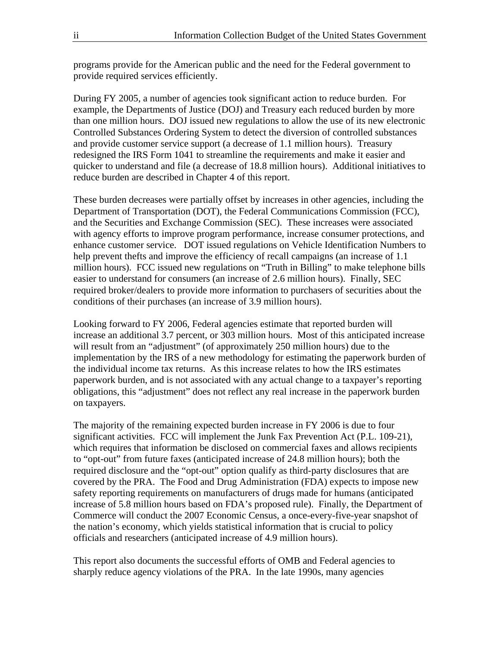programs provide for the American public and the need for the Federal government to provide required services efficiently.

During FY 2005, a number of agencies took significant action to reduce burden. For example, the Departments of Justice (DOJ) and Treasury each reduced burden by more than one million hours. DOJ issued new regulations to allow the use of its new electronic Controlled Substances Ordering System to detect the diversion of controlled substances and provide customer service support (a decrease of 1.1 million hours). Treasury redesigned the IRS Form 1041 to streamline the requirements and make it easier and quicker to understand and file (a decrease of 18.8 million hours). Additional initiatives to reduce burden are described in Chapter 4 of this report.

These burden decreases were partially offset by increases in other agencies, including the Department of Transportation (DOT), the Federal Communications Commission (FCC), and the Securities and Exchange Commission (SEC). These increases were associated with agency efforts to improve program performance, increase consumer protections, and enhance customer service. DOT issued regulations on Vehicle Identification Numbers to help prevent thefts and improve the efficiency of recall campaigns (an increase of 1.1) million hours). FCC issued new regulations on "Truth in Billing" to make telephone bills easier to understand for consumers (an increase of 2.6 million hours). Finally, SEC required broker/dealers to provide more information to purchasers of securities about the conditions of their purchases (an increase of 3.9 million hours).

Looking forward to FY 2006, Federal agencies estimate that reported burden will increase an additional 3.7 percent, or 303 million hours. Most of this anticipated increase will result from an "adjustment" (of approximately 250 million hours) due to the implementation by the IRS of a new methodology for estimating the paperwork burden of the individual income tax returns. As this increase relates to how the IRS estimates paperwork burden, and is not associated with any actual change to a taxpayer's reporting obligations, this "adjustment" does not reflect any real increase in the paperwork burden on taxpayers.

The majority of the remaining expected burden increase in FY 2006 is due to four significant activities. FCC will implement the Junk Fax Prevention Act (P.L. 109-21), which requires that information be disclosed on commercial faxes and allows recipients to "opt-out" from future faxes (anticipated increase of 24.8 million hours); both the required disclosure and the "opt-out" option qualify as third-party disclosures that are covered by the PRA. The Food and Drug Administration (FDA) expects to impose new safety reporting requirements on manufacturers of drugs made for humans (anticipated increase of 5.8 million hours based on FDA's proposed rule). Finally, the Department of Commerce will conduct the 2007 Economic Census, a once-every-five-year snapshot of the nation's economy, which yields statistical information that is crucial to policy officials and researchers (anticipated increase of 4.9 million hours).

This report also documents the successful efforts of OMB and Federal agencies to sharply reduce agency violations of the PRA. In the late 1990s, many agencies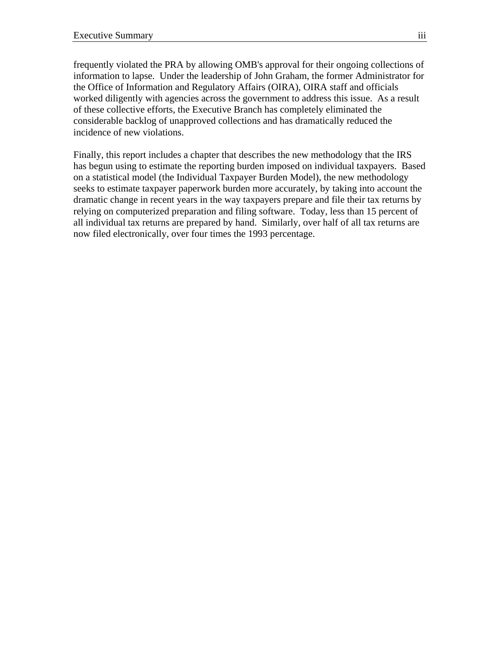frequently violated the PRA by allowing OMB's approval for their ongoing collections of information to lapse. Under the leadership of John Graham, the former Administrator for the Office of Information and Regulatory Affairs (OIRA), OIRA staff and officials worked diligently with agencies across the government to address this issue. As a result of these collective efforts, the Executive Branch has completely eliminated the considerable backlog of unapproved collections and has dramatically reduced the incidence of new violations.

Finally, this report includes a chapter that describes the new methodology that the IRS has begun using to estimate the reporting burden imposed on individual taxpayers. Based on a statistical model (the Individual Taxpayer Burden Model), the new methodology seeks to estimate taxpayer paperwork burden more accurately, by taking into account the dramatic change in recent years in the way taxpayers prepare and file their tax returns by relying on computerized preparation and filing software. Today, less than 15 percent of all individual tax returns are prepared by hand. Similarly, over half of all tax returns are now filed electronically, over four times the 1993 percentage.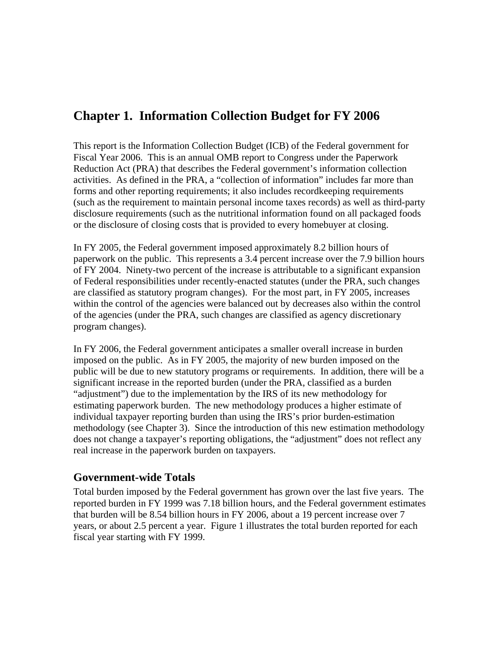# <span id="page-10-0"></span>**Chapter 1. Information Collection Budget for FY 2006**

This report is the Information Collection Budget (ICB) of the Federal government for Fiscal Year 2006. This is an annual OMB report to Congress under the Paperwork Reduction Act (PRA) that describes the Federal government's information collection activities. As defined in the PRA, a "collection of information" includes far more than forms and other reporting requirements; it also includes recordkeeping requirements (such as the requirement to maintain personal income taxes records) as well as third-party disclosure requirements (such as the nutritional information found on all packaged foods or the disclosure of closing costs that is provided to every homebuyer at closing.

In FY 2005, the Federal government imposed approximately 8.2 billion hours of paperwork on the public. This represents a 3.4 percent increase over the 7.9 billion hours of FY 2004. Ninety-two percent of the increase is attributable to a significant expansion of Federal responsibilities under recently-enacted statutes (under the PRA, such changes are classified as statutory program changes). For the most part, in FY 2005, increases within the control of the agencies were balanced out by decreases also within the control of the agencies (under the PRA, such changes are classified as agency discretionary program changes).

In FY 2006, the Federal government anticipates a smaller overall increase in burden imposed on the public. As in FY 2005, the majority of new burden imposed on the public will be due to new statutory programs or requirements. In addition, there will be a significant increase in the reported burden (under the PRA, classified as a burden "adjustment") due to the implementation by the IRS of its new methodology for estimating paperwork burden. The new methodology produces a higher estimate of individual taxpayer reporting burden than using the IRS's prior burden-estimation methodology (see Chapter 3). Since the introduction of this new estimation methodology does not change a taxpayer's reporting obligations, the "adjustment" does not reflect any real increase in the paperwork burden on taxpayers.

#### **Government-wide Totals**

Total burden imposed by the Federal government has grown over the last five years. The reported burden in FY 1999 was 7.18 billion hours, and the Federal government estimates that burden will be 8.54 billion hours in FY 2006, about a 19 percent increase over 7 years, or about 2.5 percent a year. Figure 1 illustrates the total burden reported for each fiscal year starting with FY 1999.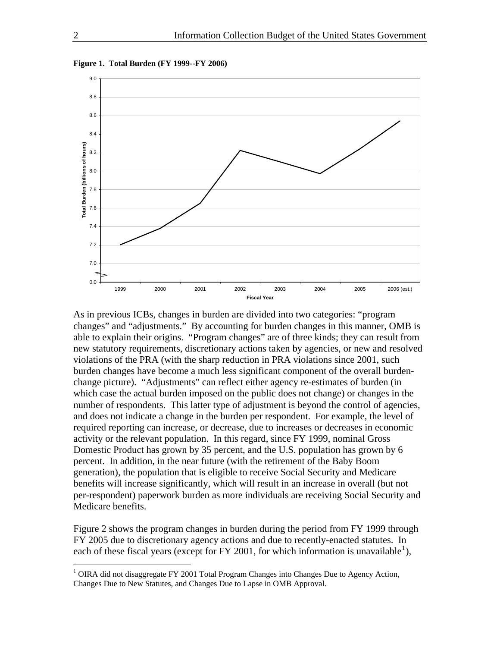

<span id="page-11-0"></span>**Figure 1. Total Burden (FY 1999--FY 2006)** 

As in previous ICBs, changes in burden are divided into two categories: "program changes" and "adjustments." By accounting for burden changes in this manner, OMB is able to explain their origins. "Program changes" are of three kinds; they can result from new statutory requirements, discretionary actions taken by agencies, or new and resolved violations of the PRA (with the sharp reduction in PRA violations since 2001, such burden changes have become a much less significant component of the overall burdenchange picture). "Adjustments" can reflect either agency re-estimates of burden (in which case the actual burden imposed on the public does not change) or changes in the number of respondents. This latter type of adjustment is beyond the control of agencies, and does not indicate a change in the burden per respondent. For example, the level of required reporting can increase, or decrease, due to increases or decreases in economic activity or the relevant population. In this regard, since FY 1999, nominal Gross Domestic Product has grown by 35 percent, and the U.S. population has grown by 6 percent. In addition, in the near future (with the retirement of the Baby Boom generation), the population that is eligible to receive Social Security and Medicare benefits will increase significantly, which will result in an increase in overall (but not per-respondent) paperwork burden as more individuals are receiving Social Security and Medicare benefits.

Figure 2 shows the program changes in burden during the period from FY 1999 through FY 2005 due to discretionary agency actions and due to recently-enacted statutes. In each of these fiscal years (except for FY 200[1](#page-11-1), for which information is unavailable<sup>1</sup>),

<span id="page-11-1"></span><sup>&</sup>lt;sup>1</sup> OIRA did not disaggregate FY 2001 Total Program Changes into Changes Due to Agency Action, Changes Due to New Statutes, and Changes Due to Lapse in OMB Approval.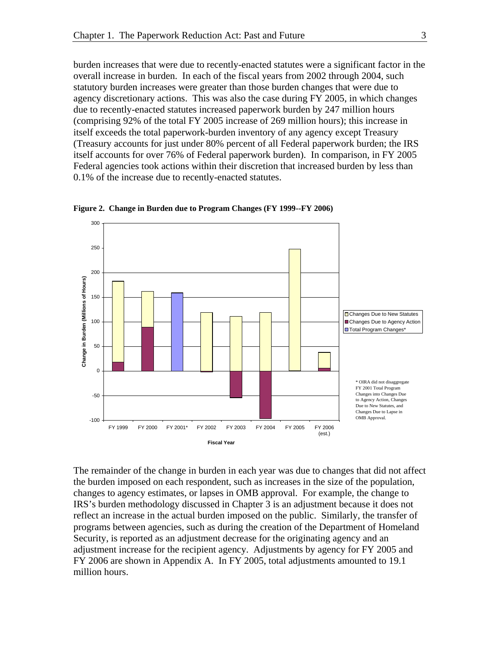<span id="page-12-0"></span>burden increases that were due to recently-enacted statutes were a significant factor in the overall increase in burden. In each of the fiscal years from 2002 through 2004, such statutory burden increases were greater than those burden changes that were due to agency discretionary actions. This was also the case during FY 2005, in which changes due to recently-enacted statutes increased paperwork burden by 247 million hours (comprising 92% of the total FY 2005 increase of 269 million hours); this increase in itself exceeds the total paperwork-burden inventory of any agency except Treasury (Treasury accounts for just under 80% percent of all Federal paperwork burden; the IRS itself accounts for over 76% of Federal paperwork burden). In comparison, in FY 2005 Federal agencies took actions within their discretion that increased burden by less than 0.1% of the increase due to recently-enacted statutes.



**Figure 2. Change in Burden due to Program Changes (FY 1999--FY 2006)** 

The remainder of the change in burden in each year was due to changes that did not affect the burden imposed on each respondent, such as increases in the size of the population, changes to agency estimates, or lapses in OMB approval. For example, the change to IRS's burden methodology discussed in Chapter 3 is an adjustment because it does not reflect an increase in the actual burden imposed on the public. Similarly, the transfer of programs between agencies, such as during the creation of the Department of Homeland Security, is reported as an adjustment decrease for the originating agency and an adjustment increase for the recipient agency. Adjustments by agency for FY 2005 and FY 2006 are shown in Appendix A. In FY 2005, total adjustments amounted to 19.1 million hours.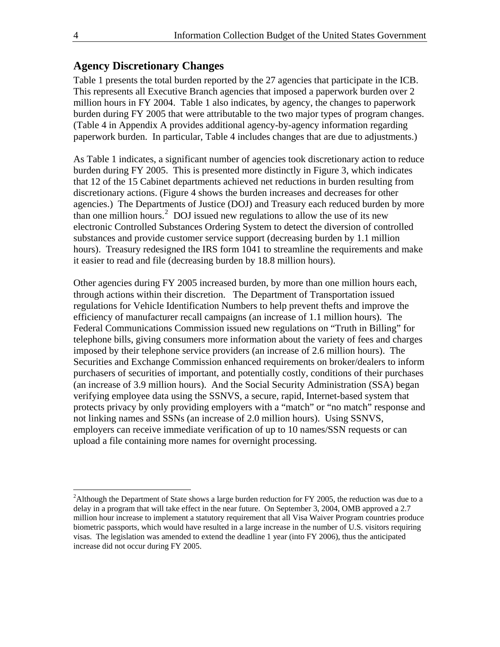#### <span id="page-13-0"></span>**Agency Discretionary Changes**

Table 1 presents the total burden reported by the 27 agencies that participate in the ICB. This represents all Executive Branch agencies that imposed a paperwork burden over 2 million hours in FY 2004. Table 1 also indicates, by agency, the changes to paperwork burden during FY 2005 that were attributable to the two major types of program changes. (Table 4 in Appendix A provides additional agency-by-agency information regarding paperwork burden. In particular, Table 4 includes changes that are due to adjustments.)

As Table 1 indicates, a significant number of agencies took discretionary action to reduce burden during FY 2005. This is presented more distinctly in Figure 3, which indicates that 12 of the 15 Cabinet departments achieved net reductions in burden resulting from discretionary actions. (Figure 4 shows the burden increases and decreases for other agencies.) The Departments of Justice (DOJ) and Treasury each reduced burden by more than one million hours.<sup>[2](#page-13-0)</sup> DOJ issued new regulations to allow the use of its new electronic Controlled Substances Ordering System to detect the diversion of controlled substances and provide customer service support (decreasing burden by 1.1 million hours). Treasury redesigned the IRS form 1041 to streamline the requirements and make it easier to read and file (decreasing burden by 18.8 million hours).

Other agencies during FY 2005 increased burden, by more than one million hours each, through actions within their discretion. The Department of Transportation issued regulations for Vehicle Identification Numbers to help prevent thefts and improve the efficiency of manufacturer recall campaigns (an increase of 1.1 million hours). The Federal Communications Commission issued new regulations on "Truth in Billing" for telephone bills, giving consumers more information about the variety of fees and charges imposed by their telephone service providers (an increase of 2.6 million hours). The Securities and Exchange Commission enhanced requirements on broker/dealers to inform purchasers of securities of important, and potentially costly, conditions of their purchases (an increase of 3.9 million hours). And the Social Security Administration (SSA) began verifying employee data using the SSNVS, a secure, rapid, Internet-based system that protects privacy by only providing employers with a "match" or "no match" response and not linking names and SSNs (an increase of 2.0 million hours). Using SSNVS, employers can receive immediate verification of up to 10 names/SSN requests or can upload a file containing more names for overnight processing.

<sup>&</sup>lt;sup>2</sup>Although the Department of State shows a large burden reduction for FY 2005, the reduction was due to a delay in a program that will take effect in the near future. On September 3, 2004, OMB approved a 2.7 million hour increase to implement a statutory requirement that all Visa Waiver Program countries produce biometric passports, which would have resulted in a large increase in the number of U.S. visitors requiring visas. The legislation was amended to extend the deadline 1 year (into FY 2006), thus the anticipated increase did not occur during FY 2005.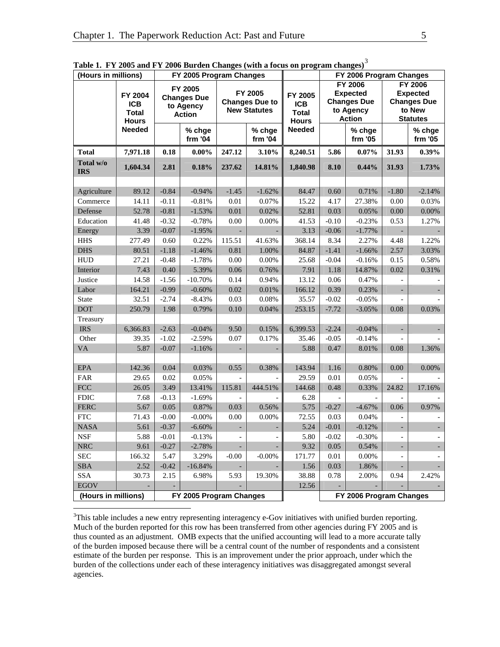| (Hours in millions)     |                                                       | FY 2005 Program Changes |                                                             |              |                                                         |                                                       | FY 2006 Program Changes |                                                                                       |                              |                                                                                      |
|-------------------------|-------------------------------------------------------|-------------------------|-------------------------------------------------------------|--------------|---------------------------------------------------------|-------------------------------------------------------|-------------------------|---------------------------------------------------------------------------------------|------------------------------|--------------------------------------------------------------------------------------|
|                         | FY 2004<br><b>ICB</b><br><b>Total</b><br><b>Hours</b> |                         | FY 2005<br><b>Changes Due</b><br>to Agency<br><b>Action</b> |              | FY 2005<br><b>Changes Due to</b><br><b>New Statutes</b> | FY 2005<br><b>ICB</b><br><b>Total</b><br><b>Hours</b> |                         | <b>FY 2006</b><br><b>Expected</b><br><b>Changes Due</b><br>to Agency<br><b>Action</b> |                              | <b>FY 2006</b><br><b>Expected</b><br><b>Changes Due</b><br>to New<br><b>Statutes</b> |
|                         | <b>Needed</b>                                         |                         | % chge<br>frm '04                                           |              | % chge<br>frm '04                                       | <b>Needed</b>                                         |                         | % chge<br>frm '05                                                                     |                              | % chge<br>frm '05                                                                    |
| <b>Total</b>            | 7,971.18                                              | 0.18                    | $0.00\%$                                                    | 247.12       | 3.10%                                                   | 8,240.51                                              | 5.86                    | $0.07\%$                                                                              | 31.93                        | $0.39\%$                                                                             |
| Total w/o<br><b>IRS</b> | 1,604.34                                              | 2.81                    | 0.18%                                                       | 237.62       | 14.81%                                                  | 1,840.98                                              | 8.10                    | 0.44%                                                                                 | 31.93                        | 1.73%                                                                                |
|                         |                                                       |                         |                                                             |              |                                                         |                                                       |                         |                                                                                       |                              |                                                                                      |
| Agriculture             | 89.12                                                 | $-0.84$                 | $-0.94%$                                                    | $-1.45$      | $-1.62%$                                                | 84.47                                                 | 0.60                    | 0.71%                                                                                 | $-1.80$                      | $-2.14%$                                                                             |
| Commerce                | 14.11                                                 | $-0.11$                 | $-0.81%$                                                    | 0.01         | 0.07%                                                   | 15.22                                                 | 4.17                    | 27.38%                                                                                | 0.00                         | 0.03%                                                                                |
| Defense                 | 52.78                                                 | $-0.81$                 | $-1.53%$                                                    | 0.01         | 0.02%                                                   | 52.81                                                 | 0.03                    | 0.05%                                                                                 | 0.00                         | $0.00\%$                                                                             |
| Education               | 41.48                                                 | $-0.32$                 | $-0.78%$                                                    | 0.00         | 0.00%                                                   | 41.53                                                 | $-0.10$                 | $-0.23%$                                                                              | 0.53                         | 1.27%                                                                                |
| Energy                  | 3.39                                                  | $-0.07$                 | $-1.95%$                                                    |              |                                                         | 3.13                                                  | $-0.06$                 | $-1.77%$                                                                              |                              |                                                                                      |
| <b>HHS</b>              | 277.49                                                | 0.60                    | 0.22%                                                       | 115.51       | 41.63%                                                  | 368.14                                                | 8.34                    | 2.27%                                                                                 | 4.48                         | 1.22%                                                                                |
| <b>DHS</b>              | 80.51                                                 | $-1.18$                 | $-1.46%$                                                    | 0.81         | 1.00%                                                   | 84.87                                                 | $-1.41$                 | $-1.66%$                                                                              | 2.57                         | 3.03%                                                                                |
| <b>HUD</b>              | 27.21                                                 | $-0.48$                 | $-1.78%$                                                    | 0.00         | 0.00%                                                   | 25.68                                                 | $-0.04$                 | $-0.16%$                                                                              | 0.15                         | 0.58%<br>0.31%                                                                       |
| Interior                | 7.43                                                  | 0.40                    | 5.39%                                                       | 0.06         | 0.76%                                                   | 7.91                                                  | 1.18                    | 14.87%                                                                                | 0.02                         |                                                                                      |
| Justice                 | 14.58                                                 | $-1.56$                 | $-10.70%$                                                   | 0.14         | 0.94%                                                   | 13.12                                                 | 0.06                    | 0.47%                                                                                 |                              |                                                                                      |
| Labor                   | 164.21                                                | $-0.99$                 | $-0.60%$                                                    | 0.02         | 0.01%                                                   | 166.12                                                | 0.39                    | 0.23%                                                                                 | $\blacksquare$               |                                                                                      |
| State                   | 32.51                                                 | $-2.74$                 | $-8.43%$                                                    | 0.03         | 0.08%                                                   | 35.57                                                 | $-0.02$                 | $-0.05%$                                                                              |                              |                                                                                      |
| <b>DOT</b>              | 250.79                                                | 1.98                    | 0.79%                                                       | 0.10         | 0.04%                                                   | 253.15                                                | $-7.72$                 | $-3.05%$                                                                              | 0.08                         | 0.03%                                                                                |
| Treasury<br><b>IRS</b>  |                                                       |                         |                                                             |              |                                                         |                                                       |                         |                                                                                       |                              |                                                                                      |
| Other                   | 6,366.83<br>39.35                                     | $-2.63$<br>$-1.02$      | $-0.04%$<br>$-2.59%$                                        | 9.50<br>0.07 | 0.15%<br>0.17%                                          | 6,399.53<br>35.46                                     | $-2.24$<br>$-0.05$      | $-0.04%$<br>$-0.14%$                                                                  | $\blacksquare$               |                                                                                      |
| <b>VA</b>               | 5.87                                                  | $-0.07$                 | $-1.16%$                                                    |              |                                                         | 5.88                                                  | 0.47                    | 8.01%                                                                                 | 0.08                         | 1.36%                                                                                |
|                         |                                                       |                         |                                                             |              |                                                         |                                                       |                         |                                                                                       |                              |                                                                                      |
| <b>EPA</b>              | 142.36                                                | 0.04                    | 0.03%                                                       | 0.55         | 0.38%                                                   | 143.94                                                | 1.16                    | 0.80%                                                                                 | 0.00                         | $0.00\%$                                                                             |
| <b>FAR</b>              | 29.65                                                 | 0.02                    | 0.05%                                                       |              |                                                         | 29.59                                                 | $0.01\,$                | 0.05%                                                                                 |                              |                                                                                      |
| $\rm{FCC}$              | 26.05                                                 | 3.49                    | 13.41%                                                      | 115.81       | 444.51%                                                 | 144.68                                                | 0.48                    | 0.33%                                                                                 | 24.82                        | 17.16%                                                                               |
| <b>FDIC</b>             | 7.68                                                  | $-0.13$                 | $-1.69%$                                                    |              |                                                         | 6.28                                                  |                         |                                                                                       |                              |                                                                                      |
| <b>FERC</b>             | 5.67                                                  | 0.05                    | 0.87%                                                       | 0.03         | 0.56%                                                   | 5.75                                                  | $-0.27$                 | $-4.67%$                                                                              | 0.06                         | 0.97%                                                                                |
| ${\rm FTC}$             | 71.43                                                 | $-0.00$                 | $-0.00\%$                                                   | $0.00\,$     | $0.00\%$                                                | 72.55                                                 | 0.03                    | 0.04%                                                                                 |                              |                                                                                      |
| <b>NASA</b>             | 5.61                                                  | $-0.37$                 | $-6.60%$                                                    |              |                                                         | 5.24                                                  | $-0.01$                 | $-0.12%$                                                                              | $\overline{\phantom{a}}$     |                                                                                      |
| <b>NSF</b>              | 5.88                                                  | $-0.01$                 | $-0.13%$                                                    |              |                                                         | 5.80                                                  | $-0.02$                 | $-0.30%$                                                                              |                              |                                                                                      |
| <b>NRC</b>              | 9.61                                                  | $-0.27$                 | $-2.78%$                                                    |              |                                                         | 9.32                                                  | 0.05                    | 0.54%                                                                                 | $\qquad \qquad \blacksquare$ |                                                                                      |
| <b>SEC</b>              | 166.32                                                | 5.47                    | 3.29%                                                       | $-0.00$      | $-0.00\%$                                               | 171.77                                                | $0.01\,$                | 0.00%                                                                                 |                              |                                                                                      |
| <b>SBA</b>              | 2.52                                                  | $-0.42$                 | $-16.84%$                                                   |              |                                                         | 1.56                                                  | 0.03                    | 1.86%                                                                                 |                              |                                                                                      |
| <b>SSA</b>              | 30.73                                                 | 2.15                    | 6.98%                                                       | 5.93         | 19.30%                                                  | 38.88                                                 | 0.78                    | 2.00%                                                                                 | 0.94                         | 2.42%                                                                                |
| <b>EGOV</b>             |                                                       |                         |                                                             |              |                                                         | 12.56                                                 |                         |                                                                                       |                              |                                                                                      |
| (Hours in millions)     |                                                       |                         | FY 2005 Program Changes                                     |              |                                                         |                                                       |                         | FY 2006 Program Changes                                                               |                              |                                                                                      |

<span id="page-14-0"></span>**Table 1. FY 2005 and FY 2006 Burden Changes (with a focus on program changes)**[3](#page-14-0)

<sup>3</sup>This table includes a new entry representing interagency e-Gov initiatives with unified burden reporting. Much of the burden reported for this row has been transferred from other agencies during FY 2005 and is thus counted as an adjustment. OMB expects that the unified accounting will lead to a more accurate tally of the burden imposed because there will be a central count of the number of respondents and a consistent estimate of the burden per response. This is an improvement under the prior approach, under which the burden of the collections under each of these interagency initiatives was disaggregated amongst several agencies.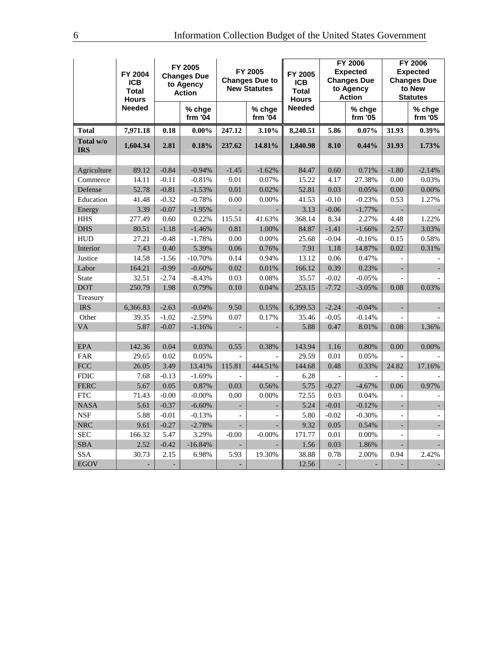|                         | FY 2004<br><b>ICB</b> | FY 2005<br>FY 2005<br><b>Changes Due</b><br><b>Changes Due to</b><br>to Agency<br><b>New Statutes</b> |                   | FY 2005<br><b>ICB</b>    | <b>FY 2006</b><br><b>Expected</b><br><b>Changes Due</b><br>to Agency |                              | <b>FY 2006</b><br><b>Expected</b><br><b>Changes Due</b><br>to New |                          |                          |                   |
|-------------------------|-----------------------|-------------------------------------------------------------------------------------------------------|-------------------|--------------------------|----------------------------------------------------------------------|------------------------------|-------------------------------------------------------------------|--------------------------|--------------------------|-------------------|
|                         | <b>Total</b><br>Hours |                                                                                                       | <b>Action</b>     |                          |                                                                      | <b>Total</b><br><b>Hours</b> |                                                                   | <b>Action</b>            |                          | <b>Statutes</b>   |
|                         | <b>Needed</b>         |                                                                                                       | % chge<br>frm '04 |                          | % chge<br>frm '04                                                    | <b>Needed</b>                |                                                                   | % chge<br>frm '05        |                          | % chge<br>frm '05 |
| <b>Total</b>            | 7,971.18              | 0.18                                                                                                  | $0.00\%$          | 247.12                   | 3.10%                                                                | 8,240.51                     | 5.86                                                              | $0.07\%$                 | 31.93                    | $0.39\%$          |
| Total w/o<br><b>IRS</b> | 1,604.34              | 2.81                                                                                                  | 0.18%             | 237.62                   | 14.81%                                                               | 1,840.98                     | 8.10                                                              | 0.44%                    | 31.93                    | 1.73%             |
|                         |                       |                                                                                                       |                   |                          |                                                                      |                              |                                                                   |                          |                          |                   |
| Agriculture             | 89.12                 | $-0.84$                                                                                               | $-0.94%$          | $-1.45$                  | $-1.62%$                                                             | 84.47                        | 0.60                                                              | 0.71%                    | $-1.80$                  | $-2.14%$          |
| Commerce                | 14.11                 | $-0.11$                                                                                               | $-0.81%$          | 0.01                     | 0.07%                                                                | 15.22                        | 4.17                                                              | 27.38%                   | 0.00                     | 0.03%             |
| Defense                 | 52.78                 | $-0.81$                                                                                               | $-1.53%$          | 0.01                     | 0.02%                                                                | 52.81                        | 0.03                                                              | 0.05%                    | 0.00                     | 0.00%             |
| Education               | 41.48                 | $-0.32$                                                                                               | $-0.78%$          | 0.00                     | 0.00%                                                                | 41.53                        | $-0.10$                                                           | $-0.23%$                 | 0.53                     | 1.27%             |
| Energy                  | 3.39                  | $-0.07$                                                                                               | $-1.95%$          |                          |                                                                      | 3.13                         | $-0.06$                                                           | $-1.77%$                 | $\Box$                   |                   |
| <b>HHS</b>              | 277.49                | 0.60                                                                                                  | 0.22%             | 115.51                   | 41.63%                                                               | 368.14                       | 8.34                                                              | 2.27%                    | 4.48                     | 1.22%             |
| <b>DHS</b>              | 80.51                 | $-1.18$                                                                                               | $-1.46%$          | 0.81                     | 1.00%                                                                | 84.87                        | $-1.41$                                                           | $-1.66%$                 | 2.57                     | 3.03%             |
| <b>HUD</b>              | 27.21                 | $-0.48$                                                                                               | $-1.78%$          | 0.00                     | 0.00%                                                                | 25.68                        | $-0.04$                                                           | $-0.16%$                 | 0.15                     | 0.58%             |
| Interior                | 7.43                  | 0.40                                                                                                  | 5.39%             | 0.06                     | 0.76%                                                                | 7.91                         | 1.18                                                              | 14.87%                   | 0.02                     | 0.31%             |
| Justice                 | 14.58                 | $-1.56$                                                                                               | $-10.70%$         | 0.14                     | 0.94%                                                                | 13.12                        | 0.06                                                              | 0.47%                    |                          |                   |
| Labor                   | 164.21                | $-0.99$                                                                                               | $-0.60%$          | 0.02                     | 0.01%                                                                | 166.12                       | 0.39                                                              | 0.23%                    | ÷.                       |                   |
| <b>State</b>            | 32.51                 | $-2.74$                                                                                               | $-8.43%$          | 0.03                     | 0.08%                                                                | 35.57                        | $-0.02$                                                           | $-0.05%$                 | $\overline{a}$           |                   |
| <b>DOT</b>              | 250.79                | 1.98                                                                                                  | 0.79%             | 0.10                     | 0.04%                                                                | 253.15                       | $-7.72$                                                           | $-3.05%$                 | 0.08                     | 0.03%             |
| Treasury                |                       |                                                                                                       |                   |                          |                                                                      |                              |                                                                   |                          |                          |                   |
| <b>IRS</b>              | 6,366.83              | $-2.63$                                                                                               | $-0.04%$          | 9.50                     | 0.15%                                                                | 6,399.53                     | $-2.24$                                                           | $-0.04%$                 | ÷,                       |                   |
| Other                   | 39.35                 | $-1.02$                                                                                               | $-2.59%$          | 0.07                     | 0.17%                                                                | 35.46                        | $-0.05$                                                           | $-0.14%$                 |                          |                   |
| VA                      | 5.87                  | $-0.07$                                                                                               | $-1.16%$          |                          |                                                                      | 5.88                         | 0.47                                                              | 8.01%                    | 0.08                     | 1.36%             |
|                         |                       |                                                                                                       |                   |                          |                                                                      |                              |                                                                   |                          |                          |                   |
| <b>EPA</b>              | 142.36                | 0.04                                                                                                  | 0.03%             | 0.55                     | 0.38%                                                                | 143.94                       | 1.16                                                              | 0.80%                    | 0.00                     | 0.00%             |
| <b>FAR</b>              | 29.65                 | 0.02                                                                                                  | 0.05%             |                          |                                                                      | 29.59                        | 0.01                                                              | 0.05%                    |                          |                   |
| <b>FCC</b>              | 26.05                 | 3.49                                                                                                  | 13.41%            | 115.81                   | 444.51%                                                              | 144.68                       | 0.48                                                              | 0.33%                    | 24.82                    | 17.16%            |
| <b>FDIC</b>             | 7.68                  | $-0.13$                                                                                               | $-1.69%$          |                          |                                                                      | 6.28                         |                                                                   |                          | $\overline{a}$           |                   |
| <b>FERC</b>             | 5.67                  | 0.05                                                                                                  | 0.87%             | 0.03                     | 0.56%                                                                | 5.75                         | $-0.27$                                                           | $-4.67%$                 | 0.06                     | 0.97%             |
| <b>FTC</b>              | 71.43                 | $-0.00$                                                                                               | $-0.00%$          | 0.00                     | 0.00%                                                                | 72.55                        | 0.03                                                              | 0.04%                    | $\overline{a}$           |                   |
| <b>NASA</b>             | 5.61                  | $-0.37$                                                                                               | $-6.60%$          |                          | L.                                                                   | 5.24                         | $-0.01$                                                           | $-0.12%$                 | $\overline{\phantom{0}}$ |                   |
| <b>NSF</b>              | 5.88                  | $-0.01$                                                                                               | $-0.13%$          | $\overline{\phantom{a}}$ |                                                                      | 5.80                         | $-0.02$                                                           | $-0.30%$                 | $\frac{1}{2}$            |                   |
| <b>NRC</b>              | 9.61                  | $-0.27$                                                                                               | $-2.78%$          |                          |                                                                      | 9.32                         | 0.05                                                              | 0.54%                    | $\overline{a}$           |                   |
| <b>SEC</b>              | 166.32                | 5.47                                                                                                  | 3.29%             | $-0.00$                  | $-0.00%$                                                             | 171.77                       | 0.01                                                              | 0.00%                    | $\overline{a}$           |                   |
| <b>SBA</b>              | 2.52                  | $-0.42$                                                                                               | $-16.84%$         |                          |                                                                      | 1.56                         | 0.03                                                              | 1.86%                    | $\overline{\phantom{a}}$ |                   |
| SSA                     | 30.73                 | 2.15                                                                                                  | 6.98%             | 5.93                     | 19.30%                                                               | 38.88                        | 0.78                                                              | 2.00%                    | 0.94                     | 2.42%             |
| <b>EGOV</b>             | $\blacksquare$        | ÷,                                                                                                    |                   | $\overline{\phantom{a}}$ |                                                                      | 12.56                        | $\overline{\phantom{a}}$                                          | $\overline{\phantom{a}}$ | ÷,                       |                   |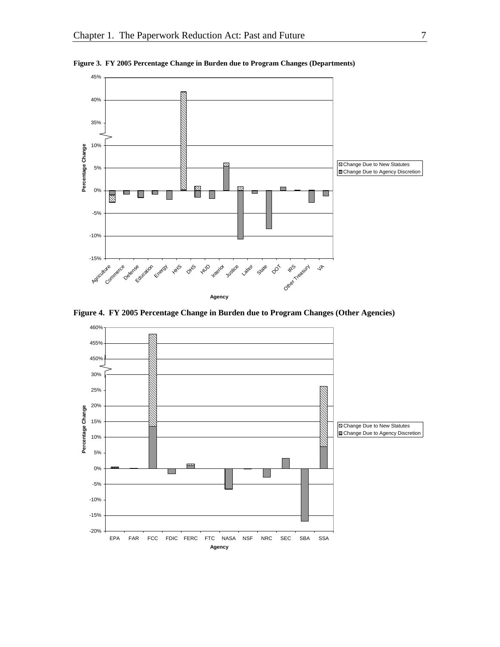

<span id="page-16-0"></span>**Figure 3. FY 2005 Percentage Change in Burden due to Program Changes (Departments)** 



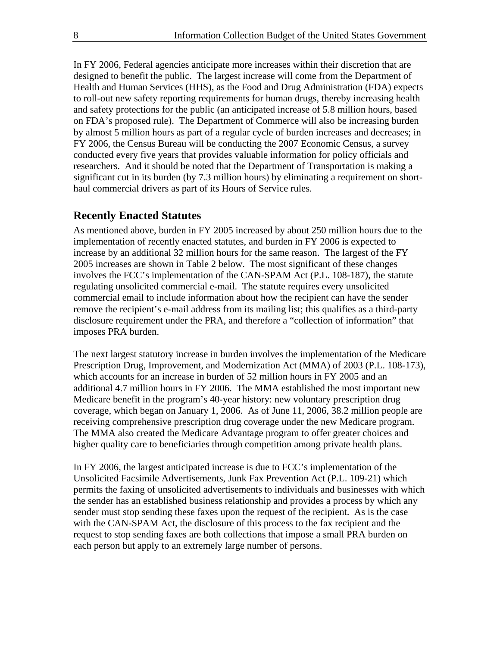<span id="page-17-0"></span>In FY 2006, Federal agencies anticipate more increases within their discretion that are designed to benefit the public. The largest increase will come from the Department of Health and Human Services (HHS), as the Food and Drug Administration (FDA) expects to roll-out new safety reporting requirements for human drugs, thereby increasing health and safety protections for the public (an anticipated increase of 5.8 million hours, based on FDA's proposed rule). The Department of Commerce will also be increasing burden by almost 5 million hours as part of a regular cycle of burden increases and decreases; in FY 2006, the Census Bureau will be conducting the 2007 Economic Census, a survey conducted every five years that provides valuable information for policy officials and researchers. And it should be noted that the Department of Transportation is making a significant cut in its burden (by 7.3 million hours) by eliminating a requirement on shorthaul commercial drivers as part of its Hours of Service rules.

#### **Recently Enacted Statutes**

As mentioned above, burden in FY 2005 increased by about 250 million hours due to the implementation of recently enacted statutes, and burden in FY 2006 is expected to increase by an additional 32 million hours for the same reason. The largest of the FY 2005 increases are shown in Table 2 below. The most significant of these changes involves the FCC's implementation of the CAN-SPAM Act (P.L. 108-187), the statute regulating unsolicited commercial e-mail. The statute requires every unsolicited commercial email to include information about how the recipient can have the sender remove the recipient's e-mail address from its mailing list; this qualifies as a third-party disclosure requirement under the PRA, and therefore a "collection of information" that imposes PRA burden.

The next largest statutory increase in burden involves the implementation of the Medicare Prescription Drug, Improvement, and Modernization Act (MMA) of 2003 (P.L. 108-173), which accounts for an increase in burden of 52 million hours in FY 2005 and an additional 4.7 million hours in FY 2006. The MMA established the most important new Medicare benefit in the program's 40-year history: new voluntary prescription drug coverage, which began on January 1, 2006. As of June 11, 2006, 38.2 million people are receiving comprehensive prescription drug coverage under the new Medicare program. The MMA also created the Medicare Advantage program to offer greater choices and higher quality care to beneficiaries through competition among private health plans.

In FY 2006, the largest anticipated increase is due to FCC's implementation of the Unsolicited Facsimile Advertisements, Junk Fax Prevention Act (P.L. 109-21) which permits the faxing of unsolicited advertisements to individuals and businesses with which the sender has an established business relationship and provides a process by which any sender must stop sending these faxes upon the request of the recipient. As is the case with the CAN-SPAM Act, the disclosure of this process to the fax recipient and the request to stop sending faxes are both collections that impose a small PRA burden on each person but apply to an extremely large number of persons.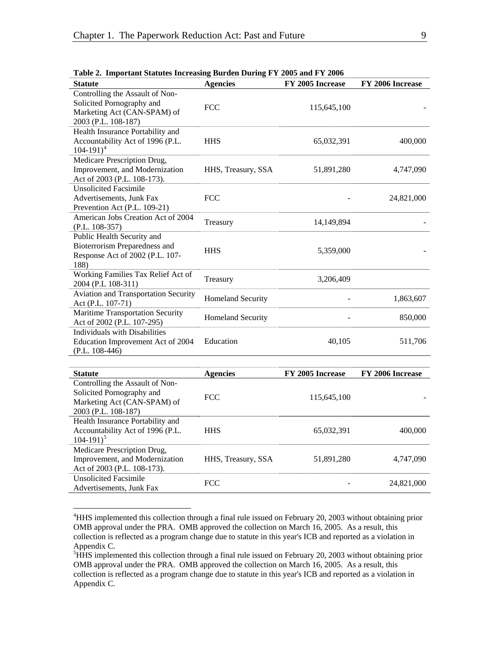| <b>Statute</b>                                                                                                     | <b>Agencies</b>          | FY 2005 Increase | FY 2006 Increase |
|--------------------------------------------------------------------------------------------------------------------|--------------------------|------------------|------------------|
| Controlling the Assault of Non-<br>Solicited Pornography and<br>Marketing Act (CAN-SPAM) of<br>2003 (P.L. 108-187) | <b>FCC</b>               | 115,645,100      |                  |
| Health Insurance Portability and<br>Accountability Act of 1996 (P.L.<br>$104 - 191$ <sup>4</sup>                   | <b>HHS</b>               | 65,032,391       | 400,000          |
| Medicare Prescription Drug,<br>Improvement, and Modernization<br>Act of 2003 (P.L. 108-173).                       | HHS, Treasury, SSA       | 51,891,280       | 4,747,090        |
| <b>Unsolicited Facsimile</b><br>Advertisements, Junk Fax<br>Prevention Act (P.L. 109-21)                           | <b>FCC</b>               |                  | 24,821,000       |
| American Jobs Creation Act of 2004<br>$(P.L. 108-357)$                                                             | Treasury                 | 14,149,894       |                  |
| Public Health Security and<br>Bioterrorism Preparedness and<br>Response Act of 2002 (P.L. 107-<br>188)             | <b>HHS</b>               | 5,359,000        |                  |
| Working Families Tax Relief Act of<br>2004 (P.L 108-311)                                                           | Treasury                 | 3,206,409        |                  |
| Aviation and Transportation Security<br>Act (P.L. 107-71)                                                          | <b>Homeland Security</b> |                  | 1,863,607        |
| Maritime Transportation Security<br>Act of 2002 (P.L. 107-295)                                                     | Homeland Security        |                  | 850,000          |
| Individuals with Disabilities<br>Education Improvement Act of 2004<br>$(P.L. 108-446)$                             | Education                | 40,105           | 511,706          |
|                                                                                                                    |                          |                  |                  |
| <b>Statute</b>                                                                                                     | <b>Agencies</b>          | FY 2005 Increase | FY 2006 Increase |
| Controlling the Assault of Non-<br>Solicited Pornography and<br>Marketing Act (CAN-SPAM) of<br>2003 (P.L. 108-187) | <b>FCC</b>               | 115,645,100      |                  |
| Health Insurance Portability and<br>Accountability Act of 1996 (P.L.<br>$104 - 191$ <sup>5</sup>                   | <b>HHS</b>               | 65,032,391       | 400,000          |
| Medicare Prescription Drug,<br>Improvement, and Modernization                                                      | HHS, Treasury, SSA       | 51,891,280       | 4,747,090        |

<span id="page-18-0"></span>**Table 2. Important Statutes Increasing Burden During FY 2005 and FY 2006** 

Advertisements, Junk Fax FCC FCC - 24,821,000

Act of 2003 (P.L. 108-173).

Unsolicited Facsimile

<sup>&</sup>lt;sup>4</sup>HHS implemented this collection through a final rule issued on February 20, 2003 without obtaining prior OMB approval under the PRA. OMB approved the collection on March 16, 2005. As a result, this collection is reflected as a program change due to statute in this year's ICB and reported as a violation in Appendix C.

<sup>&</sup>lt;sup>5</sup>HHS implemented this collection through a final rule issued on February 20, 2003 without obtaining prior OMB approval under the PRA. OMB approved the collection on March 16, 2005. As a result, this collection is reflected as a program change due to statute in this year's ICB and reported as a violation in Appendix C.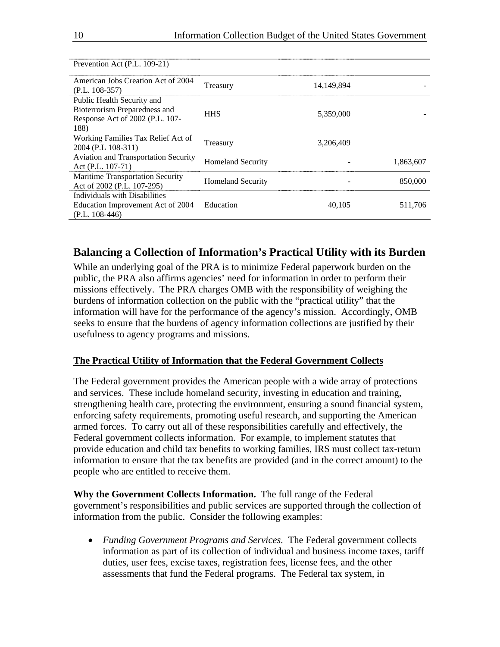<span id="page-19-0"></span>

| Prevention Act (P.L. 109-21)                                                                           |                          |            |           |
|--------------------------------------------------------------------------------------------------------|--------------------------|------------|-----------|
| American Jobs Creation Act of 2004<br>$(P.L. 108-357)$                                                 | Treasury                 | 14,149,894 |           |
| Public Health Security and<br>Bioterrorism Preparedness and<br>Response Act of 2002 (P.L. 107-<br>188) | <b>HHS</b>               | 5,359,000  |           |
| Working Families Tax Relief Act of<br>2004 (P.L 108-311)                                               | Treasury                 | 3,206,409  |           |
| <b>Aviation and Transportation Security</b><br>Act (P.L. 107-71)                                       | <b>Homeland Security</b> |            | 1,863,607 |
| <b>Maritime Transportation Security</b><br>Act of 2002 (P.L. 107-295)                                  | <b>Homeland Security</b> |            | 850,000   |
| Individuals with Disabilities<br>Education Improvement Act of 2004<br>$(P.L. 108-446)$                 | Education                | 40,105     | 511,706   |

#### **Balancing a Collection of Information's Practical Utility with its Burden**

While an underlying goal of the PRA is to minimize Federal paperwork burden on the public, the PRA also affirms agencies' need for information in order to perform their missions effectively. The PRA charges OMB with the responsibility of weighing the burdens of information collection on the public with the "practical utility" that the information will have for the performance of the agency's mission. Accordingly, OMB seeks to ensure that the burdens of agency information collections are justified by their usefulness to agency programs and missions.

#### **The Practical Utility of Information that the Federal Government Collects**

The Federal government provides the American people with a wide array of protections and services. These include homeland security, investing in education and training, strengthening health care, protecting the environment, ensuring a sound financial system, enforcing safety requirements, promoting useful research, and supporting the American armed forces. To carry out all of these responsibilities carefully and effectively, the Federal government collects information. For example, to implement statutes that provide education and child tax benefits to working families, IRS must collect tax-return information to ensure that the tax benefits are provided (and in the correct amount) to the people who are entitled to receive them.

**Why the Government Collects Information.** The full range of the Federal government's responsibilities and public services are supported through the collection of information from the public. Consider the following examples:

• *Funding Government Programs and Services.* The Federal government collects information as part of its collection of individual and business income taxes, tariff duties, user fees, excise taxes, registration fees, license fees, and the other assessments that fund the Federal programs. The Federal tax system, in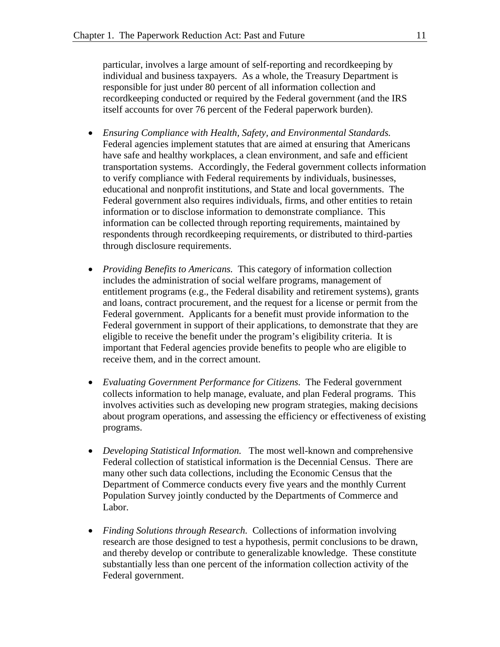particular, involves a large amount of self-reporting and recordkeeping by individual and business taxpayers. As a whole, the Treasury Department is responsible for just under 80 percent of all information collection and recordkeeping conducted or required by the Federal government (and the IRS itself accounts for over 76 percent of the Federal paperwork burden).

- *Ensuring Compliance with Health, Safety, and Environmental Standards.* Federal agencies implement statutes that are aimed at ensuring that Americans have safe and healthy workplaces, a clean environment, and safe and efficient transportation systems. Accordingly, the Federal government collects information to verify compliance with Federal requirements by individuals, businesses, educational and nonprofit institutions, and State and local governments. The Federal government also requires individuals, firms, and other entities to retain information or to disclose information to demonstrate compliance. This information can be collected through reporting requirements, maintained by respondents through recordkeeping requirements, or distributed to third-parties through disclosure requirements.
- *Providing Benefits to Americans.* This category of information collection includes the administration of social welfare programs, management of entitlement programs (e.g., the Federal disability and retirement systems), grants and loans, contract procurement, and the request for a license or permit from the Federal government. Applicants for a benefit must provide information to the Federal government in support of their applications, to demonstrate that they are eligible to receive the benefit under the program's eligibility criteria. It is important that Federal agencies provide benefits to people who are eligible to receive them, and in the correct amount.
- *Evaluating Government Performance for Citizens.* The Federal government collects information to help manage, evaluate, and plan Federal programs. This involves activities such as developing new program strategies, making decisions about program operations, and assessing the efficiency or effectiveness of existing programs.
- *Developing Statistical Information.* The most well-known and comprehensive Federal collection of statistical information is the Decennial Census. There are many other such data collections, including the Economic Census that the Department of Commerce conducts every five years and the monthly Current Population Survey jointly conducted by the Departments of Commerce and Labor.
- *Finding Solutions through Research.* Collections of information involving research are those designed to test a hypothesis, permit conclusions to be drawn, and thereby develop or contribute to generalizable knowledge. These constitute substantially less than one percent of the information collection activity of the Federal government.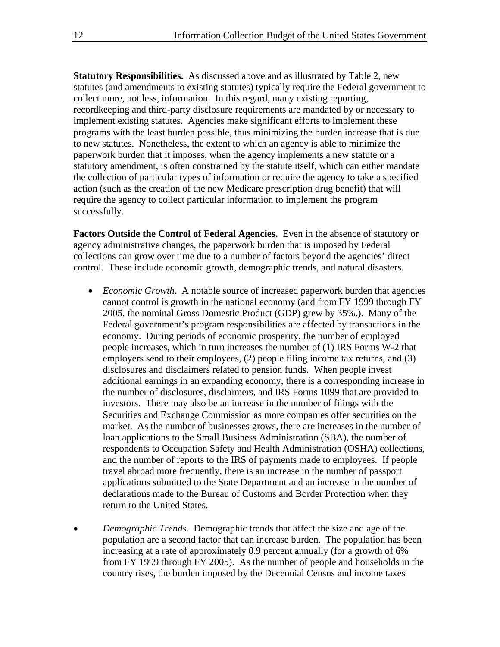**Statutory Responsibilities.** As discussed above and as illustrated by Table 2, new statutes (and amendments to existing statutes) typically require the Federal government to collect more, not less, information. In this regard, many existing reporting, recordkeeping and third-party disclosure requirements are mandated by or necessary to implement existing statutes. Agencies make significant efforts to implement these programs with the least burden possible, thus minimizing the burden increase that is due to new statutes. Nonetheless, the extent to which an agency is able to minimize the paperwork burden that it imposes, when the agency implements a new statute or a statutory amendment, is often constrained by the statute itself, which can either mandate the collection of particular types of information or require the agency to take a specified action (such as the creation of the new Medicare prescription drug benefit) that will require the agency to collect particular information to implement the program successfully.

**Factors Outside the Control of Federal Agencies.** Even in the absence of statutory or agency administrative changes, the paperwork burden that is imposed by Federal collections can grow over time due to a number of factors beyond the agencies' direct control. These include economic growth, demographic trends, and natural disasters.

- *Economic Growth.* A notable source of increased paperwork burden that agencies cannot control is growth in the national economy (and from FY 1999 through FY 2005, the nominal Gross Domestic Product (GDP) grew by 35%.). Many of the Federal government's program responsibilities are affected by transactions in the economy. During periods of economic prosperity, the number of employed people increases, which in turn increases the number of (1) IRS Forms W-2 that employers send to their employees, (2) people filing income tax returns, and (3) disclosures and disclaimers related to pension funds. When people invest additional earnings in an expanding economy, there is a corresponding increase in the number of disclosures, disclaimers, and IRS Forms 1099 that are provided to investors. There may also be an increase in the number of filings with the Securities and Exchange Commission as more companies offer securities on the market. As the number of businesses grows, there are increases in the number of loan applications to the Small Business Administration (SBA), the number of respondents to Occupation Safety and Health Administration (OSHA) collections, and the number of reports to the IRS of payments made to employees. If people travel abroad more frequently, there is an increase in the number of passport applications submitted to the State Department and an increase in the number of declarations made to the Bureau of Customs and Border Protection when they return to the United States.
- *Demographic Trends*. Demographic trends that affect the size and age of the population are a second factor that can increase burden. The population has been increasing at a rate of approximately 0.9 percent annually (for a growth of 6% from FY 1999 through FY 2005). As the number of people and households in the country rises, the burden imposed by the Decennial Census and income taxes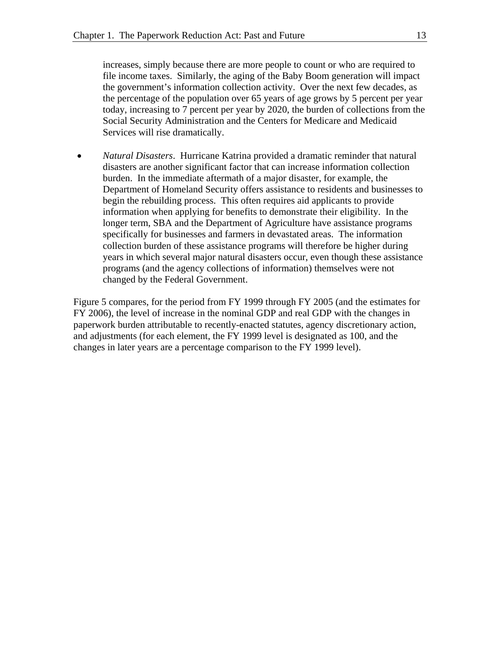increases, simply because there are more people to count or who are required to file income taxes. Similarly, the aging of the Baby Boom generation will impact the government's information collection activity. Over the next few decades, as the percentage of the population over 65 years of age grows by 5 percent per year today, increasing to 7 percent per year by 2020, the burden of collections from the Social Security Administration and the Centers for Medicare and Medicaid Services will rise dramatically.

• *Natural Disasters*. Hurricane Katrina provided a dramatic reminder that natural disasters are another significant factor that can increase information collection burden. In the immediate aftermath of a major disaster, for example, the Department of Homeland Security offers assistance to residents and businesses to begin the rebuilding process. This often requires aid applicants to provide information when applying for benefits to demonstrate their eligibility. In the longer term, SBA and the Department of Agriculture have assistance programs specifically for businesses and farmers in devastated areas. The information collection burden of these assistance programs will therefore be higher during years in which several major natural disasters occur, even though these assistance programs (and the agency collections of information) themselves were not changed by the Federal Government.

Figure 5 compares, for the period from FY 1999 through FY 2005 (and the estimates for FY 2006), the level of increase in the nominal GDP and real GDP with the changes in paperwork burden attributable to recently-enacted statutes, agency discretionary action, and adjustments (for each element, the FY 1999 level is designated as 100, and the changes in later years are a percentage comparison to the FY 1999 level).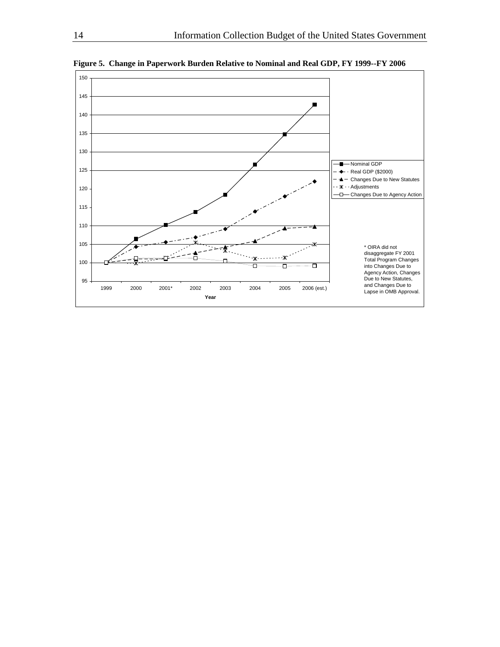

<span id="page-23-0"></span>**Figure 5. Change in Paperwork Burden Relative to Nominal and Real GDP, FY 1999--FY 2006**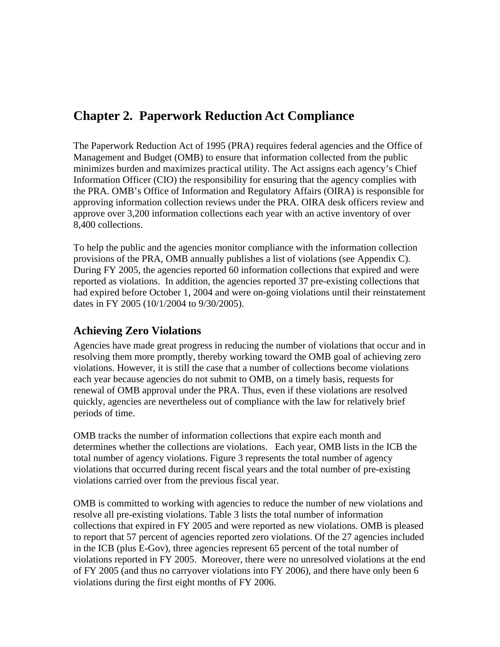# <span id="page-24-0"></span>**Chapter 2. Paperwork Reduction Act Compliance**

The Paperwork Reduction Act of 1995 (PRA) requires federal agencies and the Office of Management and Budget (OMB) to ensure that information collected from the public minimizes burden and maximizes practical utility. The Act assigns each agency's Chief Information Officer (CIO) the responsibility for ensuring that the agency complies with the PRA. OMB's Office of Information and Regulatory Affairs (OIRA) is responsible for approving information collection reviews under the PRA. OIRA desk officers review and approve over 3,200 information collections each year with an active inventory of over 8,400 collections.

To help the public and the agencies monitor compliance with the information collection provisions of the PRA, OMB annually publishes a list of violations (see Appendix C). During FY 2005, the agencies reported 60 information collections that expired and were reported as violations. In addition, the agencies reported 37 pre-existing collections that had expired before October 1, 2004 and were on-going violations until their reinstatement dates in FY 2005 (10/1/2004 to 9/30/2005).

#### **Achieving Zero Violations**

Agencies have made great progress in reducing the number of violations that occur and in resolving them more promptly, thereby working toward the OMB goal of achieving zero violations. However, it is still the case that a number of collections become violations each year because agencies do not submit to OMB, on a timely basis, requests for renewal of OMB approval under the PRA. Thus, even if these violations are resolved quickly, agencies are nevertheless out of compliance with the law for relatively brief periods of time.

OMB tracks the number of information collections that expire each month and determines whether the collections are violations. Each year, OMB lists in the ICB the total number of agency violations. Figure 3 represents the total number of agency violations that occurred during recent fiscal years and the total number of pre-existing violations carried over from the previous fiscal year.

OMB is committed to working with agencies to reduce the number of new violations and resolve all pre-existing violations. Table 3 lists the total number of information collections that expired in FY 2005 and were reported as new violations. OMB is pleased to report that 57 percent of agencies reported zero violations. Of the 27 agencies included in the ICB (plus E-Gov), three agencies represent 65 percent of the total number of violations reported in FY 2005. Moreover, there were no unresolved violations at the end of FY 2005 (and thus no carryover violations into FY 2006), and there have only been 6 violations during the first eight months of FY 2006.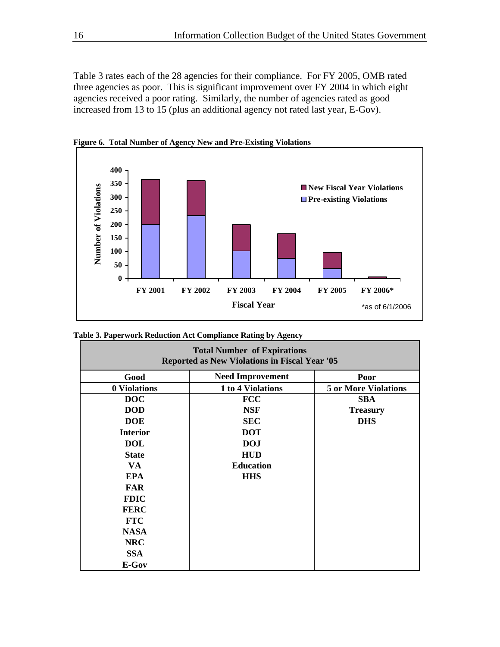<span id="page-25-0"></span>Table 3 rates each of the 28 agencies for their compliance. For FY 2005, OMB rated three agencies as poor. This is significant improvement over FY 2004 in which eight agencies received a poor rating. Similarly, the number of agencies rated as good increased from 13 to 15 (plus an additional agency not rated last year, E-Gov).



**Figure 6. Total Number of Agency New and Pre-Existing Violations** 

| <b>Total Number of Expirations</b><br><b>Reported as New Violations in Fiscal Year '05</b> |                         |                             |  |  |  |
|--------------------------------------------------------------------------------------------|-------------------------|-----------------------------|--|--|--|
| Good                                                                                       | <b>Need Improvement</b> | Poor                        |  |  |  |
| 0 Violations                                                                               | 1 to 4 Violations       | <b>5 or More Violations</b> |  |  |  |
| <b>DOC</b>                                                                                 | <b>FCC</b>              | <b>SBA</b>                  |  |  |  |
| <b>DOD</b>                                                                                 | <b>NSF</b>              | <b>Treasury</b>             |  |  |  |
| <b>DOE</b>                                                                                 | <b>SEC</b>              | <b>DHS</b>                  |  |  |  |
| <b>Interior</b>                                                                            | <b>DOT</b>              |                             |  |  |  |
| <b>DOL</b>                                                                                 | <b>DOJ</b>              |                             |  |  |  |
| <b>State</b>                                                                               | <b>HUD</b>              |                             |  |  |  |
| VA                                                                                         | <b>Education</b>        |                             |  |  |  |
| <b>EPA</b>                                                                                 | <b>HHS</b>              |                             |  |  |  |
| <b>FAR</b>                                                                                 |                         |                             |  |  |  |
| <b>FDIC</b>                                                                                |                         |                             |  |  |  |
| <b>FERC</b>                                                                                |                         |                             |  |  |  |
| <b>FTC</b>                                                                                 |                         |                             |  |  |  |
| <b>NASA</b>                                                                                |                         |                             |  |  |  |
| <b>NRC</b>                                                                                 |                         |                             |  |  |  |
| <b>SSA</b>                                                                                 |                         |                             |  |  |  |
| E-Gov                                                                                      |                         |                             |  |  |  |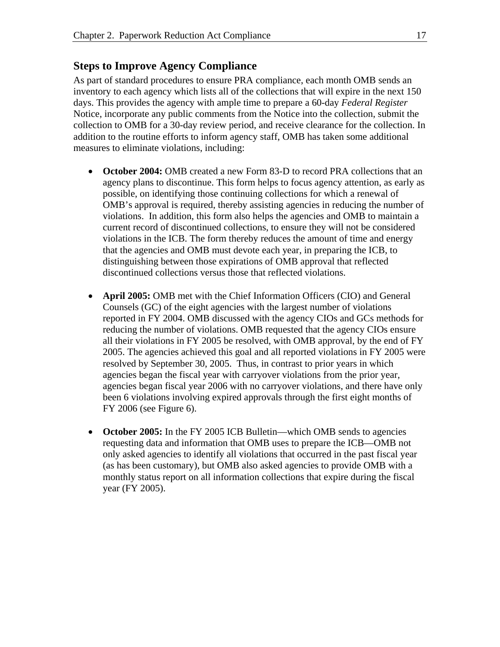#### <span id="page-26-0"></span>**Steps to Improve Agency Compliance**

As part of standard procedures to ensure PRA compliance, each month OMB sends an inventory to each agency which lists all of the collections that will expire in the next 150 days. This provides the agency with ample time to prepare a 60-day *Federal Register*  Notice, incorporate any public comments from the Notice into the collection, submit the collection to OMB for a 30-day review period, and receive clearance for the collection. In addition to the routine efforts to inform agency staff, OMB has taken some additional measures to eliminate violations, including:

- **October 2004:** OMB created a new Form 83-D to record PRA collections that an agency plans to discontinue. This form helps to focus agency attention, as early as possible, on identifying those continuing collections for which a renewal of OMB's approval is required, thereby assisting agencies in reducing the number of violations. In addition, this form also helps the agencies and OMB to maintain a current record of discontinued collections, to ensure they will not be considered violations in the ICB. The form thereby reduces the amount of time and energy that the agencies and OMB must devote each year, in preparing the ICB, to distinguishing between those expirations of OMB approval that reflected discontinued collections versus those that reflected violations.
- **April 2005:** OMB met with the Chief Information Officers (CIO) and General Counsels (GC) of the eight agencies with the largest number of violations reported in FY 2004. OMB discussed with the agency CIOs and GCs methods for reducing the number of violations. OMB requested that the agency CIOs ensure all their violations in FY 2005 be resolved, with OMB approval, by the end of FY 2005. The agencies achieved this goal and all reported violations in FY 2005 were resolved by September 30, 2005. Thus, in contrast to prior years in which agencies began the fiscal year with carryover violations from the prior year, agencies began fiscal year 2006 with no carryover violations, and there have only been 6 violations involving expired approvals through the first eight months of FY 2006 (see Figure 6).
- **October 2005:** In the FY 2005 ICB Bulletin—which OMB sends to agencies requesting data and information that OMB uses to prepare the ICB—OMB not only asked agencies to identify all violations that occurred in the past fiscal year (as has been customary), but OMB also asked agencies to provide OMB with a monthly status report on all information collections that expire during the fiscal year (FY 2005).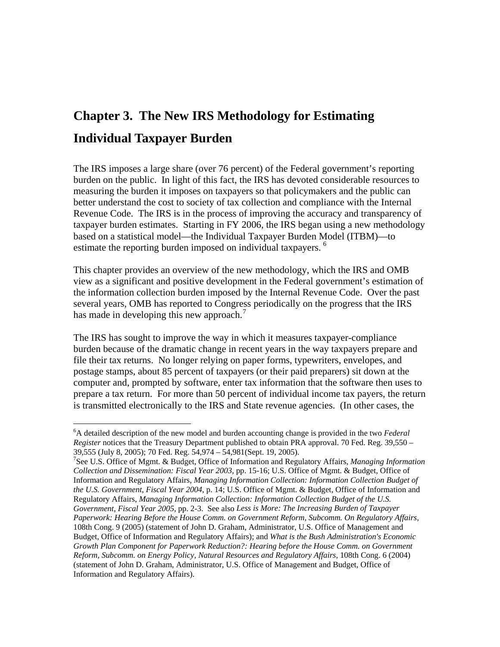# <span id="page-28-0"></span>**Chapter 3. The New IRS Methodology for Estimating Individual Taxpayer Burden**

The IRS imposes a large share (over 76 percent) of the Federal government's reporting burden on the public. In light of this fact, the IRS has devoted considerable resources to measuring the burden it imposes on taxpayers so that policymakers and the public can better understand the cost to society of tax collection and compliance with the Internal Revenue Code. The IRS is in the process of improving the accuracy and transparency of taxpayer burden estimates. Starting in FY 2006, the IRS began using a new methodology based on a statistical model—the Individual Taxpayer Burden Model (ITBM)—to estimate the reporting burden imposed on individual taxpayers.<sup>[6](#page-28-0)</sup>

This chapter provides an overview of the new methodology, which the IRS and OMB view as a significant and positive development in the Federal government's estimation of the information collection burden imposed by the Internal Revenue Code. Over the past several years, OMB has reported to Congress periodically on the progress that the IRS has made in developing this new approach.<sup>[7](#page-28-0)</sup>

The IRS has sought to improve the way in which it measures taxpayer-compliance burden because of the dramatic change in recent years in the way taxpayers prepare and file their tax returns. No longer relying on paper forms, typewriters, envelopes, and postage stamps, about 85 percent of taxpayers (or their paid preparers) sit down at the computer and, prompted by software, enter tax information that the software then uses to prepare a tax return. For more than 50 percent of individual income tax payers, the return is transmitted electronically to the IRS and State revenue agencies. (In other cases, the

 $\overline{a}$ 

7 See U.S. Office of Mgmt. & Budget, Office of Information and Regulatory Affairs, *Managing Information Collection and Dissemination: Fiscal Year 2003*, pp. 15-16; U.S. Office of Mgmt. & Budget, Office of Information and Regulatory Affairs, *Managing Information Collection: Information Collection Budget of the U.S. Government, Fiscal Year 2004*, p. 14; U.S. Office of Mgmt. & Budget, Office of Information and Regulatory Affairs, *Managing Information Collection: Information Collection Budget of the U.S. Government, Fiscal Year 2005*, pp. 2-3. See also *Less is More: The Increasing Burden of Taxpayer Paperwork: Hearing Before the House Comm. on Government Reform, Subcomm. On Regulatory Affairs*, 108th Cong. 9 (2005) (statement of John D. Graham, Administrator, U.S. Office of Management and Budget, Office of Information and Regulatory Affairs); and *What is the Bush Administration's Economic Growth Plan Component for Paperwork Reduction?: Hearing before the House Comm. on Government Reform, Subcomm. on Energy Policy, Natural Resources and Regulatory Affairs*, 108th Cong. 6 (2004) (statement of John D. Graham, Administrator, U.S. Office of Management and Budget, Office of Information and Regulatory Affairs).

<sup>6</sup> A detailed description of the new model and burden accounting change is provided in the two *Federal Register* notices that the Treasury Department published to obtain PRA approval. 70 Fed. Reg. 39,550 – 39,555 (July 8, 2005); 70 Fed. Reg. 54,974 – 54,981(Sept. 19, 2005).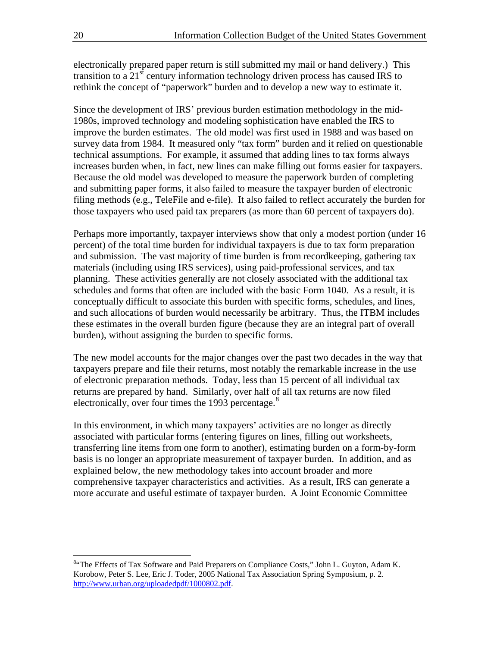<span id="page-29-0"></span>electronically prepared paper return is still submitted my mail or hand delivery.) This transition to a 21<sup>st</sup> century information technology driven process has caused IRS to rethink the concept of "paperwork" burden and to develop a new way to estimate it.

Since the development of IRS' previous burden estimation methodology in the mid-1980s, improved technology and modeling sophistication have enabled the IRS to improve the burden estimates. The old model was first used in 1988 and was based on survey data from 1984. It measured only "tax form" burden and it relied on questionable technical assumptions. For example, it assumed that adding lines to tax forms always increases burden when, in fact, new lines can make filling out forms easier for taxpayers. Because the old model was developed to measure the paperwork burden of completing and submitting paper forms, it also failed to measure the taxpayer burden of electronic filing methods (e.g., TeleFile and e-file). It also failed to reflect accurately the burden for those taxpayers who used paid tax preparers (as more than 60 percent of taxpayers do).

Perhaps more importantly, taxpayer interviews show that only a modest portion (under 16 percent) of the total time burden for individual taxpayers is due to tax form preparation and submission. The vast majority of time burden is from recordkeeping, gathering tax materials (including using IRS services), using paid-professional services, and tax planning. These activities generally are not closely associated with the additional tax schedules and forms that often are included with the basic Form 1040. As a result, it is conceptually difficult to associate this burden with specific forms, schedules, and lines, and such allocations of burden would necessarily be arbitrary. Thus, the ITBM includes these estimates in the overall burden figure (because they are an integral part of overall burden), without assigning the burden to specific forms.

The new model accounts for the major changes over the past two decades in the way that taxpayers prepare and file their returns, most notably the remarkable increase in the use of electronic preparation methods. Today, less than 15 percent of all individual tax returns are prepared by hand. Similarly, over half of all tax returns are now filed electronically, over four times the 1993 percentage. $8$ 

In this environment, in which many taxpayers' activities are no longer as directly associated with particular forms (entering figures on lines, filling out worksheets, transferring line items from one form to another), estimating burden on a form-by-form basis is no longer an appropriate measurement of taxpayer burden. In addition, and as explained below, the new methodology takes into account broader and more comprehensive taxpayer characteristics and activities. As a result, IRS can generate a more accurate and useful estimate of taxpayer burden. A Joint Economic Committee

<sup>&</sup>lt;sup>8</sup><sup>4</sup>The Effects of Tax Software and Paid Preparers on Compliance Costs," John L. Guyton, Adam K. Korobow, Peter S. Lee, Eric J. Toder, 2005 National Tax Association Spring Symposium, p. 2. <http://www.urban.org/uploadedpdf/1000802.pdf>.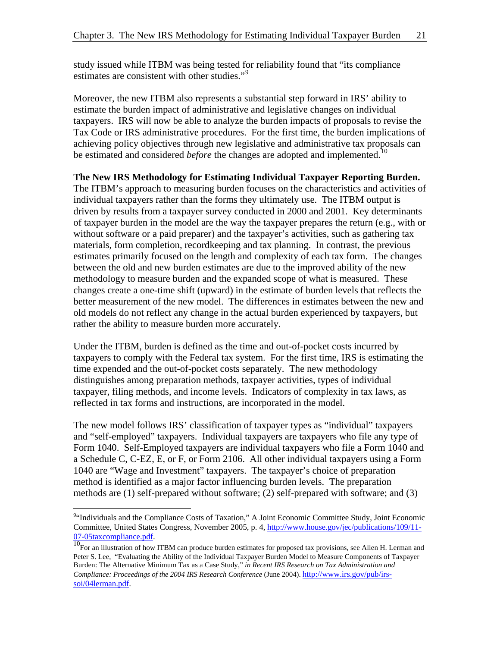<span id="page-30-0"></span>study issued while ITBM was being tested for reliability found that "its compliance estimates are consistent with other studies."<sup>[9](#page-30-0)</sup>

Moreover, the new ITBM also represents a substantial step forward in IRS' ability to estimate the burden impact of administrative and legislative changes on individual taxpayers. IRS will now be able to analyze the burden impacts of proposals to revise the Tax Code or IRS administrative procedures. For the first time, the burden implications of achieving policy objectives through new legislative and administrative tax proposals can be estimated and considered *before* the changes are adopted and implemented.<sup>[10](#page-30-0)</sup>

**The New IRS Methodology for Estimating Individual Taxpayer Reporting Burden.** The ITBM's approach to measuring burden focuses on the characteristics and activities of individual taxpayers rather than the forms they ultimately use. The ITBM output is driven by results from a taxpayer survey conducted in 2000 and 2001. Key determinants of taxpayer burden in the model are the way the taxpayer prepares the return (e.g., with or without software or a paid preparer) and the taxpayer's activities, such as gathering tax materials, form completion, recordkeeping and tax planning. In contrast, the previous estimates primarily focused on the length and complexity of each tax form. The changes between the old and new burden estimates are due to the improved ability of the new methodology to measure burden and the expanded scope of what is measured. These changes create a one-time shift (upward) in the estimate of burden levels that reflects the better measurement of the new model. The differences in estimates between the new and old models do not reflect any change in the actual burden experienced by taxpayers, but rather the ability to measure burden more accurately.

Under the ITBM, burden is defined as the time and out-of-pocket costs incurred by taxpayers to comply with the Federal tax system. For the first time, IRS is estimating the time expended and the out-of-pocket costs separately. The new methodology distinguishes among preparation methods, taxpayer activities, types of individual taxpayer, filing methods, and income levels. Indicators of complexity in tax laws, as reflected in tax forms and instructions, are incorporated in the model.

The new model follows IRS' classification of taxpayer types as "individual" taxpayers and "self-employed" taxpayers. Individual taxpayers are taxpayers who file any type of Form 1040. Self-Employed taxpayers are individual taxpayers who file a Form 1040 and a Schedule C, C-EZ, E, or F, or Form 2106. All other individual taxpayers using a Form 1040 are "Wage and Investment" taxpayers. The taxpayer's choice of preparation method is identified as a major factor influencing burden levels. The preparation methods are (1) self-prepared without software; (2) self-prepared with software; and (3)

<sup>&</sup>lt;sup>94</sup> Individuals and the Compliance Costs of Taxation," A Joint Economic Committee Study, Joint Economic Committee, United States Congress, November 2005, p. 4, [http://www.house.gov/jec/publications/109/11-](http://www.house.gov/jec/publications/109/11-07-05taxcompliance.pdf)

 $\frac{07-\text{05}\text{taxcompliance.pdf}}{10}$  $\frac{07-\text{05}\text{taxcompliance.pdf}}{10}$  $\frac{07-\text{05}\text{taxcompliance.pdf}}{10}$ .<br>To an illustration of how ITBM can produce burden estimates for proposed tax provisions, see Allen H. Lerman and Peter S. Lee, "Evaluating the Ability of the Individual Taxpayer Burden Model to Measure Components of Taxpayer Burden: The Alternative Minimum Tax as a Case Study," *in Recent IRS Research on Tax Administration and Compliance: Proceedings of the 2004 IRS Research Conference* (June 2004). [http://www.irs.gov/pub/irs](http://www.irs.gov/pub/irs-soi/04lerman.pdf)[soi/04lerman.pdf](http://www.irs.gov/pub/irs-soi/04lerman.pdf).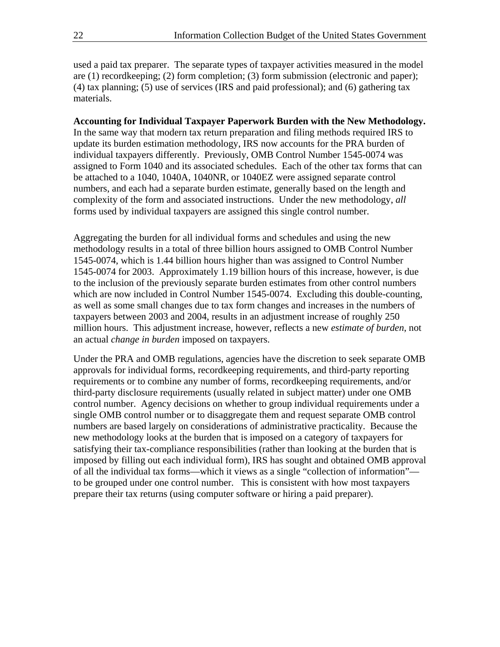used a paid tax preparer. The separate types of taxpayer activities measured in the model are (1) recordkeeping; (2) form completion; (3) form submission (electronic and paper); (4) tax planning; (5) use of services (IRS and paid professional); and (6) gathering tax materials.

**Accounting for Individual Taxpayer Paperwork Burden with the New Methodology.** In the same way that modern tax return preparation and filing methods required IRS to update its burden estimation methodology, IRS now accounts for the PRA burden of individual taxpayers differently. Previously, OMB Control Number 1545-0074 was assigned to Form 1040 and its associated schedules. Each of the other tax forms that can be attached to a 1040, 1040A, 1040NR, or 1040EZ were assigned separate control numbers, and each had a separate burden estimate, generally based on the length and complexity of the form and associated instructions. Under the new methodology, *all*  forms used by individual taxpayers are assigned this single control number.

Aggregating the burden for all individual forms and schedules and using the new methodology results in a total of three billion hours assigned to OMB Control Number 1545-0074, which is 1.44 billion hours higher than was assigned to Control Number 1545-0074 for 2003. Approximately 1.19 billion hours of this increase, however, is due to the inclusion of the previously separate burden estimates from other control numbers which are now included in Control Number 1545-0074. Excluding this double-counting, as well as some small changes due to tax form changes and increases in the numbers of taxpayers between 2003 and 2004, results in an adjustment increase of roughly 250 million hours. This adjustment increase, however, reflects a new *estimate of burden*, not an actual *change in burden* imposed on taxpayers.

Under the PRA and OMB regulations, agencies have the discretion to seek separate OMB approvals for individual forms, recordkeeping requirements, and third-party reporting requirements or to combine any number of forms, recordkeeping requirements, and/or third-party disclosure requirements (usually related in subject matter) under one OMB control number. Agency decisions on whether to group individual requirements under a single OMB control number or to disaggregate them and request separate OMB control numbers are based largely on considerations of administrative practicality. Because the new methodology looks at the burden that is imposed on a category of taxpayers for satisfying their tax-compliance responsibilities (rather than looking at the burden that is imposed by filling out each individual form), IRS has sought and obtained OMB approval of all the individual tax forms—which it views as a single "collection of information" to be grouped under one control number. This is consistent with how most taxpayers prepare their tax returns (using computer software or hiring a paid preparer).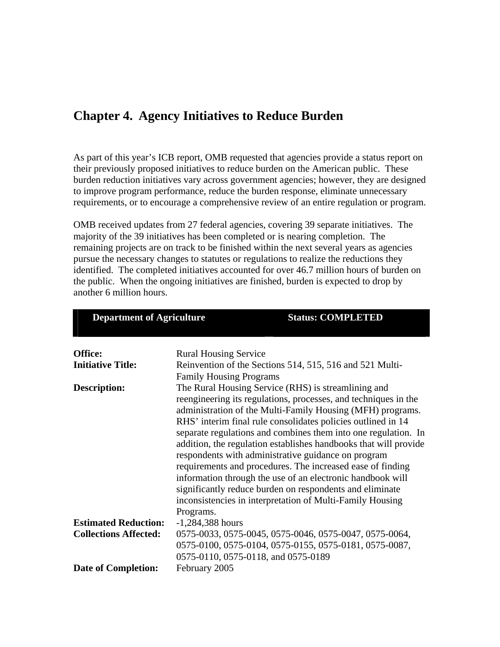# <span id="page-32-0"></span>**Chapter 4. Agency Initiatives to Reduce Burden**

As part of this year's ICB report, OMB requested that agencies provide a status report on their previously proposed initiatives to reduce burden on the American public. These burden reduction initiatives vary across government agencies; however, they are designed to improve program performance, reduce the burden response, eliminate unnecessary requirements, or to encourage a comprehensive review of an entire regulation or program.

OMB received updates from 27 federal agencies, covering 39 separate initiatives. The majority of the 39 initiatives has been completed or is nearing completion. The remaining projects are on track to be finished within the next several years as agencies pursue the necessary changes to statutes or regulations to realize the reductions they identified. The completed initiatives accounted for over 46.7 million hours of burden on the public. When the ongoing initiatives are finished, burden is expected to drop by another 6 million hours.

| <b>Department of Agriculture</b> |                                                                                                                                                                                                                                                                                                                                                                                                                                                                                                                                                                                                                                                                                                        | <b>Status: COMPLETED</b>                                                                                         |  |  |  |
|----------------------------------|--------------------------------------------------------------------------------------------------------------------------------------------------------------------------------------------------------------------------------------------------------------------------------------------------------------------------------------------------------------------------------------------------------------------------------------------------------------------------------------------------------------------------------------------------------------------------------------------------------------------------------------------------------------------------------------------------------|------------------------------------------------------------------------------------------------------------------|--|--|--|
| Office:                          | <b>Rural Housing Service</b>                                                                                                                                                                                                                                                                                                                                                                                                                                                                                                                                                                                                                                                                           |                                                                                                                  |  |  |  |
| <b>Initiative Title:</b>         | Reinvention of the Sections 514, 515, 516 and 521 Multi-<br><b>Family Housing Programs</b>                                                                                                                                                                                                                                                                                                                                                                                                                                                                                                                                                                                                             |                                                                                                                  |  |  |  |
| <b>Description:</b>              | The Rural Housing Service (RHS) is streamlining and<br>reengineering its regulations, processes, and techniques in the<br>administration of the Multi-Family Housing (MFH) programs.<br>RHS' interim final rule consolidates policies outlined in 14<br>separate regulations and combines them into one regulation. In<br>addition, the regulation establishes handbooks that will provide<br>respondents with administrative guidance on program<br>requirements and procedures. The increased ease of finding<br>information through the use of an electronic handbook will<br>significantly reduce burden on respondents and eliminate<br>inconsistencies in interpretation of Multi-Family Housing |                                                                                                                  |  |  |  |
| <b>Estimated Reduction:</b>      | Programs.<br>$-1,284,388$ hours                                                                                                                                                                                                                                                                                                                                                                                                                                                                                                                                                                                                                                                                        |                                                                                                                  |  |  |  |
| <b>Collections Affected:</b>     | 0575-0110, 0575-0118, and 0575-0189                                                                                                                                                                                                                                                                                                                                                                                                                                                                                                                                                                                                                                                                    | 0575-0033, 0575-0045, 0575-0046, 0575-0047, 0575-0064,<br>0575-0100, 0575-0104, 0575-0155, 0575-0181, 0575-0087, |  |  |  |
| <b>Date of Completion:</b>       | February 2005                                                                                                                                                                                                                                                                                                                                                                                                                                                                                                                                                                                                                                                                                          |                                                                                                                  |  |  |  |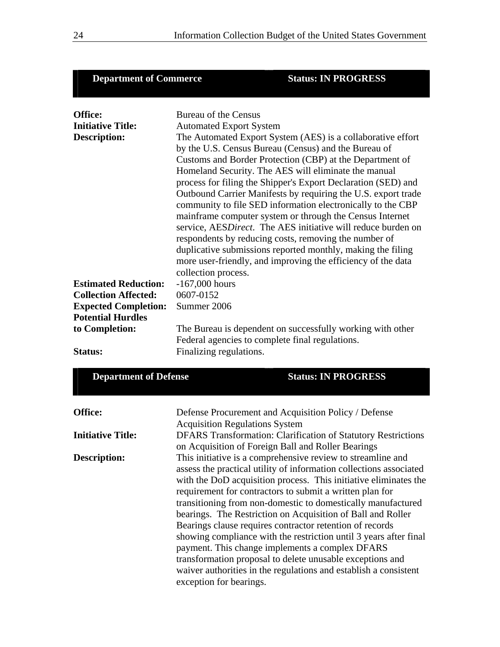| <b>Department of Commerce</b>                                                                                                                           |                                                                                                                                                                                                                                                                                                                                                                                                                                                                                                                                                                                                                                                                                                                                                                                                                                                                                       | <b>Status: IN PROGRESS</b>                           |  |  |  |
|---------------------------------------------------------------------------------------------------------------------------------------------------------|---------------------------------------------------------------------------------------------------------------------------------------------------------------------------------------------------------------------------------------------------------------------------------------------------------------------------------------------------------------------------------------------------------------------------------------------------------------------------------------------------------------------------------------------------------------------------------------------------------------------------------------------------------------------------------------------------------------------------------------------------------------------------------------------------------------------------------------------------------------------------------------|------------------------------------------------------|--|--|--|
| Office:<br><b>Initiative Title:</b><br><b>Description:</b><br><b>Estimated Reduction:</b><br><b>Collection Affected:</b><br><b>Expected Completion:</b> | <b>Bureau of the Census</b><br><b>Automated Export System</b><br>The Automated Export System (AES) is a collaborative effort<br>by the U.S. Census Bureau (Census) and the Bureau of<br>Customs and Border Protection (CBP) at the Department of<br>Homeland Security. The AES will eliminate the manual<br>process for filing the Shipper's Export Declaration (SED) and<br>Outbound Carrier Manifests by requiring the U.S. export trade<br>community to file SED information electronically to the CBP<br>mainframe computer system or through the Census Internet<br>service, AESDirect. The AES initiative will reduce burden on<br>respondents by reducing costs, removing the number of<br>duplicative submissions reported monthly, making the filing<br>more user-friendly, and improving the efficiency of the data<br>collection process.<br>$-167,000$ hours<br>0607-0152 |                                                      |  |  |  |
| <b>Potential Hurdles</b>                                                                                                                                |                                                                                                                                                                                                                                                                                                                                                                                                                                                                                                                                                                                                                                                                                                                                                                                                                                                                                       |                                                      |  |  |  |
| to Completion:                                                                                                                                          | The Bureau is dependent on successfully working with other<br>Federal agencies to complete final regulations.                                                                                                                                                                                                                                                                                                                                                                                                                                                                                                                                                                                                                                                                                                                                                                         |                                                      |  |  |  |
| <b>Status:</b>                                                                                                                                          | Finalizing regulations.                                                                                                                                                                                                                                                                                                                                                                                                                                                                                                                                                                                                                                                                                                                                                                                                                                                               |                                                      |  |  |  |
| <b>Department of Defense</b>                                                                                                                            |                                                                                                                                                                                                                                                                                                                                                                                                                                                                                                                                                                                                                                                                                                                                                                                                                                                                                       | <b>Status: IN PROGRESS</b>                           |  |  |  |
| Office:                                                                                                                                                 | <b>Acquisition Regulations System</b>                                                                                                                                                                                                                                                                                                                                                                                                                                                                                                                                                                                                                                                                                                                                                                                                                                                 | Defense Procurement and Acquisition Policy / Defense |  |  |  |

|                          | Acquisition Regulations System                                     |
|--------------------------|--------------------------------------------------------------------|
| <b>Initiative Title:</b> | DFARS Transformation: Clarification of Statutory Restrictions      |
|                          | on Acquisition of Foreign Ball and Roller Bearings                 |
| <b>Description:</b>      | This initiative is a comprehensive review to streamline and        |
|                          | assess the practical utility of information collections associated |
|                          | with the DoD acquisition process. This initiative eliminates the   |
|                          | requirement for contractors to submit a written plan for           |
|                          | transitioning from non-domestic to domestically manufactured       |
|                          | bearings. The Restriction on Acquisition of Ball and Roller        |
|                          | Bearings clause requires contractor retention of records           |
|                          | showing compliance with the restriction until 3 years after final  |
|                          | payment. This change implements a complex DFARS                    |
|                          | transformation proposal to delete unusable exceptions and          |
|                          | waiver authorities in the regulations and establish a consistent   |
|                          | exception for bearings.                                            |
|                          |                                                                    |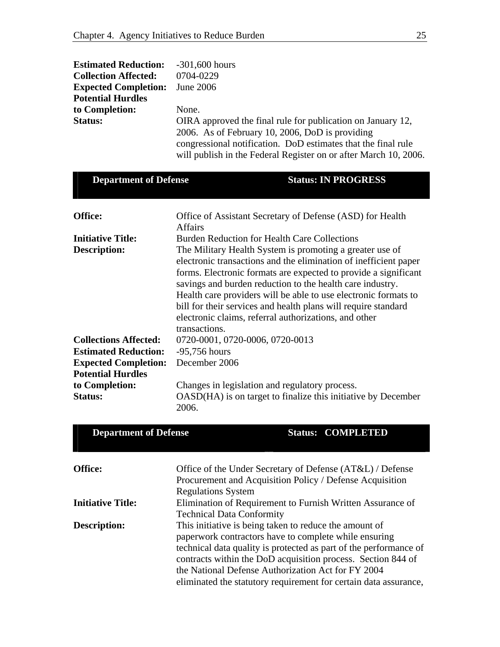| <b>Estimated Reduction:</b>           | $-301,600$ hours                                            |
|---------------------------------------|-------------------------------------------------------------|
| <b>Collection Affected:</b>           | 0704-0229                                                   |
| <b>Expected Completion:</b> June 2006 |                                                             |
| <b>Potential Hurdles</b>              |                                                             |
| to Completion:                        | None.                                                       |
| Status:                               | OIRA approved the final rule for publication on January 12, |
|                                       | 2006. As of February 10, 2006, DoD is providing             |
|                                       | .                                                           |

congressional notification. DoD estimates that the final rule will publish in the Federal Register on or after March 10, 2006.

| <b>Department of Defense</b> |                                                                                                                                                                                                                                                                                                                                                                                                                                                                             | <b>Status: IN PROGRESS</b>                                    |  |  |
|------------------------------|-----------------------------------------------------------------------------------------------------------------------------------------------------------------------------------------------------------------------------------------------------------------------------------------------------------------------------------------------------------------------------------------------------------------------------------------------------------------------------|---------------------------------------------------------------|--|--|
| Office:                      | Affairs                                                                                                                                                                                                                                                                                                                                                                                                                                                                     | Office of Assistant Secretary of Defense (ASD) for Health     |  |  |
| <b>Initiative Title:</b>     | <b>Burden Reduction for Health Care Collections</b>                                                                                                                                                                                                                                                                                                                                                                                                                         |                                                               |  |  |
| <b>Description:</b>          | The Military Health System is promoting a greater use of<br>electronic transactions and the elimination of inefficient paper<br>forms. Electronic formats are expected to provide a significant<br>savings and burden reduction to the health care industry.<br>Health care providers will be able to use electronic formats to<br>bill for their services and health plans will require standard<br>electronic claims, referral authorizations, and other<br>transactions. |                                                               |  |  |
| <b>Collections Affected:</b> | 0720-0001, 0720-0006, 0720-0013                                                                                                                                                                                                                                                                                                                                                                                                                                             |                                                               |  |  |
| <b>Estimated Reduction:</b>  | $-95,756$ hours                                                                                                                                                                                                                                                                                                                                                                                                                                                             |                                                               |  |  |
| <b>Expected Completion:</b>  | December 2006                                                                                                                                                                                                                                                                                                                                                                                                                                                               |                                                               |  |  |
| <b>Potential Hurdles</b>     |                                                                                                                                                                                                                                                                                                                                                                                                                                                                             |                                                               |  |  |
| to Completion:               | Changes in legislation and regulatory process.                                                                                                                                                                                                                                                                                                                                                                                                                              |                                                               |  |  |
| <b>Status:</b>               | 2006.                                                                                                                                                                                                                                                                                                                                                                                                                                                                       | OASD(HA) is on target to finalize this initiative by December |  |  |

| <b>Department of Defense</b> |                                                                   | <b>Status: COMPLETED</b> |  |
|------------------------------|-------------------------------------------------------------------|--------------------------|--|
| <b>Office:</b>               | Office of the Under Secretary of Defense (AT&L) / Defense         |                          |  |
|                              | Procurement and Acquisition Policy / Defense Acquisition          |                          |  |
|                              | <b>Regulations System</b>                                         |                          |  |
| <b>Initiative Title:</b>     | Elimination of Requirement to Furnish Written Assurance of        |                          |  |
|                              | <b>Technical Data Conformity</b>                                  |                          |  |
| Description:                 | This initiative is being taken to reduce the amount of            |                          |  |
|                              | paperwork contractors have to complete while ensuring             |                          |  |
|                              | technical data quality is protected as part of the performance of |                          |  |
|                              | contracts within the DoD acquisition process. Section 844 of      |                          |  |
|                              | the National Defense Authorization Act for FY 2004                |                          |  |
|                              | eliminated the statutory requirement for certain data assurance,  |                          |  |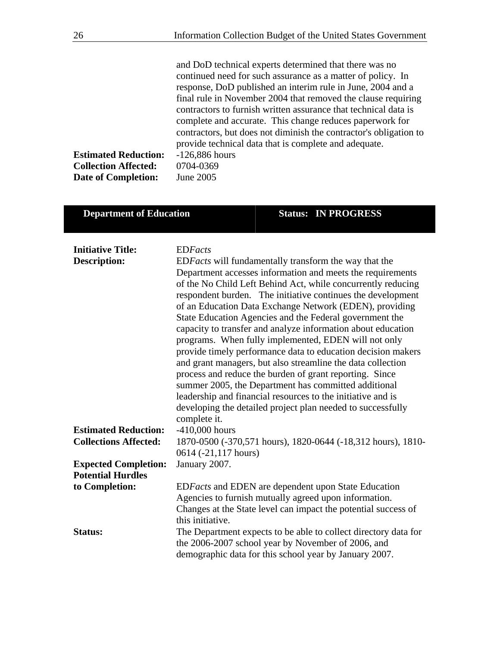and DoD technical experts determined that there was no continued need for such assurance as a matter of policy. In response, DoD published an interim rule in June, 2004 and a final rule in November 2004 that removed the clause requiring contractors to furnish written assurance that technical data is complete and accurate. This change reduces paperwork for contractors, but does not diminish the contractor's obligation to provide technical data that is complete and adequate. **Estimated Reduction:** -126,886 hours **Collection Affected:** 0704-0369 **Date of Completion:** June 2005

#### **Department of Education Status: IN PROGRESS**

| <b>Initiative Title:</b><br><b>Description:</b> | <b>EDFacts</b><br>EDFacts will fundamentally transform the way that the<br>Department accesses information and meets the requirements<br>of the No Child Left Behind Act, while concurrently reducing |
|-------------------------------------------------|-------------------------------------------------------------------------------------------------------------------------------------------------------------------------------------------------------|
|                                                 | respondent burden. The initiative continues the development<br>of an Education Data Exchange Network (EDEN), providing                                                                                |
|                                                 | State Education Agencies and the Federal government the                                                                                                                                               |
|                                                 | capacity to transfer and analyze information about education<br>programs. When fully implemented, EDEN will not only                                                                                  |
|                                                 | provide timely performance data to education decision makers                                                                                                                                          |
|                                                 | and grant managers, but also streamline the data collection                                                                                                                                           |
|                                                 | process and reduce the burden of grant reporting. Since<br>summer 2005, the Department has committed additional                                                                                       |
|                                                 | leadership and financial resources to the initiative and is                                                                                                                                           |
|                                                 | developing the detailed project plan needed to successfully<br>complete it.                                                                                                                           |
| <b>Estimated Reduction:</b>                     | $-410,000$ hours                                                                                                                                                                                      |
| <b>Collections Affected:</b>                    | 1870-0500 (-370,571 hours), 1820-0644 (-18,312 hours), 1810-<br>0614 (-21,117 hours)                                                                                                                  |
| <b>Expected Completion:</b>                     | January 2007.                                                                                                                                                                                         |
| <b>Potential Hurdles</b>                        |                                                                                                                                                                                                       |
| to Completion:                                  | EDFacts and EDEN are dependent upon State Education                                                                                                                                                   |
|                                                 | Agencies to furnish mutually agreed upon information.                                                                                                                                                 |
|                                                 | Changes at the State level can impact the potential success of                                                                                                                                        |
|                                                 | this initiative.                                                                                                                                                                                      |
| <b>Status:</b>                                  | The Department expects to be able to collect directory data for                                                                                                                                       |
|                                                 | the 2006-2007 school year by November of 2006, and                                                                                                                                                    |
|                                                 | demographic data for this school year by January 2007.                                                                                                                                                |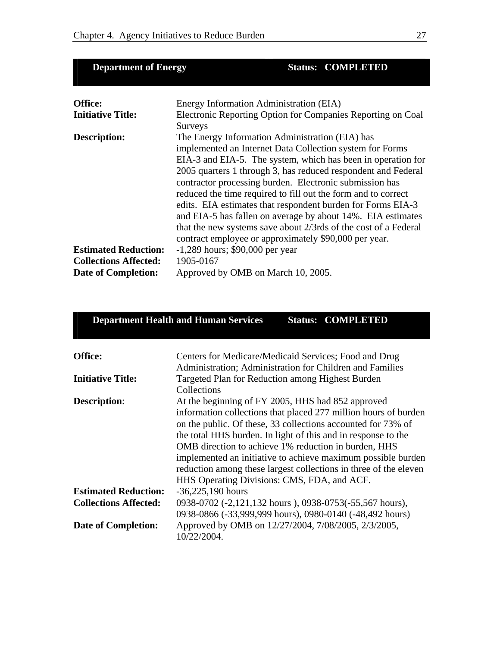| <b>Department of Energy</b>  |                                                                                                                                                                                                                                                                                                  | <b>Status: COMPLETED</b>                                                                                                                                                                                                                                                                                                       |
|------------------------------|--------------------------------------------------------------------------------------------------------------------------------------------------------------------------------------------------------------------------------------------------------------------------------------------------|--------------------------------------------------------------------------------------------------------------------------------------------------------------------------------------------------------------------------------------------------------------------------------------------------------------------------------|
| <b>Office:</b>               | Energy Information Administration (EIA)                                                                                                                                                                                                                                                          |                                                                                                                                                                                                                                                                                                                                |
| <b>Initiative Title:</b>     | Surveys                                                                                                                                                                                                                                                                                          | Electronic Reporting Option for Companies Reporting on Coal                                                                                                                                                                                                                                                                    |
| Description:                 | The Energy Information Administration (EIA) has<br>implemented an Internet Data Collection system for Forms<br>contractor processing burden. Electronic submission has<br>reduced the time required to fill out the form and to correct<br>contract employee or approximately \$90,000 per year. | EIA-3 and EIA-5. The system, which has been in operation for<br>2005 quarters 1 through 3, has reduced respondent and Federal<br>edits. EIA estimates that respondent burden for Forms EIA-3<br>and EIA-5 has fallen on average by about 14%. EIA estimates<br>that the new systems save about 2/3rds of the cost of a Federal |
| <b>Estimated Reduction:</b>  | $-1,289$ hours; \$90,000 per year                                                                                                                                                                                                                                                                |                                                                                                                                                                                                                                                                                                                                |
| <b>Collections Affected:</b> | 1905-0167                                                                                                                                                                                                                                                                                        |                                                                                                                                                                                                                                                                                                                                |
| <b>Date of Completion:</b>   | Approved by OMB on March 10, 2005.                                                                                                                                                                                                                                                               |                                                                                                                                                                                                                                                                                                                                |

# **Department Health and Human Services Status: COMPLETED**

| <b>Office:</b>               | Centers for Medicare/Medicaid Services; Food and Drug<br>Administration; Administration for Children and Families                                                                                                                                                                                                                                                                                                                                                                                |
|------------------------------|--------------------------------------------------------------------------------------------------------------------------------------------------------------------------------------------------------------------------------------------------------------------------------------------------------------------------------------------------------------------------------------------------------------------------------------------------------------------------------------------------|
| <b>Initiative Title:</b>     | Targeted Plan for Reduction among Highest Burden<br>Collections                                                                                                                                                                                                                                                                                                                                                                                                                                  |
| <b>Description:</b>          | At the beginning of FY 2005, HHS had 852 approved<br>information collections that placed 277 million hours of burden<br>on the public. Of these, 33 collections accounted for 73% of<br>the total HHS burden. In light of this and in response to the<br>OMB direction to achieve 1% reduction in burden, HHS<br>implemented an initiative to achieve maximum possible burden<br>reduction among these largest collections in three of the eleven<br>HHS Operating Divisions: CMS, FDA, and ACF. |
| <b>Estimated Reduction:</b>  | $-36,225,190$ hours                                                                                                                                                                                                                                                                                                                                                                                                                                                                              |
| <b>Collections Affected:</b> | 0938-0702 (-2,121,132 hours), 0938-0753(-55,567 hours),<br>0938-0866 (-33,999,999 hours), 0980-0140 (-48,492 hours)                                                                                                                                                                                                                                                                                                                                                                              |
| <b>Date of Completion:</b>   | Approved by OMB on 12/27/2004, 7/08/2005, 2/3/2005,<br>10/22/2004.                                                                                                                                                                                                                                                                                                                                                                                                                               |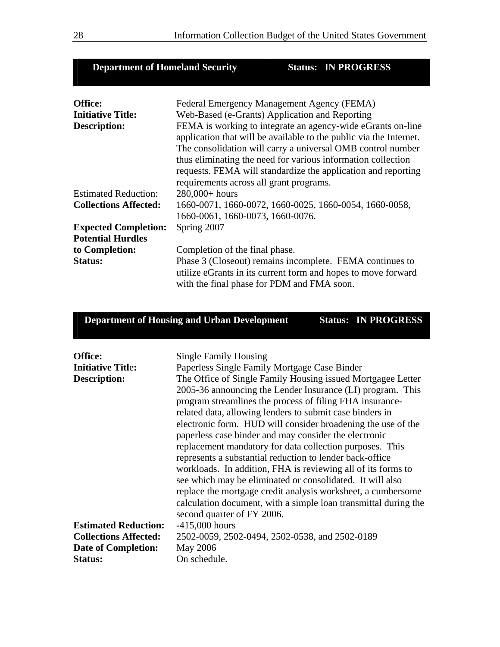| <b>Department of Homeland Security</b>                            |                                                                                                                                                                         | <b>Status: IN PROGRESS</b>                                                                                                                                                                         |
|-------------------------------------------------------------------|-------------------------------------------------------------------------------------------------------------------------------------------------------------------------|----------------------------------------------------------------------------------------------------------------------------------------------------------------------------------------------------|
|                                                                   |                                                                                                                                                                         |                                                                                                                                                                                                    |
| <b>Office:</b><br><b>Initiative Title:</b><br><b>Description:</b> | Federal Emergency Management Agency (FEMA)<br>Web-Based (e-Grants) Application and Reporting                                                                            | FEMA is working to integrate an agency-wide eGrants on-line                                                                                                                                        |
|                                                                   | thus eliminating the need for various information collection<br>requirements across all grant programs.                                                                 | application that will be available to the public via the Internet.<br>The consolidation will carry a universal OMB control number<br>requests. FEMA will standardize the application and reporting |
| <b>Estimated Reduction:</b>                                       | $280,000+ hours$                                                                                                                                                        |                                                                                                                                                                                                    |
| <b>Collections Affected:</b>                                      | 1660-0071, 1660-0072, 1660-0025, 1660-0054, 1660-0058,<br>1660-0061, 1660-0073, 1660-0076.                                                                              |                                                                                                                                                                                                    |
| <b>Expected Completion:</b>                                       | Spring 2007                                                                                                                                                             |                                                                                                                                                                                                    |
| <b>Potential Hurdles</b>                                          |                                                                                                                                                                         |                                                                                                                                                                                                    |
| to Completion:                                                    | Completion of the final phase.                                                                                                                                          |                                                                                                                                                                                                    |
| <b>Status:</b>                                                    | Phase 3 (Closeout) remains incomplete. FEMA continues to<br>utilize eGrants in its current form and hopes to move forward<br>with the final phase for PDM and FMA soon. |                                                                                                                                                                                                    |

# **Department of Housing and Urban Development Status: IN PROGRESS**

| <b>Office:</b><br><b>Initiative Title:</b><br><b>Description:</b> | <b>Single Family Housing</b><br>Paperless Single Family Mortgage Case Binder<br>The Office of Single Family Housing issued Mortgagee Letter<br>2005-36 announcing the Lender Insurance (LI) program. This<br>program streamlines the process of filing FHA insurance-<br>related data, allowing lenders to submit case binders in<br>electronic form. HUD will consider broadening the use of the<br>paperless case binder and may consider the electronic<br>replacement mandatory for data collection purposes. This<br>represents a substantial reduction to lender back-office<br>workloads. In addition, FHA is reviewing all of its forms to<br>see which may be eliminated or consolidated. It will also<br>replace the mortgage credit analysis worksheet, a cumbersome<br>calculation document, with a simple loan transmittal during the<br>second quarter of FY 2006. |
|-------------------------------------------------------------------|----------------------------------------------------------------------------------------------------------------------------------------------------------------------------------------------------------------------------------------------------------------------------------------------------------------------------------------------------------------------------------------------------------------------------------------------------------------------------------------------------------------------------------------------------------------------------------------------------------------------------------------------------------------------------------------------------------------------------------------------------------------------------------------------------------------------------------------------------------------------------------|
| <b>Estimated Reduction:</b>                                       | $-415,000$ hours                                                                                                                                                                                                                                                                                                                                                                                                                                                                                                                                                                                                                                                                                                                                                                                                                                                                 |
| <b>Collections Affected:</b>                                      | 2502-0059, 2502-0494, 2502-0538, and 2502-0189                                                                                                                                                                                                                                                                                                                                                                                                                                                                                                                                                                                                                                                                                                                                                                                                                                   |
| <b>Date of Completion:</b><br><b>Status:</b>                      | May 2006<br>On schedule.                                                                                                                                                                                                                                                                                                                                                                                                                                                                                                                                                                                                                                                                                                                                                                                                                                                         |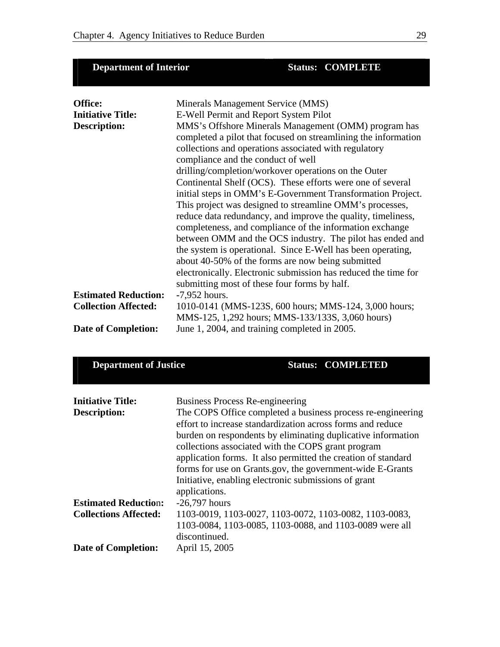| <b>Department of Interior</b>                                                                                            |                                                                                                                                                                                                                                                                                                                                                                                                                                                                                                                                                                                                                                                                                                                                                                                             | <b>Status: COMPLETE</b>                                                                                                                                                                                                                                                                                              |
|--------------------------------------------------------------------------------------------------------------------------|---------------------------------------------------------------------------------------------------------------------------------------------------------------------------------------------------------------------------------------------------------------------------------------------------------------------------------------------------------------------------------------------------------------------------------------------------------------------------------------------------------------------------------------------------------------------------------------------------------------------------------------------------------------------------------------------------------------------------------------------------------------------------------------------|----------------------------------------------------------------------------------------------------------------------------------------------------------------------------------------------------------------------------------------------------------------------------------------------------------------------|
| Office:<br><b>Initiative Title:</b><br><b>Description:</b><br><b>Estimated Reduction:</b><br><b>Collection Affected:</b> | Minerals Management Service (MMS)<br>E-Well Permit and Report System Pilot<br>collections and operations associated with regulatory<br>compliance and the conduct of well<br>drilling/completion/workover operations on the Outer<br>Continental Shelf (OCS). These efforts were one of several<br>This project was designed to streamline OMM's processes,<br>reduce data redundancy, and improve the quality, timeliness,<br>completeness, and compliance of the information exchange<br>the system is operational. Since E-Well has been operating,<br>about 40-50% of the forms are now being submitted<br>submitting most of these four forms by half.<br>$-7,952$ hours.<br>1010-0141 (MMS-123S, 600 hours; MMS-124, 3,000 hours;<br>MMS-125, 1,292 hours; MMS-133/133S, 3,060 hours) | MMS's Offshore Minerals Management (OMM) program has<br>completed a pilot that focused on streamlining the information<br>initial steps in OMM's E-Government Transformation Project.<br>between OMM and the OCS industry. The pilot has ended and<br>electronically. Electronic submission has reduced the time for |
| <b>Date of Completion:</b>                                                                                               | June 1, 2004, and training completed in 2005.                                                                                                                                                                                                                                                                                                                                                                                                                                                                                                                                                                                                                                                                                                                                               |                                                                                                                                                                                                                                                                                                                      |

| <b>Department of Justice</b> |                                                                                                                                                                                                                                                                                                                         | <b>Status: COMPLETED</b>                                                                                                    |
|------------------------------|-------------------------------------------------------------------------------------------------------------------------------------------------------------------------------------------------------------------------------------------------------------------------------------------------------------------------|-----------------------------------------------------------------------------------------------------------------------------|
| <b>Initiative Title:</b>     | <b>Business Process Re-engineering</b>                                                                                                                                                                                                                                                                                  |                                                                                                                             |
| <b>Description:</b>          | effort to increase standardization across forms and reduce<br>collections associated with the COPS grant program<br>application forms. It also permitted the creation of standard<br>forms for use on Grants.gov, the government-wide E-Grants<br>Initiative, enabling electronic submissions of grant<br>applications. | The COPS Office completed a business process re-engineering<br>burden on respondents by eliminating duplicative information |
| <b>Estimated Reduction:</b>  | $-26,797$ hours                                                                                                                                                                                                                                                                                                         |                                                                                                                             |
| <b>Collections Affected:</b> | 1103-0019, 1103-0027, 1103-0072, 1103-0082, 1103-0083,<br>1103-0084, 1103-0085, 1103-0088, and 1103-0089 were all<br>discontinued.                                                                                                                                                                                      |                                                                                                                             |

April 15, 2005 **Date of Completion:**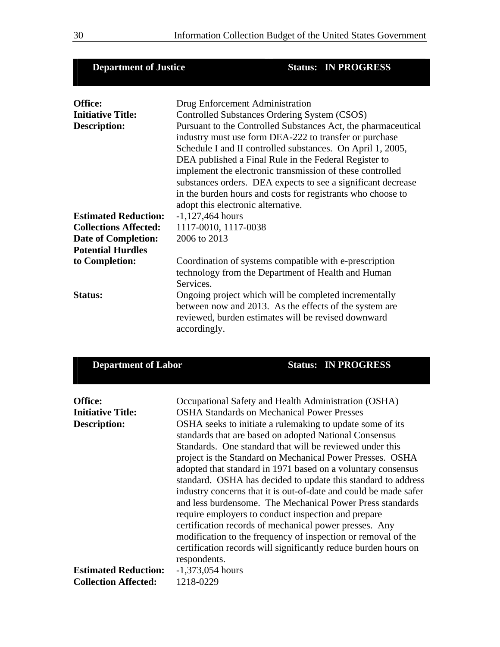| <b>Department of Justice</b> |                                                                                                                                                                                                                                                                                                                                                                                                                                                                                  | <b>Status: IN PROGRESS</b> |
|------------------------------|----------------------------------------------------------------------------------------------------------------------------------------------------------------------------------------------------------------------------------------------------------------------------------------------------------------------------------------------------------------------------------------------------------------------------------------------------------------------------------|----------------------------|
| Office:                      | Drug Enforcement Administration                                                                                                                                                                                                                                                                                                                                                                                                                                                  |                            |
| <b>Initiative Title:</b>     | Controlled Substances Ordering System (CSOS)                                                                                                                                                                                                                                                                                                                                                                                                                                     |                            |
| <b>Description:</b>          | Pursuant to the Controlled Substances Act, the pharmaceutical<br>industry must use form DEA-222 to transfer or purchase<br>Schedule I and II controlled substances. On April 1, 2005,<br>DEA published a Final Rule in the Federal Register to<br>implement the electronic transmission of these controlled<br>substances orders. DEA expects to see a significant decrease<br>in the burden hours and costs for registrants who choose to<br>adopt this electronic alternative. |                            |
| <b>Estimated Reduction:</b>  | $-1,127,464$ hours                                                                                                                                                                                                                                                                                                                                                                                                                                                               |                            |
| <b>Collections Affected:</b> | 1117-0010, 1117-0038                                                                                                                                                                                                                                                                                                                                                                                                                                                             |                            |
| <b>Date of Completion:</b>   | 2006 to 2013                                                                                                                                                                                                                                                                                                                                                                                                                                                                     |                            |
| <b>Potential Hurdles</b>     |                                                                                                                                                                                                                                                                                                                                                                                                                                                                                  |                            |
| to Completion:               | Coordination of systems compatible with e-prescription<br>technology from the Department of Health and Human<br>Services.                                                                                                                                                                                                                                                                                                                                                        |                            |
| <b>Status:</b>               | Ongoing project which will be completed incrementally<br>between now and 2013. As the effects of the system are<br>reviewed, burden estimates will be revised downward<br>accordingly.                                                                                                                                                                                                                                                                                           |                            |

# **Department of Labor** Status: **IN PROGRESS**

| Occupational Safety and Health Administration (OSHA)<br><b>OSHA Standards on Mechanical Power Presses</b><br>OSHA seeks to initiate a rulemaking to update some of its<br>standards that are based on adopted National Consensus<br>Standards. One standard that will be reviewed under this<br>project is the Standard on Mechanical Power Presses. OSHA<br>adopted that standard in 1971 based on a voluntary consensus<br>standard. OSHA has decided to update this standard to address<br>industry concerns that it is out-of-date and could be made safer<br>and less burdensome. The Mechanical Power Press standards<br>require employers to conduct inspection and prepare<br>certification records of mechanical power presses. Any<br>modification to the frequency of inspection or removal of the<br>certification records will significantly reduce burden hours on<br>respondents. |
|--------------------------------------------------------------------------------------------------------------------------------------------------------------------------------------------------------------------------------------------------------------------------------------------------------------------------------------------------------------------------------------------------------------------------------------------------------------------------------------------------------------------------------------------------------------------------------------------------------------------------------------------------------------------------------------------------------------------------------------------------------------------------------------------------------------------------------------------------------------------------------------------------|
| $-1,373,054$ hours<br>1218-0229                                                                                                                                                                                                                                                                                                                                                                                                                                                                                                                                                                                                                                                                                                                                                                                                                                                                  |
|                                                                                                                                                                                                                                                                                                                                                                                                                                                                                                                                                                                                                                                                                                                                                                                                                                                                                                  |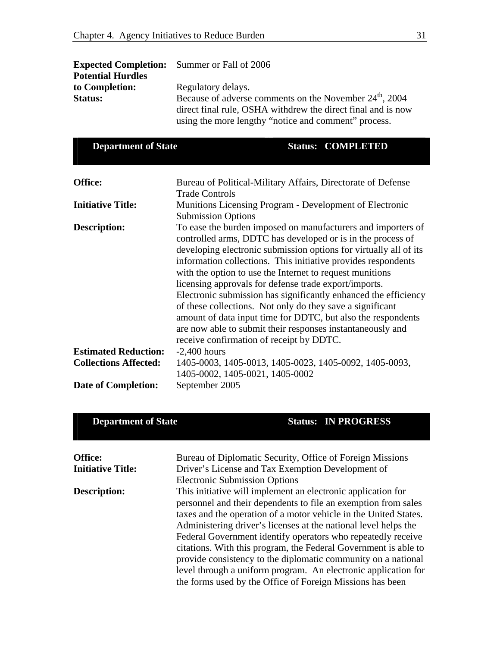|                          | <b>Expected Completion:</b> Summer or Fall of 2006                  |
|--------------------------|---------------------------------------------------------------------|
| <b>Potential Hurdles</b> |                                                                     |
| to Completion:           | Regulatory delays.                                                  |
| <b>Status:</b>           | Because of adverse comments on the November 24 <sup>th</sup> , 2004 |
|                          | direct final rule, OSHA with drew the direct final and is now       |
|                          | using the more lengthy "notice and comment" process.                |

| <b>Department of State</b>                                  | <b>Status: COMPLETED</b>                                                                                                                                                                                                                                                                                                                                                                                                                                                                                                                                                                                                                                                                         |
|-------------------------------------------------------------|--------------------------------------------------------------------------------------------------------------------------------------------------------------------------------------------------------------------------------------------------------------------------------------------------------------------------------------------------------------------------------------------------------------------------------------------------------------------------------------------------------------------------------------------------------------------------------------------------------------------------------------------------------------------------------------------------|
| <b>Office:</b>                                              | Bureau of Political-Military Affairs, Directorate of Defense<br><b>Trade Controls</b>                                                                                                                                                                                                                                                                                                                                                                                                                                                                                                                                                                                                            |
| <b>Initiative Title:</b>                                    | Munitions Licensing Program - Development of Electronic<br><b>Submission Options</b>                                                                                                                                                                                                                                                                                                                                                                                                                                                                                                                                                                                                             |
| <b>Description:</b>                                         | To ease the burden imposed on manufacturers and importers of<br>controlled arms, DDTC has developed or is in the process of<br>developing electronic submission options for virtually all of its<br>information collections. This initiative provides respondents<br>with the option to use the Internet to request munitions<br>licensing approvals for defense trade export/imports.<br>Electronic submission has significantly enhanced the efficiency<br>of these collections. Not only do they save a significant<br>amount of data input time for DDTC, but also the respondents<br>are now able to submit their responses instantaneously and<br>receive confirmation of receipt by DDTC. |
| <b>Estimated Reduction:</b><br><b>Collections Affected:</b> | $-2,400$ hours<br>1405-0003, 1405-0013, 1405-0023, 1405-0092, 1405-0093,<br>1405-0002, 1405-0021, 1405-0002                                                                                                                                                                                                                                                                                                                                                                                                                                                                                                                                                                                      |
| <b>Date of Completion:</b>                                  | September 2005                                                                                                                                                                                                                                                                                                                                                                                                                                                                                                                                                                                                                                                                                   |

**Department of State Status: IN PROGRESS** 

| <b>Office:</b>           | Bureau of Diplomatic Security, Office of Foreign Missions        |
|--------------------------|------------------------------------------------------------------|
| <b>Initiative Title:</b> | Driver's License and Tax Exemption Development of                |
|                          | <b>Electronic Submission Options</b>                             |
| <b>Description:</b>      | This initiative will implement an electronic application for     |
|                          | personnel and their dependents to file an exemption from sales   |
|                          | taxes and the operation of a motor vehicle in the United States. |
|                          | Administering driver's licenses at the national level helps the  |
|                          | Federal Government identify operators who repeatedly receive     |
|                          | citations. With this program, the Federal Government is able to  |
|                          | provide consistency to the diplomatic community on a national    |
|                          | level through a uniform program. An electronic application for   |
|                          | the forms used by the Office of Foreign Missions has been        |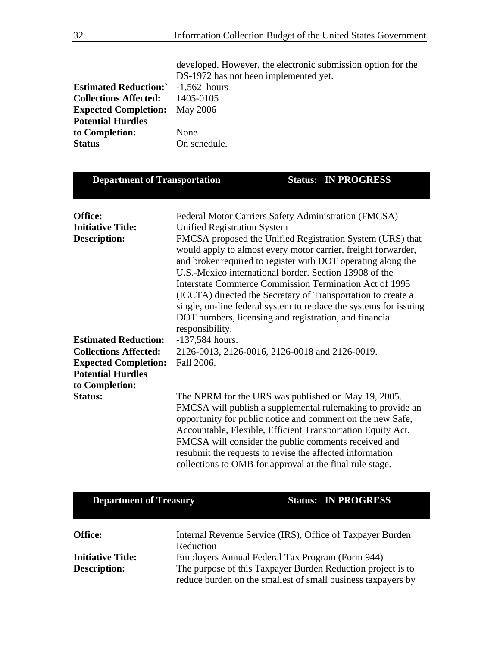|                                          | developed. However, the electronic submission option for the |
|------------------------------------------|--------------------------------------------------------------|
|                                          | DS-1972 has not been implemented yet.                        |
| <b>Estimated Reduction:</b> -1,562 hours |                                                              |
| <b>Collections Affected:</b>             | 1405-0105                                                    |
| <b>Expected Completion:</b> May 2006     |                                                              |
| <b>Potential Hurdles</b>                 |                                                              |
| to Completion:                           | None                                                         |
| <b>Status</b>                            | On schedule.                                                 |
|                                          |                                                              |

| <b>Department of Transportation</b> |                                                                                                                                                                                                                                                                                                                                                                                                                                                                                                                                         |  | <b>Status: IN PROGRESS</b>                                 |
|-------------------------------------|-----------------------------------------------------------------------------------------------------------------------------------------------------------------------------------------------------------------------------------------------------------------------------------------------------------------------------------------------------------------------------------------------------------------------------------------------------------------------------------------------------------------------------------------|--|------------------------------------------------------------|
| Office:                             | Federal Motor Carriers Safety Administration (FMCSA)                                                                                                                                                                                                                                                                                                                                                                                                                                                                                    |  |                                                            |
| <b>Initiative Title:</b>            | <b>Unified Registration System</b>                                                                                                                                                                                                                                                                                                                                                                                                                                                                                                      |  |                                                            |
| <b>Description:</b>                 | FMCSA proposed the Unified Registration System (URS) that<br>would apply to almost every motor carrier, freight forwarder,<br>and broker required to register with DOT operating along the<br>U.S.-Mexico international border. Section 13908 of the<br><b>Interstate Commerce Commission Termination Act of 1995</b><br>(ICCTA) directed the Secretary of Transportation to create a<br>single, on-line federal system to replace the systems for issuing<br>DOT numbers, licensing and registration, and financial<br>responsibility. |  |                                                            |
| <b>Estimated Reduction:</b>         | $-137,584$ hours.                                                                                                                                                                                                                                                                                                                                                                                                                                                                                                                       |  |                                                            |
| <b>Collections Affected:</b>        | 2126-0013, 2126-0016, 2126-0018 and 2126-0019.                                                                                                                                                                                                                                                                                                                                                                                                                                                                                          |  |                                                            |
| <b>Expected Completion:</b>         | Fall 2006.                                                                                                                                                                                                                                                                                                                                                                                                                                                                                                                              |  |                                                            |
| <b>Potential Hurdles</b>            |                                                                                                                                                                                                                                                                                                                                                                                                                                                                                                                                         |  |                                                            |
| to Completion:                      |                                                                                                                                                                                                                                                                                                                                                                                                                                                                                                                                         |  |                                                            |
| <b>Status:</b>                      | The NPRM for the URS was published on May 19, 2005.<br>opportunity for public notice and comment on the new Safe,<br>Accountable, Flexible, Efficient Transportation Equity Act.<br>FMCSA will consider the public comments received and<br>resubmit the requests to revise the affected information<br>collections to OMB for approval at the final rule stage.                                                                                                                                                                        |  | FMCSA will publish a supplemental rulemaking to provide an |

| <b>Department of Treasury</b>                   |                                                                                                                                                                                |  | <b>Status: IN PROGRESS</b> |
|-------------------------------------------------|--------------------------------------------------------------------------------------------------------------------------------------------------------------------------------|--|----------------------------|
| Office:                                         | Internal Revenue Service (IRS), Office of Taxpayer Burden<br>Reduction                                                                                                         |  |                            |
| <b>Initiative Title:</b><br><b>Description:</b> | Employers Annual Federal Tax Program (Form 944)<br>The purpose of this Taxpayer Burden Reduction project is to<br>reduce burden on the smallest of small business taxpayers by |  |                            |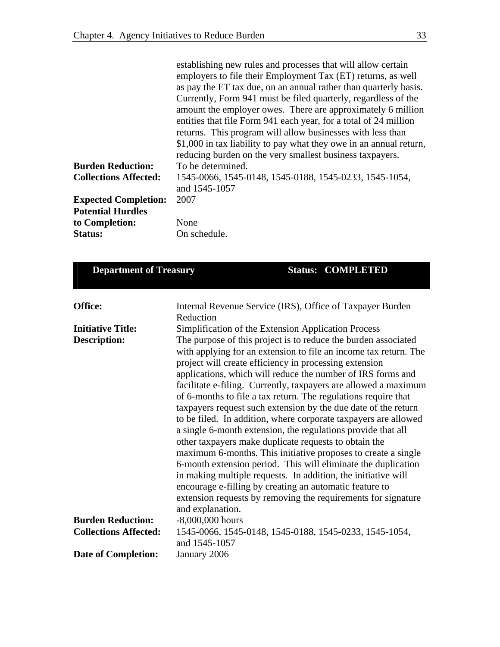|                              | establishing new rules and processes that will allow certain       |
|------------------------------|--------------------------------------------------------------------|
|                              | employers to file their Employment Tax (ET) returns, as well       |
|                              | as pay the ET tax due, on an annual rather than quarterly basis.   |
|                              | Currently, Form 941 must be filed quarterly, regardless of the     |
|                              | amount the employer owes. There are approximately 6 million        |
|                              | entities that file Form 941 each year, for a total of 24 million   |
|                              | returns. This program will allow businesses with less than         |
|                              | \$1,000 in tax liability to pay what they owe in an annual return, |
|                              | reducing burden on the very smallest business taxpayers.           |
| <b>Burden Reduction:</b>     | To be determined.                                                  |
| <b>Collections Affected:</b> | 1545-0066, 1545-0148, 1545-0188, 1545-0233, 1545-1054,             |
|                              | and 1545-1057                                                      |
| <b>Expected Completion:</b>  | 2007                                                               |
| <b>Potential Hurdles</b>     |                                                                    |
| to Completion:               | None                                                               |
| <b>Status:</b>               | On schedule.                                                       |
|                              |                                                                    |

**Status: COMPLETED** 

| Office:                      | Internal Revenue Service (IRS), Office of Taxpayer Burden                                                                                                                                                                                                                                                                                                                                                                                                                                                                                                                                                                                                                                                                                                                                                                                                                                                                                                                                     |  |  |
|------------------------------|-----------------------------------------------------------------------------------------------------------------------------------------------------------------------------------------------------------------------------------------------------------------------------------------------------------------------------------------------------------------------------------------------------------------------------------------------------------------------------------------------------------------------------------------------------------------------------------------------------------------------------------------------------------------------------------------------------------------------------------------------------------------------------------------------------------------------------------------------------------------------------------------------------------------------------------------------------------------------------------------------|--|--|
|                              | Reduction                                                                                                                                                                                                                                                                                                                                                                                                                                                                                                                                                                                                                                                                                                                                                                                                                                                                                                                                                                                     |  |  |
| <b>Initiative Title:</b>     | Simplification of the Extension Application Process                                                                                                                                                                                                                                                                                                                                                                                                                                                                                                                                                                                                                                                                                                                                                                                                                                                                                                                                           |  |  |
| <b>Description:</b>          | The purpose of this project is to reduce the burden associated<br>with applying for an extension to file an income tax return. The<br>project will create efficiency in processing extension<br>applications, which will reduce the number of IRS forms and<br>facilitate e-filing. Currently, taxpayers are allowed a maximum<br>of 6-months to file a tax return. The regulations require that<br>taxpayers request such extension by the due date of the return<br>to be filed. In addition, where corporate taxpayers are allowed<br>a single 6-month extension, the regulations provide that all<br>other taxpayers make duplicate requests to obtain the<br>maximum 6-months. This initiative proposes to create a single<br>6-month extension period. This will eliminate the duplication<br>in making multiple requests. In addition, the initiative will<br>encourage e-filling by creating an automatic feature to<br>extension requests by removing the requirements for signature |  |  |
|                              | and explanation.                                                                                                                                                                                                                                                                                                                                                                                                                                                                                                                                                                                                                                                                                                                                                                                                                                                                                                                                                                              |  |  |
| <b>Burden Reduction:</b>     | $-8,000,000$ hours                                                                                                                                                                                                                                                                                                                                                                                                                                                                                                                                                                                                                                                                                                                                                                                                                                                                                                                                                                            |  |  |
| <b>Collections Affected:</b> | 1545-0066, 1545-0148, 1545-0188, 1545-0233, 1545-1054,<br>and 1545-1057                                                                                                                                                                                                                                                                                                                                                                                                                                                                                                                                                                                                                                                                                                                                                                                                                                                                                                                       |  |  |
| <b>Date of Completion:</b>   | January 2006                                                                                                                                                                                                                                                                                                                                                                                                                                                                                                                                                                                                                                                                                                                                                                                                                                                                                                                                                                                  |  |  |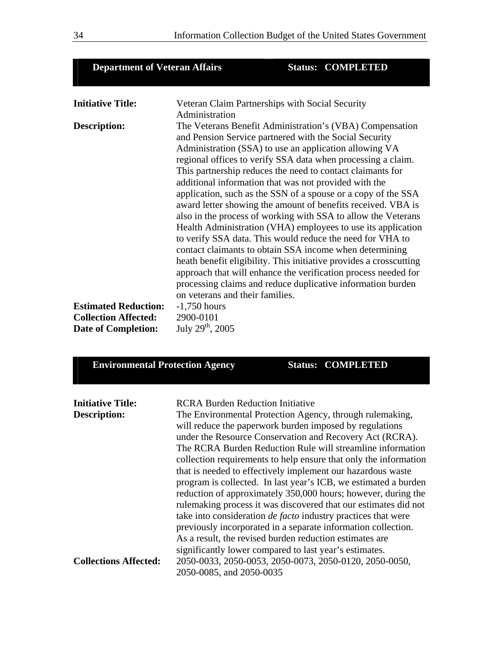| <b>Department of Veteran Affairs</b>                       |                                                                                                                                                                                                                                                                                                                                                                                                                                                                                                                                                                                                                                                                                                                                                                                                                                                                                                                                                                                                                           | <b>Status:</b> | <b>COMPLETED</b>         |
|------------------------------------------------------------|---------------------------------------------------------------------------------------------------------------------------------------------------------------------------------------------------------------------------------------------------------------------------------------------------------------------------------------------------------------------------------------------------------------------------------------------------------------------------------------------------------------------------------------------------------------------------------------------------------------------------------------------------------------------------------------------------------------------------------------------------------------------------------------------------------------------------------------------------------------------------------------------------------------------------------------------------------------------------------------------------------------------------|----------------|--------------------------|
| <b>Initiative Title:</b>                                   | Veteran Claim Partnerships with Social Security                                                                                                                                                                                                                                                                                                                                                                                                                                                                                                                                                                                                                                                                                                                                                                                                                                                                                                                                                                           |                |                          |
| Description:                                               | Administration<br>The Veterans Benefit Administration's (VBA) Compensation<br>and Pension Service partnered with the Social Security<br>Administration (SSA) to use an application allowing VA<br>regional offices to verify SSA data when processing a claim.<br>This partnership reduces the need to contact claimants for<br>additional information that was not provided with the<br>application, such as the SSN of a spouse or a copy of the SSA<br>award letter showing the amount of benefits received. VBA is<br>also in the process of working with SSA to allow the Veterans<br>Health Administration (VHA) employees to use its application<br>to verify SSA data. This would reduce the need for VHA to<br>contact claimants to obtain SSA income when determining<br>heath benefit eligibility. This initiative provides a crosscutting<br>approach that will enhance the verification process needed for<br>processing claims and reduce duplicative information burden<br>on veterans and their families. |                |                          |
| <b>Estimated Reduction:</b><br><b>Collection Affected:</b> | $-1,750$ hours<br>2900-0101                                                                                                                                                                                                                                                                                                                                                                                                                                                                                                                                                                                                                                                                                                                                                                                                                                                                                                                                                                                               |                |                          |
| <b>Date of Completion:</b>                                 | July $29^{th}$ , $2005$                                                                                                                                                                                                                                                                                                                                                                                                                                                                                                                                                                                                                                                                                                                                                                                                                                                                                                                                                                                                   |                |                          |
| <b>Environmental Protection Agency</b>                     |                                                                                                                                                                                                                                                                                                                                                                                                                                                                                                                                                                                                                                                                                                                                                                                                                                                                                                                                                                                                                           |                | <b>Status: COMPLETED</b> |

| <b>Initiative Title:</b>     | <b>RCRA Burden Reduction Initiative</b>                                                                                                                                                                                                                                                                           |  |  |
|------------------------------|-------------------------------------------------------------------------------------------------------------------------------------------------------------------------------------------------------------------------------------------------------------------------------------------------------------------|--|--|
| <b>Description:</b>          | The Environmental Protection Agency, through rulemaking,<br>will reduce the paperwork burden imposed by regulations<br>under the Resource Conservation and Recovery Act (RCRA).<br>The RCRA Burden Reduction Rule will streamline information<br>collection requirements to help ensure that only the information |  |  |
|                              |                                                                                                                                                                                                                                                                                                                   |  |  |
|                              |                                                                                                                                                                                                                                                                                                                   |  |  |
|                              |                                                                                                                                                                                                                                                                                                                   |  |  |
|                              |                                                                                                                                                                                                                                                                                                                   |  |  |
|                              | that is needed to effectively implement our hazardous waste                                                                                                                                                                                                                                                       |  |  |
|                              | program is collected. In last year's ICB, we estimated a burden                                                                                                                                                                                                                                                   |  |  |
|                              | reduction of approximately 350,000 hours; however, during the                                                                                                                                                                                                                                                     |  |  |
|                              | rule making process it was discovered that our estimates did not                                                                                                                                                                                                                                                  |  |  |
|                              | take into consideration <i>de facto</i> industry practices that were                                                                                                                                                                                                                                              |  |  |
|                              | previously incorporated in a separate information collection.                                                                                                                                                                                                                                                     |  |  |
|                              | As a result, the revised burden reduction estimates are                                                                                                                                                                                                                                                           |  |  |
|                              | significantly lower compared to last year's estimates.                                                                                                                                                                                                                                                            |  |  |
| <b>Collections Affected:</b> | 2050-0033, 2050-0053, 2050-0073, 2050-0120, 2050-0050,                                                                                                                                                                                                                                                            |  |  |
|                              | 2050-0085, and 2050-0035                                                                                                                                                                                                                                                                                          |  |  |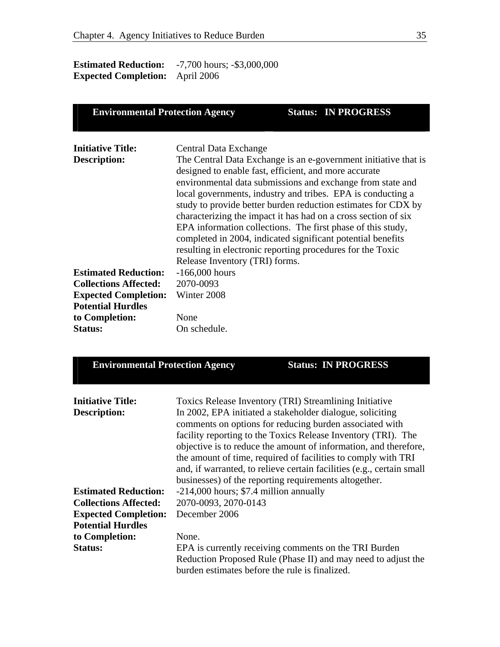| <b>Estimated Reduction:</b>            | $-7,700$ hours; $-$ \$3,000,000 |
|----------------------------------------|---------------------------------|
| <b>Expected Completion:</b> April 2006 |                                 |

| <b>Environmental Protection Agency</b>          |                                                                                                                                                                                                                                                                                                                                                                                                                                                                                                                                                                                                                                                 |  | <b>Status: IN PROGRESS</b> |
|-------------------------------------------------|-------------------------------------------------------------------------------------------------------------------------------------------------------------------------------------------------------------------------------------------------------------------------------------------------------------------------------------------------------------------------------------------------------------------------------------------------------------------------------------------------------------------------------------------------------------------------------------------------------------------------------------------------|--|----------------------------|
| <b>Initiative Title:</b><br><b>Description:</b> | Central Data Exchange<br>The Central Data Exchange is an e-government initiative that is<br>designed to enable fast, efficient, and more accurate<br>environmental data submissions and exchange from state and<br>local governments, industry and tribes. EPA is conducting a<br>study to provide better burden reduction estimates for CDX by<br>characterizing the impact it has had on a cross section of six<br>EPA information collections. The first phase of this study,<br>completed in 2004, indicated significant potential benefits<br>resulting in electronic reporting procedures for the Toxic<br>Release Inventory (TRI) forms. |  |                            |
| <b>Estimated Reduction:</b>                     | $-166,000$ hours                                                                                                                                                                                                                                                                                                                                                                                                                                                                                                                                                                                                                                |  |                            |
| <b>Collections Affected:</b>                    | 2070-0093                                                                                                                                                                                                                                                                                                                                                                                                                                                                                                                                                                                                                                       |  |                            |
| <b>Expected Completion:</b>                     | Winter 2008                                                                                                                                                                                                                                                                                                                                                                                                                                                                                                                                                                                                                                     |  |                            |
| <b>Potential Hurdles</b>                        |                                                                                                                                                                                                                                                                                                                                                                                                                                                                                                                                                                                                                                                 |  |                            |
| to Completion:                                  | None                                                                                                                                                                                                                                                                                                                                                                                                                                                                                                                                                                                                                                            |  |                            |
| <b>Status:</b>                                  | On schedule.                                                                                                                                                                                                                                                                                                                                                                                                                                                                                                                                                                                                                                    |  |                            |
| <b>Environmental Protection Agency</b>          |                                                                                                                                                                                                                                                                                                                                                                                                                                                                                                                                                                                                                                                 |  | <b>Status: IN PROGRESS</b> |
| <b>Initiative Title:</b><br><b>Description:</b> | Toxics Release Inventory (TRI) Streamlining Initiative<br>In 2002, EPA initiated a stakeholder dialogue, soliciting<br>comments on options for reducing burden associated with<br>facility reporting to the Toxics Release Inventory (TRI). The                                                                                                                                                                                                                                                                                                                                                                                                 |  |                            |

|                              | the amount of time, required of facilities to comply with TRI         |  |  |
|------------------------------|-----------------------------------------------------------------------|--|--|
|                              | and, if warranted, to relieve certain facilities (e.g., certain small |  |  |
|                              | businesses) of the reporting requirements altogether.                 |  |  |
| <b>Estimated Reduction:</b>  | $-214,000$ hours; \$7.4 million annually                              |  |  |
| <b>Collections Affected:</b> | 2070-0093, 2070-0143                                                  |  |  |
| <b>Expected Completion:</b>  | December 2006                                                         |  |  |
| <b>Potential Hurdles</b>     |                                                                       |  |  |
| to Completion:               | None.                                                                 |  |  |
| Status:                      | EPA is currently receiving comments on the TRI Burden                 |  |  |
|                              | Reduction Proposed Rule (Phase II) and may need to adjust the         |  |  |
|                              | burden estimates before the rule is finalized.                        |  |  |

objective is to reduce the amount of information, and therefore,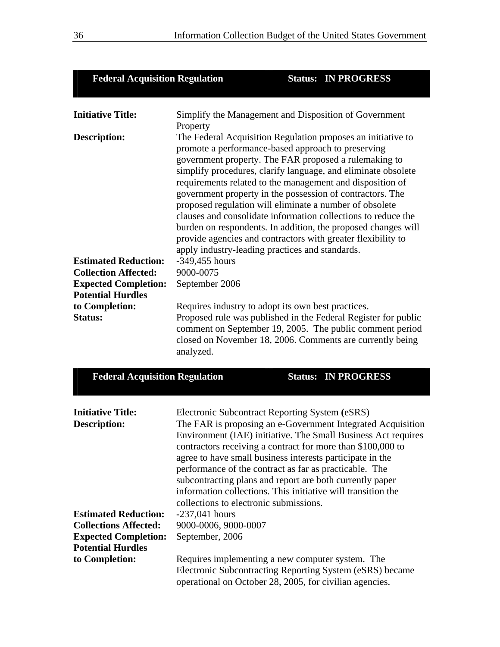| <b>Federal Acquisition Regulation</b>                                                                                                                                                                        |                                                                                                                                                                                                                                                                                                                                                                                                                                                                                                                                                                                                                                                                                                                                                                                                                                                                                                                                                                                                                                                                              |  | <b>Status: IN PROGRESS</b> |  |
|--------------------------------------------------------------------------------------------------------------------------------------------------------------------------------------------------------------|------------------------------------------------------------------------------------------------------------------------------------------------------------------------------------------------------------------------------------------------------------------------------------------------------------------------------------------------------------------------------------------------------------------------------------------------------------------------------------------------------------------------------------------------------------------------------------------------------------------------------------------------------------------------------------------------------------------------------------------------------------------------------------------------------------------------------------------------------------------------------------------------------------------------------------------------------------------------------------------------------------------------------------------------------------------------------|--|----------------------------|--|
| <b>Initiative Title:</b><br><b>Description:</b><br><b>Estimated Reduction:</b><br><b>Collection Affected:</b><br><b>Expected Completion:</b><br><b>Potential Hurdles</b><br>to Completion:<br><b>Status:</b> | Simplify the Management and Disposition of Government<br>Property<br>The Federal Acquisition Regulation proposes an initiative to<br>promote a performance-based approach to preserving<br>government property. The FAR proposed a rulemaking to<br>simplify procedures, clarify language, and eliminate obsolete<br>requirements related to the management and disposition of<br>government property in the possession of contractors. The<br>proposed regulation will eliminate a number of obsolete<br>clauses and consolidate information collections to reduce the<br>burden on respondents. In addition, the proposed changes will<br>provide agencies and contractors with greater flexibility to<br>apply industry-leading practices and standards.<br>$-349,455$ hours<br>9000-0075<br>September 2006<br>Requires industry to adopt its own best practices.<br>Proposed rule was published in the Federal Register for public<br>comment on September 19, 2005. The public comment period<br>closed on November 18, 2006. Comments are currently being<br>analyzed. |  |                            |  |
| <b>Federal Acquisition Regulation</b>                                                                                                                                                                        |                                                                                                                                                                                                                                                                                                                                                                                                                                                                                                                                                                                                                                                                                                                                                                                                                                                                                                                                                                                                                                                                              |  | <b>Status: IN PROGRESS</b> |  |
| <b>Initiative Title:</b><br><b>Description:</b>                                                                                                                                                              | Electronic Subcontract Reporting System (eSRS)<br>The FAR is proposing an e-Government Integrated Acquisition<br>Environment (IAE) initiative. The Small Business Act requires<br>contractors receiving a contract for more than \$100,000 to<br>agree to have small business interests participate in the<br>performance of the contract as far as practicable. The<br>subcontracting plans and report are both currently paper<br>information collections. This initiative will transition the<br>collections to electronic submissions.                                                                                                                                                                                                                                                                                                                                                                                                                                                                                                                                   |  |                            |  |
| <b>Estimated Reduction:</b><br><b>Collections Affected:</b><br><b>Expected Completion:</b><br><b>Potential Hurdles</b><br>to Completion:                                                                     | $-237,041$ hours<br>9000-0006, 9000-0007<br>September, 2006<br>Requires implementing a new computer system. The<br>Electronic Subcontracting Reporting System (eSRS) became<br>operational on October 28, 2005, for civilian agencies.                                                                                                                                                                                                                                                                                                                                                                                                                                                                                                                                                                                                                                                                                                                                                                                                                                       |  |                            |  |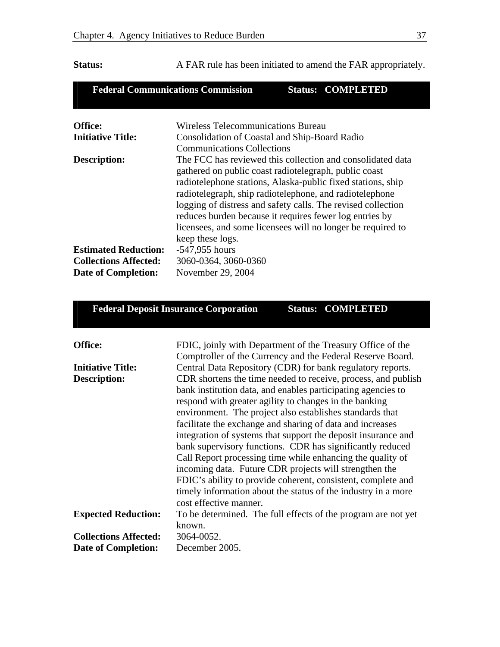| Status:                      | A FAR rule has been initiated to amend the FAR appropriately.                                                                                                                                                                                                                                                                                                                                                                                               |  |                          |  |
|------------------------------|-------------------------------------------------------------------------------------------------------------------------------------------------------------------------------------------------------------------------------------------------------------------------------------------------------------------------------------------------------------------------------------------------------------------------------------------------------------|--|--------------------------|--|
|                              | <b>Federal Communications Commission</b>                                                                                                                                                                                                                                                                                                                                                                                                                    |  | <b>Status: COMPLETED</b> |  |
| Office:                      | <b>Wireless Telecommunications Bureau</b>                                                                                                                                                                                                                                                                                                                                                                                                                   |  |                          |  |
| <b>Initiative Title:</b>     | Consolidation of Coastal and Ship-Board Radio<br><b>Communications Collections</b>                                                                                                                                                                                                                                                                                                                                                                          |  |                          |  |
| Description:                 | The FCC has reviewed this collection and consolidated data<br>gathered on public coast radiotelegraph, public coast<br>radiotelephone stations, Alaska-public fixed stations, ship<br>radiotelegraph, ship radiotelephone, and radiotelephone<br>logging of distress and safety calls. The revised collection<br>reduces burden because it requires fewer log entries by<br>licensees, and some licensees will no longer be required to<br>keep these logs. |  |                          |  |
| <b>Estimated Reduction:</b>  | $-547,955$ hours                                                                                                                                                                                                                                                                                                                                                                                                                                            |  |                          |  |
| <b>Collections Affected:</b> | 3060-0364, 3060-0360                                                                                                                                                                                                                                                                                                                                                                                                                                        |  |                          |  |
| Date of Completion:          | November 29, 2004                                                                                                                                                                                                                                                                                                                                                                                                                                           |  |                          |  |

**Federal Deposit Insurance Corporation Status: COMPLETED** 

| Office:                      | FDIC, joinly with Department of the Treasury Office of the<br>Comptroller of the Currency and the Federal Reserve Board. |  |  |
|------------------------------|--------------------------------------------------------------------------------------------------------------------------|--|--|
| <b>Initiative Title:</b>     | Central Data Repository (CDR) for bank regulatory reports.                                                               |  |  |
| <b>Description:</b>          | CDR shortens the time needed to receive, process, and publish                                                            |  |  |
|                              | bank institution data, and enables participating agencies to<br>respond with greater agility to changes in the banking   |  |  |
|                              | environment. The project also establishes standards that                                                                 |  |  |
|                              | facilitate the exchange and sharing of data and increases                                                                |  |  |
|                              | integration of systems that support the deposit insurance and                                                            |  |  |
|                              | bank supervisory functions. CDR has significantly reduced                                                                |  |  |
|                              | Call Report processing time while enhancing the quality of                                                               |  |  |
|                              | incoming data. Future CDR projects will strengthen the                                                                   |  |  |
|                              | FDIC's ability to provide coherent, consistent, complete and                                                             |  |  |
|                              | timely information about the status of the industry in a more                                                            |  |  |
|                              | cost effective manner.                                                                                                   |  |  |
| <b>Expected Reduction:</b>   | To be determined. The full effects of the program are not yet                                                            |  |  |
|                              | known.                                                                                                                   |  |  |
| <b>Collections Affected:</b> | 3064-0052.                                                                                                               |  |  |
| <b>Date of Completion:</b>   | December 2005.                                                                                                           |  |  |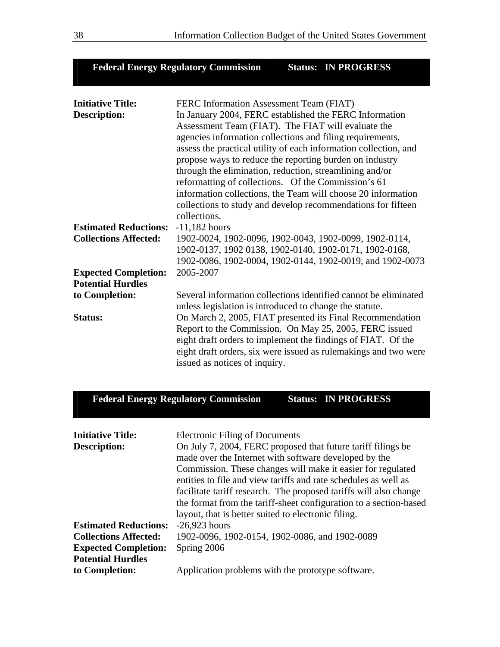| <b>Federal Energy Regulatory Commission</b> |  | <b>Status: IN PROGRESS</b> |
|---------------------------------------------|--|----------------------------|
|---------------------------------------------|--|----------------------------|

| <b>Initiative Title:</b>     | FERC Information Assessment Team (FIAT)                          |
|------------------------------|------------------------------------------------------------------|
| <b>Description:</b>          | In January 2004, FERC established the FERC Information           |
|                              | Assessment Team (FIAT). The FIAT will evaluate the               |
|                              | agencies information collections and filing requirements,        |
|                              | assess the practical utility of each information collection, and |
|                              | propose ways to reduce the reporting burden on industry          |
|                              | through the elimination, reduction, streamlining and/or          |
|                              | reformatting of collections. Of the Commission's 61              |
|                              | information collections, the Team will choose 20 information     |
|                              | collections to study and develop recommendations for fifteen     |
|                              | collections.                                                     |
| <b>Estimated Reductions:</b> | $-11,182$ hours                                                  |
| <b>Collections Affected:</b> | 1902-0024, 1902-0096, 1902-0043, 1902-0099, 1902-0114,           |
|                              | 1902-0137, 1902 0138, 1902-0140, 1902-0171, 1902-0168,           |
|                              | 1902-0086, 1902-0004, 1902-0144, 1902-0019, and 1902-0073        |
| <b>Expected Completion:</b>  | 2005-2007                                                        |
| <b>Potential Hurdles</b>     |                                                                  |
| to Completion:               | Several information collections identified cannot be eliminated  |
|                              | unless legislation is introduced to change the statute.          |
| <b>Status:</b>               | On March 2, 2005, FIAT presented its Final Recommendation        |
|                              | Report to the Commission. On May 25, 2005, FERC issued           |
|                              | eight draft orders to implement the findings of FIAT. Of the     |
|                              | eight draft orders, six were issued as rulemakings and two were  |
|                              | issued as notices of inquiry.                                    |

# **Federal Energy Regulatory Commission Status: IN PROGRESS**

| <b>Initiative Title:</b><br>Description:   | <b>Electronic Filing of Documents</b><br>On July 7, 2004, FERC proposed that future tariff filings be<br>made over the Internet with software developed by the<br>Commission. These changes will make it easier for regulated<br>entities to file and view tariffs and rate schedules as well as<br>facilitate tariff research. The proposed tariffs will also change |
|--------------------------------------------|-----------------------------------------------------------------------------------------------------------------------------------------------------------------------------------------------------------------------------------------------------------------------------------------------------------------------------------------------------------------------|
|                                            | the format from the tariff-sheet configuration to a section-based<br>layout, that is better suited to electronic filing.                                                                                                                                                                                                                                              |
| <b>Estimated Reductions:</b>               | $-26,923$ hours                                                                                                                                                                                                                                                                                                                                                       |
| <b>Collections Affected:</b>               | 1902-0096, 1902-0154, 1902-0086, and 1902-0089                                                                                                                                                                                                                                                                                                                        |
| <b>Expected Completion:</b>                | Spring 2006                                                                                                                                                                                                                                                                                                                                                           |
| <b>Potential Hurdles</b><br>to Completion: | Application problems with the prototype software.                                                                                                                                                                                                                                                                                                                     |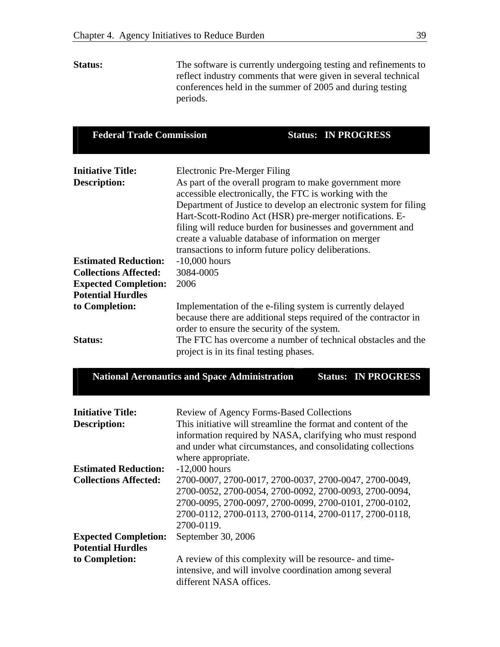**Status:** The software is currently undergoing testing and refinements to reflect industry comments that were given in several technical conferences held in the summer of 2005 and during testing periods.

| <b>Federal Trade Commission</b>                                                                                        |                                                                                                                                                                                                                                                                                                                                                                                                                                                               |  | <b>Status: IN PROGRESS</b> |
|------------------------------------------------------------------------------------------------------------------------|---------------------------------------------------------------------------------------------------------------------------------------------------------------------------------------------------------------------------------------------------------------------------------------------------------------------------------------------------------------------------------------------------------------------------------------------------------------|--|----------------------------|
| <b>Initiative Title:</b><br><b>Description:</b>                                                                        | Electronic Pre-Merger Filing<br>As part of the overall program to make government more<br>accessible electronically, the FTC is working with the<br>Department of Justice to develop an electronic system for filing<br>Hart-Scott-Rodino Act (HSR) pre-merger notifications. E-<br>filing will reduce burden for businesses and government and<br>create a valuable database of information on merger<br>transactions to inform future policy deliberations. |  |                            |
| <b>Estimated Reduction:</b><br><b>Collections Affected:</b><br><b>Expected Completion:</b><br><b>Potential Hurdles</b> | $-10,000$ hours<br>3084-0005<br>2006<br>Implementation of the e-filing system is currently delayed<br>because there are additional steps required of the contractor in<br>order to ensure the security of the system.<br>The FTC has overcome a number of technical obstacles and the                                                                                                                                                                         |  |                            |
| to Completion:                                                                                                         |                                                                                                                                                                                                                                                                                                                                                                                                                                                               |  |                            |
| <b>Status:</b>                                                                                                         | project is in its final testing phases.                                                                                                                                                                                                                                                                                                                                                                                                                       |  |                            |
|                                                                                                                        | <b>National Aeronautics and Space Administration</b>                                                                                                                                                                                                                                                                                                                                                                                                          |  | <b>Status: IN PROGRESS</b> |
| <b>Initiative Title:</b><br><b>Description:</b>                                                                        | Review of Agency Forms-Based Collections<br>This initiative will streamline the format and content of the<br>information required by NASA, clarifying who must respond<br>and under what circumstances, and consolidating collections<br>where appropriate.                                                                                                                                                                                                   |  |                            |
| <b>Estimated Reduction:</b><br><b>Collections Affected:</b>                                                            | $-12,000$ hours<br>2700-0007, 2700-0017, 2700-0037, 2700-0047, 2700-0049,<br>2700-0052, 2700-0054, 2700-0092, 2700-0093, 2700-0094,<br>2700-0095, 2700-0097, 2700-0099, 2700-0101, 2700-0102,<br>2700-0112, 2700-0113, 2700-0114, 2700-0117, 2700-0118,<br>2700-0119.                                                                                                                                                                                         |  |                            |
| <b>Expected Completion:</b><br><b>Potential Hurdles</b>                                                                | September 30, 2006                                                                                                                                                                                                                                                                                                                                                                                                                                            |  |                            |
| to Completion:                                                                                                         | A review of this complexity will be resource- and time-<br>intensive, and will involve coordination among several<br>different NASA offices.                                                                                                                                                                                                                                                                                                                  |  |                            |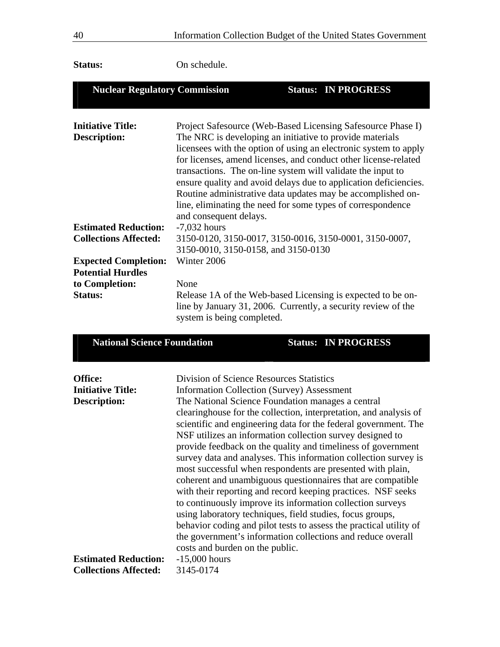| <b>Status:</b>                                              | On schedule.                                                                                                                                                       |                                                                                                                                                                                                                                                                                                                                                                                                                                                                                                                                 |  |
|-------------------------------------------------------------|--------------------------------------------------------------------------------------------------------------------------------------------------------------------|---------------------------------------------------------------------------------------------------------------------------------------------------------------------------------------------------------------------------------------------------------------------------------------------------------------------------------------------------------------------------------------------------------------------------------------------------------------------------------------------------------------------------------|--|
| <b>Nuclear Regulatory Commission</b>                        |                                                                                                                                                                    | <b>Status: IN PROGRESS</b>                                                                                                                                                                                                                                                                                                                                                                                                                                                                                                      |  |
| <b>Initiative Title:</b><br><b>Description:</b>             | and consequent delays.                                                                                                                                             | Project Safesource (Web-Based Licensing Safesource Phase I)<br>The NRC is developing an initiative to provide materials<br>licensees with the option of using an electronic system to apply<br>for licenses, amend licenses, and conduct other license-related<br>transactions. The on-line system will validate the input to<br>ensure quality and avoid delays due to application deficiencies.<br>Routine administrative data updates may be accomplished on-<br>line, eliminating the need for some types of correspondence |  |
| <b>Estimated Reduction:</b><br><b>Collections Affected:</b> | $-7,032$ hours<br>3150-0120, 3150-0017, 3150-0016, 3150-0001, 3150-0007,<br>3150-0010, 3150-0158, and 3150-0130                                                    |                                                                                                                                                                                                                                                                                                                                                                                                                                                                                                                                 |  |
| <b>Expected Completion:</b>                                 | Winter 2006                                                                                                                                                        |                                                                                                                                                                                                                                                                                                                                                                                                                                                                                                                                 |  |
| <b>Potential Hurdles</b>                                    |                                                                                                                                                                    |                                                                                                                                                                                                                                                                                                                                                                                                                                                                                                                                 |  |
| to Completion:<br>Status:                                   | None<br>Release 1A of the Web-based Licensing is expected to be on-<br>line by January 31, 2006. Currently, a security review of the<br>system is being completed. |                                                                                                                                                                                                                                                                                                                                                                                                                                                                                                                                 |  |
| <b>National Science Foundation</b>                          |                                                                                                                                                                    | <b>Status: IN PROGRESS</b>                                                                                                                                                                                                                                                                                                                                                                                                                                                                                                      |  |
| Office:<br><b>Initiative Title:</b><br><b>Description:</b>  | Division of Science Resources Statistics<br><b>Information Collection (Survey) Assessment</b>                                                                      | The National Science Foundation manages a central<br>clearinghouse for the collection, interpretation, and analysis of<br>scientific and engineering data for the federal government. The                                                                                                                                                                                                                                                                                                                                       |  |

|                              | NSF utilizes an information collection survey designed to          |  |
|------------------------------|--------------------------------------------------------------------|--|
|                              | provide feedback on the quality and timeliness of government       |  |
|                              | survey data and analyses. This information collection survey is    |  |
|                              | most successful when respondents are presented with plain,         |  |
|                              | coherent and unambiguous question aires that are compatible        |  |
|                              | with their reporting and record keeping practices. NSF seeks       |  |
|                              | to continuously improve its information collection surveys         |  |
|                              | using laboratory techniques, field studies, focus groups,          |  |
|                              | behavior coding and pilot tests to assess the practical utility of |  |
|                              | the government's information collections and reduce overall        |  |
|                              | costs and burden on the public.                                    |  |
| <b>Estimated Reduction:</b>  | $-15,000$ hours                                                    |  |
| <b>Collections Affected:</b> | 3145-0174                                                          |  |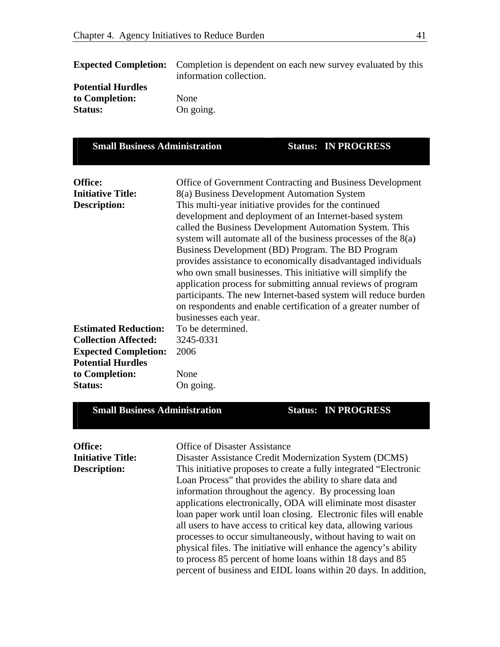|                          | <b>Expected Completion:</b> Completion is dependent on each new survey evaluated by this |  |
|--------------------------|------------------------------------------------------------------------------------------|--|
|                          | information collection.                                                                  |  |
| <b>Potential Hurdles</b> |                                                                                          |  |
| to Completion:           | None                                                                                     |  |
| <b>Status:</b>           | On going.                                                                                |  |
|                          |                                                                                          |  |

| <b>Small Business Administration</b>                                                                                                                                                                                                              |                                                                                                                                                                                                                                                                                                                                                                                                                                                                                                                                                                                                                                                                                                                                                     |  | <b>Status: IN PROGRESS</b> |
|---------------------------------------------------------------------------------------------------------------------------------------------------------------------------------------------------------------------------------------------------|-----------------------------------------------------------------------------------------------------------------------------------------------------------------------------------------------------------------------------------------------------------------------------------------------------------------------------------------------------------------------------------------------------------------------------------------------------------------------------------------------------------------------------------------------------------------------------------------------------------------------------------------------------------------------------------------------------------------------------------------------------|--|----------------------------|
| Office:<br><b>Initiative Title:</b><br><b>Description:</b>                                                                                                                                                                                        | Office of Government Contracting and Business Development<br>8(a) Business Development Automation System<br>This multi-year initiative provides for the continued<br>development and deployment of an Internet-based system<br>called the Business Development Automation System. This<br>system will automate all of the business processes of the $8(a)$<br>Business Development (BD) Program. The BD Program<br>provides assistance to economically disadvantaged individuals<br>who own small businesses. This initiative will simplify the<br>application process for submitting annual reviews of program<br>participants. The new Internet-based system will reduce burden<br>on respondents and enable certification of a greater number of |  |                            |
| businesses each year.<br><b>Estimated Reduction:</b><br>To be determined.<br>3245-0331<br><b>Collection Affected:</b><br><b>Expected Completion:</b><br>2006<br><b>Potential Hurdles</b><br>to Completion:<br>None<br><b>Status:</b><br>On going. |                                                                                                                                                                                                                                                                                                                                                                                                                                                                                                                                                                                                                                                                                                                                                     |  |                            |

## **Small Business Administration Status: IN PROGRESS**

| <b>Office:</b>           | <b>Office of Disaster Assistance</b>                              |
|--------------------------|-------------------------------------------------------------------|
| <b>Initiative Title:</b> | Disaster Assistance Credit Modernization System (DCMS)            |
| <b>Description:</b>      | This initiative proposes to create a fully integrated "Electronic |
|                          | Loan Process" that provides the ability to share data and         |
|                          | information throughout the agency. By processing loan             |
|                          | applications electronically, ODA will eliminate most disaster     |
|                          | loan paper work until loan closing. Electronic files will enable  |
|                          | all users to have access to critical key data, allowing various   |
|                          | processes to occur simultaneously, without having to wait on      |
|                          | physical files. The initiative will enhance the agency's ability  |
|                          | to process 85 percent of home loans within 18 days and 85         |
|                          | percent of business and EIDL loans within 20 days. In addition,   |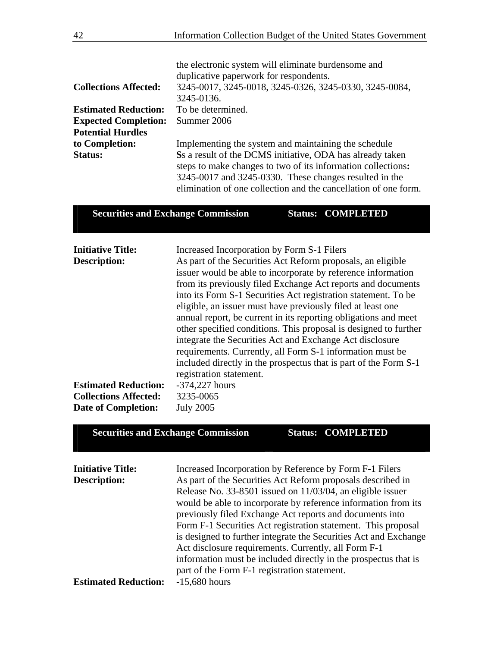| 42                                                                                                                     | Information Collection Budget of the United States Government                                                                                                                                                                                                                                               |  |  |
|------------------------------------------------------------------------------------------------------------------------|-------------------------------------------------------------------------------------------------------------------------------------------------------------------------------------------------------------------------------------------------------------------------------------------------------------|--|--|
| <b>Collections Affected:</b><br><b>Estimated Reduction:</b><br><b>Expected Completion:</b><br><b>Potential Hurdles</b> | the electronic system will eliminate burdensome and<br>duplicative paperwork for respondents.<br>3245-0017, 3245-0018, 3245-0326, 3245-0330, 3245-0084,<br>3245-0136.<br>To be determined.<br>Summer 2006                                                                                                   |  |  |
| to Completion:                                                                                                         | Implementing the system and maintaining the schedule                                                                                                                                                                                                                                                        |  |  |
| <b>Status:</b>                                                                                                         | Ss a result of the DCMS initiative, ODA has already taken<br>steps to make changes to two of its information collections:<br>3245-0017 and 3245-0330. These changes resulted in the<br>elimination of one collection and the cancellation of one form.                                                      |  |  |
| <b>Securities and Exchange Commission</b><br><b>Status: COMPLETED</b>                                                  |                                                                                                                                                                                                                                                                                                             |  |  |
| <b>Initiative Title:</b><br>Description:                                                                               | Increased Incorporation by Form S-1 Filers<br>As part of the Securities Act Reform proposals, an eligible<br>issuer would be able to incorporate by reference information<br>from its previously filed Exchange Act reports and documents<br>into its Form S-1 Securities Act registration statement. To be |  |  |

|                              | from its previously filed Exchange Act reports and documents     |
|------------------------------|------------------------------------------------------------------|
|                              | into its Form S-1 Securities Act registration statement. To be   |
|                              | eligible, an issuer must have previously filed at least one      |
|                              | annual report, be current in its reporting obligations and meet  |
|                              | other specified conditions. This proposal is designed to further |
|                              | integrate the Securities Act and Exchange Act disclosure         |
|                              | requirements. Currently, all Form S-1 information must be        |
|                              | included directly in the prospectus that is part of the Form S-1 |
|                              | registration statement.                                          |
| <b>Estimated Reduction:</b>  | $-374,227$ hours                                                 |
| <b>Collections Affected:</b> | 3235-0065                                                        |
| Date of Completion:          | <b>July 2005</b>                                                 |
|                              |                                                                  |

| <b>Initiative Title:</b>    | Increased Incorporation by Reference by Form F-1 Filers          |
|-----------------------------|------------------------------------------------------------------|
| <b>Description:</b>         | As part of the Securities Act Reform proposals described in      |
|                             | Release No. 33-8501 issued on 11/03/04, an eligible issuer       |
|                             | would be able to incorporate by reference information from its   |
|                             | previously filed Exchange Act reports and documents into         |
|                             | Form F-1 Securities Act registration statement. This proposal    |
|                             | is designed to further integrate the Securities Act and Exchange |
|                             | Act disclosure requirements. Currently, all Form F-1             |
|                             | information must be included directly in the prospectus that is  |
|                             | part of the Form F-1 registration statement.                     |
| <b>Estimated Reduction:</b> | $-15,680$ hours                                                  |

**Securities and Exchange Commission Status: COMPLETED**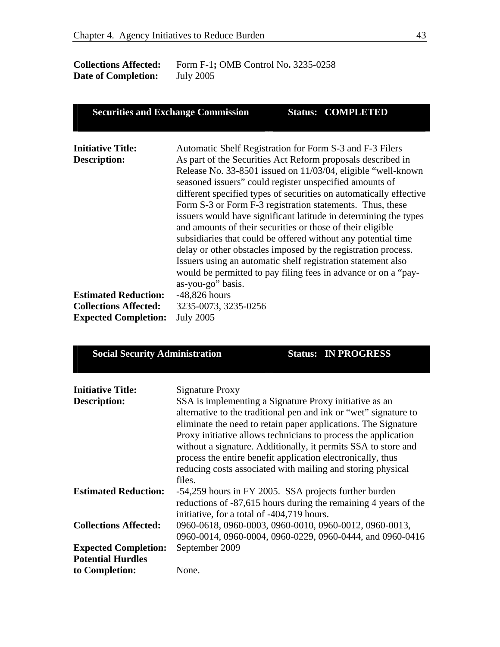| <b>Collections Affected:</b> | Form F-1; OMB Control No. 3235-0258 |
|------------------------------|-------------------------------------|
| <b>Date of Completion:</b>   | <b>July 2005</b>                    |

| <b>Securities and Exchange Commission</b>       |                                                                                                                                                                                                                                                                                                                                                                                        |  | <b>Status: COMPLETED</b>                                                                                                           |  |  |  |  |  |
|-------------------------------------------------|----------------------------------------------------------------------------------------------------------------------------------------------------------------------------------------------------------------------------------------------------------------------------------------------------------------------------------------------------------------------------------------|--|------------------------------------------------------------------------------------------------------------------------------------|--|--|--|--|--|
|                                                 |                                                                                                                                                                                                                                                                                                                                                                                        |  |                                                                                                                                    |  |  |  |  |  |
| <b>Initiative Title:</b><br><b>Description:</b> | Automatic Shelf Registration for Form S-3 and F-3 Filers<br>As part of the Securities Act Reform proposals described in<br>Release No. 33-8501 issued on 11/03/04, eligible "well-known"<br>seasoned issuers" could register unspecified amounts of<br>different specified types of securities on automatically effective<br>Form S-3 or Form F-3 registration statements. Thus, these |  |                                                                                                                                    |  |  |  |  |  |
|                                                 | and amounts of their securities or those of their eligible<br>subsidiaries that could be offered without any potential time<br>delay or other obstacles imposed by the registration process.<br>Issuers using an automatic shelf registration statement also<br>as-you-go" basis.                                                                                                      |  | issuers would have significant latitude in determining the types<br>would be permitted to pay filing fees in advance or on a "pay- |  |  |  |  |  |
| <b>Estimated Reduction:</b>                     | $-48,826$ hours                                                                                                                                                                                                                                                                                                                                                                        |  |                                                                                                                                    |  |  |  |  |  |
| <b>Collections Affected:</b>                    | 3235-0073, 3235-0256                                                                                                                                                                                                                                                                                                                                                                   |  |                                                                                                                                    |  |  |  |  |  |
| <b>Expected Completion:</b>                     | <b>July 2005</b>                                                                                                                                                                                                                                                                                                                                                                       |  |                                                                                                                                    |  |  |  |  |  |

| <b>Social Security Administration</b> |                                                                                                               |  | <b>Status: IN PROGRESS</b>                                       |  |  |  |  |  |
|---------------------------------------|---------------------------------------------------------------------------------------------------------------|--|------------------------------------------------------------------|--|--|--|--|--|
|                                       |                                                                                                               |  |                                                                  |  |  |  |  |  |
| <b>Initiative Title:</b>              | Signature Proxy                                                                                               |  |                                                                  |  |  |  |  |  |
| <b>Description:</b>                   | SSA is implementing a Signature Proxy initiative as an                                                        |  | alternative to the traditional pen and ink or "wet" signature to |  |  |  |  |  |
|                                       |                                                                                                               |  | eliminate the need to retain paper applications. The Signature   |  |  |  |  |  |
|                                       | Proxy initiative allows technicians to process the application                                                |  |                                                                  |  |  |  |  |  |
|                                       |                                                                                                               |  | without a signature. Additionally, it permits SSA to store and   |  |  |  |  |  |
|                                       | process the entire benefit application electronically, thus                                                   |  |                                                                  |  |  |  |  |  |
|                                       | reducing costs associated with mailing and storing physical                                                   |  |                                                                  |  |  |  |  |  |
|                                       | files.                                                                                                        |  |                                                                  |  |  |  |  |  |
| <b>Estimated Reduction:</b>           | -54,259 hours in FY 2005. SSA projects further burden                                                         |  |                                                                  |  |  |  |  |  |
|                                       | reductions of -87,615 hours during the remaining 4 years of the<br>initiative, for a total of -404,719 hours. |  |                                                                  |  |  |  |  |  |
| <b>Collections Affected:</b>          | 0960-0618, 0960-0003, 0960-0010, 0960-0012, 0960-0013,                                                        |  |                                                                  |  |  |  |  |  |
|                                       | 0960-0014, 0960-0004, 0960-0229, 0960-0444, and 0960-0416                                                     |  |                                                                  |  |  |  |  |  |
| <b>Expected Completion:</b>           | September 2009                                                                                                |  |                                                                  |  |  |  |  |  |
| <b>Potential Hurdles</b>              |                                                                                                               |  |                                                                  |  |  |  |  |  |
| to Completion:                        | None.                                                                                                         |  |                                                                  |  |  |  |  |  |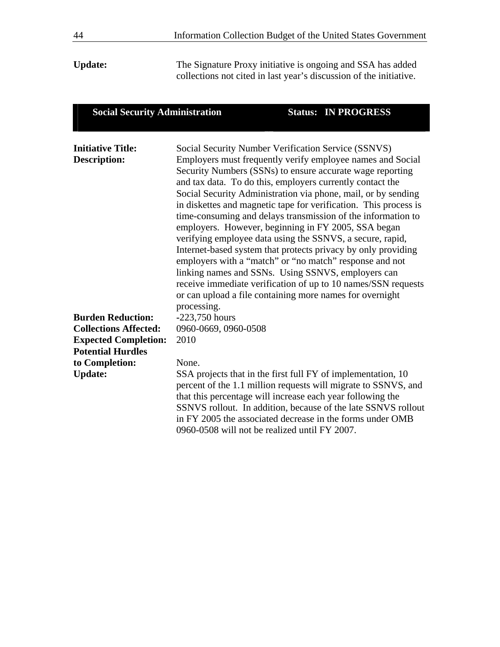Update: The Signature Proxy initiative is ongoing and SSA has added collections not cited in last year's discussion of the initiative.

| <b>Social Security Administration</b>           |                                                                                                                                                                                                                                                                                                                                                                                                                                                                                                                                                 | <b>Status: IN PROGRESS</b>                                                                                                                                                                                                                                                                                                       |
|-------------------------------------------------|-------------------------------------------------------------------------------------------------------------------------------------------------------------------------------------------------------------------------------------------------------------------------------------------------------------------------------------------------------------------------------------------------------------------------------------------------------------------------------------------------------------------------------------------------|----------------------------------------------------------------------------------------------------------------------------------------------------------------------------------------------------------------------------------------------------------------------------------------------------------------------------------|
| <b>Initiative Title:</b><br><b>Description:</b> | Social Security Number Verification Service (SSNVS)<br>Security Numbers (SSNs) to ensure accurate wage reporting<br>and tax data. To do this, employers currently contact the<br>employers. However, beginning in FY 2005, SSA began<br>verifying employee data using the SSNVS, a secure, rapid,<br>Internet-based system that protects privacy by only providing<br>employers with a "match" or "no match" response and not<br>linking names and SSNs. Using SSNVS, employers can<br>or can upload a file containing more names for overnight | Employers must frequently verify employee names and Social<br>Social Security Administration via phone, mail, or by sending<br>in diskettes and magnetic tape for verification. This process is<br>time-consuming and delays transmission of the information to<br>receive immediate verification of up to 10 names/SSN requests |
|                                                 | processing.                                                                                                                                                                                                                                                                                                                                                                                                                                                                                                                                     |                                                                                                                                                                                                                                                                                                                                  |
| <b>Burden Reduction:</b>                        | $-223,750$ hours                                                                                                                                                                                                                                                                                                                                                                                                                                                                                                                                |                                                                                                                                                                                                                                                                                                                                  |
| <b>Collections Affected:</b>                    | 0960-0669, 0960-0508                                                                                                                                                                                                                                                                                                                                                                                                                                                                                                                            |                                                                                                                                                                                                                                                                                                                                  |
| <b>Expected Completion:</b>                     | 2010                                                                                                                                                                                                                                                                                                                                                                                                                                                                                                                                            |                                                                                                                                                                                                                                                                                                                                  |
| <b>Potential Hurdles</b>                        |                                                                                                                                                                                                                                                                                                                                                                                                                                                                                                                                                 |                                                                                                                                                                                                                                                                                                                                  |
| to Completion:                                  | None.                                                                                                                                                                                                                                                                                                                                                                                                                                                                                                                                           |                                                                                                                                                                                                                                                                                                                                  |
| <b>Update:</b>                                  | SSA projects that in the first full FY of implementation, 10<br>that this percentage will increase each year following the<br>in FY 2005 the associated decrease in the forms under OMB<br>0960-0508 will not be realized until FY 2007.                                                                                                                                                                                                                                                                                                        | percent of the 1.1 million requests will migrate to SSNVS, and<br>SSNVS rollout. In addition, because of the late SSNVS rollout                                                                                                                                                                                                  |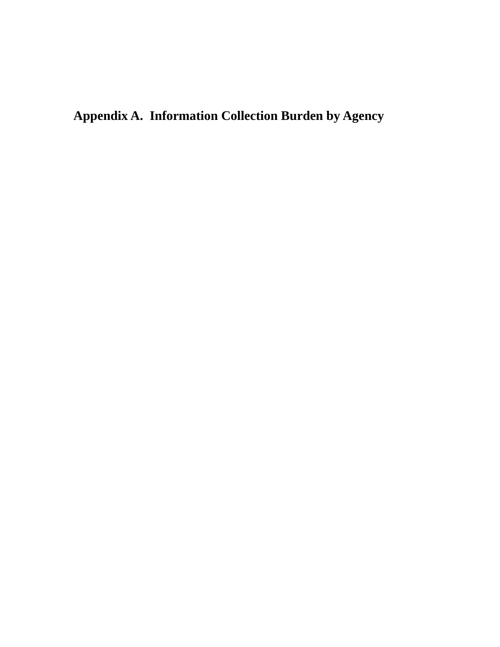**Appendix A. Information Collection Burden by Agency**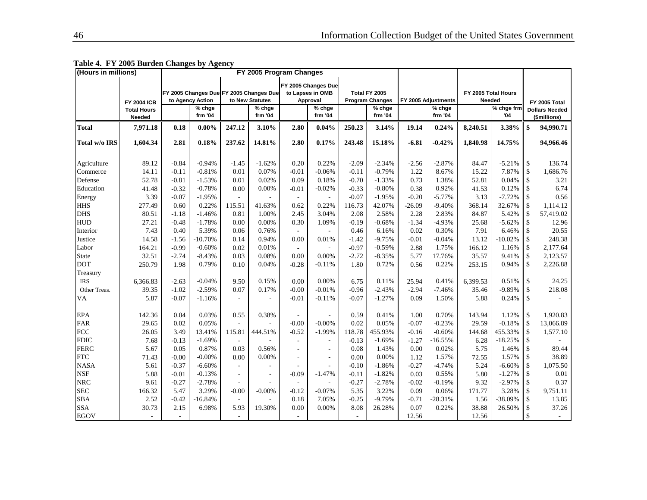| (Hours in millions) |                                     |         |                   |         | FY 2005 Program Changes                                    |                             |                                                     |                          |                                         |          |                     |                               |                   |               |                                       |
|---------------------|-------------------------------------|---------|-------------------|---------|------------------------------------------------------------|-----------------------------|-----------------------------------------------------|--------------------------|-----------------------------------------|----------|---------------------|-------------------------------|-------------------|---------------|---------------------------------------|
|                     | <b>FY 2004 ICB</b>                  |         | to Agency Action  |         | FY 2005 Changes Due FY 2005 Changes Due<br>to New Statutes |                             | FY 2005 Changes Due<br>to Lapses in OMB<br>Approval |                          | Total FY 2005<br><b>Program Changes</b> |          | FY 2005 Adjustments | FY 2005 Total Hours<br>Needed |                   |               | FY 2005 Total                         |
|                     | <b>Total Hours</b><br><b>Needed</b> |         | % chge<br>frm '04 |         | % chge<br>frm '04                                          |                             | % chge<br>frm '04                                   |                          | % chge<br>frm '04                       |          | % chge<br>frm '04   |                               | % chge frm<br>'04 |               | <b>Dollars Needed</b><br>(\$millions) |
| <b>Total</b>        | 7,971.18                            | 0.18    | $0.00\%$          | 247.12  | 3.10%                                                      | 2.80                        | 0.04%                                               | 250.23                   | 3.14%                                   | 19.14    | 0.24%               | 8,240.51                      | 3.38%             | \$            | 94,990.71                             |
| Total w/o IRS       | 1,604.34                            | 2.81    | 0.18%             | 237.62  | 14.81%                                                     | 2.80                        | 0.17%                                               | 243.48                   | 15.18%                                  | $-6.81$  | $-0.42%$            | 1.840.98                      | 14.75%            |               | 94,966.46                             |
| Agriculture         | 89.12                               | $-0.84$ | $-0.94%$          | $-1.45$ | $-1.62%$                                                   | 0.20                        | 0.22%                                               | $-2.09$                  | $-2.34%$                                | $-2.56$  | $-2.87%$            | 84.47                         | $-5.21%$          | \$            | 136.74                                |
| Commerce            | 14.11                               | $-0.11$ | $-0.81%$          | 0.01    | 0.07%                                                      | $-0.01$                     | $-0.06%$                                            | $-0.11$                  | $-0.79%$                                | 1.22     | 8.67%               | 15.22                         | 7.87%             | $\mathsf{\$}$ | 1,686.76                              |
| Defense             | 52.78                               | $-0.81$ | $-1.53%$          | 0.01    | 0.02%                                                      | 0.09                        | 0.18%                                               | $-0.70$                  | $-1.33%$                                | 0.73     | 1.38%               | 52.81                         | 0.04%             | \$            | 3.21                                  |
| Education           | 41.48                               | $-0.32$ | $-0.78%$          | 0.00    | 0.00%                                                      | $-0.01$                     | $-0.02%$                                            | $-0.33$                  | $-0.80%$                                | 0.38     | 0.92%               | 41.53                         | 0.12%             | $\$$          | 6.74                                  |
| Energy              | 3.39                                | $-0.07$ | $-1.95%$          |         |                                                            | $\overline{\phantom{a}}$    |                                                     | $-0.07$                  | $-1.95%$                                | $-0.20$  | $-5.77%$            | 3.13                          | $-7.72%$          | $\mathbb{S}$  | 0.56                                  |
| <b>HHS</b>          | 277.49                              | 0.60    | 0.22%             | 115.51  | 41.63%                                                     | 0.62                        | 0.22%                                               | 116.73                   | 42.07%                                  | $-26.09$ | $-9.40%$            | 368.14                        | 32.67%            | \$            | 1,114.12                              |
| <b>DHS</b>          | 80.51                               | $-1.18$ | $-1.46%$          | 0.81    | 1.00%                                                      | 2.45                        | 3.04%                                               | 2.08                     | 2.58%                                   | 2.28     | 2.83%               | 84.87                         | 5.42%             | \$            | 57,419.02                             |
| <b>HUD</b>          | 27.21                               | $-0.48$ | $-1.78%$          | 0.00    | 0.00%                                                      | 0.30                        | 1.09%                                               | $-0.19$                  | $-0.68%$                                | $-1.34$  | $-4.93%$            | 25.68                         | $-5.62%$          | \$            | 12.96                                 |
| Interior            | 7.43                                | 0.40    | 5.39%             | 0.06    | 0.76%                                                      | $\mathcal{L}_{\mathcal{A}}$ | $\omega$                                            | 0.46                     | 6.16%                                   | 0.02     | 0.30%               | 7.91                          | 6.46%             | $\mathsf{\$}$ | 20.55                                 |
| Justice             | 14.58                               | $-1.56$ | $-10.70%$         | 0.14    | 0.94%                                                      | 0.00                        | 0.01%                                               | $-1.42$                  | $-9.75%$                                | $-0.01$  | $-0.04%$            | 13.12                         | $-10.02%$         | $\mathbb S$   | 248.38                                |
| Labor               | 164.21                              | $-0.99$ | $-0.60%$          | 0.02    | 0.01%                                                      | $\sim$                      | $\sim$                                              | $-0.97$                  | $-0.59%$                                | 2.88     | 1.75%               | 166.12                        | 1.16%             | $\mathsf{\$}$ | 2,177.64                              |
| State               | 32.51                               | $-2.74$ | $-8.43%$          | 0.03    | 0.08%                                                      | 0.00                        | 0.00%                                               | $-2.72$                  | $-8.35%$                                | 5.77     | 17.76%              | 35.57                         | 9.41%             | $\mathbb{S}$  | 2,123.57                              |
| <b>DOT</b>          | 250.79                              | 1.98    | 0.79%             | 0.10    | 0.04%                                                      | $-0.28$                     | $-0.11%$                                            | 1.80                     | 0.72%                                   | 0.56     | 0.22%               | 253.15                        | 0.94%             | $\$\,$        | 2,226.88                              |
| Treasury            |                                     |         |                   |         |                                                            |                             |                                                     |                          |                                         |          |                     |                               |                   |               |                                       |
| <b>IRS</b>          | 6,366.83                            | $-2.63$ | $-0.04%$          | 9.50    | 0.15%                                                      | 0.00                        | 0.00%                                               | 6.75                     | 0.11%                                   | 25.94    | 0.41%               | 6.399.53                      | 0.51%             | \$            | 24.25                                 |
| Other Treas.        | 39.35                               | $-1.02$ | $-2.59%$          | 0.07    | 0.17%                                                      | $-0.00$                     | $-0.01%$                                            | $-0.96$                  | $-2.43%$                                | $-2.94$  | $-7.46%$            | 35.46                         | $-9.89%$          | $\mathbb{S}$  | 218.08                                |
| VA                  | 5.87                                | $-0.07$ | $-1.16%$          |         |                                                            | $-0.01$                     | $-0.11%$                                            | $-0.07$                  | $-1.27%$                                | 0.09     | 1.50%               | 5.88                          | 0.24%             | $\mathsf{\$}$ |                                       |
| <b>EPA</b>          | 142.36                              | 0.04    | 0.03%             | 0.55    | 0.38%                                                      | $\sim$                      | $\sim$                                              | 0.59                     | 0.41%                                   | 1.00     | 0.70%               | 143.94                        | 1.12%             | \$            | 1,920.83                              |
| <b>FAR</b>          | 29.65                               | 0.02    | 0.05%             |         |                                                            | $-0.00$                     | $-0.00%$                                            | 0.02                     | 0.05%                                   | $-0.07$  | $-0.23%$            | 29.59                         | $-0.18%$          | \$            | 13,066.89                             |
| <b>FCC</b>          | 26.05                               | 3.49    | 13.41%            | 115.81  | 444.51%                                                    | $-0.52$                     | $-1.99%$                                            | 118.78                   | 455.93%                                 | $-0.16$  | $-0.60%$            | 144.68                        | 455.33%           | $\mathsf{\$}$ | 1,577.10                              |
| <b>FDIC</b>         | 7.68                                | $-0.13$ | $-1.69%$          |         |                                                            | $\overline{\phantom{a}}$    | $\sim$                                              | $-0.13$                  | $-1.69%$                                | $-1.27$  | $-16.55%$           | 6.28                          | $-18.25%$         | \$            |                                       |
| <b>FERC</b>         | 5.67                                | 0.05    | 0.87%             | 0.03    | 0.56%                                                      | $\overline{\phantom{a}}$    | $\overline{\phantom{a}}$                            | 0.08                     | 1.43%                                   | 0.00     | 0.02%               | 5.75                          | 1.46%             | $\mathbb{S}$  | 89.44                                 |
| <b>FTC</b>          | 71.43                               | $-0.00$ | $-0.00%$          | 0.00    | 0.00%                                                      | $\sim$                      | $\sim$                                              | 0.00                     | 0.00%                                   | 1.12     | 1.57%               | 72.55                         | 1.57%             | \$            | 38.89                                 |
| <b>NASA</b>         | 5.61                                | $-0.37$ | $-6.60%$          | $\sim$  |                                                            |                             | $\overline{a}$                                      | $-0.10$                  | $-1.86%$                                | $-0.27$  | $-4.74%$            | 5.24                          | $-6.60%$          | \$            | 1,075.50                              |
| <b>NSF</b>          | 5.88                                | $-0.01$ | $-0.13%$          | $\sim$  |                                                            | $-0.09$                     | $-1.47%$                                            | $-0.11$                  | $-1.82%$                                | 0.03     | 0.55%               | 5.80                          | $-1.27%$          | $\$$          | 0.01                                  |
| <b>NRC</b>          | 9.61                                | $-0.27$ | $-2.78%$          |         |                                                            | $\sim$                      |                                                     | $-0.27$                  | $-2.78%$                                | $-0.02$  | $-0.19%$            | 9.32                          | $-2.97%$          | $\mathbb{S}$  | 0.37                                  |
| <b>SEC</b>          | 166.32                              | 5.47    | 3.29%             | $-0.00$ | $-0.00\%$                                                  | $-0.12$                     | $-0.07%$                                            | 5.35                     | 3.22%                                   | 0.09     | 0.06%               | 171.77                        | 3.28%             | $\mathsf{\$}$ | 9,751.11                              |
| <b>SBA</b>          | 2.52                                | $-0.42$ | $-16.84%$         | $\sim$  |                                                            | 0.18                        | 7.05%                                               | $-0.25$                  | $-9.79%$                                | $-0.71$  | $-28.31%$           | 1.56                          | -38.09%           | \$            | 13.85                                 |
| <b>SSA</b>          | 30.73                               | 2.15    | 6.98%             | 5.93    | 19.30%                                                     | 0.00                        | 0.00%                                               | 8.08                     | 26.28%                                  | 0.07     | 0.22%               | 38.88                         | 26.50%            | \$            | 37.26                                 |
| <b>EGOV</b>         | $\overline{a}$                      | ÷       |                   | $\sim$  |                                                            | ÷.                          |                                                     | $\overline{\phantom{a}}$ |                                         | 12.56    |                     | 12.56                         |                   | $\mathbf S$   |                                       |

**Table 4. FY 2005 Burden Changes by Agency**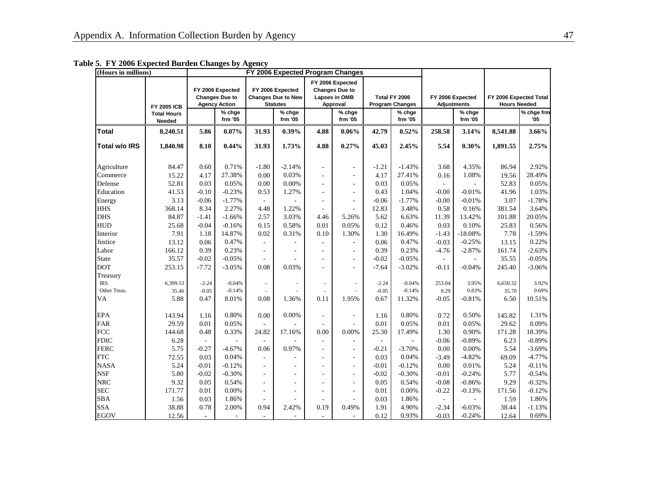| (Hours in millions) |                              | FY 2006 Expected Program Changes |                                                                   |         |                                                                  |                          |                                                                        |         |                                         |               |                                        |                     |                        |
|---------------------|------------------------------|----------------------------------|-------------------------------------------------------------------|---------|------------------------------------------------------------------|--------------------------|------------------------------------------------------------------------|---------|-----------------------------------------|---------------|----------------------------------------|---------------------|------------------------|
|                     | <b>FY 2005 ICB</b>           |                                  | FY 2006 Expected<br><b>Changes Due to</b><br><b>Agency Action</b> |         | FY 2006 Expected<br><b>Changes Due to New</b><br><b>Statutes</b> |                          | FY 2006 Expected<br><b>Changes Due to</b><br>Lapses in OMB<br>Approval |         | Total FY 2006<br><b>Program Changes</b> |               | FY 2006 Expected<br><b>Adjustments</b> | <b>Hours Needed</b> | FY 2006 Expected Total |
|                     | <b>Total Hours</b><br>Needed |                                  | % chge<br>frm '05                                                 |         | % chge<br>frm '05                                                |                          | % chge<br>frm '05                                                      |         | % chge<br>frm '05                       |               | % chge<br>frm '05                      |                     | % chge frm<br>'05      |
| <b>Total</b>        | 8,240.51                     | 5.86                             | $0.07\%$                                                          | 31.93   | $0.39\%$                                                         | 4.88                     | 0.06%                                                                  | 42.79   | 0.52%                                   | 258.58        | 3.14%                                  | 8,541.88            | $3.66\%$               |
| Total w/o IRS       | 1,840.98                     | 8.10                             | 0.44%                                                             | 31.93   | 1.73%                                                            | 4.88                     | 0.27%                                                                  | 45.03   | 2.45%                                   | 5.54          | 0.30%                                  | 1,891.55            | 2.75%                  |
| Agriculture         | 84.47                        | 0.60                             | 0.71%                                                             | $-1.80$ | $-2.14%$                                                         | ä,                       | $\overline{\phantom{a}}$                                               | $-1.21$ | $-1.43%$                                | 3.68          | 4.35%                                  | 86.94               | 2.92%                  |
| Commerce            | 15.22                        | 4.17                             | 27.38%                                                            | 0.00    | 0.03%                                                            | ä,                       | $\overline{\phantom{a}}$                                               | 4.17    | 27.41%                                  | 0.16          | 1.08%                                  | 19.56               | 28.49%                 |
| Defense             | 52.81                        | 0.03                             | 0.05%                                                             | 0.00    | 0.00%                                                            | ä,                       | ÷,                                                                     | 0.03    | 0.05%                                   | $\omega$      | $\mathcal{L}$                          | 52.83               | 0.05%                  |
| Education           | 41.53                        | $-0.10$                          | $-0.23%$                                                          | 0.53    | 1.27%                                                            |                          | ÷,                                                                     | 0.43    | 1.04%                                   | $-0.00$       | $-0.01%$                               | 41.96               | 1.03%                  |
| Energy              | 3.13                         | $-0.06$                          | $-1.77%$                                                          |         |                                                                  |                          | ä,                                                                     | $-0.06$ | $-1.77%$                                | $-0.00$       | $-0.01%$                               | 3.07                | $-1.78%$               |
| <b>HHS</b>          | 368.14                       | 8.34                             | 2.27%                                                             | 4.48    | 1.22%                                                            | ä,                       | ä,                                                                     | 12.83   | 3.48%                                   | 0.58          | 0.16%                                  | 381.54              | 3.64%                  |
| <b>DHS</b>          | 84.87                        | $-1.41$                          | $-1.66%$                                                          | 2.57    | 3.03%                                                            | 4.46                     | 5.26%                                                                  | 5.62    | 6.63%                                   | 11.39         | 13.42%                                 | 101.88              | 20.05%                 |
| <b>HUD</b>          | 25.68                        | $-0.04$                          | $-0.16%$                                                          | 0.15    | 0.58%                                                            | 0.01                     | 0.05%                                                                  | 0.12    | 0.46%                                   | 0.03          | 0.10%                                  | 25.83               | 0.56%                  |
| Interior            | 7.91                         | 1.18                             | 14.87%                                                            | 0.02    | 0.31%                                                            | 0.10                     | 1.30%                                                                  | 1.30    | 16.49%                                  | $-1.43$       | $-18.08%$                              | 7.78                | $-1.59%$               |
| Justice             | 13.12                        | 0.06                             | 0.47%                                                             |         |                                                                  | $\overline{a}$           |                                                                        | 0.06    | 0.47%                                   | $-0.03$       | $-0.25%$                               | 13.15               | 0.22%                  |
| Labor               | 166.12                       | 0.39                             | 0.23%                                                             |         |                                                                  |                          | $\overline{\phantom{a}}$                                               | 0.39    | 0.23%                                   | $-4.76$       | $-2.87%$                               | 161.74              | $-2.63%$               |
| <b>State</b>        | 35.57                        | $-0.02$                          | $-0.05%$                                                          |         |                                                                  | ä,                       | ÷,                                                                     | $-0.02$ | $-0.05%$                                | $\mathcal{L}$ |                                        | 35.55               | $-0.05%$               |
| <b>DOT</b>          | 253.15                       | $-7.72$                          | $-3.05%$                                                          | 0.08    | 0.03%                                                            |                          | ٠                                                                      | $-7.64$ | $-3.02%$                                | $-0.11$       | $-0.04%$                               | 245.40              | $-3.06%$               |
| Treasury            |                              |                                  |                                                                   |         |                                                                  |                          |                                                                        |         |                                         |               |                                        |                     |                        |
| <b>IRS</b>          | 6,399.53                     | $-2.24$                          | $-0.04%$                                                          |         |                                                                  |                          |                                                                        | $-2.24$ | $-0.04%$                                | 253.04        | 3.95%                                  | 6,650.32            | 3.92%                  |
| Other Treas.        | 35.46                        | $-0.05$                          | $-0.14%$                                                          |         |                                                                  |                          |                                                                        | $-0.05$ | $-0.14%$                                | 0.29          | 0.83%                                  | 35.70               | 0.69%                  |
| VA                  | 5.88                         | 0.47                             | 8.01%                                                             | 0.08    | 1.36%                                                            | 0.11                     | 1.95%                                                                  | 0.67    | 11.32%                                  | $-0.05$       | $-0.81%$                               | 6.50                | 10.51%                 |
| <b>EPA</b>          | 143.94                       | 1.16                             | 0.80%                                                             | 0.00    | 0.00%                                                            | $\sim$                   | $\overline{\phantom{a}}$                                               | 1.16    | 0.80%                                   | 0.72          | 0.50%                                  | 145.82              | 1.31%                  |
| FAR                 | 29.59                        | 0.01                             | 0.05%                                                             |         |                                                                  |                          |                                                                        | 0.01    | 0.05%                                   | 0.01          | 0.05%                                  | 29.62               | 0.09%                  |
| <b>FCC</b>          | 144.68                       | 0.48                             | 0.33%                                                             | 24.82   | 17.16%                                                           | 0.00                     | 0.00%                                                                  | 25.30   | 17.49%                                  | 1.30          | 0.90%                                  | 171.28              | 18.39%                 |
| <b>FDIC</b>         | 6.28                         | $\overline{\phantom{a}}$         |                                                                   |         |                                                                  | $\overline{\phantom{a}}$ | $\overline{\phantom{0}}$                                               | ÷.      |                                         | $-0.06$       | $-0.89%$                               | 6.23                | $-0.89%$               |
| <b>FERC</b>         | 5.75                         | $-0.27$                          | $-4.67%$                                                          | 0.06    | 0.97%                                                            | ä,                       | $\blacksquare$                                                         | $-0.21$ | $-3.70%$                                | 0.00          | 0.00%                                  | 5.54                | $-3.69%$               |
| <b>FTC</b>          | 72.55                        | 0.03                             | 0.04%                                                             | ÷       |                                                                  | L,                       | $\overline{\phantom{a}}$                                               | 0.03    | 0.04%                                   | $-3.49$       | $-4.82%$                               | 69.09               | $-4.77%$               |
| <b>NASA</b>         | 5.24                         | $-0.01$                          | $-0.12%$                                                          |         |                                                                  |                          | $\overline{\phantom{a}}$                                               | $-0.01$ | $-0.12%$                                | 0.00          | 0.01%                                  | 5.24                | $-0.11%$               |
| <b>NSF</b>          | 5.80                         | $-0.02$                          | $-0.30%$                                                          |         | ÷.                                                               | ä,                       | ÷,                                                                     | $-0.02$ | $-0.30%$                                | $-0.01$       | $-0.24%$                               | 5.77                | $-0.54%$               |
| <b>NRC</b>          | 9.32                         | 0.05                             | 0.54%                                                             |         | ÷,                                                               | ä,                       | ÷,                                                                     | 0.05    | 0.54%                                   | $-0.08$       | $-0.86%$                               | 9.29                | $-0.32%$               |
| <b>SEC</b>          | 171.77                       | 0.01                             | 0.00%                                                             | ٠       | ÷                                                                | $\overline{a}$           | ä,                                                                     | 0.01    | 0.00%                                   | $-0.22$       | $-0.13%$                               | 171.56              | $-0.12%$               |
| <b>SBA</b>          | 1.56                         | 0.03                             | 1.86%                                                             |         |                                                                  |                          |                                                                        | 0.03    | 1.86%                                   | $\mathcal{L}$ |                                        | 1.59                | 1.86%                  |
| <b>SSA</b>          | 38.88                        | 0.78                             | 2.00%                                                             | 0.94    | 2.42%                                                            | 0.19                     | 0.49%                                                                  | 1.91    | 4.90%                                   | $-2.34$       | $-6.03%$                               | 38.44               | $-1.13%$               |
| <b>EGOV</b>         | 12.56                        |                                  |                                                                   |         |                                                                  |                          |                                                                        | 0.12    | 0.93%                                   | $-0.03$       | $-0.24%$                               | 12.64               | 0.69%                  |

**Table 5. FY 2006 Expected Burden Changes by Agency**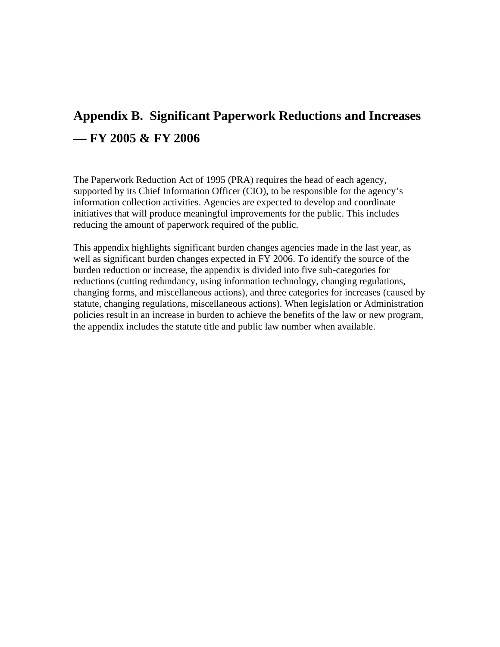# **Appendix B. Significant Paperwork Reductions and Increases — FY 2005 & FY 2006**

The Paperwork Reduction Act of 1995 (PRA) requires the head of each agency, supported by its Chief Information Officer (CIO), to be responsible for the agency's information collection activities. Agencies are expected to develop and coordinate initiatives that will produce meaningful improvements for the public. This includes reducing the amount of paperwork required of the public.

This appendix highlights significant burden changes agencies made in the last year, as well as significant burden changes expected in FY 2006. To identify the source of the burden reduction or increase, the appendix is divided into five sub-categories for reductions (cutting redundancy, using information technology, changing regulations, changing forms, and miscellaneous actions), and three categories for increases (caused by statute, changing regulations, miscellaneous actions). When legislation or Administration policies result in an increase in burden to achieve the benefits of the law or new program, the appendix includes the statute title and public law number when available.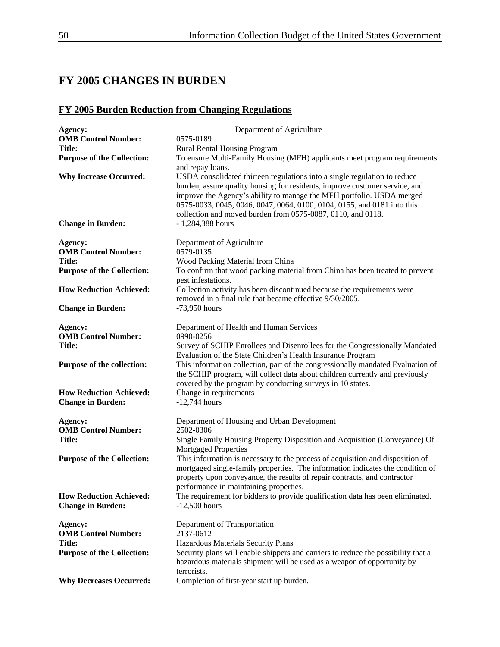# **FY 2005 CHANGES IN BURDEN**

## **FY 2005 Burden Reduction from Changing Regulations**

| Agency:                                                    | Department of Agriculture                                                                                                                                                                                                                                                                                                                                                   |
|------------------------------------------------------------|-----------------------------------------------------------------------------------------------------------------------------------------------------------------------------------------------------------------------------------------------------------------------------------------------------------------------------------------------------------------------------|
| <b>OMB Control Number:</b>                                 | 0575-0189                                                                                                                                                                                                                                                                                                                                                                   |
| <b>Title:</b>                                              | Rural Rental Housing Program                                                                                                                                                                                                                                                                                                                                                |
| <b>Purpose of the Collection:</b>                          | To ensure Multi-Family Housing (MFH) applicants meet program requirements<br>and repay loans.                                                                                                                                                                                                                                                                               |
| <b>Why Increase Occurred:</b>                              | USDA consolidated thirteen regulations into a single regulation to reduce<br>burden, assure quality housing for residents, improve customer service, and<br>improve the Agency's ability to manage the MFH portfolio. USDA merged<br>0575-0033, 0045, 0046, 0047, 0064, 0100, 0104, 0155, and 0181 into this<br>collection and moved burden from 0575-0087, 0110, and 0118. |
| <b>Change in Burden:</b>                                   | $-1,284,388$ hours                                                                                                                                                                                                                                                                                                                                                          |
| Agency:                                                    | Department of Agriculture                                                                                                                                                                                                                                                                                                                                                   |
| <b>OMB Control Number:</b>                                 | 0579-0135                                                                                                                                                                                                                                                                                                                                                                   |
| <b>Title:</b>                                              | Wood Packing Material from China                                                                                                                                                                                                                                                                                                                                            |
| <b>Purpose of the Collection:</b>                          | To confirm that wood packing material from China has been treated to prevent<br>pest infestations.                                                                                                                                                                                                                                                                          |
| <b>How Reduction Achieved:</b>                             | Collection activity has been discontinued because the requirements were<br>removed in a final rule that became effective $9/30/2005$ .                                                                                                                                                                                                                                      |
| <b>Change in Burden:</b>                                   | $-73,950$ hours                                                                                                                                                                                                                                                                                                                                                             |
| Agency:                                                    | Department of Health and Human Services                                                                                                                                                                                                                                                                                                                                     |
| <b>OMB Control Number:</b>                                 | 0990-0256                                                                                                                                                                                                                                                                                                                                                                   |
| <b>Title:</b>                                              | Survey of SCHIP Enrollees and Disenrollees for the Congressionally Mandated                                                                                                                                                                                                                                                                                                 |
| Purpose of the collection:                                 | Evaluation of the State Children's Health Insurance Program<br>This information collection, part of the congressionally mandated Evaluation of<br>the SCHIP program, will collect data about children currently and previously<br>covered by the program by conducting surveys in 10 states.                                                                                |
| <b>How Reduction Achieved:</b>                             | Change in requirements                                                                                                                                                                                                                                                                                                                                                      |
| <b>Change in Burden:</b>                                   | $-12,744$ hours                                                                                                                                                                                                                                                                                                                                                             |
| Agency:                                                    | Department of Housing and Urban Development<br>2502-0306                                                                                                                                                                                                                                                                                                                    |
| <b>OMB Control Number:</b><br><b>Title:</b>                | Single Family Housing Property Disposition and Acquisition (Conveyance) Of                                                                                                                                                                                                                                                                                                  |
|                                                            | <b>Mortgaged Properties</b>                                                                                                                                                                                                                                                                                                                                                 |
| <b>Purpose of the Collection:</b>                          | This information is necessary to the process of acquisition and disposition of<br>mortgaged single-family properties. The information indicates the condition of<br>property upon conveyance, the results of repair contracts, and contractor                                                                                                                               |
|                                                            | performance in maintaining properties.                                                                                                                                                                                                                                                                                                                                      |
| <b>How Reduction Achieved:</b><br><b>Change in Burden:</b> | The requirement for bidders to provide qualification data has been eliminated.<br>$-12,500$ hours                                                                                                                                                                                                                                                                           |
| Agency:                                                    | Department of Transportation                                                                                                                                                                                                                                                                                                                                                |
| <b>OMB Control Number:</b>                                 | 2137-0612                                                                                                                                                                                                                                                                                                                                                                   |
| <b>Title:</b>                                              | Hazardous Materials Security Plans                                                                                                                                                                                                                                                                                                                                          |
| <b>Purpose of the Collection:</b>                          | Security plans will enable shippers and carriers to reduce the possibility that a<br>hazardous materials shipment will be used as a weapon of opportunity by<br>terrorists.                                                                                                                                                                                                 |
| <b>Why Decreases Occurred:</b>                             | Completion of first-year start up burden.                                                                                                                                                                                                                                                                                                                                   |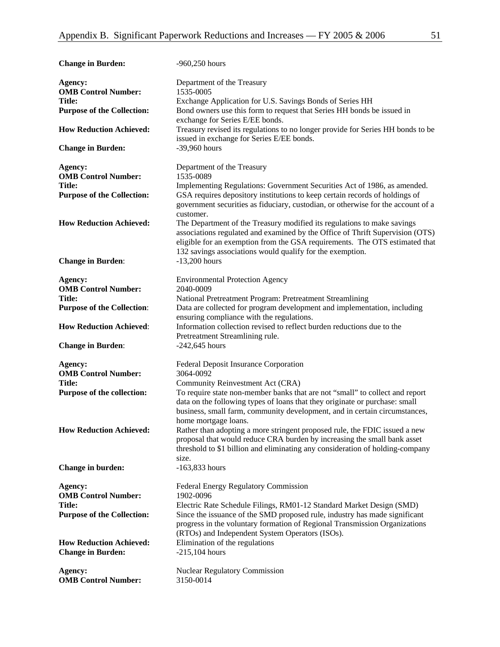| <b>Change in Burden:</b>                                   | $-960,250$ hours                                                                                                                                                                                                                                                                                     |
|------------------------------------------------------------|------------------------------------------------------------------------------------------------------------------------------------------------------------------------------------------------------------------------------------------------------------------------------------------------------|
| Agency:<br><b>OMB Control Number:</b><br><b>Title:</b>     | Department of the Treasury<br>1535-0005<br>Exchange Application for U.S. Savings Bonds of Series HH                                                                                                                                                                                                  |
| <b>Purpose of the Collection:</b>                          | Bond owners use this form to request that Series HH bonds be issued in<br>exchange for Series E/EE bonds.                                                                                                                                                                                            |
| <b>How Reduction Achieved:</b>                             | Treasury revised its regulations to no longer provide for Series HH bonds to be<br>issued in exchange for Series E/EE bonds.                                                                                                                                                                         |
| <b>Change in Burden:</b>                                   | -39,960 hours                                                                                                                                                                                                                                                                                        |
| Agency:<br><b>OMB Control Number:</b>                      | Department of the Treasury<br>1535-0089                                                                                                                                                                                                                                                              |
| <b>Title:</b><br><b>Purpose of the Collection:</b>         | Implementing Regulations: Government Securities Act of 1986, as amended.<br>GSA requires depository institutions to keep certain records of holdings of<br>government securities as fiduciary, custodian, or otherwise for the account of a<br>customer.                                             |
| <b>How Reduction Achieved:</b>                             | The Department of the Treasury modified its regulations to make savings<br>associations regulated and examined by the Office of Thrift Supervision (OTS)<br>eligible for an exemption from the GSA requirements. The OTS estimated that<br>132 savings associations would qualify for the exemption. |
| <b>Change in Burden:</b>                                   | $-13,200$ hours                                                                                                                                                                                                                                                                                      |
| Agency:<br><b>OMB Control Number:</b>                      | <b>Environmental Protection Agency</b><br>2040-0009                                                                                                                                                                                                                                                  |
| <b>Title:</b><br><b>Purpose of the Collection:</b>         | National Pretreatment Program: Pretreatment Streamlining<br>Data are collected for program development and implementation, including<br>ensuring compliance with the regulations.                                                                                                                    |
| <b>How Reduction Achieved:</b><br><b>Change in Burden:</b> | Information collection revised to reflect burden reductions due to the<br>Pretreatment Streamlining rule.<br>$-242,645$ hours                                                                                                                                                                        |
|                                                            |                                                                                                                                                                                                                                                                                                      |
| Agency:<br><b>OMB Control Number:</b><br><b>Title:</b>     | Federal Deposit Insurance Corporation<br>3064-0092<br>Community Reinvestment Act (CRA)                                                                                                                                                                                                               |
| Purpose of the collection:                                 | To require state non-member banks that are not "small" to collect and report<br>data on the following types of loans that they originate or purchase: small<br>business, small farm, community development, and in certain circumstances,<br>home mortgage loans.                                    |
| <b>How Reduction Achieved:</b>                             | Rather than adopting a more stringent proposed rule, the FDIC issued a new<br>proposal that would reduce CRA burden by increasing the small bank asset<br>threshold to \$1 billion and eliminating any consideration of holding-company<br>size.                                                     |
| <b>Change in burden:</b>                                   | $-163,833$ hours                                                                                                                                                                                                                                                                                     |
| Agency:<br><b>OMB Control Number:</b><br>Title:            | <b>Federal Energy Regulatory Commission</b><br>1902-0096<br>Electric Rate Schedule Filings, RM01-12 Standard Market Design (SMD)                                                                                                                                                                     |
| <b>Purpose of the Collection:</b>                          | Since the issuance of the SMD proposed rule, industry has made significant<br>progress in the voluntary formation of Regional Transmission Organizations<br>(RTOs) and Independent System Operators (ISOs).                                                                                          |
| <b>How Reduction Achieved:</b><br><b>Change in Burden:</b> | Elimination of the regulations<br>$-215,104$ hours                                                                                                                                                                                                                                                   |
| Agency:<br><b>OMB Control Number:</b>                      | <b>Nuclear Regulatory Commission</b><br>3150-0014                                                                                                                                                                                                                                                    |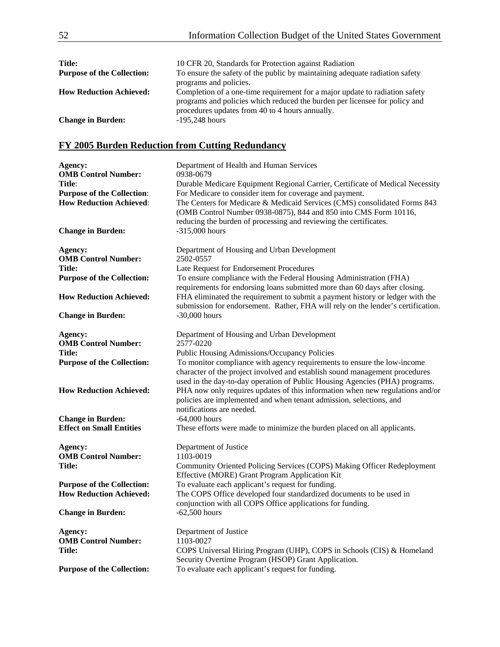| <b>Title:</b>                     | 10 CFR 20, Standards for Protection against Radiation                       |
|-----------------------------------|-----------------------------------------------------------------------------|
| <b>Purpose of the Collection:</b> | To ensure the safety of the public by maintaining adequate radiation safety |
|                                   | programs and policies.                                                      |
| <b>How Reduction Achieved:</b>    | Completion of a one-time requirement for a major update to radiation safety |
|                                   | programs and policies which reduced the burden per licensee for policy and  |
|                                   | procedures updates from 40 to 4 hours annually.                             |
| <b>Change in Burden:</b>          | $-195,248$ hours                                                            |

## **FY 2005 Burden Reduction from Cutting Redundancy**

| Agency:<br><b>OMB Control Number:</b><br>Title:<br><b>Purpose of the Collection:</b><br><b>How Reduction Achieved:</b><br><b>Change in Burden:</b>                                           | Department of Health and Human Services<br>0938-0679<br>Durable Medicare Equipment Regional Carrier, Certificate of Medical Necessity<br>For Medicare to consider item for coverage and payment.<br>The Centers for Medicare & Medicaid Services (CMS) consolidated Forms 843<br>(OMB Control Number 0938-0875), 844 and 850 into CMS Form 10116,<br>reducing the burden of processing and reviewing the certificates.<br>-315,000 hours                                                                                                                                                                                                     |
|----------------------------------------------------------------------------------------------------------------------------------------------------------------------------------------------|----------------------------------------------------------------------------------------------------------------------------------------------------------------------------------------------------------------------------------------------------------------------------------------------------------------------------------------------------------------------------------------------------------------------------------------------------------------------------------------------------------------------------------------------------------------------------------------------------------------------------------------------|
| Agency:<br><b>OMB Control Number:</b><br>Title:<br><b>Purpose of the Collection:</b><br><b>How Reduction Achieved:</b><br><b>Change in Burden:</b>                                           | Department of Housing and Urban Development<br>2502-0557<br>Late Request for Endorsement Procedures<br>To ensure compliance with the Federal Housing Administration (FHA)<br>requirements for endorsing loans submitted more than 60 days after closing.<br>FHA eliminated the requirement to submit a payment history or ledger with the<br>submission for endorsement. Rather, FHA will rely on the lender's certification.<br>$-30,000$ hours                                                                                                                                                                                             |
| Agency:<br><b>OMB Control Number:</b><br><b>Title:</b><br><b>Purpose of the Collection:</b><br><b>How Reduction Achieved:</b><br><b>Change in Burden:</b><br><b>Effect on Small Entities</b> | Department of Housing and Urban Development<br>2577-0220<br><b>Public Housing Admissions/Occupancy Policies</b><br>To monitor compliance with agency requirements to ensure the low-income<br>character of the project involved and establish sound management procedures<br>used in the day-to-day operation of Public Housing Agencies (PHA) programs.<br>PHA now only requires updates of this information when new regulations and/or<br>policies are implemented and when tenant admission, selections, and<br>notifications are needed.<br>$-64,000$ hours<br>These efforts were made to minimize the burden placed on all applicants. |
| Agency:<br><b>OMB Control Number:</b><br>Title:<br><b>Purpose of the Collection:</b><br><b>How Reduction Achieved:</b><br><b>Change in Burden:</b>                                           | Department of Justice<br>1103-0019<br>Community Oriented Policing Services (COPS) Making Officer Redeployment<br>Effective (MORE) Grant Program Application Kit<br>To evaluate each applicant's request for funding.<br>The COPS Office developed four standardized documents to be used in<br>conjunction with all COPS Office applications for funding.<br>$-62,500$ hours                                                                                                                                                                                                                                                                 |
| Agency:<br><b>OMB Control Number:</b><br>Title:<br><b>Purpose of the Collection:</b>                                                                                                         | Department of Justice<br>1103-0027<br>COPS Universal Hiring Program (UHP), COPS in Schools (CIS) & Homeland<br>Security Overtime Program (HSOP) Grant Application.<br>To evaluate each applicant's request for funding.                                                                                                                                                                                                                                                                                                                                                                                                                      |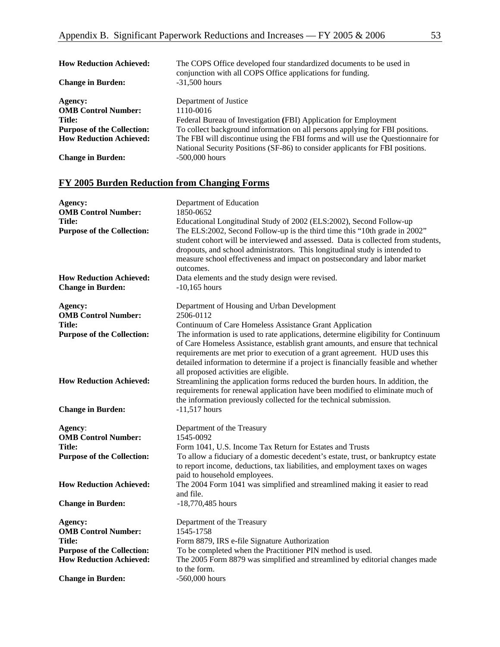| <b>How Reduction Achieved:</b>    | The COPS Office developed four standardized documents to be used in<br>conjunction with all COPS Office applications for funding. |
|-----------------------------------|-----------------------------------------------------------------------------------------------------------------------------------|
| <b>Change in Burden:</b>          | $-31,500$ hours                                                                                                                   |
| Agency:                           | Department of Justice                                                                                                             |
| <b>OMB Control Number:</b>        | 1110-0016                                                                                                                         |
| Title:                            | Federal Bureau of Investigation (FBI) Application for Employment                                                                  |
| <b>Purpose of the Collection:</b> | To collect background information on all persons applying for FBI positions.                                                      |
| <b>How Reduction Achieved:</b>    | The FBI will discontinue using the FBI forms and will use the Questionnaire for                                                   |
|                                   | National Security Positions (SF-86) to consider applicants for FBI positions.                                                     |
| <b>Change in Burden:</b>          | $-500,000$ hours                                                                                                                  |

## **FY 2005 Burden Reduction from Changing Forms**

| Agency:<br><b>OMB Control Number:</b><br><b>Title:</b><br><b>Purpose of the Collection:</b>                                                               | Department of Education<br>1850-0652<br>Educational Longitudinal Study of 2002 (ELS:2002), Second Follow-up<br>The ELS:2002, Second Follow-up is the third time this "10th grade in 2002"<br>student cohort will be interviewed and assessed. Data is collected from students,<br>dropouts, and school administrators. This longitudinal study is intended to<br>measure school effectiveness and impact on postsecondary and labor market                                                                |
|-----------------------------------------------------------------------------------------------------------------------------------------------------------|-----------------------------------------------------------------------------------------------------------------------------------------------------------------------------------------------------------------------------------------------------------------------------------------------------------------------------------------------------------------------------------------------------------------------------------------------------------------------------------------------------------|
| <b>How Reduction Achieved:</b><br><b>Change in Burden:</b>                                                                                                | outcomes.<br>Data elements and the study design were revised.<br>$-10,165$ hours                                                                                                                                                                                                                                                                                                                                                                                                                          |
| Agency:<br><b>OMB Control Number:</b><br><b>Title:</b><br><b>Purpose of the Collection:</b>                                                               | Department of Housing and Urban Development<br>2506-0112<br>Continuum of Care Homeless Assistance Grant Application<br>The information is used to rate applications, determine eligibility for Continuum<br>of Care Homeless Assistance, establish grant amounts, and ensure that technical<br>requirements are met prior to execution of a grant agreement. HUD uses this<br>detailed information to determine if a project is financially feasible and whether<br>all proposed activities are eligible. |
| <b>How Reduction Achieved:</b><br><b>Change in Burden:</b>                                                                                                | Streamlining the application forms reduced the burden hours. In addition, the<br>requirements for renewal application have been modified to eliminate much of<br>the information previously collected for the technical submission.<br>$-11,517$ hours                                                                                                                                                                                                                                                    |
| Agency:<br><b>OMB Control Number:</b><br><b>Title:</b><br><b>Purpose of the Collection:</b>                                                               | Department of the Treasury<br>1545-0092<br>Form 1041, U.S. Income Tax Return for Estates and Trusts<br>To allow a fiduciary of a domestic decedent's estate, trust, or bankruptcy estate<br>to report income, deductions, tax liabilities, and employment taxes on wages<br>paid to household employees.                                                                                                                                                                                                  |
| <b>How Reduction Achieved:</b><br><b>Change in Burden:</b>                                                                                                | The 2004 Form 1041 was simplified and streamlined making it easier to read<br>and file.<br>-18,770,485 hours                                                                                                                                                                                                                                                                                                                                                                                              |
| Agency:<br><b>OMB Control Number:</b><br><b>Title:</b><br><b>Purpose of the Collection:</b><br><b>How Reduction Achieved:</b><br><b>Change in Burden:</b> | Department of the Treasury<br>1545-1758<br>Form 8879, IRS e-file Signature Authorization<br>To be completed when the Practitioner PIN method is used.<br>The 2005 Form 8879 was simplified and streamlined by editorial changes made<br>to the form.<br>$-560,000$ hours                                                                                                                                                                                                                                  |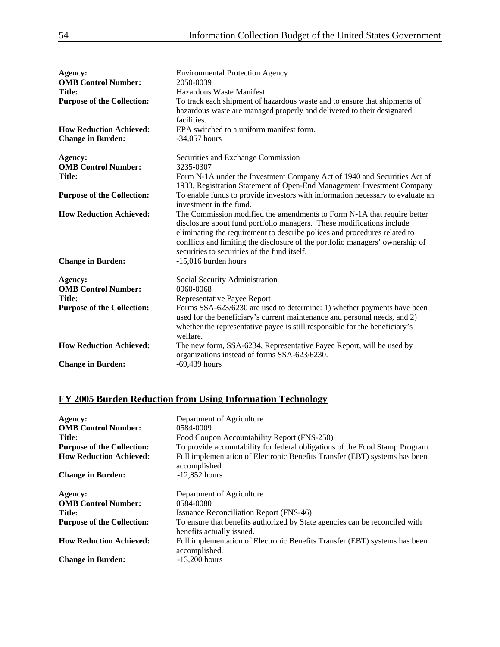| Agency:<br><b>OMB Control Number:</b><br><b>Title:</b><br><b>Purpose of the Collection:</b>                                   | <b>Environmental Protection Agency</b><br>2050-0039<br>Hazardous Waste Manifest<br>To track each shipment of hazardous waste and to ensure that shipments of<br>hazardous waste are managed properly and delivered to their designated<br>facilities.                                                                                                                                                                                                 |
|-------------------------------------------------------------------------------------------------------------------------------|-------------------------------------------------------------------------------------------------------------------------------------------------------------------------------------------------------------------------------------------------------------------------------------------------------------------------------------------------------------------------------------------------------------------------------------------------------|
| <b>How Reduction Achieved:</b><br><b>Change in Burden:</b>                                                                    | EPA switched to a uniform manifest form.<br>$-34,057$ hours                                                                                                                                                                                                                                                                                                                                                                                           |
| Agency:<br><b>OMB Control Number:</b><br><b>Title:</b><br><b>Purpose of the Collection:</b>                                   | Securities and Exchange Commission<br>3235-0307<br>Form N-1A under the Investment Company Act of 1940 and Securities Act of<br>1933, Registration Statement of Open-End Management Investment Company<br>To enable funds to provide investors with information necessary to evaluate an                                                                                                                                                               |
| <b>How Reduction Achieved:</b><br><b>Change in Burden:</b>                                                                    | investment in the fund.<br>The Commission modified the amendments to Form N-1A that require better<br>disclosure about fund portfolio managers. These modifications include<br>eliminating the requirement to describe polices and procedures related to<br>conflicts and limiting the disclosure of the portfolio managers' ownership of<br>securities to securities of the fund itself.<br>-15,016 burden hours                                     |
| Agency:<br><b>OMB Control Number:</b><br><b>Title:</b><br><b>Purpose of the Collection:</b><br><b>How Reduction Achieved:</b> | Social Security Administration<br>0960-0068<br>Representative Payee Report<br>Forms SSA-623/6230 are used to determine: 1) whether payments have been<br>used for the beneficiary's current maintenance and personal needs, and 2)<br>whether the representative payee is still responsible for the beneficiary's<br>welfare.<br>The new form, SSA-6234, Representative Payee Report, will be used by<br>organizations instead of forms SSA-623/6230. |
| <b>Change in Burden:</b>                                                                                                      | $-69,439$ hours                                                                                                                                                                                                                                                                                                                                                                                                                                       |

# **FY 2005 Burden Reduction from Using Information Technology**

| Agency:<br><b>OMB Control Number:</b><br>Title:<br><b>Purpose of the Collection:</b><br><b>How Reduction Achieved:</b> | Department of Agriculture<br>0584-0009<br>Food Coupon Accountability Report (FNS-250)<br>To provide accountability for federal obligations of the Food Stamp Program.<br>Full implementation of Electronic Benefits Transfer (EBT) systems has been<br>accomplished. |
|------------------------------------------------------------------------------------------------------------------------|----------------------------------------------------------------------------------------------------------------------------------------------------------------------------------------------------------------------------------------------------------------------|
| <b>Change in Burden:</b>                                                                                               | $-12,852$ hours                                                                                                                                                                                                                                                      |
| Agency:<br><b>OMB Control Number:</b>                                                                                  | Department of Agriculture<br>0584-0080                                                                                                                                                                                                                               |
| <b>Title:</b>                                                                                                          | <b>Issuance Reconciliation Report (FNS-46)</b>                                                                                                                                                                                                                       |
| <b>Purpose of the Collection:</b>                                                                                      | To ensure that benefits authorized by State agencies can be reconciled with<br>benefits actually issued.                                                                                                                                                             |
| <b>How Reduction Achieved:</b>                                                                                         | Full implementation of Electronic Benefits Transfer (EBT) systems has been<br>accomplished.                                                                                                                                                                          |
| <b>Change in Burden:</b>                                                                                               | $-13,200$ hours                                                                                                                                                                                                                                                      |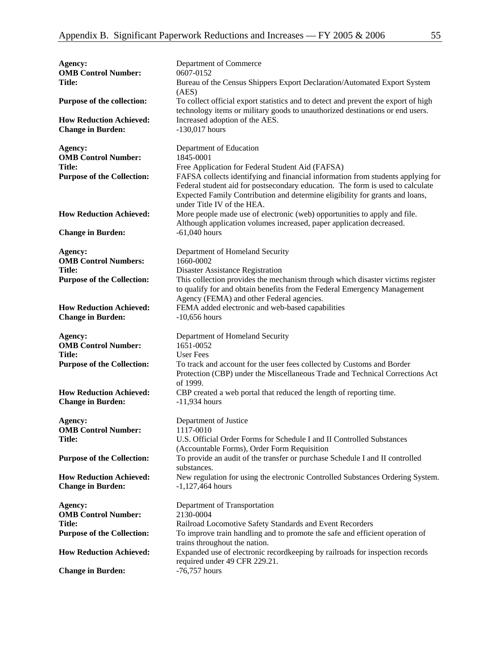| Agency:<br><b>OMB Control Number:</b><br>Title:<br>Purpose of the collection:                                                 | Department of Commerce<br>0607-0152<br>Bureau of the Census Shippers Export Declaration/Automated Export System<br>(AES)<br>To collect official export statistics and to detect and prevent the export of high                                                                                                                                                                                                                                                                                                                   |
|-------------------------------------------------------------------------------------------------------------------------------|----------------------------------------------------------------------------------------------------------------------------------------------------------------------------------------------------------------------------------------------------------------------------------------------------------------------------------------------------------------------------------------------------------------------------------------------------------------------------------------------------------------------------------|
| <b>How Reduction Achieved:</b><br><b>Change in Burden:</b>                                                                    | technology items or military goods to unauthorized destinations or end users.<br>Increased adoption of the AES.<br>$-130,017$ hours                                                                                                                                                                                                                                                                                                                                                                                              |
| Agency:<br><b>OMB Control Number:</b><br><b>Title:</b><br><b>Purpose of the Collection:</b><br><b>How Reduction Achieved:</b> | Department of Education<br>1845-0001<br>Free Application for Federal Student Aid (FAFSA)<br>FAFSA collects identifying and financial information from students applying for<br>Federal student aid for postsecondary education. The form is used to calculate<br>Expected Family Contribution and determine eligibility for grants and loans,<br>under Title IV of the HEA.<br>More people made use of electronic (web) opportunities to apply and file.<br>Although application volumes increased, paper application decreased. |
| <b>Change in Burden:</b><br>Agency:                                                                                           | $-61,040$ hours<br>Department of Homeland Security                                                                                                                                                                                                                                                                                                                                                                                                                                                                               |
| <b>OMB Control Numbers:</b><br><b>Title:</b><br><b>Purpose of the Collection:</b>                                             | 1660-0002<br>Disaster Assistance Registration<br>This collection provides the mechanism through which disaster victims register<br>to qualify for and obtain benefits from the Federal Emergency Management                                                                                                                                                                                                                                                                                                                      |
| <b>How Reduction Achieved:</b><br><b>Change in Burden:</b>                                                                    | Agency (FEMA) and other Federal agencies.<br>FEMA added electronic and web-based capabilities<br>$-10,656$ hours                                                                                                                                                                                                                                                                                                                                                                                                                 |
| Agency:<br><b>OMB Control Number:</b><br><b>Title:</b><br><b>Purpose of the Collection:</b>                                   | Department of Homeland Security<br>1651-0052<br><b>User Fees</b><br>To track and account for the user fees collected by Customs and Border<br>Protection (CBP) under the Miscellaneous Trade and Technical Corrections Act<br>of 1999.                                                                                                                                                                                                                                                                                           |
| <b>How Reduction Achieved:</b><br><b>Change in Burden:</b>                                                                    | CBP created a web portal that reduced the length of reporting time.<br>$-11,934$ hours                                                                                                                                                                                                                                                                                                                                                                                                                                           |
| Agency:<br><b>OMB Control Number:</b><br>Title:                                                                               | Department of Justice<br>1117-0010<br>U.S. Official Order Forms for Schedule I and II Controlled Substances<br>(Accountable Forms), Order Form Requisition                                                                                                                                                                                                                                                                                                                                                                       |
| <b>Purpose of the Collection:</b>                                                                                             | To provide an audit of the transfer or purchase Schedule I and II controlled<br>substances.                                                                                                                                                                                                                                                                                                                                                                                                                                      |
| <b>How Reduction Achieved:</b><br><b>Change in Burden:</b>                                                                    | New regulation for using the electronic Controlled Substances Ordering System.<br>$-1,127,464$ hours                                                                                                                                                                                                                                                                                                                                                                                                                             |
| Agency:<br><b>OMB Control Number:</b><br><b>Title:</b>                                                                        | Department of Transportation<br>2130-0004<br>Railroad Locomotive Safety Standards and Event Recorders                                                                                                                                                                                                                                                                                                                                                                                                                            |
| <b>Purpose of the Collection:</b>                                                                                             | To improve train handling and to promote the safe and efficient operation of<br>trains throughout the nation.                                                                                                                                                                                                                                                                                                                                                                                                                    |
| <b>How Reduction Achieved:</b><br><b>Change in Burden:</b>                                                                    | Expanded use of electronic recordkeeping by railroads for inspection records<br>required under 49 CFR 229.21.<br>$-76,757$ hours                                                                                                                                                                                                                                                                                                                                                                                                 |
|                                                                                                                               |                                                                                                                                                                                                                                                                                                                                                                                                                                                                                                                                  |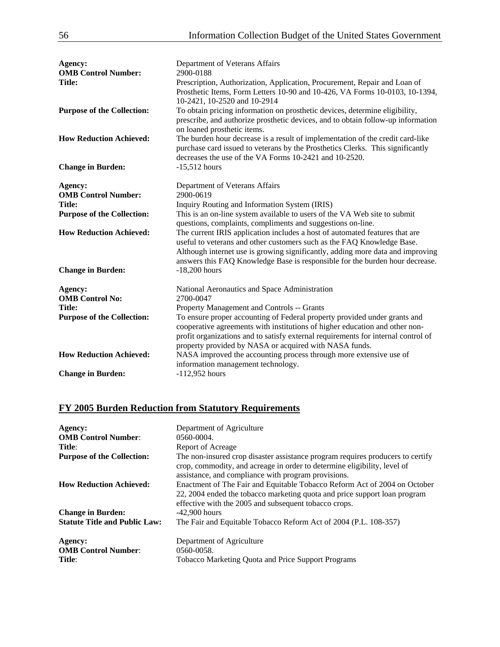| Agency:                           | Department of Veterans Affairs                                                                                                                                                                                                                                                                                          |
|-----------------------------------|-------------------------------------------------------------------------------------------------------------------------------------------------------------------------------------------------------------------------------------------------------------------------------------------------------------------------|
| <b>OMB Control Number:</b>        | 2900-0188                                                                                                                                                                                                                                                                                                               |
| <b>Title:</b>                     | Prescription, Authorization, Application, Procurement, Repair and Loan of<br>Prosthetic Items, Form Letters 10-90 and 10-426, VA Forms 10-0103, 10-1394,<br>10-2421, 10-2520 and 10-2914                                                                                                                                |
| <b>Purpose of the Collection:</b> | To obtain pricing information on prosthetic devices, determine eligibility,<br>prescribe, and authorize prosthetic devices, and to obtain follow-up information<br>on loaned prosthetic items.                                                                                                                          |
| <b>How Reduction Achieved:</b>    | The burden hour decrease is a result of implementation of the credit card-like<br>purchase card issued to veterans by the Prosthetics Clerks. This significantly<br>decreases the use of the VA Forms 10-2421 and 10-2520.                                                                                              |
| <b>Change in Burden:</b>          | $-15,512$ hours                                                                                                                                                                                                                                                                                                         |
| Agency:                           | Department of Veterans Affairs                                                                                                                                                                                                                                                                                          |
| <b>OMB Control Number:</b>        | 2900-0619                                                                                                                                                                                                                                                                                                               |
| <b>Title:</b>                     | Inquiry Routing and Information System (IRIS)                                                                                                                                                                                                                                                                           |
| <b>Purpose of the Collection:</b> | This is an on-line system available to users of the VA Web site to submit<br>questions, complaints, compliments and suggestions on-line.                                                                                                                                                                                |
| <b>How Reduction Achieved:</b>    | The current IRIS application includes a host of automated features that are<br>useful to veterans and other customers such as the FAQ Knowledge Base.<br>Although internet use is growing significantly, adding more data and improving<br>answers this FAQ Knowledge Base is responsible for the burden hour decrease. |
| <b>Change in Burden:</b>          | $-18,200$ hours                                                                                                                                                                                                                                                                                                         |
| Agency:                           | National Aeronautics and Space Administration                                                                                                                                                                                                                                                                           |
| <b>OMB</b> Control No:            | 2700-0047                                                                                                                                                                                                                                                                                                               |
| <b>Title:</b>                     | Property Management and Controls -- Grants                                                                                                                                                                                                                                                                              |
| <b>Purpose of the Collection:</b> | To ensure proper accounting of Federal property provided under grants and<br>cooperative agreements with institutions of higher education and other non-<br>profit organizations and to satisfy external requirements for internal control of<br>property provided by NASA or acquired with NASA funds.                 |
| <b>How Reduction Achieved:</b>    | NASA improved the accounting process through more extensive use of<br>information management technology.                                                                                                                                                                                                                |
| <b>Change in Burden:</b>          | $-112,952$ hours                                                                                                                                                                                                                                                                                                        |

## **FY 2005 Burden Reduction from Statutory Requirements**

| Agency:<br><b>OMB Control Number:</b><br>Title: | Department of Agriculture<br>0560-0004.<br>Report of Acreage                                                                                                                                                      |
|-------------------------------------------------|-------------------------------------------------------------------------------------------------------------------------------------------------------------------------------------------------------------------|
| <b>Purpose of the Collection:</b>               | The non-insured crop disaster assistance program requires producers to certify<br>crop, commodity, and acreage in order to determine eligibility, level of<br>assistance, and compliance with program provisions. |
| <b>How Reduction Achieved:</b>                  | Enactment of The Fair and Equitable Tobacco Reform Act of 2004 on October<br>22, 2004 ended the tobacco marketing quota and price support loan program<br>effective with the 2005 and subsequent tobacco crops.   |
| <b>Change in Burden:</b>                        | $-42.900$ hours                                                                                                                                                                                                   |
| <b>Statute Title and Public Law:</b>            | The Fair and Equitable Tobacco Reform Act of 2004 (P.L. 108-357)                                                                                                                                                  |
| Agency:<br><b>OMB Control Number:</b><br>Title: | Department of Agriculture<br>0560-0058.<br><b>Tobacco Marketing Quota and Price Support Programs</b>                                                                                                              |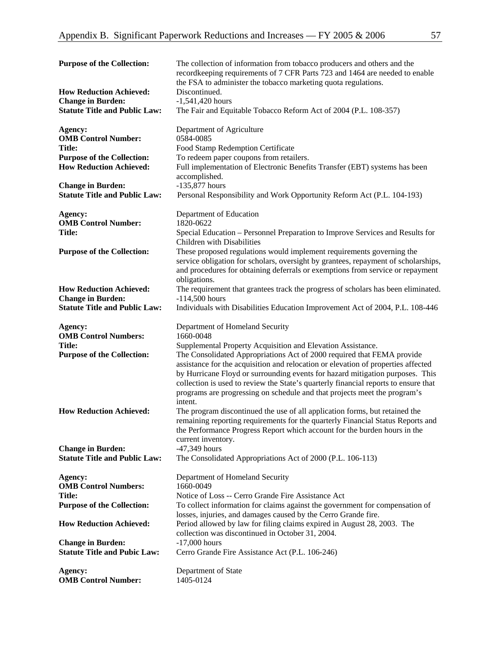| <b>Purpose of the Collection:</b>                                | The collection of information from tobacco producers and others and the<br>recordkeeping requirements of 7 CFR Parts 723 and 1464 are needed to enable<br>the FSA to administer the tobacco marketing quota regulations.                                                                                                               |
|------------------------------------------------------------------|----------------------------------------------------------------------------------------------------------------------------------------------------------------------------------------------------------------------------------------------------------------------------------------------------------------------------------------|
| <b>How Reduction Achieved:</b>                                   | Discontinued.                                                                                                                                                                                                                                                                                                                          |
| <b>Change in Burden:</b><br><b>Statute Title and Public Law:</b> | $-1,541,420$ hours<br>The Fair and Equitable Tobacco Reform Act of 2004 (P.L. 108-357)                                                                                                                                                                                                                                                 |
|                                                                  |                                                                                                                                                                                                                                                                                                                                        |
| Agency:                                                          | Department of Agriculture                                                                                                                                                                                                                                                                                                              |
| <b>OMB Control Number:</b>                                       | 0584-0085                                                                                                                                                                                                                                                                                                                              |
| <b>Title:</b><br><b>Purpose of the Collection:</b>               | Food Stamp Redemption Certificate<br>To redeem paper coupons from retailers.                                                                                                                                                                                                                                                           |
| <b>How Reduction Achieved:</b>                                   | Full implementation of Electronic Benefits Transfer (EBT) systems has been                                                                                                                                                                                                                                                             |
|                                                                  | accomplished.                                                                                                                                                                                                                                                                                                                          |
| <b>Change in Burden:</b>                                         | $-135,877$ hours                                                                                                                                                                                                                                                                                                                       |
| <b>Statute Title and Public Law:</b>                             | Personal Responsibility and Work Opportunity Reform Act (P.L. 104-193)                                                                                                                                                                                                                                                                 |
| Agency:<br><b>OMB Control Number:</b>                            | Department of Education<br>1820-0622                                                                                                                                                                                                                                                                                                   |
| <b>Title:</b>                                                    | Special Education - Personnel Preparation to Improve Services and Results for<br>Children with Disabilities                                                                                                                                                                                                                            |
| <b>Purpose of the Collection:</b>                                | These proposed regulations would implement requirements governing the<br>service obligation for scholars, oversight by grantees, repayment of scholarships,<br>and procedures for obtaining deferrals or exemptions from service or repayment<br>obligations.                                                                          |
| <b>How Reduction Achieved:</b>                                   | The requirement that grantees track the progress of scholars has been eliminated.                                                                                                                                                                                                                                                      |
| <b>Change in Burden:</b>                                         | $-114,500$ hours                                                                                                                                                                                                                                                                                                                       |
| <b>Statute Title and Public Law:</b>                             | Individuals with Disabilities Education Improvement Act of 2004, P.L. 108-446                                                                                                                                                                                                                                                          |
| Agency:                                                          | Department of Homeland Security                                                                                                                                                                                                                                                                                                        |
|                                                                  | 1660-0048                                                                                                                                                                                                                                                                                                                              |
| <b>OMB Control Numbers:</b><br><b>Title:</b>                     | Supplemental Property Acquisition and Elevation Assistance.                                                                                                                                                                                                                                                                            |
| <b>Purpose of the Collection:</b>                                | The Consolidated Appropriations Act of 2000 required that FEMA provide                                                                                                                                                                                                                                                                 |
|                                                                  | assistance for the acquisition and relocation or elevation of properties affected<br>by Hurricane Floyd or surrounding events for hazard mitigation purposes. This<br>collection is used to review the State's quarterly financial reports to ensure that<br>programs are progressing on schedule and that projects meet the program's |
| <b>How Reduction Achieved:</b>                                   | intent.<br>The program discontinued the use of all application forms, but retained the<br>remaining reporting requirements for the quarterly Financial Status Reports and<br>the Performance Progress Report which account for the burden hours in the<br>current inventory.                                                           |
| <b>Change in Burden:</b>                                         | -47,349 hours                                                                                                                                                                                                                                                                                                                          |
| <b>Statute Title and Public Law:</b>                             | The Consolidated Appropriations Act of 2000 (P.L. 106-113)                                                                                                                                                                                                                                                                             |
|                                                                  |                                                                                                                                                                                                                                                                                                                                        |
| Agency:<br><b>OMB Control Numbers:</b>                           | Department of Homeland Security<br>1660-0049                                                                                                                                                                                                                                                                                           |
| <b>Title:</b>                                                    | Notice of Loss -- Cerro Grande Fire Assistance Act                                                                                                                                                                                                                                                                                     |
| <b>Purpose of the Collection:</b>                                | To collect information for claims against the government for compensation of                                                                                                                                                                                                                                                           |
| <b>How Reduction Achieved:</b>                                   | losses, injuries, and damages caused by the Cerro Grande fire.<br>Period allowed by law for filing claims expired in August 28, 2003. The                                                                                                                                                                                              |
| <b>Change in Burden:</b>                                         | collection was discontinued in October 31, 2004.<br>$-17,000$ hours                                                                                                                                                                                                                                                                    |
| <b>Statute Title and Pubic Law:</b>                              | Cerro Grande Fire Assistance Act (P.L. 106-246)                                                                                                                                                                                                                                                                                        |
|                                                                  |                                                                                                                                                                                                                                                                                                                                        |
| Agency:<br><b>OMB Control Number:</b>                            | Department of State<br>1405-0124                                                                                                                                                                                                                                                                                                       |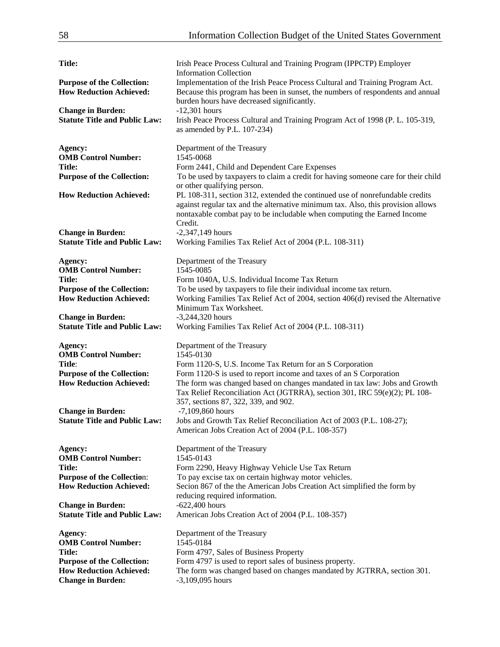| <b>Title:</b>                                                                                   | Irish Peace Process Cultural and Training Program (IPPCTP) Employer<br><b>Information Collection</b>                                                                                                                                                                   |
|-------------------------------------------------------------------------------------------------|------------------------------------------------------------------------------------------------------------------------------------------------------------------------------------------------------------------------------------------------------------------------|
| <b>Purpose of the Collection:</b><br><b>How Reduction Achieved:</b>                             | Implementation of the Irish Peace Process Cultural and Training Program Act.<br>Because this program has been in sunset, the numbers of respondents and annual<br>burden hours have decreased significantly.                                                           |
| <b>Change in Burden:</b><br><b>Statute Title and Public Law:</b>                                | $-12,301$ hours<br>Irish Peace Process Cultural and Training Program Act of 1998 (P. L. 105-319,<br>as amended by P.L. 107-234)                                                                                                                                        |
| Agency:<br><b>OMB Control Number:</b><br><b>Title:</b>                                          | Department of the Treasury<br>1545-0068                                                                                                                                                                                                                                |
| <b>Purpose of the Collection:</b>                                                               | Form 2441, Child and Dependent Care Expenses<br>To be used by taxpayers to claim a credit for having someone care for their child<br>or other qualifying person.                                                                                                       |
| <b>How Reduction Achieved:</b>                                                                  | PL 108-311, section 312, extended the continued use of nonrefundable credits<br>against regular tax and the alternative minimum tax. Also, this provision allows<br>nontaxable combat pay to be includable when computing the Earned Income<br>Credit.                 |
| <b>Change in Burden:</b>                                                                        | $-2,347,149$ hours                                                                                                                                                                                                                                                     |
| <b>Statute Title and Public Law:</b>                                                            | Working Families Tax Relief Act of 2004 (P.L. 108-311)                                                                                                                                                                                                                 |
| Agency:<br><b>OMB Control Number:</b>                                                           | Department of the Treasury<br>1545-0085                                                                                                                                                                                                                                |
| <b>Title:</b>                                                                                   | Form 1040A, U.S. Individual Income Tax Return                                                                                                                                                                                                                          |
| <b>Purpose of the Collection:</b><br><b>How Reduction Achieved:</b>                             | To be used by taxpayers to file their individual income tax return.<br>Working Families Tax Relief Act of 2004, section 406(d) revised the Alternative<br>Minimum Tax Worksheet.                                                                                       |
| <b>Change in Burden:</b><br><b>Statute Title and Public Law:</b>                                | $-3,244,320$ hours<br>Working Families Tax Relief Act of 2004 (P.L. 108-311)                                                                                                                                                                                           |
| Agency:<br><b>OMB Control Number:</b>                                                           | Department of the Treasury<br>1545-0130                                                                                                                                                                                                                                |
| Title:                                                                                          | Form 1120-S, U.S. Income Tax Return for an S Corporation                                                                                                                                                                                                               |
| <b>Purpose of the Collection:</b><br><b>How Reduction Achieved:</b>                             | Form 1120-S is used to report income and taxes of an S Corporation<br>The form was changed based on changes mandated in tax law: Jobs and Growth<br>Tax Relief Reconciliation Act (JGTRRA), section 301, IRC 59(e)(2); PL 108-<br>357, sections 87, 322, 339, and 902. |
| <b>Change in Burden:</b>                                                                        | $-7,109,860$ hours                                                                                                                                                                                                                                                     |
| <b>Statute Title and Public Law:</b>                                                            | Jobs and Growth Tax Relief Reconciliation Act of 2003 (P.L. 108-27);<br>American Jobs Creation Act of 2004 (P.L. 108-357)                                                                                                                                              |
| Agency:<br><b>OMB Control Number:</b>                                                           | Department of the Treasury<br>1545-0143                                                                                                                                                                                                                                |
| <b>Title:</b><br><b>Purpose of the Collection:</b>                                              | Form 2290, Heavy Highway Vehicle Use Tax Return<br>To pay excise tax on certain highway motor vehicles.                                                                                                                                                                |
| <b>How Reduction Achieved:</b>                                                                  | Secion 867 of the the American Jobs Creation Act simplified the form by<br>reducing required information.                                                                                                                                                              |
| <b>Change in Burden:</b><br><b>Statute Title and Public Law:</b>                                | $-622,400$ hours<br>American Jobs Creation Act of 2004 (P.L. 108-357)                                                                                                                                                                                                  |
| Agency:<br><b>OMB Control Number:</b>                                                           | Department of the Treasury<br>1545-0184                                                                                                                                                                                                                                |
| <b>Title:</b>                                                                                   | Form 4797, Sales of Business Property                                                                                                                                                                                                                                  |
| <b>Purpose of the Collection:</b><br><b>How Reduction Achieved:</b><br><b>Change in Burden:</b> | Form 4797 is used to report sales of business property.<br>The form was changed based on changes mandated by JGTRRA, section 301.<br>$-3,109,095$ hours                                                                                                                |
|                                                                                                 |                                                                                                                                                                                                                                                                        |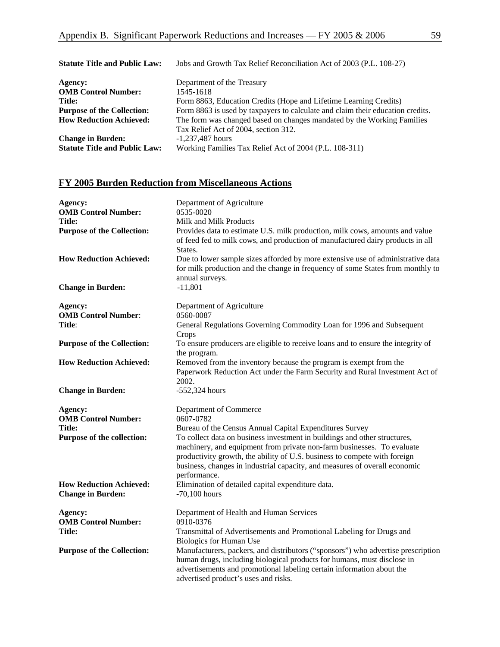| <b>Statute Title and Public Law:</b>                                                                                   | Jobs and Growth Tax Relief Reconciliation Act of 2003 (P.L. 108-27)                                                                                                                                                                                                      |
|------------------------------------------------------------------------------------------------------------------------|--------------------------------------------------------------------------------------------------------------------------------------------------------------------------------------------------------------------------------------------------------------------------|
| Agency:<br><b>OMB Control Number:</b><br>Title:<br><b>Purpose of the Collection:</b><br><b>How Reduction Achieved:</b> | Department of the Treasury<br>1545-1618<br>Form 8863, Education Credits (Hope and Lifetime Learning Credits)<br>Form 8863 is used by taxpayers to calculate and claim their education credits.<br>The form was changed based on changes mandated by the Working Families |
| <b>Change in Burden:</b><br><b>Statute Title and Public Law:</b>                                                       | Tax Relief Act of 2004, section 312.<br>$-1,237,487$ hours<br>Working Families Tax Relief Act of 2004 (P.L. 108-311)                                                                                                                                                     |

## **FY 2005 Burden Reduction from Miscellaneous Actions**

| Agency:<br><b>OMB Control Number:</b> | Department of Agriculture<br>0535-0020                                                                                                                                                                                                                                                                                         |
|---------------------------------------|--------------------------------------------------------------------------------------------------------------------------------------------------------------------------------------------------------------------------------------------------------------------------------------------------------------------------------|
| <b>Title:</b>                         | Milk and Milk Products                                                                                                                                                                                                                                                                                                         |
| <b>Purpose of the Collection:</b>     | Provides data to estimate U.S. milk production, milk cows, amounts and value<br>of feed fed to milk cows, and production of manufactured dairy products in all<br>States.                                                                                                                                                      |
| <b>How Reduction Achieved:</b>        | Due to lower sample sizes afforded by more extensive use of administrative data<br>for milk production and the change in frequency of some States from monthly to<br>annual surveys.                                                                                                                                           |
| <b>Change in Burden:</b>              | $-11,801$                                                                                                                                                                                                                                                                                                                      |
| Agency:                               | Department of Agriculture                                                                                                                                                                                                                                                                                                      |
| <b>OMB Control Number:</b>            | 0560-0087                                                                                                                                                                                                                                                                                                                      |
| Title:                                | General Regulations Governing Commodity Loan for 1996 and Subsequent                                                                                                                                                                                                                                                           |
|                                       | Crops                                                                                                                                                                                                                                                                                                                          |
| <b>Purpose of the Collection:</b>     | To ensure producers are eligible to receive loans and to ensure the integrity of<br>the program.                                                                                                                                                                                                                               |
| <b>How Reduction Achieved:</b>        | Removed from the inventory because the program is exempt from the                                                                                                                                                                                                                                                              |
|                                       | Paperwork Reduction Act under the Farm Security and Rural Investment Act of                                                                                                                                                                                                                                                    |
|                                       | 2002.                                                                                                                                                                                                                                                                                                                          |
| <b>Change in Burden:</b>              | $-552,324$ hours                                                                                                                                                                                                                                                                                                               |
| Agency:                               | Department of Commerce                                                                                                                                                                                                                                                                                                         |
| <b>OMB Control Number:</b>            | 0607-0782                                                                                                                                                                                                                                                                                                                      |
| <b>Title:</b>                         | Bureau of the Census Annual Capital Expenditures Survey                                                                                                                                                                                                                                                                        |
| Purpose of the collection:            | To collect data on business investment in buildings and other structures,<br>machinery, and equipment from private non-farm businesses. To evaluate<br>productivity growth, the ability of U.S. business to compete with foreign<br>business, changes in industrial capacity, and measures of overall economic<br>performance. |
| <b>How Reduction Achieved:</b>        | Elimination of detailed capital expenditure data.                                                                                                                                                                                                                                                                              |
| <b>Change in Burden:</b>              | $-70,100$ hours                                                                                                                                                                                                                                                                                                                |
| Agency:                               | Department of Health and Human Services                                                                                                                                                                                                                                                                                        |
| <b>OMB Control Number:</b>            | 0910-0376                                                                                                                                                                                                                                                                                                                      |
| <b>Title:</b>                         | Transmittal of Advertisements and Promotional Labeling for Drugs and                                                                                                                                                                                                                                                           |
|                                       | <b>Biologics for Human Use</b>                                                                                                                                                                                                                                                                                                 |
| <b>Purpose of the Collection:</b>     | Manufacturers, packers, and distributors ("sponsors") who advertise prescription<br>human drugs, including biological products for humans, must disclose in<br>advertisements and promotional labeling certain information about the<br>advertised product's uses and risks.                                                   |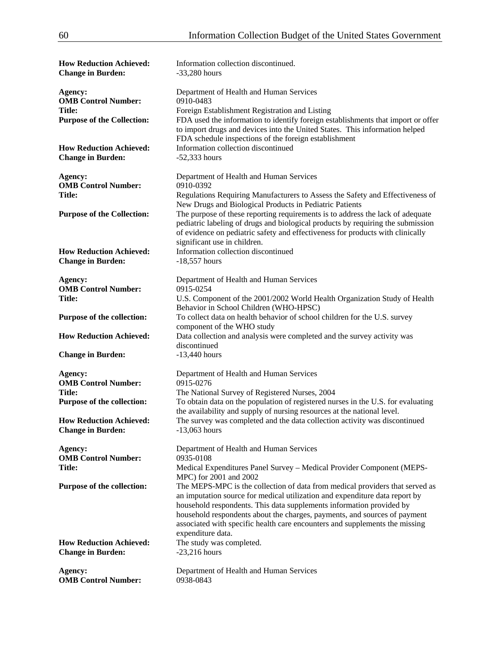| <b>How Reduction Achieved:</b>                             | Information collection discontinued.                                                                                                                                                                                                                                                                                                                                                                                                           |
|------------------------------------------------------------|------------------------------------------------------------------------------------------------------------------------------------------------------------------------------------------------------------------------------------------------------------------------------------------------------------------------------------------------------------------------------------------------------------------------------------------------|
| <b>Change in Burden:</b>                                   | $-33,280$ hours                                                                                                                                                                                                                                                                                                                                                                                                                                |
| Agency:                                                    | Department of Health and Human Services                                                                                                                                                                                                                                                                                                                                                                                                        |
| <b>OMB Control Number:</b>                                 | 0910-0483                                                                                                                                                                                                                                                                                                                                                                                                                                      |
| <b>Title:</b><br><b>Purpose of the Collection:</b>         | Foreign Establishment Registration and Listing<br>FDA used the information to identify foreign establishments that import or offer<br>to import drugs and devices into the United States. This information helped<br>FDA schedule inspections of the foreign establishment                                                                                                                                                                     |
| <b>How Reduction Achieved:</b>                             | Information collection discontinued                                                                                                                                                                                                                                                                                                                                                                                                            |
| <b>Change in Burden:</b>                                   | $-52,333$ hours                                                                                                                                                                                                                                                                                                                                                                                                                                |
| Agency:<br><b>OMB Control Number:</b><br><b>Title:</b>     | Department of Health and Human Services<br>0910-0392<br>Regulations Requiring Manufacturers to Assess the Safety and Effectiveness of<br>New Drugs and Biological Products in Pediatric Patients                                                                                                                                                                                                                                               |
| <b>Purpose of the Collection:</b>                          | The purpose of these reporting requirements is to address the lack of adequate<br>pediatric labeling of drugs and biological products by requiring the submission<br>of evidence on pediatric safety and effectiveness for products with clinically<br>significant use in children.                                                                                                                                                            |
| <b>How Reduction Achieved:</b>                             | Information collection discontinued                                                                                                                                                                                                                                                                                                                                                                                                            |
| <b>Change in Burden:</b>                                   | $-18,557$ hours                                                                                                                                                                                                                                                                                                                                                                                                                                |
| Agency:                                                    | Department of Health and Human Services                                                                                                                                                                                                                                                                                                                                                                                                        |
| <b>OMB Control Number:</b>                                 | 0915-0254                                                                                                                                                                                                                                                                                                                                                                                                                                      |
| <b>Title:</b><br>Purpose of the collection:                | U.S. Component of the 2001/2002 World Health Organization Study of Health<br>Behavior in School Children (WHO-HPSC)<br>To collect data on health behavior of school children for the U.S. survey                                                                                                                                                                                                                                               |
|                                                            | component of the WHO study                                                                                                                                                                                                                                                                                                                                                                                                                     |
| <b>How Reduction Achieved:</b>                             | Data collection and analysis were completed and the survey activity was<br>discontinued                                                                                                                                                                                                                                                                                                                                                        |
| <b>Change in Burden:</b>                                   | $-13,440$ hours                                                                                                                                                                                                                                                                                                                                                                                                                                |
| Agency:                                                    | Department of Health and Human Services                                                                                                                                                                                                                                                                                                                                                                                                        |
| <b>OMB Control Number:</b>                                 | 0915-0276                                                                                                                                                                                                                                                                                                                                                                                                                                      |
| <b>Title:</b>                                              | The National Survey of Registered Nurses, 2004                                                                                                                                                                                                                                                                                                                                                                                                 |
| Purpose of the collection:                                 | To obtain data on the population of registered nurses in the U.S. for evaluating                                                                                                                                                                                                                                                                                                                                                               |
| <b>How Reduction Achieved:</b><br><b>Change in Burden:</b> | the availability and supply of nursing resources at the national level.<br>The survey was completed and the data collection activity was discontinued<br>$-13,063$ hours                                                                                                                                                                                                                                                                       |
| Agency:                                                    | Department of Health and Human Services                                                                                                                                                                                                                                                                                                                                                                                                        |
| <b>OMB Control Number:</b>                                 | 0935-0108                                                                                                                                                                                                                                                                                                                                                                                                                                      |
| <b>Title:</b>                                              | Medical Expenditures Panel Survey - Medical Provider Component (MEPS-                                                                                                                                                                                                                                                                                                                                                                          |
| Purpose of the collection:                                 | MPC) for 2001 and 2002<br>The MEPS-MPC is the collection of data from medical providers that served as<br>an imputation source for medical utilization and expenditure data report by<br>household respondents. This data supplements information provided by<br>household respondents about the charges, payments, and sources of payment<br>associated with specific health care encounters and supplements the missing<br>expenditure data. |
| <b>How Reduction Achieved:</b>                             | The study was completed.                                                                                                                                                                                                                                                                                                                                                                                                                       |
| <b>Change in Burden:</b>                                   | $-23,216$ hours                                                                                                                                                                                                                                                                                                                                                                                                                                |
| Agency:                                                    | Department of Health and Human Services                                                                                                                                                                                                                                                                                                                                                                                                        |
| <b>OMB Control Number:</b>                                 | 0938-0843                                                                                                                                                                                                                                                                                                                                                                                                                                      |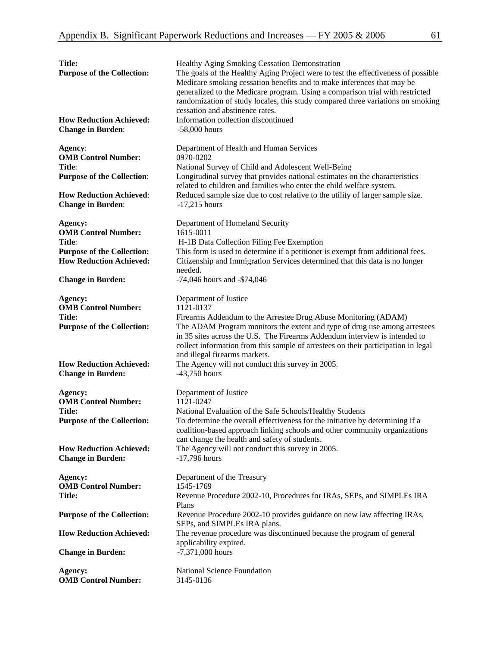| <b>Title:</b><br><b>Purpose of the Collection:</b>                                                                                                                             | Healthy Aging Smoking Cessation Demonstration<br>The goals of the Healthy Aging Project were to test the effectiveness of possible<br>Medicare smoking cessation benefits and to make inferences that may be<br>generalized to the Medicare program. Using a comparison trial with restricted<br>randomization of study locales, this study compared three variations on smoking<br>cessation and abstinence rates.                                        |
|--------------------------------------------------------------------------------------------------------------------------------------------------------------------------------|------------------------------------------------------------------------------------------------------------------------------------------------------------------------------------------------------------------------------------------------------------------------------------------------------------------------------------------------------------------------------------------------------------------------------------------------------------|
| <b>How Reduction Achieved:</b><br><b>Change in Burden:</b>                                                                                                                     | Information collection discontinued<br>$-58,000$ hours                                                                                                                                                                                                                                                                                                                                                                                                     |
| Agency:<br><b>OMB Control Number:</b><br>Title:<br><b>Purpose of the Collection:</b><br><b>How Reduction Achieved:</b>                                                         | Department of Health and Human Services<br>0970-0202<br>National Survey of Child and Adolescent Well-Being<br>Longitudinal survey that provides national estimates on the characteristics<br>related to children and families who enter the child welfare system.<br>Reduced sample size due to cost relative to the utility of larger sample size.                                                                                                        |
| <b>Change in Burden:</b><br>Agency:<br><b>OMB Control Number:</b><br>Title:<br><b>Purpose of the Collection:</b><br><b>How Reduction Achieved:</b><br><b>Change in Burden:</b> | $-17,215$ hours<br>Department of Homeland Security<br>1615-0011<br>H-1B Data Collection Filing Fee Exemption<br>This form is used to determine if a petitioner is exempt from additional fees.<br>Citizenship and Immigration Services determined that this data is no longer<br>needed.<br>$-74,046$ hours and $- $74,046$                                                                                                                                |
| Agency:<br><b>OMB Control Number:</b><br><b>Title:</b><br><b>Purpose of the Collection:</b><br><b>How Reduction Achieved:</b><br><b>Change in Burden:</b>                      | Department of Justice<br>1121-0137<br>Firearms Addendum to the Arrestee Drug Abuse Monitoring (ADAM)<br>The ADAM Program monitors the extent and type of drug use among arrestees<br>in 35 sites across the U.S. The Firearms Addendum interview is intended to<br>collect information from this sample of arrestees on their participation in legal<br>and illegal firearms markets.<br>The Agency will not conduct this survey in 2005.<br>-43,750 hours |
| Agency:<br><b>OMB Control Number:</b><br><b>Title:</b><br><b>Purpose of the Collection:</b><br><b>How Reduction Achieved:</b><br><b>Change in Burden:</b>                      | Department of Justice<br>1121-0247<br>National Evaluation of the Safe Schools/Healthy Students<br>To determine the overall effectiveness for the initiative by determining if a<br>coalition-based approach linking schools and other community organizations<br>can change the health and safety of students.<br>The Agency will not conduct this survey in 2005.<br>$-17,796$ hours                                                                      |
| Agency:<br><b>OMB Control Number:</b><br><b>Title:</b><br><b>Purpose of the Collection:</b><br><b>How Reduction Achieved:</b><br><b>Change in Burden:</b>                      | Department of the Treasury<br>1545-1769<br>Revenue Procedure 2002-10, Procedures for IRAs, SEPs, and SIMPLEs IRA<br>Plans<br>Revenue Procedure 2002-10 provides guidance on new law affecting IRAs,<br>SEPs, and SIMPLEs IRA plans.<br>The revenue procedure was discontinued because the program of general<br>applicability expired.<br>$-7,371,000$ hours                                                                                               |
| Agency:<br><b>OMB Control Number:</b>                                                                                                                                          | National Science Foundation<br>3145-0136                                                                                                                                                                                                                                                                                                                                                                                                                   |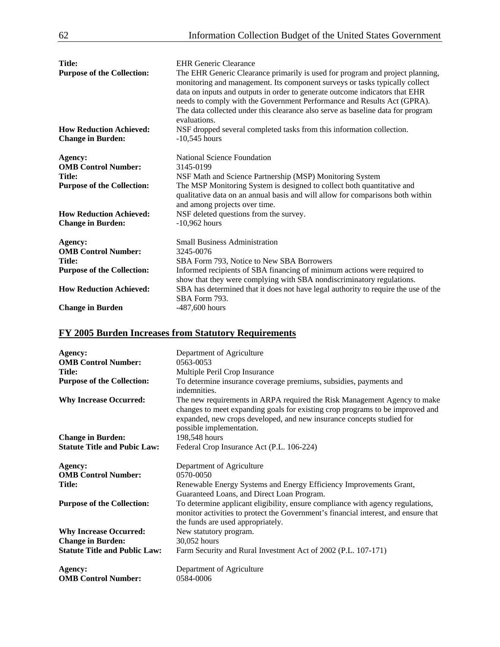| <b>Title:</b>                     | <b>EHR Generic Clearance</b>                                                                                                                                                                                                                                                                                                             |                                |                                                                       |
|-----------------------------------|------------------------------------------------------------------------------------------------------------------------------------------------------------------------------------------------------------------------------------------------------------------------------------------------------------------------------------------|--------------------------------|-----------------------------------------------------------------------|
| <b>Purpose of the Collection:</b> | The EHR Generic Clearance primarily is used for program and project planning,                                                                                                                                                                                                                                                            |                                |                                                                       |
|                                   | monitoring and management. Its component surveys or tasks typically collect<br>data on inputs and outputs in order to generate outcome indicators that EHR<br>needs to comply with the Government Performance and Results Act (GPRA).<br>The data collected under this clearance also serve as baseline data for program<br>evaluations. |                                |                                                                       |
|                                   |                                                                                                                                                                                                                                                                                                                                          | <b>How Reduction Achieved:</b> | NSF dropped several completed tasks from this information collection. |
|                                   |                                                                                                                                                                                                                                                                                                                                          | <b>Change in Burden:</b>       | $-10,545$ hours                                                       |
|                                   |                                                                                                                                                                                                                                                                                                                                          | Agency:                        | National Science Foundation                                           |
| <b>OMB Control Number:</b>        | 3145-0199                                                                                                                                                                                                                                                                                                                                |                                |                                                                       |
| <b>Title:</b>                     | NSF Math and Science Partnership (MSP) Monitoring System                                                                                                                                                                                                                                                                                 |                                |                                                                       |
| <b>Purpose of the Collection:</b> | The MSP Monitoring System is designed to collect both quantitative and<br>qualitative data on an annual basis and will allow for comparisons both within<br>and among projects over time.                                                                                                                                                |                                |                                                                       |
| <b>How Reduction Achieved:</b>    | NSF deleted questions from the survey.                                                                                                                                                                                                                                                                                                   |                                |                                                                       |
| <b>Change in Burden:</b>          | $-10,962$ hours                                                                                                                                                                                                                                                                                                                          |                                |                                                                       |
| Agency:                           | <b>Small Business Administration</b>                                                                                                                                                                                                                                                                                                     |                                |                                                                       |
| <b>OMB Control Number:</b>        | 3245-0076                                                                                                                                                                                                                                                                                                                                |                                |                                                                       |
| <b>Title:</b>                     | SBA Form 793, Notice to New SBA Borrowers                                                                                                                                                                                                                                                                                                |                                |                                                                       |
| <b>Purpose of the Collection:</b> | Informed recipients of SBA financing of minimum actions were required to                                                                                                                                                                                                                                                                 |                                |                                                                       |
|                                   | show that they were complying with SBA nondiscriminatory regulations.                                                                                                                                                                                                                                                                    |                                |                                                                       |
| <b>How Reduction Achieved:</b>    | SBA has determined that it does not have legal authority to require the use of the                                                                                                                                                                                                                                                       |                                |                                                                       |
|                                   | SBA Form 793.                                                                                                                                                                                                                                                                                                                            |                                |                                                                       |
| <b>Change in Burden</b>           | $-487,600$ hours                                                                                                                                                                                                                                                                                                                         |                                |                                                                       |

## **FY 2005 Burden Increases from Statutory Requirements**

| Agency:<br><b>OMB Control Number:</b> | Department of Agriculture<br>0563-0053                                                                                                                                                                                                                         |
|---------------------------------------|----------------------------------------------------------------------------------------------------------------------------------------------------------------------------------------------------------------------------------------------------------------|
| <b>Title:</b>                         | Multiple Peril Crop Insurance                                                                                                                                                                                                                                  |
| <b>Purpose of the Collection:</b>     | To determine insurance coverage premiums, subsidies, payments and<br>indemnities.                                                                                                                                                                              |
| <b>Why Increase Occurred:</b>         | The new requirements in ARPA required the Risk Management Agency to make<br>changes to meet expanding goals for existing crop programs to be improved and<br>expanded, new crops developed, and new insurance concepts studied for<br>possible implementation. |
| <b>Change in Burden:</b>              | 198,548 hours                                                                                                                                                                                                                                                  |
| <b>Statute Title and Pubic Law:</b>   | Federal Crop Insurance Act (P.L. 106-224)                                                                                                                                                                                                                      |
| Agency:                               | Department of Agriculture                                                                                                                                                                                                                                      |
| <b>OMB Control Number:</b>            | 0570-0050                                                                                                                                                                                                                                                      |
| <b>Title:</b>                         | Renewable Energy Systems and Energy Efficiency Improvements Grant,<br>Guaranteed Loans, and Direct Loan Program.                                                                                                                                               |
| <b>Purpose of the Collection:</b>     | To determine applicant eligibility, ensure compliance with agency regulations,<br>monitor activities to protect the Government's financial interest, and ensure that<br>the funds are used appropriately.                                                      |
| <b>Why Increase Occurred:</b>         | New statutory program.                                                                                                                                                                                                                                         |
| <b>Change in Burden:</b>              | 30,052 hours                                                                                                                                                                                                                                                   |
| <b>Statute Title and Public Law:</b>  | Farm Security and Rural Investment Act of 2002 (P.L. 107-171)                                                                                                                                                                                                  |
| Agency:<br><b>OMB Control Number:</b> | Department of Agriculture<br>0584-0006                                                                                                                                                                                                                         |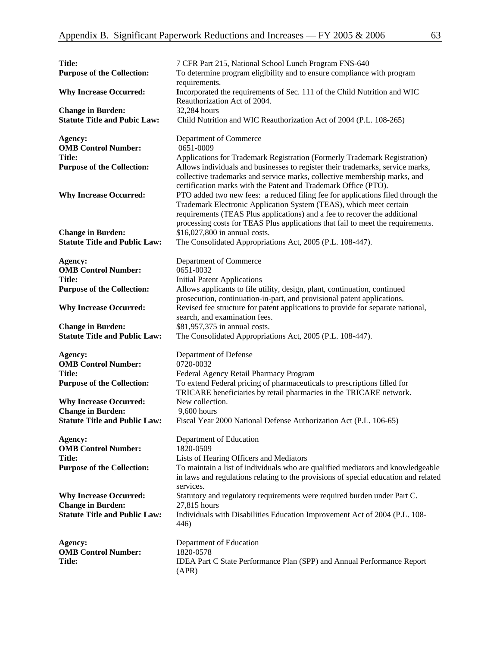| <b>Title:</b><br><b>Purpose of the Collection:</b>                                                | 7 CFR Part 215, National School Lunch Program FNS-640<br>To determine program eligibility and to ensure compliance with program<br>requirements.                                                                                                                                                                                                                                   |
|---------------------------------------------------------------------------------------------------|------------------------------------------------------------------------------------------------------------------------------------------------------------------------------------------------------------------------------------------------------------------------------------------------------------------------------------------------------------------------------------|
| <b>Why Increase Occurred:</b>                                                                     | Incorporated the requirements of Sec. 111 of the Child Nutrition and WIC<br>Reauthorization Act of 2004.                                                                                                                                                                                                                                                                           |
| <b>Change in Burden:</b><br><b>Statute Title and Pubic Law:</b>                                   | 32,284 hours<br>Child Nutrition and WIC Reauthorization Act of 2004 (P.L. 108-265)                                                                                                                                                                                                                                                                                                 |
| Agency:<br><b>OMB Control Number:</b><br><b>Title:</b><br><b>Purpose of the Collection:</b>       | Department of Commerce<br>0651-0009<br>Applications for Trademark Registration (Formerly Trademark Registration)<br>Allows individuals and businesses to register their trademarks, service marks,                                                                                                                                                                                 |
| <b>Why Increase Occurred:</b>                                                                     | collective trademarks and service marks, collective membership marks, and<br>certification marks with the Patent and Trademark Office (PTO).<br>PTO added two new fees: a reduced filing fee for applications filed through the<br>Trademark Electronic Application System (TEAS), which meet certain<br>requirements (TEAS Plus applications) and a fee to recover the additional |
| <b>Change in Burden:</b><br><b>Statute Title and Public Law:</b>                                  | processing costs for TEAS Plus applications that fail to meet the requirements.<br>\$16,027,800 in annual costs.<br>The Consolidated Appropriations Act, 2005 (P.L. 108-447).                                                                                                                                                                                                      |
| Agency:<br><b>OMB Control Number:</b><br><b>Title:</b><br><b>Purpose of the Collection:</b>       | Department of Commerce<br>0651-0032<br><b>Initial Patent Applications</b><br>Allows applicants to file utility, design, plant, continuation, continued                                                                                                                                                                                                                             |
| <b>Why Increase Occurred:</b>                                                                     | prosecution, continuation-in-part, and provisional patent applications.<br>Revised fee structure for patent applications to provide for separate national,<br>search, and examination fees.                                                                                                                                                                                        |
| <b>Change in Burden:</b><br><b>Statute Title and Public Law:</b>                                  | \$81,957,375 in annual costs.<br>The Consolidated Appropriations Act, 2005 (P.L. 108-447).                                                                                                                                                                                                                                                                                         |
| Agency:<br><b>OMB Control Number:</b><br><b>Title:</b><br><b>Purpose of the Collection:</b>       | Department of Defense<br>0720-0032<br>Federal Agency Retail Pharmacy Program<br>To extend Federal pricing of pharmaceuticals to prescriptions filled for<br>TRICARE beneficiaries by retail pharmacies in the TRICARE network.                                                                                                                                                     |
| <b>Why Increase Occurred:</b><br><b>Change in Burden:</b><br><b>Statute Title and Public Law:</b> | New collection.<br>9,600 hours<br>Fiscal Year 2000 National Defense Authorization Act (P.L. 106-65)                                                                                                                                                                                                                                                                                |
| Agency:<br><b>OMB Control Number:</b><br>Title:<br><b>Purpose of the Collection:</b>              | Department of Education<br>1820-0509<br>Lists of Hearing Officers and Mediators<br>To maintain a list of individuals who are qualified mediators and knowledgeable                                                                                                                                                                                                                 |
| <b>Why Increase Occurred:</b><br><b>Change in Burden:</b><br><b>Statute Title and Public Law:</b> | in laws and regulations relating to the provisions of special education and related<br>services.<br>Statutory and regulatory requirements were required burden under Part C.<br>27,815 hours<br>Individuals with Disabilities Education Improvement Act of 2004 (P.L. 108-<br>446)                                                                                                 |
| Agency:<br><b>OMB Control Number:</b><br><b>Title:</b>                                            | Department of Education<br>1820-0578<br>IDEA Part C State Performance Plan (SPP) and Annual Performance Report<br>(APR)                                                                                                                                                                                                                                                            |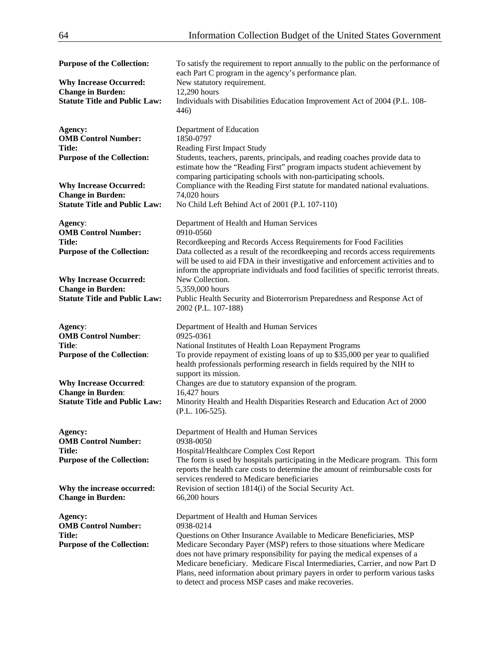| <b>Purpose of the Collection:</b>                                | To satisfy the requirement to report annually to the public on the performance of<br>each Part C program in the agency's performance plan.                        |
|------------------------------------------------------------------|-------------------------------------------------------------------------------------------------------------------------------------------------------------------|
| <b>Why Increase Occurred:</b>                                    | New statutory requirement.                                                                                                                                        |
| <b>Change in Burden:</b>                                         | 12,290 hours                                                                                                                                                      |
| <b>Statute Title and Public Law:</b>                             | Individuals with Disabilities Education Improvement Act of 2004 (P.L. 108-                                                                                        |
|                                                                  | 446)                                                                                                                                                              |
| Agency:                                                          | Department of Education                                                                                                                                           |
| <b>OMB Control Number:</b>                                       | 1850-0797                                                                                                                                                         |
| <b>Title:</b><br><b>Purpose of the Collection:</b>               | Reading First Impact Study<br>Students, teachers, parents, principals, and reading coaches provide data to                                                        |
|                                                                  | estimate how the "Reading First" program impacts student achievement by                                                                                           |
|                                                                  | comparing participating schools with non-participating schools.                                                                                                   |
| <b>Why Increase Occurred:</b>                                    | Compliance with the Reading First statute for mandated national evaluations.                                                                                      |
| <b>Change in Burden:</b><br><b>Statute Title and Public Law:</b> | 74,020 hours<br>No Child Left Behind Act of 2001 (P.L 107-110)                                                                                                    |
|                                                                  |                                                                                                                                                                   |
| Agency:                                                          | Department of Health and Human Services                                                                                                                           |
| <b>OMB Control Number:</b><br><b>Title:</b>                      | 0910-0560                                                                                                                                                         |
| <b>Purpose of the Collection:</b>                                | Recordkeeping and Records Access Requirements for Food Facilities<br>Data collected as a result of the recordkeeping and records access requirements              |
|                                                                  | will be used to aid FDA in their investigative and enforcement activities and to                                                                                  |
|                                                                  | inform the appropriate individuals and food facilities of specific terrorist threats.                                                                             |
| <b>Why Increase Occurred:</b><br><b>Change in Burden:</b>        | New Collection.<br>5,359,000 hours                                                                                                                                |
| <b>Statute Title and Public Law:</b>                             | Public Health Security and Bioterrorism Preparedness and Response Act of                                                                                          |
|                                                                  | 2002 (P.L. 107-188)                                                                                                                                               |
| Agency:                                                          | Department of Health and Human Services                                                                                                                           |
| <b>OMB Control Number:</b>                                       | 0925-0361                                                                                                                                                         |
| Title:                                                           | National Institutes of Health Loan Repayment Programs                                                                                                             |
| <b>Purpose of the Collection:</b>                                | To provide repayment of existing loans of up to \$35,000 per year to qualified                                                                                    |
|                                                                  | health professionals performing research in fields required by the NIH to<br>support its mission.                                                                 |
| <b>Why Increase Occurred:</b>                                    | Changes are due to statutory expansion of the program.                                                                                                            |
| <b>Change in Burden:</b>                                         | 16,427 hours                                                                                                                                                      |
| <b>Statute Title and Public Law:</b>                             | Minority Health and Health Disparities Research and Education Act of 2000                                                                                         |
|                                                                  | $(P.L. 106-525).$                                                                                                                                                 |
| Agency:                                                          | Department of Health and Human Services                                                                                                                           |
| <b>OMB Control Number:</b>                                       | 0938-0050                                                                                                                                                         |
| <b>Title:</b>                                                    | Hospital/Healthcare Complex Cost Report                                                                                                                           |
| <b>Purpose of the Collection:</b>                                | The form is used by hospitals participating in the Medicare program. This form<br>reports the health care costs to determine the amount of reimbursable costs for |
|                                                                  | services rendered to Medicare beneficiaries                                                                                                                       |
| Why the increase occurred:                                       | Revision of section 1814(i) of the Social Security Act.                                                                                                           |
| <b>Change in Burden:</b>                                         | 66,200 hours                                                                                                                                                      |
| Agency:                                                          | Department of Health and Human Services                                                                                                                           |
| <b>OMB Control Number:</b>                                       | 0938-0214                                                                                                                                                         |
| <b>Title:</b>                                                    | Questions on Other Insurance Available to Medicare Beneficiaries, MSP                                                                                             |
| <b>Purpose of the Collection:</b>                                | Medicare Secondary Payer (MSP) refers to those situations where Medicare<br>does not have primary responsibility for paying the medical expenses of a             |
|                                                                  | Medicare beneficiary. Medicare Fiscal Intermediaries, Carrier, and now Part D                                                                                     |
|                                                                  | Plans, need information about primary payers in order to perform various tasks                                                                                    |
|                                                                  | to detect and process MSP cases and make recoveries.                                                                                                              |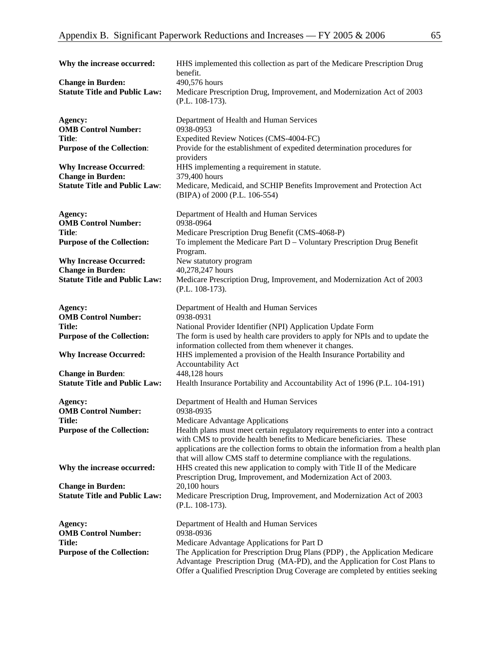| Why the increase occurred:                                       | HHS implemented this collection as part of the Medicare Prescription Drug<br>benefit.                                                                                                                                                         |
|------------------------------------------------------------------|-----------------------------------------------------------------------------------------------------------------------------------------------------------------------------------------------------------------------------------------------|
| <b>Change in Burden:</b><br><b>Statute Title and Public Law:</b> | 490,576 hours<br>Medicare Prescription Drug, Improvement, and Modernization Act of 2003<br>(P.L. 108-173).                                                                                                                                    |
| Agency:                                                          | Department of Health and Human Services                                                                                                                                                                                                       |
| <b>OMB Control Number:</b><br>Title:                             | 0938-0953                                                                                                                                                                                                                                     |
| <b>Purpose of the Collection:</b>                                | Expedited Review Notices (CMS-4004-FC)<br>Provide for the establishment of expedited determination procedures for<br>providers                                                                                                                |
| <b>Why Increase Occurred:</b><br><b>Change in Burden:</b>        | HHS implementing a requirement in statute.<br>379,400 hours                                                                                                                                                                                   |
| <b>Statute Title and Public Law:</b>                             | Medicare, Medicaid, and SCHIP Benefits Improvement and Protection Act<br>(BIPA) of 2000 (P.L. 106-554)                                                                                                                                        |
| Agency:<br><b>OMB Control Number:</b>                            | Department of Health and Human Services<br>0938-0964                                                                                                                                                                                          |
| Title:                                                           | Medicare Prescription Drug Benefit (CMS-4068-P)                                                                                                                                                                                               |
| <b>Purpose of the Collection:</b>                                | To implement the Medicare Part $D -$ Voluntary Prescription Drug Benefit<br>Program.                                                                                                                                                          |
| <b>Why Increase Occurred:</b><br><b>Change in Burden:</b>        | New statutory program<br>40,278,247 hours                                                                                                                                                                                                     |
| <b>Statute Title and Public Law:</b>                             | Medicare Prescription Drug, Improvement, and Modernization Act of 2003<br>(P.L. 108-173).                                                                                                                                                     |
| Agency:<br><b>OMB Control Number:</b>                            | Department of Health and Human Services<br>0938-0931                                                                                                                                                                                          |
| <b>Title:</b>                                                    | National Provider Identifier (NPI) Application Update Form                                                                                                                                                                                    |
| <b>Purpose of the Collection:</b>                                | The form is used by health care providers to apply for NPIs and to update the<br>information collected from them whenever it changes.                                                                                                         |
| <b>Why Increase Occurred:</b>                                    | HHS implemented a provision of the Health Insurance Portability and<br>Accountability Act                                                                                                                                                     |
| <b>Change in Burden:</b>                                         | 448,128 hours                                                                                                                                                                                                                                 |
| <b>Statute Title and Public Law:</b>                             | Health Insurance Portability and Accountability Act of 1996 (P.L. 104-191)                                                                                                                                                                    |
| Agency:<br><b>OMB Control Number:</b>                            | Department of Health and Human Services<br>0938-0935                                                                                                                                                                                          |
| <b>Title:</b>                                                    | Medicare Advantage Applications                                                                                                                                                                                                               |
| <b>Purpose of the Collection:</b>                                | Health plans must meet certain regulatory requirements to enter into a contract<br>with CMS to provide health benefits to Medicare beneficiaries. These<br>applications are the collection forms to obtain the information from a health plan |
| Why the increase occurred:                                       | that will allow CMS staff to determine compliance with the regulations.<br>HHS created this new application to comply with Title II of the Medicare<br>Prescription Drug, Improvement, and Modernization Act of 2003.                         |
| <b>Change in Burden:</b>                                         | $20,100$ hours                                                                                                                                                                                                                                |
| <b>Statute Title and Public Law:</b>                             | Medicare Prescription Drug, Improvement, and Modernization Act of 2003<br>$(P.L. 108-173).$                                                                                                                                                   |
| Agency:<br><b>OMB Control Number:</b>                            | Department of Health and Human Services<br>0938-0936                                                                                                                                                                                          |
| Title:                                                           | Medicare Advantage Applications for Part D                                                                                                                                                                                                    |
| <b>Purpose of the Collection:</b>                                | The Application for Prescription Drug Plans (PDP), the Application Medicare<br>Advantage Prescription Drug (MA-PD), and the Application for Cost Plans to<br>Offer a Qualified Prescription Drug Coverage are completed by entities seeking   |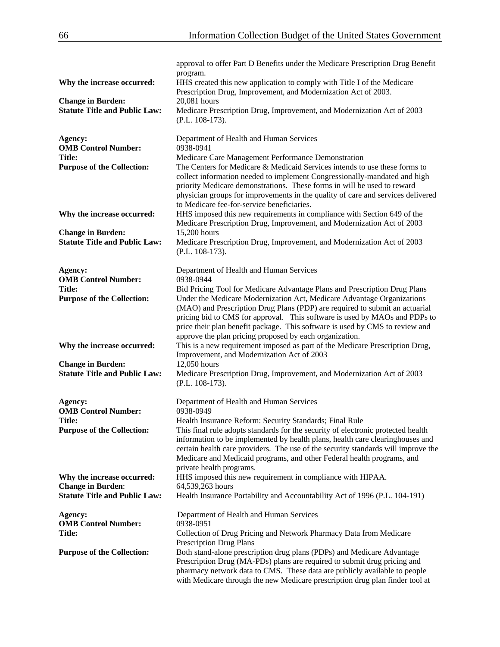|                                                                  | approval to offer Part D Benefits under the Medicare Prescription Drug Benefit                                                                              |
|------------------------------------------------------------------|-------------------------------------------------------------------------------------------------------------------------------------------------------------|
| Why the increase occurred:                                       | program.<br>HHS created this new application to comply with Title I of the Medicare<br>Prescription Drug, Improvement, and Modernization Act of 2003.       |
| <b>Change in Burden:</b><br><b>Statute Title and Public Law:</b> | 20,081 hours                                                                                                                                                |
|                                                                  | Medicare Prescription Drug, Improvement, and Modernization Act of 2003<br>(P.L. 108-173).                                                                   |
| Agency:                                                          | Department of Health and Human Services                                                                                                                     |
| <b>OMB Control Number:</b><br><b>Title:</b>                      | 0938-0941<br>Medicare Care Management Performance Demonstration                                                                                             |
| <b>Purpose of the Collection:</b>                                | The Centers for Medicare & Medicaid Services intends to use these forms to                                                                                  |
|                                                                  | collect information needed to implement Congressionally-mandated and high                                                                                   |
|                                                                  | priority Medicare demonstrations. These forms in will be used to reward<br>physician groups for improvements in the quality of care and services delivered  |
|                                                                  | to Medicare fee-for-service beneficiaries.                                                                                                                  |
| Why the increase occurred:                                       | HHS imposed this new requirements in compliance with Section 649 of the<br>Medicare Prescription Drug, Improvement, and Modernization Act of 2003           |
| <b>Change in Burden:</b>                                         | 15,200 hours                                                                                                                                                |
| <b>Statute Title and Public Law:</b>                             | Medicare Prescription Drug, Improvement, and Modernization Act of 2003                                                                                      |
|                                                                  | $(P.L. 108-173).$                                                                                                                                           |
| Agency:                                                          | Department of Health and Human Services                                                                                                                     |
| <b>OMB Control Number:</b><br><b>Title:</b>                      | 0938-0944<br>Bid Pricing Tool for Medicare Advantage Plans and Prescription Drug Plans                                                                      |
| <b>Purpose of the Collection:</b>                                | Under the Medicare Modernization Act, Medicare Advantage Organizations                                                                                      |
|                                                                  | (MAO) and Prescription Drug Plans (PDP) are required to submit an actuarial                                                                                 |
|                                                                  | pricing bid to CMS for approval. This software is used by MAOs and PDPs to<br>price their plan benefit package. This software is used by CMS to review and  |
|                                                                  | approve the plan pricing proposed by each organization.                                                                                                     |
| Why the increase occurred:                                       | This is a new requirement imposed as part of the Medicare Prescription Drug,                                                                                |
| <b>Change in Burden:</b>                                         | Improvement, and Modernization Act of 2003<br>12,050 hours                                                                                                  |
| <b>Statute Title and Public Law:</b>                             | Medicare Prescription Drug, Improvement, and Modernization Act of 2003                                                                                      |
|                                                                  | (P.L. 108-173).                                                                                                                                             |
| Agency:                                                          | Department of Health and Human Services                                                                                                                     |
| <b>OMB Control Number:</b>                                       | 0938-0949                                                                                                                                                   |
| <b>Title:</b><br><b>Purpose of the Collection:</b>               | Health Insurance Reform: Security Standards; Final Rule<br>This final rule adopts standards for the security of electronic protected health                 |
|                                                                  | information to be implemented by health plans, health care clearinghouses and                                                                               |
|                                                                  | certain health care providers. The use of the security standards will improve the<br>Medicare and Medicaid programs, and other Federal health programs, and |
|                                                                  | private health programs.                                                                                                                                    |
| Why the increase occurred:                                       | HHS imposed this new requirement in compliance with HIPAA.                                                                                                  |
| <b>Change in Burden:</b><br><b>Statute Title and Public Law:</b> | 64,539,263 hours<br>Health Insurance Portability and Accountability Act of 1996 (P.L. 104-191)                                                              |
|                                                                  |                                                                                                                                                             |
| Agency:                                                          | Department of Health and Human Services                                                                                                                     |
| <b>OMB Control Number:</b><br><b>Title:</b>                      | 0938-0951<br>Collection of Drug Pricing and Network Pharmacy Data from Medicare                                                                             |
|                                                                  | Prescription Drug Plans                                                                                                                                     |
| <b>Purpose of the Collection:</b>                                | Both stand-alone prescription drug plans (PDPs) and Medicare Advantage<br>Prescription Drug (MA-PDs) plans are required to submit drug pricing and          |
|                                                                  | pharmacy network data to CMS. These data are publicly available to people                                                                                   |
|                                                                  | with Medicare through the new Medicare prescription drug plan finder tool at                                                                                |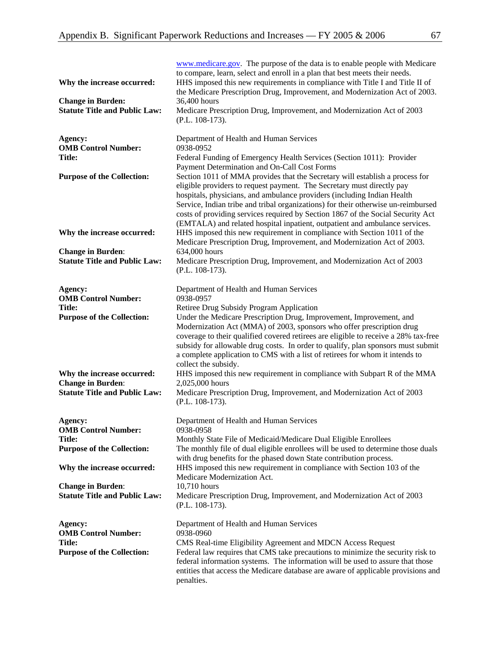| Why the increase occurred:<br><b>Change in Burden:</b><br><b>Statute Title and Public Law:</b> | www.medicare.gov. The purpose of the data is to enable people with Medicare<br>to compare, learn, select and enroll in a plan that best meets their needs.<br>HHS imposed this new requirements in compliance with Title I and Title II of<br>the Medicare Prescription Drug, Improvement, and Modernization Act of 2003.<br>36,400 hours<br>Medicare Prescription Drug, Improvement, and Modernization Act of 2003<br>(P.L. 108-173).                                                   |
|------------------------------------------------------------------------------------------------|------------------------------------------------------------------------------------------------------------------------------------------------------------------------------------------------------------------------------------------------------------------------------------------------------------------------------------------------------------------------------------------------------------------------------------------------------------------------------------------|
| Agency:<br><b>OMB Control Number:</b><br><b>Title:</b>                                         | Department of Health and Human Services<br>0938-0952<br>Federal Funding of Emergency Health Services (Section 1011): Provider<br>Payment Determination and On-Call Cost Forms                                                                                                                                                                                                                                                                                                            |
| <b>Purpose of the Collection:</b>                                                              | Section 1011 of MMA provides that the Secretary will establish a process for<br>eligible providers to request payment. The Secretary must directly pay<br>hospitals, physicians, and ambulance providers (including Indian Health<br>Service, Indian tribe and tribal organizations) for their otherwise un-reimbursed<br>costs of providing services required by Section 1867 of the Social Security Act<br>(EMTALA) and related hospital inpatient, outpatient and ambulance services. |
| Why the increase occurred:                                                                     | HHS imposed this new requirement in compliance with Section 1011 of the<br>Medicare Prescription Drug, Improvement, and Modernization Act of 2003.                                                                                                                                                                                                                                                                                                                                       |
| <b>Change in Burden:</b><br><b>Statute Title and Public Law:</b>                               | 634,000 hours<br>Medicare Prescription Drug, Improvement, and Modernization Act of 2003<br>(P.L. 108-173).                                                                                                                                                                                                                                                                                                                                                                               |
| Agency:<br><b>OMB Control Number:</b>                                                          | Department of Health and Human Services<br>0938-0957                                                                                                                                                                                                                                                                                                                                                                                                                                     |
| <b>Title:</b><br><b>Purpose of the Collection:</b>                                             | Retiree Drug Subsidy Program Application<br>Under the Medicare Prescription Drug, Improvement, Improvement, and<br>Modernization Act (MMA) of 2003, sponsors who offer prescription drug<br>coverage to their qualified covered retirees are eligible to receive a 28% tax-free<br>subsidy for allowable drug costs. In order to qualify, plan sponsors must submit<br>a complete application to CMS with a list of retirees for whom it intends to<br>collect the subsidy.              |
| Why the increase occurred:<br><b>Change in Burden:</b><br><b>Statute Title and Public Law:</b> | HHS imposed this new requirement in compliance with Subpart R of the MMA<br>2,025,000 hours<br>Medicare Prescription Drug, Improvement, and Modernization Act of 2003<br>(P.L. 108-173).                                                                                                                                                                                                                                                                                                 |
| Agency:<br><b>OMB Control Number:</b>                                                          | Department of Health and Human Services<br>0938-0958                                                                                                                                                                                                                                                                                                                                                                                                                                     |
| <b>Title:</b><br><b>Purpose of the Collection:</b>                                             | Monthly State File of Medicaid/Medicare Dual Eligible Enrollees<br>The monthly file of dual eligible enrollees will be used to determine those duals<br>with drug benefits for the phased down State contribution process.                                                                                                                                                                                                                                                               |
| Why the increase occurred:                                                                     | HHS imposed this new requirement in compliance with Section 103 of the<br>Medicare Modernization Act.                                                                                                                                                                                                                                                                                                                                                                                    |
| <b>Change in Burden:</b><br><b>Statute Title and Public Law:</b>                               | 10,710 hours<br>Medicare Prescription Drug, Improvement, and Modernization Act of 2003<br>$(P.L. 108-173).$                                                                                                                                                                                                                                                                                                                                                                              |
| Agency:<br><b>OMB Control Number:</b><br><b>Title:</b><br><b>Purpose of the Collection:</b>    | Department of Health and Human Services<br>0938-0960<br>CMS Real-time Eligibility Agreement and MDCN Access Request<br>Federal law requires that CMS take precautions to minimize the security risk to<br>federal information systems. The information will be used to assure that those<br>entities that access the Medicare database are aware of applicable provisions and<br>penalties.                                                                                              |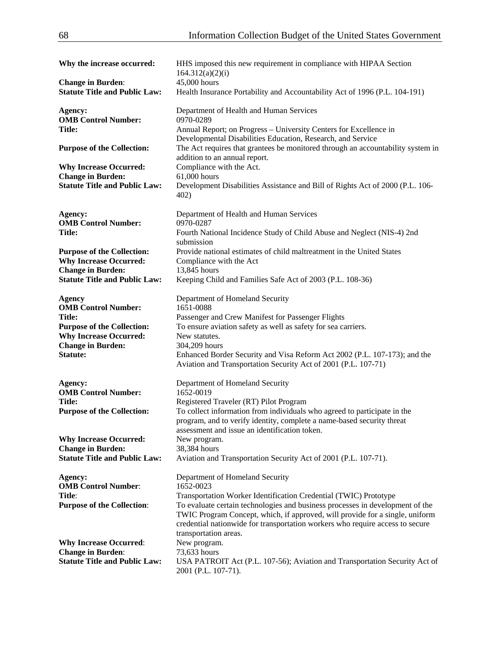| Why the increase occurred:                                         | HHS imposed this new requirement in compliance with HIPAA Section<br>164.312(a)(2)(i)                                                                                                                                                                                   |
|--------------------------------------------------------------------|-------------------------------------------------------------------------------------------------------------------------------------------------------------------------------------------------------------------------------------------------------------------------|
| <b>Change in Burden:</b><br><b>Statute Title and Public Law:</b>   | 45,000 hours<br>Health Insurance Portability and Accountability Act of 1996 (P.L. 104-191)                                                                                                                                                                              |
| Agency:<br><b>OMB Control Number:</b>                              | Department of Health and Human Services<br>0970-0289                                                                                                                                                                                                                    |
| <b>Title:</b>                                                      | Annual Report; on Progress - University Centers for Excellence in<br>Developmental Disabilities Education, Research, and Service                                                                                                                                        |
| <b>Purpose of the Collection:</b>                                  | The Act requires that grantees be monitored through an accountability system in<br>addition to an annual report.                                                                                                                                                        |
| <b>Why Increase Occurred:</b><br><b>Change in Burden:</b>          | Compliance with the Act.<br>61,000 hours                                                                                                                                                                                                                                |
| <b>Statute Title and Public Law:</b>                               | Development Disabilities Assistance and Bill of Rights Act of 2000 (P.L. 106-<br>402)                                                                                                                                                                                   |
| Agency:<br><b>OMB Control Number:</b>                              | Department of Health and Human Services<br>0970-0287                                                                                                                                                                                                                    |
| <b>Title:</b>                                                      | Fourth National Incidence Study of Child Abuse and Neglect (NIS-4) 2nd<br>submission                                                                                                                                                                                    |
| <b>Purpose of the Collection:</b><br><b>Why Increase Occurred:</b> | Provide national estimates of child maltreatment in the United States<br>Compliance with the Act                                                                                                                                                                        |
| <b>Change in Burden:</b>                                           | 13,845 hours                                                                                                                                                                                                                                                            |
| <b>Statute Title and Public Law:</b>                               | Keeping Child and Families Safe Act of 2003 (P.L. 108-36)                                                                                                                                                                                                               |
| <b>Agency</b><br><b>OMB Control Number:</b>                        | Department of Homeland Security<br>1651-0088                                                                                                                                                                                                                            |
| <b>Title:</b>                                                      | Passenger and Crew Manifest for Passenger Flights                                                                                                                                                                                                                       |
| <b>Purpose of the Collection:</b>                                  | To ensure aviation safety as well as safety for sea carriers.                                                                                                                                                                                                           |
| <b>Why Increase Occurred:</b>                                      | New statutes.                                                                                                                                                                                                                                                           |
| <b>Change in Burden:</b>                                           | 304,209 hours                                                                                                                                                                                                                                                           |
| <b>Statute:</b>                                                    | Enhanced Border Security and Visa Reform Act 2002 (P.L. 107-173); and the<br>Aviation and Transportation Security Act of 2001 (P.L. 107-71)                                                                                                                             |
| Agency:<br><b>OMB Control Number:</b>                              | Department of Homeland Security<br>1652-0019                                                                                                                                                                                                                            |
| <b>Title:</b>                                                      | Registered Traveler (RT) Pilot Program                                                                                                                                                                                                                                  |
| <b>Purpose of the Collection:</b>                                  | To collect information from individuals who agreed to participate in the<br>program, and to verify identity, complete a name-based security threat<br>assessment and issue an identification token.                                                                     |
| <b>Why Increase Occurred:</b>                                      | New program.                                                                                                                                                                                                                                                            |
| <b>Change in Burden:</b>                                           | 38,384 hours                                                                                                                                                                                                                                                            |
| <b>Statute Title and Public Law:</b>                               | Aviation and Transportation Security Act of 2001 (P.L. 107-71).                                                                                                                                                                                                         |
| Agency:<br><b>OMB Control Number:</b>                              | Department of Homeland Security<br>1652-0023                                                                                                                                                                                                                            |
| Title:                                                             | Transportation Worker Identification Credential (TWIC) Prototype                                                                                                                                                                                                        |
| <b>Purpose of the Collection:</b>                                  | To evaluate certain technologies and business processes in development of the<br>TWIC Program Concept, which, if approved, will provide for a single, uniform<br>credential nationwide for transportation workers who require access to secure<br>transportation areas. |
| <b>Why Increase Occurred:</b>                                      | New program.                                                                                                                                                                                                                                                            |
| <b>Change in Burden:</b>                                           | 73,633 hours                                                                                                                                                                                                                                                            |
| <b>Statute Title and Public Law:</b>                               | USA PATROIT Act (P.L. 107-56); Aviation and Transportation Security Act of<br>2001 (P.L. 107-71).                                                                                                                                                                       |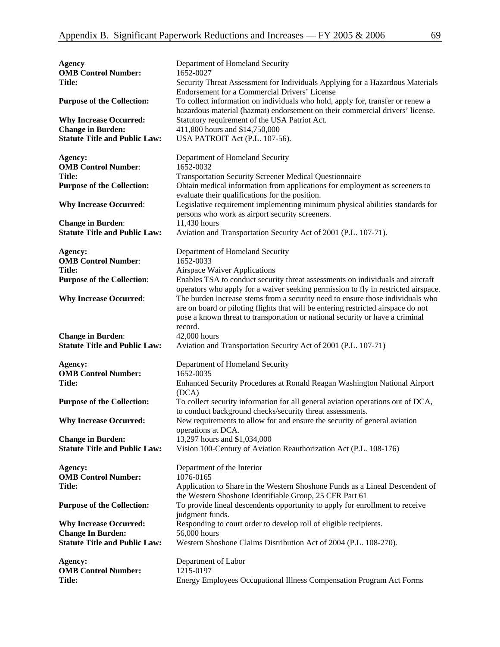| <b>Agency</b><br><b>OMB Control Number:</b><br><b>Title:</b><br><b>Purpose of the Collection:</b><br><b>Why Increase Occurred:</b><br><b>Change in Burden:</b><br><b>Statute Title and Public Law:</b> | Department of Homeland Security<br>1652-0027<br>Security Threat Assessment for Individuals Applying for a Hazardous Materials<br>Endorsement for a Commercial Drivers' License<br>To collect information on individuals who hold, apply for, transfer or renew a<br>hazardous material (hazmat) endorsement on their commercial drivers' license.<br>Statutory requirement of the USA Patriot Act.<br>411,800 hours and \$14,750,000<br>USA PATROIT Act (P.L. 107-56).                                                                                                                                           |
|--------------------------------------------------------------------------------------------------------------------------------------------------------------------------------------------------------|------------------------------------------------------------------------------------------------------------------------------------------------------------------------------------------------------------------------------------------------------------------------------------------------------------------------------------------------------------------------------------------------------------------------------------------------------------------------------------------------------------------------------------------------------------------------------------------------------------------|
| Agency:<br><b>OMB Control Number:</b><br>Title:<br><b>Purpose of the Collection:</b><br><b>Why Increase Occurred:</b><br><b>Change in Burden:</b><br><b>Statute Title and Public Law:</b>              | Department of Homeland Security<br>1652-0032<br><b>Transportation Security Screener Medical Questionnaire</b><br>Obtain medical information from applications for employment as screeners to<br>evaluate their qualifications for the position.<br>Legislative requirement implementing minimum physical abilities standards for<br>persons who work as airport security screeners.<br>11,430 hours<br>Aviation and Transportation Security Act of 2001 (P.L. 107-71).                                                                                                                                           |
| Agency:<br><b>OMB Control Number:</b><br><b>Title:</b><br><b>Purpose of the Collection:</b><br><b>Why Increase Occurred:</b><br><b>Change in Burden:</b><br><b>Statute Title and Public Law:</b>       | Department of Homeland Security<br>1652-0033<br><b>Airspace Waiver Applications</b><br>Enables TSA to conduct security threat assessments on individuals and aircraft<br>operators who apply for a waiver seeking permission to fly in restricted airspace.<br>The burden increase stems from a security need to ensure those individuals who<br>are on board or piloting flights that will be entering restricted airspace do not<br>pose a known threat to transportation or national security or have a criminal<br>record.<br>42,000 hours<br>Aviation and Transportation Security Act of 2001 (P.L. 107-71) |
| Agency:<br><b>OMB Control Number:</b><br><b>Title:</b><br><b>Purpose of the Collection:</b><br><b>Why Increase Occurred:</b>                                                                           | Department of Homeland Security<br>1652-0035<br>Enhanced Security Procedures at Ronald Reagan Washington National Airport<br>(DCA)<br>To collect security information for all general aviation operations out of DCA,<br>to conduct background checks/security threat assessments.<br>New requirements to allow for and ensure the security of general aviation<br>operations at DCA.                                                                                                                                                                                                                            |
| <b>Change in Burden:</b><br><b>Statute Title and Public Law:</b><br>Agency:<br><b>OMB Control Number:</b><br><b>Title:</b>                                                                             | 13,297 hours and \$1,034,000<br>Vision 100-Century of Aviation Reauthorization Act (P.L. 108-176)<br>Department of the Interior<br>1076-0165<br>Application to Share in the Western Shoshone Funds as a Lineal Descendent of                                                                                                                                                                                                                                                                                                                                                                                     |
| <b>Purpose of the Collection:</b><br><b>Why Increase Occurred:</b><br><b>Change In Burden:</b><br><b>Statute Title and Public Law:</b>                                                                 | the Western Shoshone Identifiable Group, 25 CFR Part 61<br>To provide lineal descendents opportunity to apply for enrollment to receive<br>judgment funds.<br>Responding to court order to develop roll of eligible recipients.<br>56,000 hours<br>Western Shoshone Claims Distribution Act of 2004 (P.L. 108-270).                                                                                                                                                                                                                                                                                              |
| Agency:<br><b>OMB Control Number:</b><br><b>Title:</b>                                                                                                                                                 | Department of Labor<br>1215-0197<br>Energy Employees Occupational Illness Compensation Program Act Forms                                                                                                                                                                                                                                                                                                                                                                                                                                                                                                         |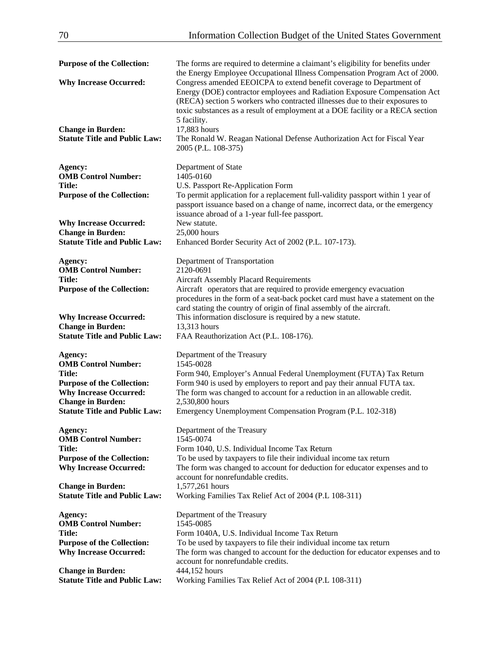| <b>Purpose of the Collection:</b><br><b>Why Increase Occurred:</b><br><b>Change in Burden:</b><br><b>Statute Title and Public Law:</b>                                                           | The forms are required to determine a claimant's eligibility for benefits under<br>the Energy Employee Occupational Illness Compensation Program Act of 2000.<br>Congress amended EEOICPA to extend benefit coverage to Department of<br>Energy (DOE) contractor employees and Radiation Exposure Compensation Act<br>(RECA) section 5 workers who contracted illnesses due to their exposures to<br>toxic substances as a result of employment at a DOE facility or a RECA section<br>5 facility.<br>17,883 hours<br>The Ronald W. Reagan National Defense Authorization Act for Fiscal Year<br>2005 (P.L. 108-375) |
|--------------------------------------------------------------------------------------------------------------------------------------------------------------------------------------------------|----------------------------------------------------------------------------------------------------------------------------------------------------------------------------------------------------------------------------------------------------------------------------------------------------------------------------------------------------------------------------------------------------------------------------------------------------------------------------------------------------------------------------------------------------------------------------------------------------------------------|
| Agency:<br><b>OMB Control Number:</b><br><b>Title:</b><br><b>Purpose of the Collection:</b>                                                                                                      | Department of State<br>1405-0160<br>U.S. Passport Re-Application Form<br>To permit application for a replacement full-validity passport within 1 year of<br>passport issuance based on a change of name, incorrect data, or the emergency<br>issuance abroad of a 1-year full-fee passport.                                                                                                                                                                                                                                                                                                                          |
| <b>Why Increase Occurred:</b><br><b>Change in Burden:</b><br><b>Statute Title and Public Law:</b>                                                                                                | New statute.<br>25,000 hours<br>Enhanced Border Security Act of 2002 (P.L. 107-173).                                                                                                                                                                                                                                                                                                                                                                                                                                                                                                                                 |
| Agency:<br><b>OMB Control Number:</b><br><b>Title:</b><br><b>Purpose of the Collection:</b>                                                                                                      | Department of Transportation<br>2120-0691<br><b>Aircraft Assembly Placard Requirements</b><br>Aircraft operators that are required to provide emergency evacuation<br>procedures in the form of a seat-back pocket card must have a statement on the<br>card stating the country of origin of final assembly of the aircraft.                                                                                                                                                                                                                                                                                        |
| <b>Why Increase Occurred:</b><br><b>Change in Burden:</b><br><b>Statute Title and Public Law:</b>                                                                                                | This information disclosure is required by a new statute.<br>13,313 hours<br>FAA Reauthorization Act (P.L. 108-176).                                                                                                                                                                                                                                                                                                                                                                                                                                                                                                 |
| Agency:<br><b>OMB Control Number:</b><br><b>Title:</b><br><b>Purpose of the Collection:</b><br><b>Why Increase Occurred:</b><br><b>Change in Burden:</b><br><b>Statute Title and Public Law:</b> | Department of the Treasury<br>1545-0028<br>Form 940, Employer's Annual Federal Unemployment (FUTA) Tax Return<br>Form 940 is used by employers to report and pay their annual FUTA tax.<br>The form was changed to account for a reduction in an allowable credit.<br>2,530,800 hours<br>Emergency Unemployment Compensation Program (P.L. 102-318)                                                                                                                                                                                                                                                                  |
| Agency:<br><b>OMB Control Number:</b><br><b>Title:</b><br><b>Purpose of the Collection:</b><br><b>Why Increase Occurred:</b><br><b>Change in Burden:</b>                                         | Department of the Treasury<br>1545-0074<br>Form 1040, U.S. Individual Income Tax Return<br>To be used by taxpayers to file their individual income tax return<br>The form was changed to account for deduction for educator expenses and to<br>account for nonrefundable credits.<br>1,577,261 hours                                                                                                                                                                                                                                                                                                                 |
| <b>Statute Title and Public Law:</b><br>Agency:<br><b>OMB Control Number:</b>                                                                                                                    | Working Families Tax Relief Act of 2004 (P.L 108-311)<br>Department of the Treasury                                                                                                                                                                                                                                                                                                                                                                                                                                                                                                                                  |
| <b>Title:</b><br><b>Purpose of the Collection:</b><br><b>Why Increase Occurred:</b><br><b>Change in Burden:</b>                                                                                  | 1545-0085<br>Form 1040A, U.S. Individual Income Tax Return<br>To be used by taxpayers to file their individual income tax return<br>The form was changed to account for the deduction for educator expenses and to<br>account for nonrefundable credits.<br>444,152 hours                                                                                                                                                                                                                                                                                                                                            |
| <b>Statute Title and Public Law:</b>                                                                                                                                                             | Working Families Tax Relief Act of 2004 (P.L 108-311)                                                                                                                                                                                                                                                                                                                                                                                                                                                                                                                                                                |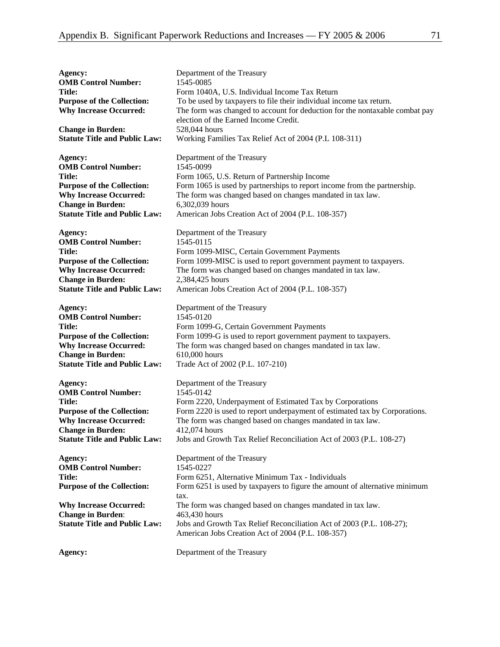| Agency:<br><b>OMB Control Number:</b><br>Title:<br><b>Purpose of the Collection:</b><br><b>Why Increase Occurred:</b><br><b>Change in Burden:</b><br><b>Statute Title and Public Law:</b> | Department of the Treasury<br>1545-0085<br>Form 1040A, U.S. Individual Income Tax Return<br>To be used by taxpayers to file their individual income tax return.<br>The form was changed to account for deduction for the nontaxable combat pay<br>election of the Earned Income Credit.<br>528,044 hours<br>Working Families Tax Relief Act of 2004 (P.L 108-311) |
|-------------------------------------------------------------------------------------------------------------------------------------------------------------------------------------------|-------------------------------------------------------------------------------------------------------------------------------------------------------------------------------------------------------------------------------------------------------------------------------------------------------------------------------------------------------------------|
| Agency:                                                                                                                                                                                   | Department of the Treasury                                                                                                                                                                                                                                                                                                                                        |
| <b>OMB Control Number:</b>                                                                                                                                                                | 1545-0099                                                                                                                                                                                                                                                                                                                                                         |
| Title:                                                                                                                                                                                    | Form 1065, U.S. Return of Partnership Income                                                                                                                                                                                                                                                                                                                      |
| <b>Purpose of the Collection:</b>                                                                                                                                                         | Form 1065 is used by partnerships to report income from the partnership.                                                                                                                                                                                                                                                                                          |
| <b>Why Increase Occurred:</b>                                                                                                                                                             | The form was changed based on changes mandated in tax law.                                                                                                                                                                                                                                                                                                        |
| <b>Change in Burden:</b>                                                                                                                                                                  | 6,302,039 hours                                                                                                                                                                                                                                                                                                                                                   |
| <b>Statute Title and Public Law:</b>                                                                                                                                                      | American Jobs Creation Act of 2004 (P.L. 108-357)                                                                                                                                                                                                                                                                                                                 |
| Agency:                                                                                                                                                                                   | Department of the Treasury                                                                                                                                                                                                                                                                                                                                        |
| <b>OMB Control Number:</b>                                                                                                                                                                | 1545-0115                                                                                                                                                                                                                                                                                                                                                         |
| <b>Title:</b>                                                                                                                                                                             | Form 1099-MISC, Certain Government Payments                                                                                                                                                                                                                                                                                                                       |
| <b>Purpose of the Collection:</b>                                                                                                                                                         | Form 1099-MISC is used to report government payment to taxpayers.                                                                                                                                                                                                                                                                                                 |
| <b>Why Increase Occurred:</b>                                                                                                                                                             | The form was changed based on changes mandated in tax law.                                                                                                                                                                                                                                                                                                        |
| <b>Change in Burden:</b>                                                                                                                                                                  | 2,384,425 hours                                                                                                                                                                                                                                                                                                                                                   |
| <b>Statute Title and Public Law:</b>                                                                                                                                                      | American Jobs Creation Act of 2004 (P.L. 108-357)                                                                                                                                                                                                                                                                                                                 |
| Agency:                                                                                                                                                                                   | Department of the Treasury                                                                                                                                                                                                                                                                                                                                        |
| <b>OMB Control Number:</b>                                                                                                                                                                | 1545-0120                                                                                                                                                                                                                                                                                                                                                         |
| Title:                                                                                                                                                                                    | Form 1099-G, Certain Government Payments                                                                                                                                                                                                                                                                                                                          |
| <b>Purpose of the Collection:</b>                                                                                                                                                         | Form 1099-G is used to report government payment to taxpayers.                                                                                                                                                                                                                                                                                                    |
| <b>Why Increase Occurred:</b>                                                                                                                                                             | The form was changed based on changes mandated in tax law.                                                                                                                                                                                                                                                                                                        |
| <b>Change in Burden:</b>                                                                                                                                                                  | 610,000 hours                                                                                                                                                                                                                                                                                                                                                     |
| <b>Statute Title and Public Law:</b>                                                                                                                                                      | Trade Act of 2002 (P.L. 107-210)                                                                                                                                                                                                                                                                                                                                  |
| Agency:                                                                                                                                                                                   | Department of the Treasury                                                                                                                                                                                                                                                                                                                                        |
| <b>OMB Control Number:</b>                                                                                                                                                                | 1545-0142                                                                                                                                                                                                                                                                                                                                                         |
| <b>Title:</b>                                                                                                                                                                             | Form 2220, Underpayment of Estimated Tax by Corporations                                                                                                                                                                                                                                                                                                          |
| <b>Purpose of the Collection:</b>                                                                                                                                                         | Form 2220 is used to report underpayment of estimated tax by Corporations.                                                                                                                                                                                                                                                                                        |
| <b>Why Increase Occurred:</b>                                                                                                                                                             | The form was changed based on changes mandated in tax law.                                                                                                                                                                                                                                                                                                        |
| <b>Change in Burden:</b>                                                                                                                                                                  | 412,074 hours                                                                                                                                                                                                                                                                                                                                                     |
| <b>Statute Title and Public Law:</b>                                                                                                                                                      | Jobs and Growth Tax Relief Reconciliation Act of 2003 (P.L. 108-27)                                                                                                                                                                                                                                                                                               |
| Agency:<br><b>OMB Control Number:</b><br><b>Title:</b><br><b>Purpose of the Collection:</b>                                                                                               | Department of the Treasury<br>1545-0227<br>Form 6251, Alternative Minimum Tax - Individuals<br>Form 6251 is used by taxpayers to figure the amount of alternative minimum<br>tax.                                                                                                                                                                                 |
| <b>Why Increase Occurred:</b><br><b>Change in Burden:</b><br><b>Statute Title and Public Law:</b>                                                                                         | The form was changed based on changes mandated in tax law.<br>463,430 hours<br>Jobs and Growth Tax Relief Reconciliation Act of 2003 (P.L. 108-27);<br>American Jobs Creation Act of 2004 (P.L. 108-357)                                                                                                                                                          |
| Agency:                                                                                                                                                                                   | Department of the Treasury                                                                                                                                                                                                                                                                                                                                        |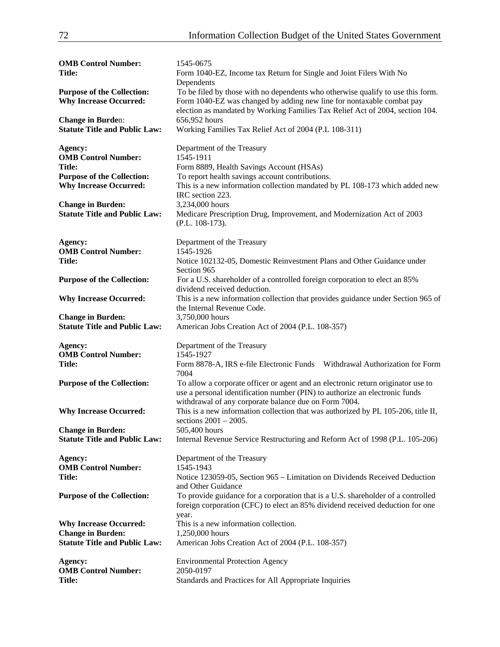| <b>OMB Control Number:</b>            | 1545-0675                                                                                      |
|---------------------------------------|------------------------------------------------------------------------------------------------|
| <b>Title:</b>                         | Form 1040-EZ, Income tax Return for Single and Joint Filers With No                            |
|                                       | Dependents                                                                                     |
| <b>Purpose of the Collection:</b>     | To be filed by those with no dependents who otherwise qualify to use this form.                |
| <b>Why Increase Occurred:</b>         | Form 1040-EZ was changed by adding new line for nontaxable combat pay                          |
| <b>Change in Burden:</b>              | election as mandated by Working Families Tax Relief Act of 2004, section 104.<br>656,952 hours |
| <b>Statute Title and Public Law:</b>  | Working Families Tax Relief Act of 2004 (P.L 108-311)                                          |
|                                       |                                                                                                |
| Agency:                               | Department of the Treasury                                                                     |
| <b>OMB Control Number:</b>            | 1545-1911                                                                                      |
| <b>Title:</b>                         | Form 8889, Health Savings Account (HSAs)                                                       |
| <b>Purpose of the Collection:</b>     | To report health savings account contributions.                                                |
| <b>Why Increase Occurred:</b>         | This is a new information collection mandated by PL 108-173 which added new                    |
|                                       | IRC section 223.                                                                               |
| <b>Change in Burden:</b>              | 3,234,000 hours                                                                                |
| <b>Statute Title and Public Law:</b>  | Medicare Prescription Drug, Improvement, and Modernization Act of 2003                         |
|                                       | (P.L. 108-173).                                                                                |
| Agency:                               | Department of the Treasury                                                                     |
| <b>OMB Control Number:</b>            | 1545-1926                                                                                      |
| <b>Title:</b>                         | Notice 102132-05, Domestic Reinvestment Plans and Other Guidance under                         |
|                                       | Section 965                                                                                    |
| <b>Purpose of the Collection:</b>     | For a U.S. shareholder of a controlled foreign corporation to elect an 85%                     |
|                                       | dividend received deduction.                                                                   |
| <b>Why Increase Occurred:</b>         | This is a new information collection that provides guidance under Section 965 of               |
|                                       | the Internal Revenue Code.                                                                     |
| <b>Change in Burden:</b>              | 3,750,000 hours                                                                                |
| <b>Statute Title and Public Law:</b>  | American Jobs Creation Act of 2004 (P.L. 108-357)                                              |
| Agency:                               | Department of the Treasury                                                                     |
| <b>OMB Control Number:</b>            | 1545-1927                                                                                      |
| <b>Title:</b>                         | Form 8878-A, IRS e-file Electronic Funds    Withdrawal Authorization for Form                  |
|                                       | 7004                                                                                           |
| <b>Purpose of the Collection:</b>     | To allow a corporate officer or agent and an electronic return originator use to               |
|                                       | use a personal identification number (PIN) to authorize an electronic funds                    |
|                                       | withdrawal of any corporate balance due on Form 7004.                                          |
| <b>Why Increase Occurred:</b>         | This is a new information collection that was authorized by PL 105-206, title II,              |
|                                       | sections $2001 - 2005$ .                                                                       |
| <b>Change in Burden:</b>              | 505,400 hours                                                                                  |
| <b>Statute Title and Public Law:</b>  | Internal Revenue Service Restructuring and Reform Act of 1998 (P.L. 105-206)                   |
| Agency:                               | Department of the Treasury                                                                     |
| <b>OMB Control Number:</b>            | 1545-1943                                                                                      |
| <b>Title:</b>                         | Notice 123059-05, Section 965 – Limitation on Dividends Received Deduction                     |
|                                       | and Other Guidance                                                                             |
| <b>Purpose of the Collection:</b>     | To provide guidance for a corporation that is a U.S. shareholder of a controlled               |
|                                       | foreign corporation (CFC) to elect an 85% dividend received deduction for one                  |
|                                       | year.                                                                                          |
| <b>Why Increase Occurred:</b>         | This is a new information collection.                                                          |
| <b>Change in Burden:</b>              | 1,250,000 hours                                                                                |
| <b>Statute Title and Public Law:</b>  | American Jobs Creation Act of 2004 (P.L. 108-357)                                              |
|                                       |                                                                                                |
| Agency:<br><b>OMB Control Number:</b> | <b>Environmental Protection Agency</b><br>2050-0197                                            |
| <b>Title:</b>                         | Standards and Practices for All Appropriate Inquiries                                          |
|                                       |                                                                                                |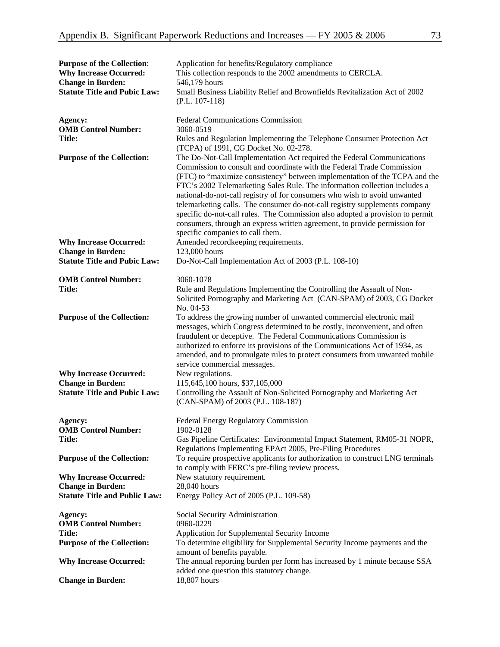| <b>Purpose of the Collection:</b><br><b>Why Increase Occurred:</b><br><b>Change in Burden:</b><br><b>Statute Title and Pubic Law:</b> | Application for benefits/Regulatory compliance<br>This collection responds to the 2002 amendments to CERCLA.<br>546,179 hours<br>Small Business Liability Relief and Brownfields Revitalization Act of 2002<br>$(P.L. 107-118)$                                                                                                                                                                                                                                                                                                                                                                                                                                            |
|---------------------------------------------------------------------------------------------------------------------------------------|----------------------------------------------------------------------------------------------------------------------------------------------------------------------------------------------------------------------------------------------------------------------------------------------------------------------------------------------------------------------------------------------------------------------------------------------------------------------------------------------------------------------------------------------------------------------------------------------------------------------------------------------------------------------------|
| Agency:<br><b>OMB Control Number:</b><br><b>Title:</b>                                                                                | <b>Federal Communications Commission</b><br>3060-0519<br>Rules and Regulation Implementing the Telephone Consumer Protection Act<br>(TCPA) of 1991, CG Docket No. 02-278.                                                                                                                                                                                                                                                                                                                                                                                                                                                                                                  |
| <b>Purpose of the Collection:</b>                                                                                                     | The Do-Not-Call Implementation Act required the Federal Communications<br>Commission to consult and coordinate with the Federal Trade Commission<br>(FTC) to "maximize consistency" between implementation of the TCPA and the<br>FTC's 2002 Telemarketing Sales Rule. The information collection includes a<br>national-do-not-call registry of for consumers who wish to avoid unwanted<br>telemarketing calls. The consumer do-not-call registry supplements company<br>specific do-not-call rules. The Commission also adopted a provision to permit<br>consumers, through an express written agreement, to provide permission for<br>specific companies to call them. |
| <b>Why Increase Occurred:</b><br><b>Change in Burden:</b>                                                                             | Amended recordkeeping requirements.<br>123,000 hours                                                                                                                                                                                                                                                                                                                                                                                                                                                                                                                                                                                                                       |
| <b>Statute Title and Pubic Law:</b>                                                                                                   | Do-Not-Call Implementation Act of 2003 (P.L. 108-10)                                                                                                                                                                                                                                                                                                                                                                                                                                                                                                                                                                                                                       |
| <b>OMB Control Number:</b><br><b>Title:</b>                                                                                           | 3060-1078<br>Rule and Regulations Implementing the Controlling the Assault of Non-<br>Solicited Pornography and Marketing Act (CAN-SPAM) of 2003, CG Docket<br>No. 04-53                                                                                                                                                                                                                                                                                                                                                                                                                                                                                                   |
| <b>Purpose of the Collection:</b>                                                                                                     | To address the growing number of unwanted commercial electronic mail<br>messages, which Congress determined to be costly, inconvenient, and often<br>fraudulent or deceptive. The Federal Communications Commission is<br>authorized to enforce its provisions of the Communications Act of 1934, as<br>amended, and to promulgate rules to protect consumers from unwanted mobile<br>service commercial messages.                                                                                                                                                                                                                                                         |
| <b>Why Increase Occurred:</b>                                                                                                         | New regulations.                                                                                                                                                                                                                                                                                                                                                                                                                                                                                                                                                                                                                                                           |
| <b>Change in Burden:</b><br><b>Statute Title and Pubic Law:</b>                                                                       | 115,645,100 hours, \$37,105,000<br>Controlling the Assault of Non-Solicited Pornography and Marketing Act<br>(CAN-SPAM) of 2003 (P.L. 108-187)                                                                                                                                                                                                                                                                                                                                                                                                                                                                                                                             |
| Agency:<br><b>OMB Control Number:</b>                                                                                                 | Federal Energy Regulatory Commission<br>1902-0128                                                                                                                                                                                                                                                                                                                                                                                                                                                                                                                                                                                                                          |
| <b>Title:</b>                                                                                                                         | Gas Pipeline Certificates: Environmental Impact Statement, RM05-31 NOPR,<br>Regulations Implementing EPAct 2005, Pre-Filing Procedures                                                                                                                                                                                                                                                                                                                                                                                                                                                                                                                                     |
| <b>Purpose of the Collection:</b>                                                                                                     | To require prospective applicants for authorization to construct LNG terminals<br>to comply with FERC's pre-filing review process.                                                                                                                                                                                                                                                                                                                                                                                                                                                                                                                                         |
| <b>Why Increase Occurred:</b><br><b>Change in Burden:</b>                                                                             | New statutory requirement.<br>28,040 hours                                                                                                                                                                                                                                                                                                                                                                                                                                                                                                                                                                                                                                 |
| <b>Statute Title and Public Law:</b>                                                                                                  | Energy Policy Act of 2005 (P.L. 109-58)                                                                                                                                                                                                                                                                                                                                                                                                                                                                                                                                                                                                                                    |
| Agency:<br><b>OMB Control Number:</b>                                                                                                 | Social Security Administration<br>0960-0229                                                                                                                                                                                                                                                                                                                                                                                                                                                                                                                                                                                                                                |
| <b>Title:</b><br><b>Purpose of the Collection:</b>                                                                                    | Application for Supplemental Security Income<br>To determine eligibility for Supplemental Security Income payments and the<br>amount of benefits payable.                                                                                                                                                                                                                                                                                                                                                                                                                                                                                                                  |
| <b>Why Increase Occurred:</b>                                                                                                         | The annual reporting burden per form has increased by 1 minute because SSA<br>added one question this statutory change.                                                                                                                                                                                                                                                                                                                                                                                                                                                                                                                                                    |
| <b>Change in Burden:</b>                                                                                                              | 18,807 hours                                                                                                                                                                                                                                                                                                                                                                                                                                                                                                                                                                                                                                                               |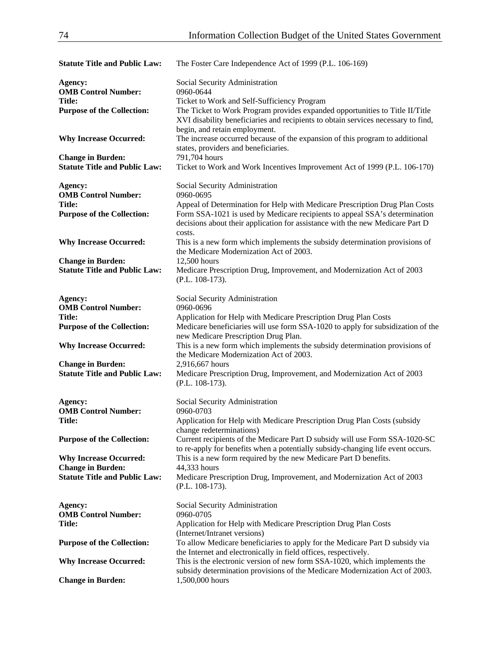| <b>Statute Title and Public Law:</b>                             | The Foster Care Independence Act of 1999 (P.L. 106-169)                                                                                                                                                                                              |
|------------------------------------------------------------------|------------------------------------------------------------------------------------------------------------------------------------------------------------------------------------------------------------------------------------------------------|
| Agency:<br><b>OMB Control Number:</b><br><b>Title:</b>           | Social Security Administration<br>0960-0644<br>Ticket to Work and Self-Sufficiency Program                                                                                                                                                           |
| <b>Purpose of the Collection:</b>                                | The Ticket to Work Program provides expanded opportunities to Title II/Title<br>XVI disability beneficiaries and recipients to obtain services necessary to find,<br>begin, and retain employment.                                                   |
| <b>Why Increase Occurred:</b>                                    | The increase occurred because of the expansion of this program to additional<br>states, providers and beneficiaries.                                                                                                                                 |
| <b>Change in Burden:</b><br><b>Statute Title and Public Law:</b> | 791,704 hours<br>Ticket to Work and Work Incentives Improvement Act of 1999 (P.L. 106-170)                                                                                                                                                           |
| Agency:<br><b>OMB Control Number:</b>                            | Social Security Administration<br>0960-0695                                                                                                                                                                                                          |
| <b>Title:</b><br><b>Purpose of the Collection:</b>               | Appeal of Determination for Help with Medicare Prescription Drug Plan Costs<br>Form SSA-1021 is used by Medicare recipients to appeal SSA's determination<br>decisions about their application for assistance with the new Medicare Part D<br>costs. |
| <b>Why Increase Occurred:</b>                                    | This is a new form which implements the subsidy determination provisions of<br>the Medicare Modernization Act of 2003.                                                                                                                               |
| <b>Change in Burden:</b><br><b>Statute Title and Public Law:</b> | 12,500 hours<br>Medicare Prescription Drug, Improvement, and Modernization Act of 2003<br>(P.L. 108-173).                                                                                                                                            |
| Agency:                                                          | Social Security Administration                                                                                                                                                                                                                       |
| <b>OMB Control Number:</b><br><b>Title:</b>                      | 0960-0696<br>Application for Help with Medicare Prescription Drug Plan Costs                                                                                                                                                                         |
| <b>Purpose of the Collection:</b>                                | Medicare beneficiaries will use form SSA-1020 to apply for subsidization of the<br>new Medicare Prescription Drug Plan.                                                                                                                              |
| <b>Why Increase Occurred:</b>                                    | This is a new form which implements the subsidy determination provisions of<br>the Medicare Modernization Act of 2003.                                                                                                                               |
| <b>Change in Burden:</b><br><b>Statute Title and Public Law:</b> | 2,916,667 hours<br>Medicare Prescription Drug, Improvement, and Modernization Act of 2003<br>(P.L. 108-173).                                                                                                                                         |
| Agency:<br><b>OMB Control Number:</b><br><b>Title:</b>           | Social Security Administration<br>0960-0703<br>Application for Help with Medicare Prescription Drug Plan Costs (subsidy                                                                                                                              |
| <b>Purpose of the Collection:</b>                                | change redeterminations)<br>Current recipients of the Medicare Part D subsidy will use Form SSA-1020-SC                                                                                                                                              |
| <b>Why Increase Occurred:</b>                                    | to re-apply for benefits when a potentially subsidy-changing life event occurs.<br>This is a new form required by the new Medicare Part D benefits.                                                                                                  |
| <b>Change in Burden:</b><br><b>Statute Title and Public Law:</b> | 44,333 hours<br>Medicare Prescription Drug, Improvement, and Modernization Act of 2003<br>$(P.L. 108-173).$                                                                                                                                          |
| Agency:<br><b>OMB Control Number:</b><br><b>Title:</b>           | Social Security Administration<br>0960-0705<br>Application for Help with Medicare Prescription Drug Plan Costs                                                                                                                                       |
| <b>Purpose of the Collection:</b>                                | (Internet/Intranet versions)<br>To allow Medicare beneficiaries to apply for the Medicare Part D subsidy via<br>the Internet and electronically in field offices, respectively.                                                                      |
| <b>Why Increase Occurred:</b>                                    | This is the electronic version of new form SSA-1020, which implements the<br>subsidy determination provisions of the Medicare Modernization Act of 2003.                                                                                             |
| <b>Change in Burden:</b>                                         | 1,500,000 hours                                                                                                                                                                                                                                      |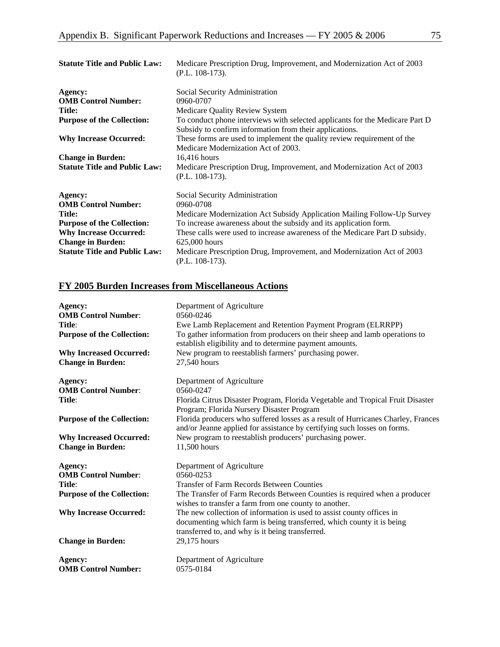| <b>Statute Title and Public Law:</b> | Medicare Prescription Drug, Improvement, and Modernization Act of 2003<br>$(P.L. 108-173).$                                             |
|--------------------------------------|-----------------------------------------------------------------------------------------------------------------------------------------|
| Agency:                              | Social Security Administration                                                                                                          |
| <b>OMB Control Number:</b>           | 0960-0707                                                                                                                               |
| <b>Title:</b>                        | Medicare Quality Review System                                                                                                          |
| <b>Purpose of the Collection:</b>    | To conduct phone interviews with selected applicants for the Medicare Part D<br>Subsidy to confirm information from their applications. |
| <b>Why Increase Occurred:</b>        | These forms are used to implement the quality review requirement of the<br>Medicare Modernization Act of 2003.                          |
| <b>Change in Burden:</b>             | 16,416 hours                                                                                                                            |
| <b>Statute Title and Public Law:</b> | Medicare Prescription Drug, Improvement, and Modernization Act of 2003<br>$(P.L. 108-173).$                                             |
| Agency:                              | Social Security Administration                                                                                                          |
| <b>OMB Control Number:</b>           | 0960-0708                                                                                                                               |
| <b>Title:</b>                        | Medicare Modernization Act Subsidy Application Mailing Follow-Up Survey                                                                 |
| <b>Purpose of the Collection:</b>    | To increase awareness about the subsidy and its application form.                                                                       |
| <b>Why Increase Occurred:</b>        | These calls were used to increase awareness of the Medicare Part D subsidy.                                                             |
| <b>Change in Burden:</b>             | $625,000$ hours                                                                                                                         |
| <b>Statute Title and Public Law:</b> | Medicare Prescription Drug, Improvement, and Modernization Act of 2003<br>$(P.L. 108-173).$                                             |

# **FY 2005 Burden Increases from Miscellaneous Actions**

| Agency:<br><b>OMB Control Number:</b> | Department of Agriculture<br>0560-0246                                                                                                                                                             |
|---------------------------------------|----------------------------------------------------------------------------------------------------------------------------------------------------------------------------------------------------|
| Title:                                | Ewe Lamb Replacement and Retention Payment Program (ELRRPP)                                                                                                                                        |
| <b>Purpose of the Collection:</b>     | To gather information from producers on their sheep and lamb operations to<br>establish eligibility and to determine payment amounts.                                                              |
| <b>Why Increased Occurred:</b>        | New program to reestablish farmers' purchasing power.                                                                                                                                              |
| <b>Change in Burden:</b>              | 27,540 hours                                                                                                                                                                                       |
| Agency:                               | Department of Agriculture                                                                                                                                                                          |
| <b>OMB Control Number:</b>            | 0560-0247                                                                                                                                                                                          |
| Title:                                | Florida Citrus Disaster Program, Florida Vegetable and Tropical Fruit Disaster<br>Program; Florida Nursery Disaster Program                                                                        |
| <b>Purpose of the Collection:</b>     | Florida producers who suffered losses as a result of Hurricanes Charley, Frances<br>and/or Jeanne applied for assistance by certifying such losses on forms.                                       |
| <b>Why Increased Occurred:</b>        | New program to reestablish producers' purchasing power.                                                                                                                                            |
| <b>Change in Burden:</b>              | 11,500 hours                                                                                                                                                                                       |
| Agency:                               | Department of Agriculture                                                                                                                                                                          |
| <b>OMB Control Number:</b>            | 0560-0253                                                                                                                                                                                          |
| Title:                                | <b>Transfer of Farm Records Between Counties</b>                                                                                                                                                   |
| <b>Purpose of the Collection:</b>     | The Transfer of Farm Records Between Counties is required when a producer<br>wishes to transfer a farm from one county to another.                                                                 |
| <b>Why Increase Occurred:</b>         | The new collection of information is used to assist county offices in<br>documenting which farm is being transferred, which county it is being<br>transferred to, and why is it being transferred. |
| <b>Change in Burden:</b>              | 29,175 hours                                                                                                                                                                                       |
| Agency:<br><b>OMB Control Number:</b> | Department of Agriculture<br>0575-0184                                                                                                                                                             |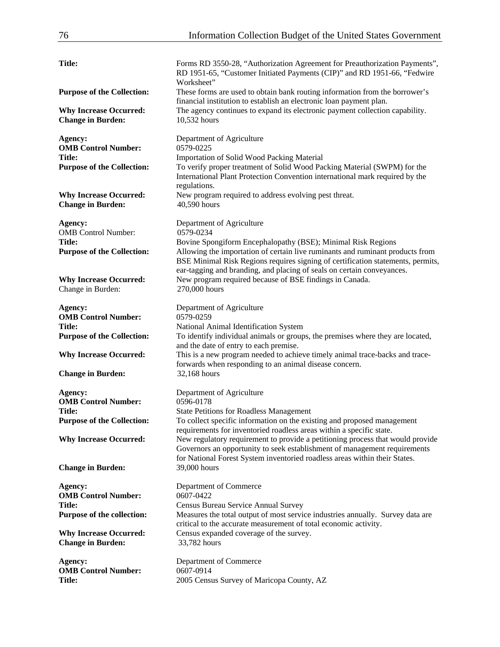| 76                                                        | Information Collection Budget of the United States Government                                                                                                                                                                                                                                              |
|-----------------------------------------------------------|------------------------------------------------------------------------------------------------------------------------------------------------------------------------------------------------------------------------------------------------------------------------------------------------------------|
|                                                           |                                                                                                                                                                                                                                                                                                            |
| <b>Title:</b>                                             | Forms RD 3550-28, "Authorization Agreement for Preauthorization Payments",<br>RD 1951-65, "Customer Initiated Payments (CIP)" and RD 1951-66, "Fedwire<br>Worksheet"                                                                                                                                       |
| <b>Purpose of the Collection:</b>                         | These forms are used to obtain bank routing information from the borrower's<br>financial institution to establish an electronic loan payment plan.                                                                                                                                                         |
| <b>Why Increase Occurred:</b><br><b>Change in Burden:</b> | The agency continues to expand its electronic payment collection capability.<br>10,532 hours                                                                                                                                                                                                               |
| Agency:<br><b>OMB Control Number:</b>                     | Department of Agriculture<br>0579-0225                                                                                                                                                                                                                                                                     |
| Title:<br><b>Purpose of the Collection:</b>               | Importation of Solid Wood Packing Material<br>To verify proper treatment of Solid Wood Packing Material (SWPM) for the<br>International Plant Protection Convention international mark required by the<br>regulations.                                                                                     |
| <b>Why Increase Occurred:</b><br><b>Change in Burden:</b> | New program required to address evolving pest threat.<br>40,590 hours                                                                                                                                                                                                                                      |
| Agency:<br><b>OMB</b> Control Number:                     | Department of Agriculture<br>0579-0234                                                                                                                                                                                                                                                                     |
| Title:<br><b>Purpose of the Collection:</b>               | Bovine Spongiform Encephalopathy (BSE); Minimal Risk Regions<br>Allowing the importation of certain live ruminants and ruminant products from<br>BSE Minimal Risk Regions requires signing of certification statements, permits,<br>ear-tagging and branding, and placing of seals on certain conveyances. |
| <b>Why Increase Occurred:</b><br>Change in Burden:        | New program required because of BSE findings in Canada.<br>270,000 hours                                                                                                                                                                                                                                   |
| Agency:<br><b>OMB Control Number:</b>                     | Department of Agriculture<br>0579-0259                                                                                                                                                                                                                                                                     |
| Title:<br><b>Purpose of the Collection:</b>               | National Animal Identification System<br>To identify individual animals or groups, the premises where they are located,<br>and the date of entry to each premise.                                                                                                                                          |
| <b>Why Increase Occurred:</b>                             | This is a new program needed to achieve timely animal trace-backs and trace-<br>forwards when responding to an animal disease concern.                                                                                                                                                                     |
| <b>Change in Burden:</b>                                  | 32,168 hours                                                                                                                                                                                                                                                                                               |
| Agency:<br><b>OMB Control Number:</b>                     | Department of Agriculture<br>0596-0178                                                                                                                                                                                                                                                                     |
| Title:<br><b>Purpose of the Collection:</b>               | <b>State Petitions for Roadless Management</b><br>To collect specific information on the existing and proposed management<br>requirements for inventoried roadless areas within a specific state.                                                                                                          |
| <b>Why Increase Occurred:</b>                             | New regulatory requirement to provide a petitioning process that would provide<br>Governors an opportunity to seek establishment of management requirements<br>for National Forest System inventoried roadless areas within their States.                                                                  |
| <b>Change in Burden:</b>                                  | 39,000 hours                                                                                                                                                                                                                                                                                               |
| Agency:<br><b>OMB Control Number:</b><br>Title:           | Department of Commerce<br>0607-0422                                                                                                                                                                                                                                                                        |
| <b>Purpose of the collection:</b>                         | Census Bureau Service Annual Survey<br>Measures the total output of most service industries annually. Survey data are<br>critical to the accurate measurement of total economic activity.                                                                                                                  |
| <b>Why Increase Occurred:</b><br><b>Change in Burden:</b> | Census expanded coverage of the survey.<br>33,782 hours                                                                                                                                                                                                                                                    |
| Agency:<br><b>OMB Control Number:</b><br>Title:           | Department of Commerce<br>0607-0914<br>2005 Census Survey of Maricopa County, AZ                                                                                                                                                                                                                           |
|                                                           |                                                                                                                                                                                                                                                                                                            |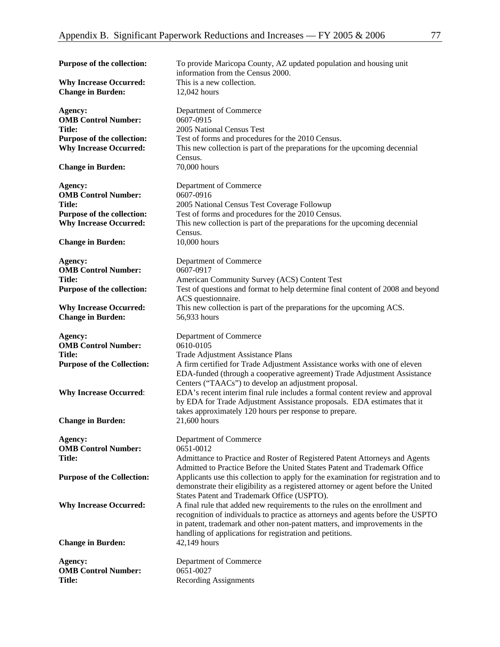| Purpose of the collection:                                | To provide Maricopa County, AZ updated population and housing unit<br>information from the Census 2000.                                                       |
|-----------------------------------------------------------|---------------------------------------------------------------------------------------------------------------------------------------------------------------|
| <b>Why Increase Occurred:</b><br><b>Change in Burden:</b> | This is a new collection.<br>12,042 hours                                                                                                                     |
| Agency:<br><b>OMB Control Number:</b><br><b>Title:</b>    | Department of Commerce<br>0607-0915<br>2005 National Census Test                                                                                              |
| Purpose of the collection:                                | Test of forms and procedures for the 2010 Census.                                                                                                             |
| <b>Why Increase Occurred:</b>                             | This new collection is part of the preparations for the upcoming decennial                                                                                    |
|                                                           | Census.                                                                                                                                                       |
| <b>Change in Burden:</b>                                  | 70,000 hours                                                                                                                                                  |
| Agency:                                                   | Department of Commerce                                                                                                                                        |
| <b>OMB Control Number:</b>                                | 0607-0916                                                                                                                                                     |
| <b>Title:</b>                                             | 2005 National Census Test Coverage Followup                                                                                                                   |
| Purpose of the collection:                                | Test of forms and procedures for the 2010 Census.                                                                                                             |
| <b>Why Increase Occurred:</b>                             | This new collection is part of the preparations for the upcoming decennial<br>Census.                                                                         |
| <b>Change in Burden:</b>                                  | 10,000 hours                                                                                                                                                  |
| Agency:<br><b>OMB Control Number:</b>                     | Department of Commerce<br>0607-0917                                                                                                                           |
| <b>Title:</b>                                             | American Community Survey (ACS) Content Test                                                                                                                  |
| Purpose of the collection:                                | Test of questions and format to help determine final content of 2008 and beyond                                                                               |
|                                                           | ACS questionnaire.                                                                                                                                            |
| <b>Why Increase Occurred:</b>                             | This new collection is part of the preparations for the upcoming ACS.                                                                                         |
| <b>Change in Burden:</b>                                  | 56,933 hours                                                                                                                                                  |
|                                                           |                                                                                                                                                               |
|                                                           |                                                                                                                                                               |
| Agency:                                                   | Department of Commerce                                                                                                                                        |
| <b>OMB Control Number:</b><br><b>Title:</b>               | 0610-0105                                                                                                                                                     |
| <b>Purpose of the Collection:</b>                         | Trade Adjustment Assistance Plans<br>A firm certified for Trade Adjustment Assistance works with one of eleven                                                |
|                                                           | EDA-funded (through a cooperative agreement) Trade Adjustment Assistance                                                                                      |
|                                                           | Centers ("TAACs") to develop an adjustment proposal.                                                                                                          |
| <b>Why Increase Occurred:</b>                             | EDA's recent interim final rule includes a formal content review and approval                                                                                 |
|                                                           | by EDA for Trade Adjustment Assistance proposals. EDA estimates that it                                                                                       |
|                                                           | takes approximately 120 hours per response to prepare.                                                                                                        |
| <b>Change in Burden:</b>                                  | 21,600 hours                                                                                                                                                  |
| Agency:                                                   | Department of Commerce                                                                                                                                        |
| <b>OMB Control Number:</b>                                | 0651-0012                                                                                                                                                     |
| <b>Title:</b>                                             | Admittance to Practice and Roster of Registered Patent Attorneys and Agents                                                                                   |
|                                                           | Admitted to Practice Before the United States Patent and Trademark Office                                                                                     |
| <b>Purpose of the Collection:</b>                         | Applicants use this collection to apply for the examination for registration and to                                                                           |
|                                                           | demonstrate their eligibility as a registered attorney or agent before the United                                                                             |
|                                                           | States Patent and Trademark Office (USPTO).                                                                                                                   |
| <b>Why Increase Occurred:</b>                             | A final rule that added new requirements to the rules on the enrollment and                                                                                   |
|                                                           | recognition of individuals to practice as attorneys and agents before the USPTO<br>in patent, trademark and other non-patent matters, and improvements in the |
|                                                           | handling of applications for registration and petitions.                                                                                                      |
| <b>Change in Burden:</b>                                  | 42,149 hours                                                                                                                                                  |
|                                                           |                                                                                                                                                               |
| Agency:                                                   | Department of Commerce                                                                                                                                        |
| <b>OMB Control Number:</b><br><b>Title:</b>               | 0651-0027<br><b>Recording Assignments</b>                                                                                                                     |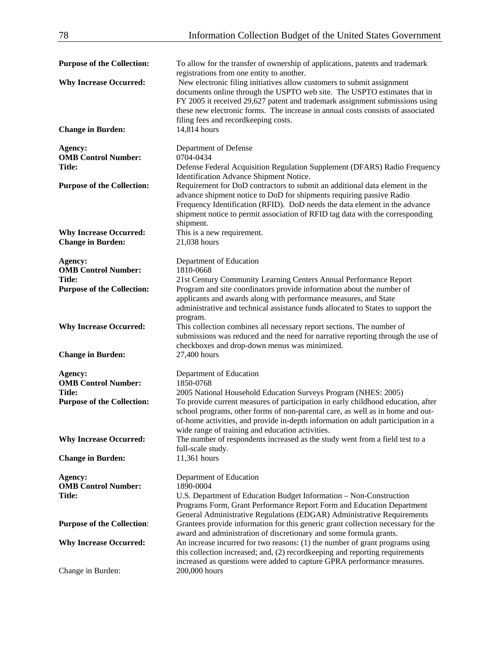| <b>Purpose of the Collection:</b>                         | To allow for the transfer of ownership of applications, patents and trademark<br>registrations from one entity to another.                                                                                                                                                                                         |
|-----------------------------------------------------------|--------------------------------------------------------------------------------------------------------------------------------------------------------------------------------------------------------------------------------------------------------------------------------------------------------------------|
| <b>Why Increase Occurred:</b>                             | New electronic filing initiatives allow customers to submit assignment<br>documents online through the USPTO web site. The USPTO estimates that in<br>FY 2005 it received 29,627 patent and trademark assignment submissions using                                                                                 |
|                                                           | these new electronic forms. The increase in annual costs consists of associated                                                                                                                                                                                                                                    |
| <b>Change in Burden:</b>                                  | filing fees and recordkeeping costs.<br>14,814 hours                                                                                                                                                                                                                                                               |
| Agency:                                                   | Department of Defense                                                                                                                                                                                                                                                                                              |
| <b>OMB Control Number:</b><br>Title:                      | 0704-0434                                                                                                                                                                                                                                                                                                          |
|                                                           | Defense Federal Acquisition Regulation Supplement (DFARS) Radio Frequency<br>Identification Advance Shipment Notice.                                                                                                                                                                                               |
| <b>Purpose of the Collection:</b>                         | Requirement for DoD contractors to submit an additional data element in the<br>advance shipment notice to DoD for shipments requiring passive Radio<br>Frequency Identification (RFID). DoD needs the data element in the advance<br>shipment notice to permit association of RFID tag data with the corresponding |
|                                                           | shipment.                                                                                                                                                                                                                                                                                                          |
| <b>Why Increase Occurred:</b><br><b>Change in Burden:</b> | This is a new requirement.<br>21,038 hours                                                                                                                                                                                                                                                                         |
| Agency:                                                   | Department of Education                                                                                                                                                                                                                                                                                            |
| <b>OMB Control Number:</b>                                | 1810-0668                                                                                                                                                                                                                                                                                                          |
| <b>Title:</b>                                             | 21st Century Community Learning Centers Annual Performance Report<br>Program and site coordinators provide information about the number of                                                                                                                                                                         |
| <b>Purpose of the Collection:</b>                         | applicants and awards along with performance measures, and State<br>administrative and technical assistance funds allocated to States to support the                                                                                                                                                               |
| <b>Why Increase Occurred:</b>                             | program.<br>This collection combines all necessary report sections. The number of<br>submissions was reduced and the need for narrative reporting through the use of<br>checkboxes and drop-down menus was minimized.                                                                                              |
| <b>Change in Burden:</b>                                  | 27,400 hours                                                                                                                                                                                                                                                                                                       |
| Agency:                                                   | Department of Education                                                                                                                                                                                                                                                                                            |
| <b>OMB Control Number:</b>                                | 1850-0768                                                                                                                                                                                                                                                                                                          |
| <b>Title:</b><br><b>Purpose of the Collection:</b>        | 2005 National Household Education Surveys Program (NHES: 2005)<br>To provide current measures of participation in early childhood education, after                                                                                                                                                                 |
|                                                           | school programs, other forms of non-parental care, as well as in home and out-                                                                                                                                                                                                                                     |
|                                                           | of-home activities, and provide in-depth information on adult participation in a                                                                                                                                                                                                                                   |
|                                                           | wide range of training and education activities.                                                                                                                                                                                                                                                                   |
| <b>Why Increase Occurred:</b>                             | The number of respondents increased as the study went from a field test to a<br>full-scale study.                                                                                                                                                                                                                  |
| <b>Change in Burden:</b>                                  | 11,361 hours                                                                                                                                                                                                                                                                                                       |
| Agency:                                                   | Department of Education                                                                                                                                                                                                                                                                                            |
| <b>OMB Control Number:</b>                                | 1890-0004                                                                                                                                                                                                                                                                                                          |
| Title:                                                    | U.S. Department of Education Budget Information - Non-Construction<br>Programs Form, Grant Performance Report Form and Education Department                                                                                                                                                                        |
| <b>Purpose of the Collection:</b>                         | General Administrative Regulations (EDGAR) Administrative Requirements<br>Grantees provide information for this generic grant collection necessary for the                                                                                                                                                         |
|                                                           | award and administration of discretionary and some formula grants.                                                                                                                                                                                                                                                 |
| <b>Why Increase Occurred:</b>                             | An increase incurred for two reasons: (1) the number of grant programs using<br>this collection increased; and, (2) recordkeeping and reporting requirements                                                                                                                                                       |
|                                                           | increased as questions were added to capture GPRA performance measures.                                                                                                                                                                                                                                            |
| Change in Burden:                                         | 200,000 hours                                                                                                                                                                                                                                                                                                      |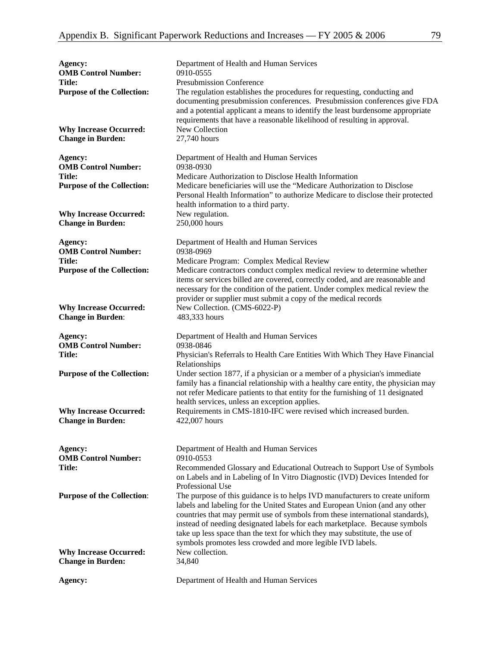| Agency:<br><b>OMB Control Number:</b><br><b>Title:</b><br><b>Purpose of the Collection:</b> | Department of Health and Human Services<br>0910-0555<br><b>Presubmission Conference</b><br>The regulation establishes the procedures for requesting, conducting and<br>documenting presubmission conferences. Presubmission conferences give FDA<br>and a potential applicant a means to identify the least burdensome appropriate<br>requirements that have a reasonable likelihood of resulting in approval.                                                         |
|---------------------------------------------------------------------------------------------|------------------------------------------------------------------------------------------------------------------------------------------------------------------------------------------------------------------------------------------------------------------------------------------------------------------------------------------------------------------------------------------------------------------------------------------------------------------------|
| <b>Why Increase Occurred:</b><br><b>Change in Burden:</b>                                   | New Collection<br>27,740 hours                                                                                                                                                                                                                                                                                                                                                                                                                                         |
| Agency:<br><b>OMB Control Number:</b><br><b>Title:</b>                                      | Department of Health and Human Services<br>0938-0930<br>Medicare Authorization to Disclose Health Information                                                                                                                                                                                                                                                                                                                                                          |
| <b>Purpose of the Collection:</b>                                                           | Medicare beneficiaries will use the "Medicare Authorization to Disclose"<br>Personal Health Information" to authorize Medicare to disclose their protected<br>health information to a third party.                                                                                                                                                                                                                                                                     |
| <b>Why Increase Occurred:</b><br><b>Change in Burden:</b>                                   | New regulation.<br>250,000 hours                                                                                                                                                                                                                                                                                                                                                                                                                                       |
| Agency:<br><b>OMB Control Number:</b><br><b>Title:</b><br><b>Purpose of the Collection:</b> | Department of Health and Human Services<br>0938-0969<br>Medicare Program: Complex Medical Review<br>Medicare contractors conduct complex medical review to determine whether<br>items or services billed are covered, correctly coded, and are reasonable and<br>necessary for the condition of the patient. Under complex medical review the<br>provider or supplier must submit a copy of the medical records                                                        |
| <b>Why Increase Occurred:</b><br><b>Change in Burden:</b>                                   | New Collection. (CMS-6022-P)<br>483,333 hours                                                                                                                                                                                                                                                                                                                                                                                                                          |
| Agency:<br><b>OMB Control Number:</b><br><b>Title:</b>                                      | Department of Health and Human Services<br>0938-0846<br>Physician's Referrals to Health Care Entities With Which They Have Financial<br>Relationships                                                                                                                                                                                                                                                                                                                  |
| <b>Purpose of the Collection:</b>                                                           | Under section 1877, if a physician or a member of a physician's immediate<br>family has a financial relationship with a healthy care entity, the physician may<br>not refer Medicare patients to that entity for the furnishing of 11 designated<br>health services, unless an exception applies.                                                                                                                                                                      |
| <b>Why Increase Occurred:</b><br><b>Change in Burden:</b>                                   | Requirements in CMS-1810-IFC were revised which increased burden.<br>422,007 hours                                                                                                                                                                                                                                                                                                                                                                                     |
| Agency:<br><b>OMB Control Number:</b><br>Title:                                             | Department of Health and Human Services<br>0910-0553<br>Recommended Glossary and Educational Outreach to Support Use of Symbols<br>on Labels and in Labeling of In Vitro Diagnostic (IVD) Devices Intended for<br>Professional Use                                                                                                                                                                                                                                     |
| <b>Purpose of the Collection:</b>                                                           | The purpose of this guidance is to helps IVD manufacturers to create uniform<br>labels and labeling for the United States and European Union (and any other<br>countries that may permit use of symbols from these international standards),<br>instead of needing designated labels for each marketplace. Because symbols<br>take up less space than the text for which they may substitute, the use of<br>symbols promotes less crowded and more legible IVD labels. |
| <b>Why Increase Occurred:</b><br><b>Change in Burden:</b>                                   | New collection.<br>34,840                                                                                                                                                                                                                                                                                                                                                                                                                                              |
| Agency:                                                                                     | Department of Health and Human Services                                                                                                                                                                                                                                                                                                                                                                                                                                |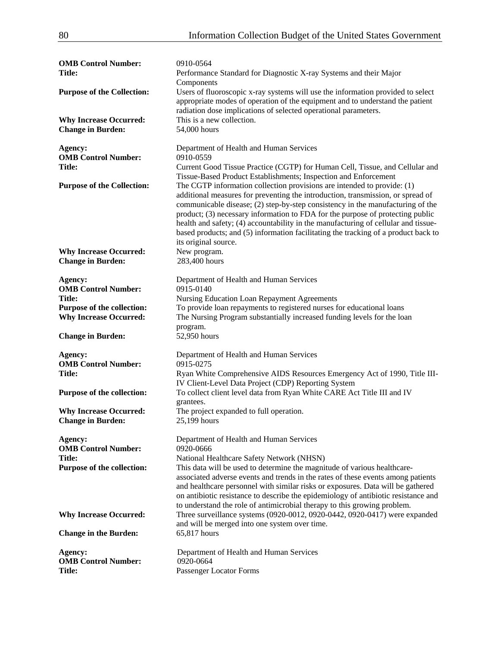| <b>OMB Control Number:</b><br>Title:                        | 0910-0564<br>Performance Standard for Diagnostic X-ray Systems and their Major<br>Components                                                                                                                                                                                                                                                                                                                                                                                                                                       |
|-------------------------------------------------------------|------------------------------------------------------------------------------------------------------------------------------------------------------------------------------------------------------------------------------------------------------------------------------------------------------------------------------------------------------------------------------------------------------------------------------------------------------------------------------------------------------------------------------------|
| <b>Purpose of the Collection:</b>                           | Users of fluoroscopic x-ray systems will use the information provided to select<br>appropriate modes of operation of the equipment and to understand the patient<br>radiation dose implications of selected operational parameters.                                                                                                                                                                                                                                                                                                |
| <b>Why Increase Occurred:</b><br><b>Change in Burden:</b>   | This is a new collection.<br>54,000 hours                                                                                                                                                                                                                                                                                                                                                                                                                                                                                          |
| Agency:<br><b>OMB Control Number:</b><br>Title:             | Department of Health and Human Services<br>0910-0559<br>Current Good Tissue Practice (CGTP) for Human Cell, Tissue, and Cellular and<br>Tissue-Based Product Establishments; Inspection and Enforcement                                                                                                                                                                                                                                                                                                                            |
| <b>Purpose of the Collection:</b>                           | The CGTP information collection provisions are intended to provide: (1)<br>additional measures for preventing the introduction, transmission, or spread of<br>communicable disease; (2) step-by-step consistency in the manufacturing of the<br>product; (3) necessary information to FDA for the purpose of protecting public<br>health and safety; (4) accountability in the manufacturing of cellular and tissue-<br>based products; and (5) information facilitating the tracking of a product back to<br>its original source. |
| <b>Why Increase Occurred:</b><br><b>Change in Burden:</b>   | New program.<br>283,400 hours                                                                                                                                                                                                                                                                                                                                                                                                                                                                                                      |
| Agency:<br><b>OMB Control Number:</b><br><b>Title:</b>      | Department of Health and Human Services<br>0915-0140                                                                                                                                                                                                                                                                                                                                                                                                                                                                               |
| Purpose of the collection:<br><b>Why Increase Occurred:</b> | Nursing Education Loan Repayment Agreements<br>To provide loan repayments to registered nurses for educational loans<br>The Nursing Program substantially increased funding levels for the loan<br>program.                                                                                                                                                                                                                                                                                                                        |
| <b>Change in Burden:</b>                                    | 52,950 hours                                                                                                                                                                                                                                                                                                                                                                                                                                                                                                                       |
| Agency:<br><b>OMB Control Number:</b><br><b>Title:</b>      | Department of Health and Human Services<br>0915-0275<br>Ryan White Comprehensive AIDS Resources Emergency Act of 1990, Title III-<br>IV Client-Level Data Project (CDP) Reporting System                                                                                                                                                                                                                                                                                                                                           |
| Purpose of the collection:                                  | To collect client level data from Ryan White CARE Act Title III and IV<br>grantees.                                                                                                                                                                                                                                                                                                                                                                                                                                                |
| <b>Why Increase Occurred:</b><br><b>Change in Burden:</b>   | The project expanded to full operation.<br>25,199 hours                                                                                                                                                                                                                                                                                                                                                                                                                                                                            |
| Agency:<br><b>OMB Control Number:</b><br>Title:             | Department of Health and Human Services<br>0920-0666<br>National Healthcare Safety Network (NHSN)                                                                                                                                                                                                                                                                                                                                                                                                                                  |
| Purpose of the collection:                                  | This data will be used to determine the magnitude of various healthcare-<br>associated adverse events and trends in the rates of these events among patients<br>and healthcare personnel with similar risks or exposures. Data will be gathered<br>on antibiotic resistance to describe the epidemiology of antibiotic resistance and<br>to understand the role of antimicrobial therapy to this growing problem.                                                                                                                  |
| <b>Why Increase Occurred:</b>                               | Three surveillance systems (0920-0012, 0920-0442, 0920-0417) were expanded<br>and will be merged into one system over time.                                                                                                                                                                                                                                                                                                                                                                                                        |
| <b>Change in the Burden:</b>                                | 65,817 hours                                                                                                                                                                                                                                                                                                                                                                                                                                                                                                                       |
| Agency:<br><b>OMB Control Number:</b><br><b>Title:</b>      | Department of Health and Human Services<br>0920-0664<br>Passenger Locator Forms                                                                                                                                                                                                                                                                                                                                                                                                                                                    |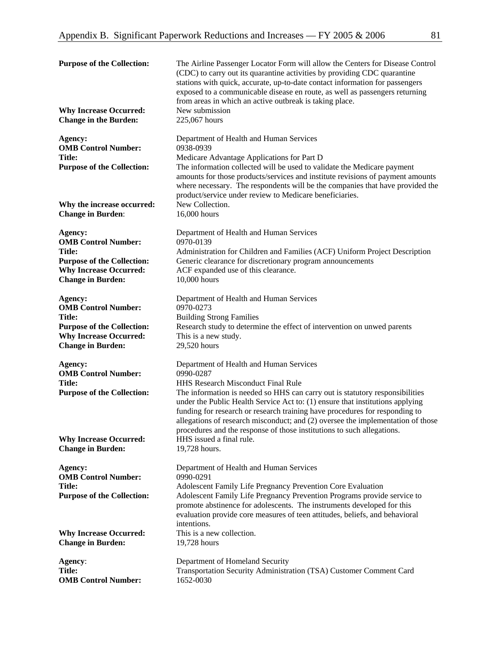| <b>Purpose of the Collection:</b>                                                           | The Airline Passenger Locator Form will allow the Centers for Disease Control<br>(CDC) to carry out its quarantine activities by providing CDC quarantine<br>stations with quick, accurate, up-to-date contact information for passengers<br>exposed to a communicable disease en route, as well as passengers returning<br>from areas in which an active outbreak is taking place.                       |
|---------------------------------------------------------------------------------------------|-----------------------------------------------------------------------------------------------------------------------------------------------------------------------------------------------------------------------------------------------------------------------------------------------------------------------------------------------------------------------------------------------------------|
| <b>Why Increase Occurred:</b>                                                               | New submission                                                                                                                                                                                                                                                                                                                                                                                            |
| <b>Change in the Burden:</b>                                                                | 225,067 hours                                                                                                                                                                                                                                                                                                                                                                                             |
| Agency:                                                                                     | Department of Health and Human Services                                                                                                                                                                                                                                                                                                                                                                   |
| <b>OMB Control Number:</b>                                                                  | 0938-0939                                                                                                                                                                                                                                                                                                                                                                                                 |
| <b>Title:</b><br><b>Purpose of the Collection:</b>                                          | Medicare Advantage Applications for Part D<br>The information collected will be used to validate the Medicare payment<br>amounts for those products/services and institute revisions of payment amounts<br>where necessary. The respondents will be the companies that have provided the<br>product/service under review to Medicare beneficiaries.                                                       |
| Why the increase occurred:                                                                  | New Collection.                                                                                                                                                                                                                                                                                                                                                                                           |
| <b>Change in Burden:</b>                                                                    | 16,000 hours                                                                                                                                                                                                                                                                                                                                                                                              |
| Agency:                                                                                     | Department of Health and Human Services                                                                                                                                                                                                                                                                                                                                                                   |
| <b>OMB Control Number:</b>                                                                  | 0970-0139                                                                                                                                                                                                                                                                                                                                                                                                 |
| <b>Title:</b>                                                                               | Administration for Children and Families (ACF) Uniform Project Description                                                                                                                                                                                                                                                                                                                                |
| <b>Purpose of the Collection:</b>                                                           | Generic clearance for discretionary program announcements                                                                                                                                                                                                                                                                                                                                                 |
| <b>Why Increase Occurred:</b>                                                               | ACF expanded use of this clearance.                                                                                                                                                                                                                                                                                                                                                                       |
| <b>Change in Burden:</b>                                                                    | 10,000 hours                                                                                                                                                                                                                                                                                                                                                                                              |
| Agency:                                                                                     | Department of Health and Human Services                                                                                                                                                                                                                                                                                                                                                                   |
| <b>OMB Control Number:</b>                                                                  | 0970-0273                                                                                                                                                                                                                                                                                                                                                                                                 |
| Title:                                                                                      | <b>Building Strong Families</b>                                                                                                                                                                                                                                                                                                                                                                           |
| <b>Purpose of the Collection:</b>                                                           | Research study to determine the effect of intervention on unwed parents                                                                                                                                                                                                                                                                                                                                   |
| <b>Why Increase Occurred:</b>                                                               | This is a new study.                                                                                                                                                                                                                                                                                                                                                                                      |
| <b>Change in Burden:</b>                                                                    | 29,520 hours                                                                                                                                                                                                                                                                                                                                                                                              |
| Agency:                                                                                     | Department of Health and Human Services                                                                                                                                                                                                                                                                                                                                                                   |
| <b>OMB Control Number:</b>                                                                  | 0990-0287                                                                                                                                                                                                                                                                                                                                                                                                 |
| Title:                                                                                      | HHS Research Misconduct Final Rule                                                                                                                                                                                                                                                                                                                                                                        |
| <b>Purpose of the Collection:</b>                                                           | The information is needed so HHS can carry out is statutory responsibilities<br>under the Public Health Service Act to: (1) ensure that institutions applying<br>funding for research or research training have procedures for responding to<br>allegations of research misconduct; and (2) oversee the implementation of those<br>procedures and the response of those institutions to such allegations. |
| <b>Why Increase Occurred:</b>                                                               | HHS issued a final rule.                                                                                                                                                                                                                                                                                                                                                                                  |
| <b>Change in Burden:</b>                                                                    | 19,728 hours.                                                                                                                                                                                                                                                                                                                                                                                             |
| Agency:<br><b>OMB Control Number:</b><br><b>Title:</b><br><b>Purpose of the Collection:</b> | Department of Health and Human Services<br>0990-0291<br>Adolescent Family Life Pregnancy Prevention Core Evaluation<br>Adolescent Family Life Pregnancy Prevention Programs provide service to<br>promote abstinence for adolescents. The instruments developed for this<br>evaluation provide core measures of teen attitudes, beliefs, and behavioral<br>intentions.                                    |
| <b>Why Increase Occurred:</b>                                                               | This is a new collection.                                                                                                                                                                                                                                                                                                                                                                                 |
| <b>Change in Burden:</b>                                                                    | 19,728 hours                                                                                                                                                                                                                                                                                                                                                                                              |
| Agency:                                                                                     | Department of Homeland Security                                                                                                                                                                                                                                                                                                                                                                           |
| <b>Title:</b>                                                                               | Transportation Security Administration (TSA) Customer Comment Card                                                                                                                                                                                                                                                                                                                                        |
| <b>OMB Control Number:</b>                                                                  | 1652-0030                                                                                                                                                                                                                                                                                                                                                                                                 |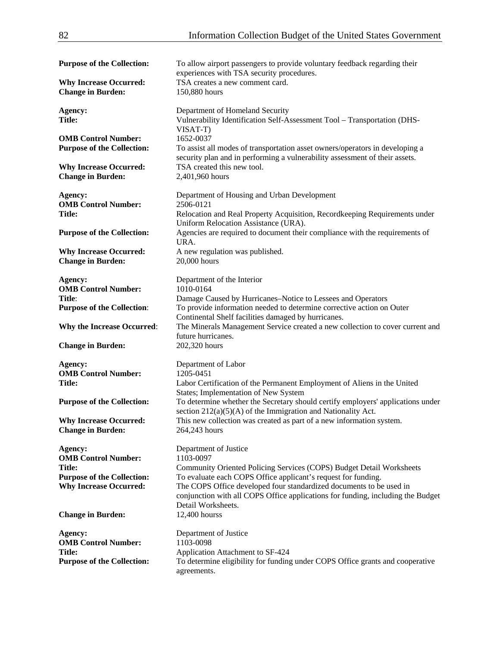| <b>Purpose of the Collection:</b> | To allow airport passengers to provide voluntary feedback regarding their<br>experiences with TSA security procedures. |
|-----------------------------------|------------------------------------------------------------------------------------------------------------------------|
| <b>Why Increase Occurred:</b>     | TSA creates a new comment card.                                                                                        |
| <b>Change in Burden:</b>          | 150,880 hours                                                                                                          |
|                                   |                                                                                                                        |
| Agency:                           | Department of Homeland Security                                                                                        |
| Title:                            | Vulnerability Identification Self-Assessment Tool - Transportation (DHS-                                               |
|                                   | VISAT-T)                                                                                                               |
| <b>OMB Control Number:</b>        | 1652-0037                                                                                                              |
| <b>Purpose of the Collection:</b> | To assist all modes of transportation asset owners/operators in developing a                                           |
|                                   | security plan and in performing a vulnerability assessment of their assets.                                            |
| <b>Why Increase Occurred:</b>     | TSA created this new tool.                                                                                             |
| <b>Change in Burden:</b>          | 2,401,960 hours                                                                                                        |
|                                   |                                                                                                                        |
| Agency:                           | Department of Housing and Urban Development                                                                            |
| <b>OMB Control Number:</b>        | 2506-0121                                                                                                              |
| Title:                            | Relocation and Real Property Acquisition, Recordkeeping Requirements under                                             |
|                                   | Uniform Relocation Assistance (URA).                                                                                   |
| <b>Purpose of the Collection:</b> | Agencies are required to document their compliance with the requirements of                                            |
| URA.                              |                                                                                                                        |
| <b>Why Increase Occurred:</b>     | A new regulation was published.                                                                                        |
| <b>Change in Burden:</b>          | 20,000 hours                                                                                                           |
|                                   |                                                                                                                        |
| Agency:                           | Department of the Interior                                                                                             |
| <b>OMB Control Number:</b>        | 1010-0164                                                                                                              |
| Title:                            | Damage Caused by Hurricanes-Notice to Lessees and Operators                                                            |
| <b>Purpose of the Collection:</b> | To provide information needed to determine corrective action on Outer                                                  |
|                                   | Continental Shelf facilities damaged by hurricanes.                                                                    |
| <b>Why the Increase Occurred:</b> | The Minerals Management Service created a new collection to cover current and                                          |
|                                   | future hurricanes.                                                                                                     |
| <b>Change in Burden:</b>          | 202,320 hours                                                                                                          |
|                                   |                                                                                                                        |
| Agency:                           | Department of Labor                                                                                                    |
| <b>OMB Control Number:</b>        | 1205-0451                                                                                                              |
| <b>Title:</b>                     | Labor Certification of the Permanent Employment of Aliens in the United                                                |
|                                   | <b>States</b> ; Implementation of New System                                                                           |
| <b>Purpose of the Collection:</b> | To determine whether the Secretary should certify employers' applications under                                        |
|                                   | section $212(a)(5)(A)$ of the Immigration and Nationality Act.                                                         |
| <b>Why Increase Occurred:</b>     | This new collection was created as part of a new information system.                                                   |
| <b>Change in Burden:</b>          | 264,243 hours                                                                                                          |
|                                   |                                                                                                                        |
| Agency:                           | Department of Justice                                                                                                  |
| <b>OMB Control Number:</b>        | 1103-0097                                                                                                              |
| Title:                            | Community Oriented Policing Services (COPS) Budget Detail Worksheets                                                   |
| <b>Purpose of the Collection:</b> | To evaluate each COPS Office applicant's request for funding.                                                          |
| <b>Why Increase Occurred:</b>     | The COPS Office developed four standardized documents to be used in                                                    |
|                                   | conjunction with all COPS Office applications for funding, including the Budget                                        |
|                                   | Detail Worksheets.                                                                                                     |
| <b>Change in Burden:</b>          | 12,400 hourss                                                                                                          |
|                                   |                                                                                                                        |
| Agency:                           | Department of Justice                                                                                                  |
| <b>OMB Control Number:</b>        | 1103-0098                                                                                                              |
| Title:                            | Application Attachment to SF-424                                                                                       |
| <b>Purpose of the Collection:</b> | To determine eligibility for funding under COPS Office grants and cooperative                                          |
|                                   | agreements.                                                                                                            |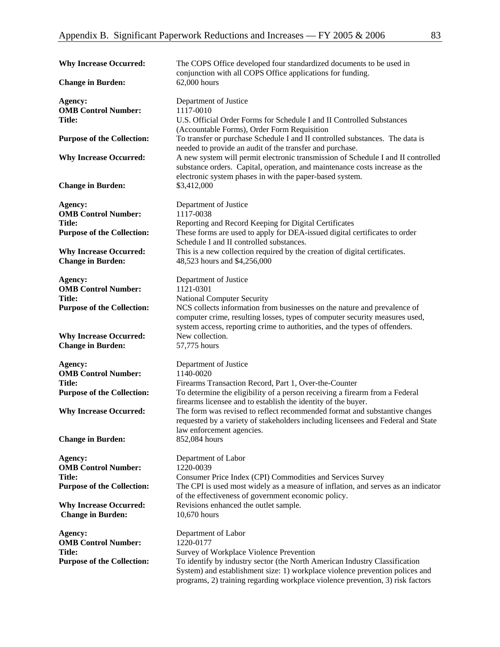| <b>Why Increase Occurred:</b>                                                               | The COPS Office developed four standardized documents to be used in<br>conjunction with all COPS Office applications for funding.                                                                                                                                                       |
|---------------------------------------------------------------------------------------------|-----------------------------------------------------------------------------------------------------------------------------------------------------------------------------------------------------------------------------------------------------------------------------------------|
| <b>Change in Burden:</b>                                                                    | 62,000 hours                                                                                                                                                                                                                                                                            |
| Agency:<br><b>OMB Control Number:</b><br>Title:                                             | Department of Justice<br>1117-0010<br>U.S. Official Order Forms for Schedule I and II Controlled Substances<br>(Accountable Forms), Order Form Requisition                                                                                                                              |
| <b>Purpose of the Collection:</b>                                                           | To transfer or purchase Schedule I and II controlled substances. The data is<br>needed to provide an audit of the transfer and purchase.                                                                                                                                                |
| <b>Why Increase Occurred:</b>                                                               | A new system will permit electronic transmission of Schedule I and II controlled<br>substance orders. Capital, operation, and maintenance costs increase as the<br>electronic system phases in with the paper-based system.                                                             |
| <b>Change in Burden:</b>                                                                    | \$3,412,000                                                                                                                                                                                                                                                                             |
| Agency:<br><b>OMB Control Number:</b><br><b>Title:</b><br><b>Purpose of the Collection:</b> | Department of Justice<br>1117-0038<br>Reporting and Record Keeping for Digital Certificates<br>These forms are used to apply for DEA-issued digital certificates to order<br>Schedule I and II controlled substances.                                                                   |
| <b>Why Increase Occurred:</b><br><b>Change in Burden:</b>                                   | This is a new collection required by the creation of digital certificates.<br>48,523 hours and \$4,256,000                                                                                                                                                                              |
| Agency:<br><b>OMB Control Number:</b><br>Title:<br><b>Purpose of the Collection:</b>        | Department of Justice<br>1121-0301<br><b>National Computer Security</b><br>NCS collects information from businesses on the nature and prevalence of                                                                                                                                     |
| <b>Why Increase Occurred:</b>                                                               | computer crime, resulting losses, types of computer security measures used,<br>system access, reporting crime to authorities, and the types of offenders.<br>New collection.                                                                                                            |
| <b>Change in Burden:</b>                                                                    | 57,775 hours                                                                                                                                                                                                                                                                            |
| Agency:<br><b>OMB Control Number:</b><br><b>Title:</b>                                      | Department of Justice<br>1140-0020<br>Firearms Transaction Record, Part 1, Over-the-Counter                                                                                                                                                                                             |
| <b>Purpose of the Collection:</b>                                                           | To determine the eligibility of a person receiving a firearm from a Federal<br>firearms licensee and to establish the identity of the buyer.                                                                                                                                            |
| <b>Why Increase Occurred:</b>                                                               | The form was revised to reflect recommended format and substantive changes<br>requested by a variety of stakeholders including licensees and Federal and State<br>law enforcement agencies.                                                                                             |
| <b>Change in Burden:</b>                                                                    | 852,084 hours                                                                                                                                                                                                                                                                           |
| Agency:<br><b>OMB Control Number:</b><br><b>Title:</b><br><b>Purpose of the Collection:</b> | Department of Labor<br>1220-0039<br>Consumer Price Index (CPI) Commodities and Services Survey<br>The CPI is used most widely as a measure of inflation, and serves as an indicator                                                                                                     |
| <b>Why Increase Occurred:</b><br><b>Change in Burden:</b>                                   | of the effectiveness of government economic policy.<br>Revisions enhanced the outlet sample.<br>$10,670$ hours                                                                                                                                                                          |
| Agency:<br><b>OMB Control Number:</b>                                                       | Department of Labor<br>1220-0177                                                                                                                                                                                                                                                        |
| <b>Title:</b><br><b>Purpose of the Collection:</b>                                          | Survey of Workplace Violence Prevention<br>To identify by industry sector (the North American Industry Classification<br>System) and establishment size: 1) workplace violence prevention polices and<br>programs, 2) training regarding workplace violence prevention, 3) risk factors |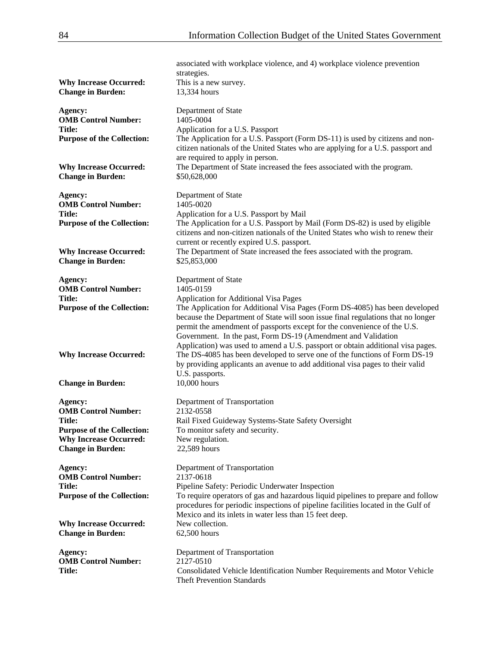| <b>Why Increase Occurred:</b><br><b>Change in Burden:</b>                                      | associated with workplace violence, and 4) workplace violence prevention<br>strategies.<br>This is a new survey.<br>13,334 hours                                                                                                                                                                                                                      |
|------------------------------------------------------------------------------------------------|-------------------------------------------------------------------------------------------------------------------------------------------------------------------------------------------------------------------------------------------------------------------------------------------------------------------------------------------------------|
| Agency:<br><b>OMB Control Number:</b><br><b>Title:</b><br><b>Purpose of the Collection:</b>    | Department of State<br>1405-0004<br>Application for a U.S. Passport<br>The Application for a U.S. Passport (Form DS-11) is used by citizens and non-<br>citizen nationals of the United States who are applying for a U.S. passport and                                                                                                               |
| <b>Why Increase Occurred:</b><br><b>Change in Burden:</b>                                      | are required to apply in person.<br>The Department of State increased the fees associated with the program.<br>\$50,628,000                                                                                                                                                                                                                           |
| Agency:<br><b>OMB Control Number:</b><br>Title:                                                | Department of State<br>1405-0020<br>Application for a U.S. Passport by Mail                                                                                                                                                                                                                                                                           |
| <b>Purpose of the Collection:</b>                                                              | The Application for a U.S. Passport by Mail (Form DS-82) is used by eligible<br>citizens and non-citizen nationals of the United States who wish to renew their<br>current or recently expired U.S. passport.                                                                                                                                         |
| <b>Why Increase Occurred:</b><br><b>Change in Burden:</b>                                      | The Department of State increased the fees associated with the program.<br>\$25,853,000                                                                                                                                                                                                                                                               |
| Agency:<br><b>OMB Control Number:</b><br><b>Title:</b>                                         | Department of State<br>1405-0159                                                                                                                                                                                                                                                                                                                      |
| <b>Purpose of the Collection:</b>                                                              | Application for Additional Visa Pages<br>The Application for Additional Visa Pages (Form DS-4085) has been developed<br>because the Department of State will soon issue final regulations that no longer<br>permit the amendment of passports except for the convenience of the U.S.<br>Government. In the past, Form DS-19 (Amendment and Validation |
| <b>Why Increase Occurred:</b>                                                                  | Application) was used to amend a U.S. passport or obtain additional visa pages.<br>The DS-4085 has been developed to serve one of the functions of Form DS-19<br>by providing applicants an avenue to add additional visa pages to their valid<br>U.S. passports.                                                                                     |
| <b>Change in Burden:</b>                                                                       | 10,000 hours                                                                                                                                                                                                                                                                                                                                          |
| Agency:<br><b>OMB Control Number:</b><br><b>Title:</b>                                         | Department of Transportation<br>2132-0558<br>Rail Fixed Guideway Systems-State Safety Oversight                                                                                                                                                                                                                                                       |
| <b>Purpose of the Collection:</b><br><b>Why Increase Occurred:</b><br><b>Change in Burden:</b> | To monitor safety and security.<br>New regulation.<br>22,589 hours                                                                                                                                                                                                                                                                                    |
| Agency:<br><b>OMB Control Number:</b><br>Title:<br><b>Purpose of the Collection:</b>           | Department of Transportation<br>2137-0618<br>Pipeline Safety: Periodic Underwater Inspection<br>To require operators of gas and hazardous liquid pipelines to prepare and follow                                                                                                                                                                      |
| <b>Why Increase Occurred:</b>                                                                  | procedures for periodic inspections of pipeline facilities located in the Gulf of<br>Mexico and its inlets in water less than 15 feet deep.<br>New collection.                                                                                                                                                                                        |
| <b>Change in Burden:</b>                                                                       | 62,500 hours                                                                                                                                                                                                                                                                                                                                          |
| Agency:<br><b>OMB Control Number:</b><br><b>Title:</b>                                         | Department of Transportation<br>2127-0510<br>Consolidated Vehicle Identification Number Requirements and Motor Vehicle<br><b>Theft Prevention Standards</b>                                                                                                                                                                                           |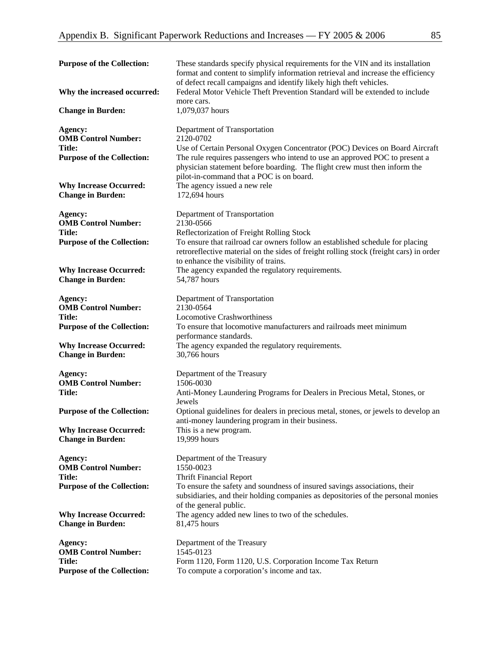| <b>Purpose of the Collection:</b>                                                              | These standards specify physical requirements for the VIN and its installation<br>format and content to simplify information retrieval and increase the efficiency<br>of defect recall campaigns and identify likely high theft vehicles.                                                                                        |
|------------------------------------------------------------------------------------------------|----------------------------------------------------------------------------------------------------------------------------------------------------------------------------------------------------------------------------------------------------------------------------------------------------------------------------------|
| Why the increased occurred:                                                                    | Federal Motor Vehicle Theft Prevention Standard will be extended to include<br>more cars.                                                                                                                                                                                                                                        |
| <b>Change in Burden:</b>                                                                       | 1,079,037 hours                                                                                                                                                                                                                                                                                                                  |
| Agency:<br><b>OMB Control Number:</b><br><b>Title:</b><br><b>Purpose of the Collection:</b>    | Department of Transportation<br>2120-0702<br>Use of Certain Personal Oxygen Concentrator (POC) Devices on Board Aircraft<br>The rule requires passengers who intend to use an approved POC to present a<br>physician statement before boarding. The flight crew must then inform the<br>pilot-in-command that a POC is on board. |
| <b>Why Increase Occurred:</b><br><b>Change in Burden:</b>                                      | The agency issued a new rele<br>172,694 hours                                                                                                                                                                                                                                                                                    |
| Agency:<br><b>OMB Control Number:</b><br>Title:<br><b>Purpose of the Collection:</b>           | Department of Transportation<br>2130-0566<br>Reflectorization of Freight Rolling Stock<br>To ensure that railroad car owners follow an established schedule for placing<br>retroreflective material on the sides of freight rolling stock (freight cars) in order<br>to enhance the visibility of trains.                        |
| <b>Why Increase Occurred:</b><br><b>Change in Burden:</b>                                      | The agency expanded the regulatory requirements.<br>54,787 hours                                                                                                                                                                                                                                                                 |
| Agency:<br><b>OMB Control Number:</b><br>Title:<br><b>Purpose of the Collection:</b>           | Department of Transportation<br>2130-0564<br><b>Locomotive Crashworthiness</b><br>To ensure that locomotive manufacturers and railroads meet minimum                                                                                                                                                                             |
| <b>Why Increase Occurred:</b><br><b>Change in Burden:</b>                                      | performance standards.<br>The agency expanded the regulatory requirements.<br>30,766 hours                                                                                                                                                                                                                                       |
| Agency:<br><b>OMB Control Number:</b><br><b>Title:</b>                                         | Department of the Treasury<br>1506-0030<br>Anti-Money Laundering Programs for Dealers in Precious Metal, Stones, or<br>Jewels                                                                                                                                                                                                    |
| <b>Purpose of the Collection:</b><br><b>Why Increase Occurred:</b><br><b>Change in Burden:</b> | Optional guidelines for dealers in precious metal, stones, or jewels to develop an<br>anti-money laundering program in their business.<br>This is a new program.<br>19,999 hours                                                                                                                                                 |
| Agency:<br><b>OMB Control Number:</b><br><b>Title:</b><br><b>Purpose of the Collection:</b>    | Department of the Treasury<br>1550-0023<br><b>Thrift Financial Report</b><br>To ensure the safety and soundness of insured savings associations, their<br>subsidiaries, and their holding companies as depositories of the personal monies<br>of the general public.                                                             |
| <b>Why Increase Occurred:</b><br><b>Change in Burden:</b>                                      | The agency added new lines to two of the schedules.<br>81,475 hours                                                                                                                                                                                                                                                              |
| Agency:<br><b>OMB Control Number:</b><br><b>Title:</b><br><b>Purpose of the Collection:</b>    | Department of the Treasury<br>1545-0123<br>Form 1120, Form 1120, U.S. Corporation Income Tax Return<br>To compute a corporation's income and tax.                                                                                                                                                                                |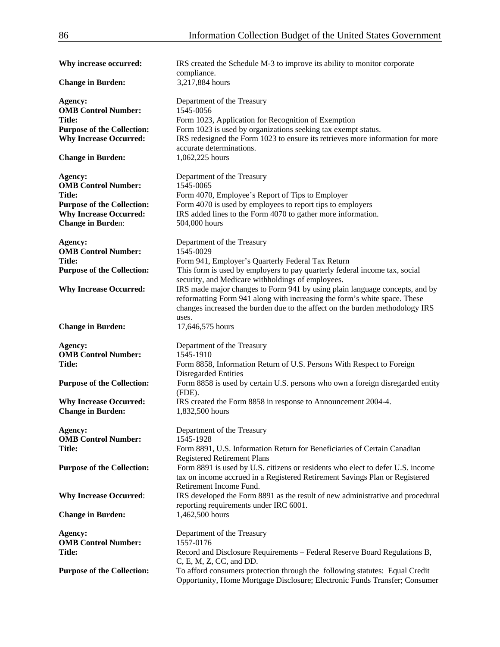| Why increase occurred:            | IRS created the Schedule M-3 to improve its ability to monitor corporate<br>compliance.                                                                   |
|-----------------------------------|-----------------------------------------------------------------------------------------------------------------------------------------------------------|
| <b>Change in Burden:</b>          | 3,217,884 hours                                                                                                                                           |
| Agency:                           | Department of the Treasury                                                                                                                                |
| <b>OMB Control Number:</b>        | 1545-0056                                                                                                                                                 |
| Title:                            | Form 1023, Application for Recognition of Exemption                                                                                                       |
| <b>Purpose of the Collection:</b> | Form 1023 is used by organizations seeking tax exempt status.                                                                                             |
| <b>Why Increase Occurred:</b>     | IRS redesigned the Form 1023 to ensure its retrieves more information for more<br>accurate determinations.                                                |
| <b>Change in Burden:</b>          | 1,062,225 hours                                                                                                                                           |
| Agency:                           | Department of the Treasury                                                                                                                                |
| <b>OMB Control Number:</b>        | 1545-0065                                                                                                                                                 |
| <b>Title:</b>                     | Form 4070, Employee's Report of Tips to Employer                                                                                                          |
| <b>Purpose of the Collection:</b> | Form 4070 is used by employees to report tips to employers                                                                                                |
| <b>Why Increase Occurred:</b>     | IRS added lines to the Form 4070 to gather more information.                                                                                              |
| <b>Change in Burden:</b>          | 504,000 hours                                                                                                                                             |
| Agency:                           | Department of the Treasury                                                                                                                                |
| <b>OMB Control Number:</b>        | 1545-0029                                                                                                                                                 |
| Title:                            | Form 941, Employer's Quarterly Federal Tax Return                                                                                                         |
| <b>Purpose of the Collection:</b> | This form is used by employers to pay quarterly federal income tax, social<br>security, and Medicare withholdings of employees.                           |
| <b>Why Increase Occurred:</b>     | IRS made major changes to Form 941 by using plain language concepts, and by                                                                               |
|                                   | reformatting Form 941 along with increasing the form's white space. These                                                                                 |
|                                   | changes increased the burden due to the affect on the burden methodology IRS                                                                              |
|                                   | uses.                                                                                                                                                     |
| <b>Change in Burden:</b>          | 17,646,575 hours                                                                                                                                          |
| Agency:                           | Department of the Treasury                                                                                                                                |
| <b>OMB Control Number:</b>        | 1545-1910                                                                                                                                                 |
| <b>Title:</b>                     | Form 8858, Information Return of U.S. Persons With Respect to Foreign                                                                                     |
|                                   | Disregarded Entities                                                                                                                                      |
| <b>Purpose of the Collection:</b> | Form 8858 is used by certain U.S. persons who own a foreign disregarded entity<br>(FDE).                                                                  |
| <b>Why Increase Occurred:</b>     | IRS created the Form 8858 in response to Announcement 2004-4.                                                                                             |
| <b>Change in Burden:</b>          | 1,832,500 hours                                                                                                                                           |
| Agency:                           | Department of the Treasury                                                                                                                                |
| <b>OMB Control Number:</b>        | 1545-1928                                                                                                                                                 |
| <b>Title:</b>                     | Form 8891, U.S. Information Return for Beneficiaries of Certain Canadian                                                                                  |
|                                   | <b>Registered Retirement Plans</b>                                                                                                                        |
| <b>Purpose of the Collection:</b> | Form 8891 is used by U.S. citizens or residents who elect to defer U.S. income                                                                            |
|                                   | tax on income accrued in a Registered Retirement Savings Plan or Registered<br>Retirement Income Fund.                                                    |
| <b>Why Increase Occurred:</b>     | IRS developed the Form 8891 as the result of new administrative and procedural                                                                            |
|                                   | reporting requirements under IRC 6001.                                                                                                                    |
| <b>Change in Burden:</b>          | 1,462,500 hours                                                                                                                                           |
| Agency:                           | Department of the Treasury                                                                                                                                |
| <b>OMB Control Number:</b>        | 1557-0176                                                                                                                                                 |
| Title:                            | Record and Disclosure Requirements - Federal Reserve Board Regulations B,                                                                                 |
|                                   | C, E, M, Z, CC, and DD.                                                                                                                                   |
| <b>Purpose of the Collection:</b> | To afford consumers protection through the following statutes: Equal Credit<br>Opportunity, Home Mortgage Disclosure; Electronic Funds Transfer; Consumer |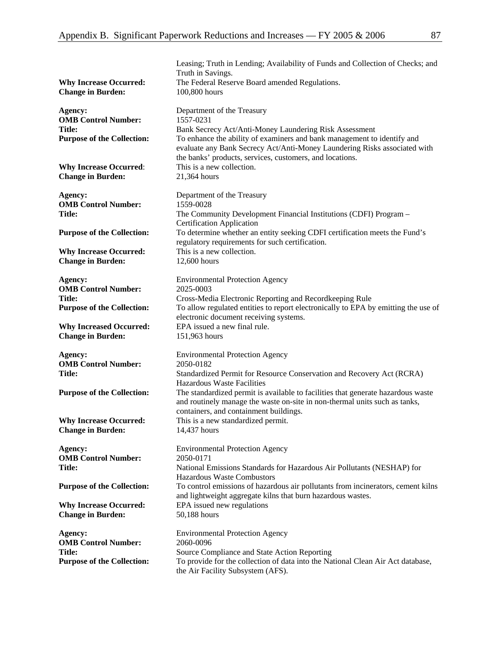| <b>Why Increase Occurred:</b><br><b>Change in Burden:</b> | Leasing; Truth in Lending; Availability of Funds and Collection of Checks; and<br>Truth in Savings.<br>The Federal Reserve Board amended Regulations.<br>100,800 hours                                           |
|-----------------------------------------------------------|------------------------------------------------------------------------------------------------------------------------------------------------------------------------------------------------------------------|
| Agency:                                                   | Department of the Treasury                                                                                                                                                                                       |
| <b>OMB Control Number:</b>                                | 1557-0231                                                                                                                                                                                                        |
| <b>Title:</b>                                             | Bank Secrecy Act/Anti-Money Laundering Risk Assessment                                                                                                                                                           |
| <b>Purpose of the Collection:</b>                         | To enhance the ability of examiners and bank management to identify and<br>evaluate any Bank Secrecy Act/Anti-Money Laundering Risks associated with<br>the banks' products, services, customers, and locations. |
| <b>Why Increase Occurred:</b><br><b>Change in Burden:</b> | This is a new collection.<br>21,364 hours                                                                                                                                                                        |
| Agency:                                                   | Department of the Treasury                                                                                                                                                                                       |
| <b>OMB Control Number:</b>                                | 1559-0028                                                                                                                                                                                                        |
| <b>Title:</b>                                             | The Community Development Financial Institutions (CDFI) Program -                                                                                                                                                |
| <b>Purpose of the Collection:</b>                         | <b>Certification Application</b><br>To determine whether an entity seeking CDFI certification meets the Fund's<br>regulatory requirements for such certification.                                                |
| <b>Why Increase Occurred:</b>                             | This is a new collection.                                                                                                                                                                                        |
| <b>Change in Burden:</b>                                  | 12,600 hours                                                                                                                                                                                                     |
| Agency:                                                   | <b>Environmental Protection Agency</b>                                                                                                                                                                           |
| <b>OMB Control Number:</b>                                | 2025-0003                                                                                                                                                                                                        |
| <b>Title:</b>                                             | Cross-Media Electronic Reporting and Recordkeeping Rule                                                                                                                                                          |
| <b>Purpose of the Collection:</b>                         | To allow regulated entities to report electronically to EPA by emitting the use of<br>electronic document receiving systems.                                                                                     |
| <b>Why Increased Occurred:</b>                            | EPA issued a new final rule.                                                                                                                                                                                     |
| <b>Change in Burden:</b>                                  | 151,963 hours                                                                                                                                                                                                    |
| Agency:                                                   | <b>Environmental Protection Agency</b>                                                                                                                                                                           |
| <b>OMB Control Number:</b>                                | 2050-0182                                                                                                                                                                                                        |
| Title:                                                    | Standardized Permit for Resource Conservation and Recovery Act (RCRA)<br><b>Hazardous Waste Facilities</b>                                                                                                       |
| <b>Purpose of the Collection:</b>                         | The standardized permit is available to facilities that generate hazardous waste                                                                                                                                 |
|                                                           | and routinely manage the waste on-site in non-thermal units such as tanks,                                                                                                                                       |
|                                                           | containers, and containment buildings.                                                                                                                                                                           |
| <b>Why Increase Occurred:</b>                             | This is a new standardized permit.                                                                                                                                                                               |
| <b>Change in Burden:</b>                                  | 14,437 hours                                                                                                                                                                                                     |
| Agency:                                                   | <b>Environmental Protection Agency</b>                                                                                                                                                                           |
| <b>OMB Control Number:</b>                                | 2050-0171                                                                                                                                                                                                        |
| <b>Title:</b>                                             | National Emissions Standards for Hazardous Air Pollutants (NESHAP) for                                                                                                                                           |
| <b>Purpose of the Collection:</b>                         | <b>Hazardous Waste Combustors</b><br>To control emissions of hazardous air pollutants from incinerators, cement kilns                                                                                            |
|                                                           | and lightweight aggregate kilns that burn hazardous wastes.                                                                                                                                                      |
| <b>Why Increase Occurred:</b>                             | EPA issued new regulations                                                                                                                                                                                       |
| <b>Change in Burden:</b>                                  | 50,188 hours                                                                                                                                                                                                     |
|                                                           |                                                                                                                                                                                                                  |
| Agency:                                                   | <b>Environmental Protection Agency</b>                                                                                                                                                                           |
| <b>OMB Control Number:</b><br><b>Title:</b>               | 2060-0096<br>Source Compliance and State Action Reporting                                                                                                                                                        |
| <b>Purpose of the Collection:</b>                         | To provide for the collection of data into the National Clean Air Act database,                                                                                                                                  |
|                                                           | the Air Facility Subsystem (AFS).                                                                                                                                                                                |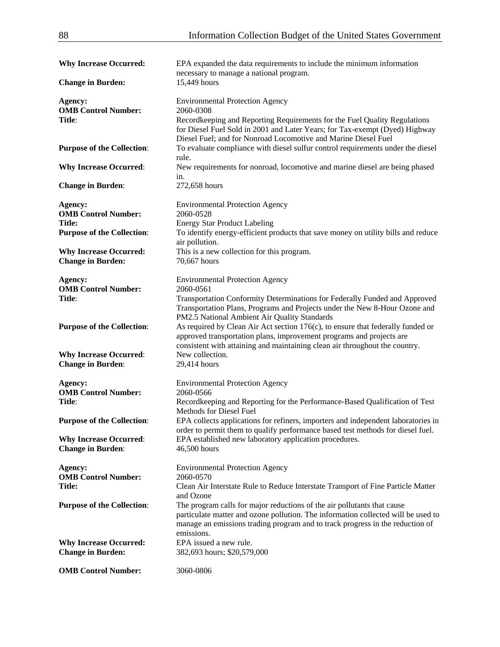| <b>Why Increase Occurred:</b>                             | EPA expanded the data requirements to include the minimum information<br>necessary to manage a national program.                                                                                                                                            |
|-----------------------------------------------------------|-------------------------------------------------------------------------------------------------------------------------------------------------------------------------------------------------------------------------------------------------------------|
| <b>Change in Burden:</b>                                  | 15,449 hours                                                                                                                                                                                                                                                |
| Agency:<br><b>OMB Control Number:</b>                     | <b>Environmental Protection Agency</b><br>2060-0308                                                                                                                                                                                                         |
| Title:                                                    | Recordkeeping and Reporting Requirements for the Fuel Quality Regulations                                                                                                                                                                                   |
|                                                           | for Diesel Fuel Sold in 2001 and Later Years; for Tax-exempt (Dyed) Highway<br>Diesel Fuel; and for Nonroad Locomotive and Marine Diesel Fuel                                                                                                               |
| <b>Purpose of the Collection:</b>                         | To evaluate compliance with diesel sulfur control requirements under the diesel<br>rule.                                                                                                                                                                    |
| <b>Why Increase Occurred:</b>                             | New requirements for nonroad, locomotive and marine diesel are being phased<br>in.                                                                                                                                                                          |
| <b>Change in Burden:</b>                                  | 272,658 hours                                                                                                                                                                                                                                               |
| Agency:<br><b>OMB Control Number:</b>                     | <b>Environmental Protection Agency</b><br>2060-0528                                                                                                                                                                                                         |
| <b>Title:</b>                                             | <b>Energy Star Product Labeling</b>                                                                                                                                                                                                                         |
| <b>Purpose of the Collection:</b>                         | To identify energy-efficient products that save money on utility bills and reduce                                                                                                                                                                           |
|                                                           | air pollution.                                                                                                                                                                                                                                              |
| <b>Why Increase Occurred:</b>                             | This is a new collection for this program.                                                                                                                                                                                                                  |
| <b>Change in Burden:</b>                                  | 70,667 hours                                                                                                                                                                                                                                                |
| Agency:                                                   | <b>Environmental Protection Agency</b>                                                                                                                                                                                                                      |
| <b>OMB Control Number:</b>                                | 2060-0561                                                                                                                                                                                                                                                   |
| Title:                                                    | Transportation Conformity Determinations for Federally Funded and Approved<br>Transportation Plans, Programs and Projects under the New 8-Hour Ozone and<br>PM2.5 National Ambient Air Quality Standards                                                    |
| <b>Purpose of the Collection:</b>                         | As required by Clean Air Act section $176(c)$ , to ensure that federally funded or<br>approved transportation plans, improvement programs and projects are<br>consistent with attaining and maintaining clean air throughout the country.                   |
| <b>Why Increase Occurred:</b>                             | New collection.                                                                                                                                                                                                                                             |
| <b>Change in Burden:</b>                                  | 29,414 hours                                                                                                                                                                                                                                                |
| Agency:                                                   | <b>Environmental Protection Agency</b>                                                                                                                                                                                                                      |
| <b>OMB Control Number:</b><br>Title:                      | 2060-0566                                                                                                                                                                                                                                                   |
|                                                           | Recordkeeping and Reporting for the Performance-Based Qualification of Test<br><b>Methods for Diesel Fuel</b>                                                                                                                                               |
| <b>Purpose of the Collection:</b>                         | EPA collects applications for refiners, importers and independent laboratories in<br>order to permit them to qualify performance based test methods for diesel fuel.                                                                                        |
| <b>Why Increase Occurred:</b>                             | EPA established new laboratory application procedures.                                                                                                                                                                                                      |
| <b>Change in Burden:</b>                                  | 46,500 hours                                                                                                                                                                                                                                                |
| Agency:                                                   | <b>Environmental Protection Agency</b>                                                                                                                                                                                                                      |
| <b>OMB Control Number:</b>                                | 2060-0570                                                                                                                                                                                                                                                   |
| Title:                                                    | Clean Air Interstate Rule to Reduce Interstate Transport of Fine Particle Matter<br>and Ozone                                                                                                                                                               |
| <b>Purpose of the Collection:</b>                         | The program calls for major reductions of the air pollutants that cause<br>particulate matter and ozone pollution. The information collected will be used to<br>manage an emissions trading program and to track progress in the reduction of<br>emissions. |
| <b>Why Increase Occurred:</b><br><b>Change in Burden:</b> | EPA issued a new rule.<br>382,693 hours; \$20,579,000                                                                                                                                                                                                       |
| <b>OMB Control Number:</b>                                | 3060-0806                                                                                                                                                                                                                                                   |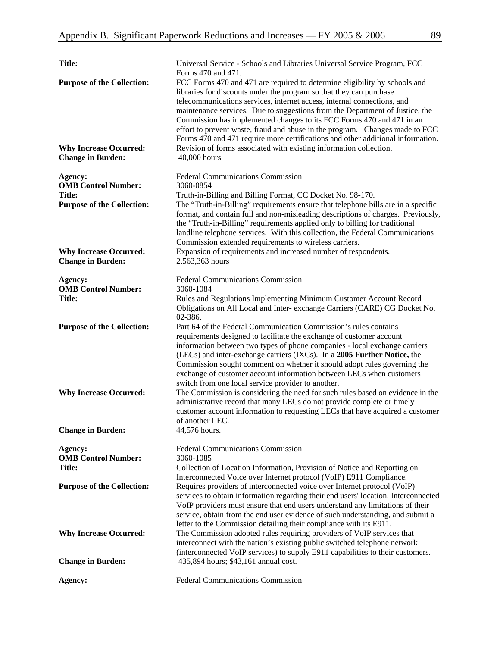| <b>Title:</b>                                                      | Universal Service - Schools and Libraries Universal Service Program, FCC<br>Forms 470 and 471.                                                                                                                                                                                                                                                                                                                                                                                                                                                                                                                                 |
|--------------------------------------------------------------------|--------------------------------------------------------------------------------------------------------------------------------------------------------------------------------------------------------------------------------------------------------------------------------------------------------------------------------------------------------------------------------------------------------------------------------------------------------------------------------------------------------------------------------------------------------------------------------------------------------------------------------|
| <b>Purpose of the Collection:</b><br><b>Why Increase Occurred:</b> | FCC Forms 470 and 471 are required to determine eligibility by schools and<br>libraries for discounts under the program so that they can purchase<br>telecommunications services, internet access, internal connections, and<br>maintenance services. Due to suggestions from the Department of Justice, the<br>Commission has implemented changes to its FCC Forms 470 and 471 in an<br>effort to prevent waste, fraud and abuse in the program. Changes made to FCC<br>Forms 470 and 471 require more certifications and other additional information.<br>Revision of forms associated with existing information collection. |
| <b>Change in Burden:</b>                                           | 40,000 hours                                                                                                                                                                                                                                                                                                                                                                                                                                                                                                                                                                                                                   |
| Agency:<br><b>OMB Control Number:</b>                              | <b>Federal Communications Commission</b><br>3060-0854                                                                                                                                                                                                                                                                                                                                                                                                                                                                                                                                                                          |
| <b>Title:</b><br><b>Purpose of the Collection:</b>                 | Truth-in-Billing and Billing Format, CC Docket No. 98-170.<br>The "Truth-in-Billing" requirements ensure that telephone bills are in a specific<br>format, and contain full and non-misleading descriptions of charges. Previously,<br>the "Truth-in-Billing" requirements applied only to billing for traditional<br>landline telephone services. With this collection, the Federal Communications<br>Commission extended requirements to wireless carriers.                                                                                                                                                                  |
| <b>Why Increase Occurred:</b><br><b>Change in Burden:</b>          | Expansion of requirements and increased number of respondents.<br>2,563,363 hours                                                                                                                                                                                                                                                                                                                                                                                                                                                                                                                                              |
| Agency:<br><b>OMB Control Number:</b>                              | Federal Communications Commission<br>3060-1084                                                                                                                                                                                                                                                                                                                                                                                                                                                                                                                                                                                 |
| <b>Title:</b>                                                      | Rules and Regulations Implementing Minimum Customer Account Record<br>Obligations on All Local and Inter-exchange Carriers (CARE) CG Docket No.<br>02-386.                                                                                                                                                                                                                                                                                                                                                                                                                                                                     |
| <b>Purpose of the Collection:</b>                                  | Part 64 of the Federal Communication Commission's rules contains<br>requirements designed to facilitate the exchange of customer account<br>information between two types of phone companies - local exchange carriers<br>(LECs) and inter-exchange carriers (IXCs). In a 2005 Further Notice, the<br>Commission sought comment on whether it should adopt rules governing the<br>exchange of customer account information between LECs when customers<br>switch from one local service provider to another.                                                                                                                   |
| <b>Why Increase Occurred:</b>                                      | The Commission is considering the need for such rules based on evidence in the<br>administrative record that many LECs do not provide complete or timely<br>customer account information to requesting LECs that have acquired a customer<br>of another LEC.                                                                                                                                                                                                                                                                                                                                                                   |
| <b>Change in Burden:</b>                                           | 44,576 hours.                                                                                                                                                                                                                                                                                                                                                                                                                                                                                                                                                                                                                  |
| Agency:<br><b>OMB Control Number:</b><br><b>Title:</b>             | <b>Federal Communications Commission</b><br>3060-1085<br>Collection of Location Information, Provision of Notice and Reporting on                                                                                                                                                                                                                                                                                                                                                                                                                                                                                              |
| <b>Purpose of the Collection:</b>                                  | Interconnected Voice over Internet protocol (VoIP) E911 Compliance.<br>Requires providers of interconnected voice over Internet protocol (VoIP)<br>services to obtain information regarding their end users' location. Interconnected<br>VoIP providers must ensure that end users understand any limitations of their<br>service, obtain from the end user evidence of such understanding, and submit a                                                                                                                                                                                                                       |
| <b>Why Increase Occurred:</b>                                      | letter to the Commission detailing their compliance with its E911.<br>The Commission adopted rules requiring providers of VoIP services that<br>interconnect with the nation's existing public switched telephone network<br>(interconnected VoIP services) to supply E911 capabilities to their customers.                                                                                                                                                                                                                                                                                                                    |
| <b>Change in Burden:</b>                                           | 435,894 hours; \$43,161 annual cost.                                                                                                                                                                                                                                                                                                                                                                                                                                                                                                                                                                                           |
| Agency:                                                            | <b>Federal Communications Commission</b>                                                                                                                                                                                                                                                                                                                                                                                                                                                                                                                                                                                       |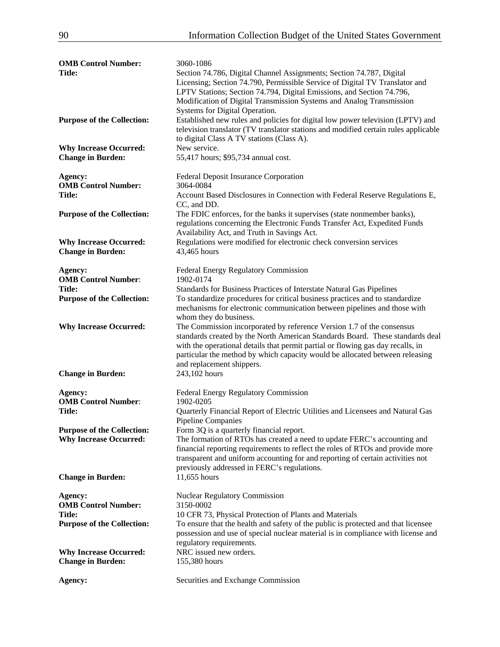| <b>OMB Control Number:</b><br><b>Title:</b>                        | 3060-1086<br>Section 74.786, Digital Channel Assignments; Section 74.787, Digital<br>Licensing; Section 74.790, Permissible Service of Digital TV Translator and                                                                                                                                                                                       |
|--------------------------------------------------------------------|--------------------------------------------------------------------------------------------------------------------------------------------------------------------------------------------------------------------------------------------------------------------------------------------------------------------------------------------------------|
|                                                                    | LPTV Stations; Section 74.794, Digital Emissions, and Section 74.796,<br>Modification of Digital Transmission Systems and Analog Transmission<br>Systems for Digital Operation.                                                                                                                                                                        |
| <b>Purpose of the Collection:</b>                                  | Established new rules and policies for digital low power television (LPTV) and<br>television translator (TV translator stations and modified certain rules applicable<br>to digital Class A TV stations (Class A).                                                                                                                                     |
| <b>Why Increase Occurred:</b><br><b>Change in Burden:</b>          | New service.<br>55,417 hours; \$95,734 annual cost.                                                                                                                                                                                                                                                                                                    |
| Agency:<br><b>OMB Control Number:</b><br><b>Title:</b>             | <b>Federal Deposit Insurance Corporation</b><br>3064-0084<br>Account Based Disclosures in Connection with Federal Reserve Regulations E,                                                                                                                                                                                                               |
| <b>Purpose of the Collection:</b>                                  | CC, and DD.<br>The FDIC enforces, for the banks it supervises (state nonmember banks),<br>regulations concerning the Electronic Funds Transfer Act, Expedited Funds<br>Availability Act, and Truth in Savings Act.                                                                                                                                     |
| <b>Why Increase Occurred:</b><br><b>Change in Burden:</b>          | Regulations were modified for electronic check conversion services<br>43,465 hours                                                                                                                                                                                                                                                                     |
| Agency:<br><b>OMB Control Number:</b><br>Title:                    | Federal Energy Regulatory Commission<br>1902-0174<br>Standards for Business Practices of Interstate Natural Gas Pipelines                                                                                                                                                                                                                              |
| <b>Purpose of the Collection:</b>                                  | To standardize procedures for critical business practices and to standardize<br>mechanisms for electronic communication between pipelines and those with<br>whom they do business.                                                                                                                                                                     |
| <b>Why Increase Occurred:</b>                                      | The Commission incorporated by reference Version 1.7 of the consensus<br>standards created by the North American Standards Board. These standards deal<br>with the operational details that permit partial or flowing gas day recalls, in<br>particular the method by which capacity would be allocated between releasing<br>and replacement shippers. |
| <b>Change in Burden:</b>                                           | 243,102 hours                                                                                                                                                                                                                                                                                                                                          |
| Agency:<br><b>OMB Control Number:</b><br><b>Title:</b>             | Federal Energy Regulatory Commission<br>1902-0205<br>Quarterly Financial Report of Electric Utilities and Licensees and Natural Gas<br><b>Pipeline Companies</b>                                                                                                                                                                                       |
| <b>Purpose of the Collection:</b><br><b>Why Increase Occurred:</b> | Form 3Q is a quarterly financial report.<br>The formation of RTOs has created a need to update FERC's accounting and<br>financial reporting requirements to reflect the roles of RTOs and provide more<br>transparent and uniform accounting for and reporting of certain activities not<br>previously addressed in FERC's regulations.                |
| <b>Change in Burden:</b>                                           | 11,655 hours                                                                                                                                                                                                                                                                                                                                           |
| Agency:<br><b>OMB Control Number:</b><br>Title:                    | <b>Nuclear Regulatory Commission</b><br>3150-0002<br>10 CFR 73, Physical Protection of Plants and Materials                                                                                                                                                                                                                                            |
| <b>Purpose of the Collection:</b>                                  | To ensure that the health and safety of the public is protected and that licensee<br>possession and use of special nuclear material is in compliance with license and<br>regulatory requirements.                                                                                                                                                      |
| <b>Why Increase Occurred:</b><br><b>Change in Burden:</b>          | NRC issued new orders.<br>155,380 hours                                                                                                                                                                                                                                                                                                                |
| Agency:                                                            | Securities and Exchange Commission                                                                                                                                                                                                                                                                                                                     |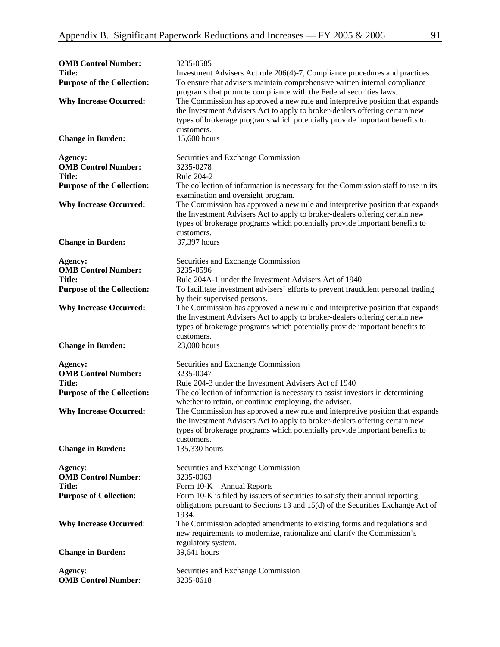| <b>OMB Control Number:</b><br>Title:<br><b>Purpose of the Collection:</b><br><b>Why Increase Occurred:</b> | 3235-0585<br>Investment Advisers Act rule 206(4)-7, Compliance procedures and practices.<br>To ensure that advisers maintain comprehensive written internal compliance<br>programs that promote compliance with the Federal securities laws.<br>The Commission has approved a new rule and interpretive position that expands<br>the Investment Advisers Act to apply to broker-dealers offering certain new<br>types of brokerage programs which potentially provide important benefits to<br>customers. |
|------------------------------------------------------------------------------------------------------------|-----------------------------------------------------------------------------------------------------------------------------------------------------------------------------------------------------------------------------------------------------------------------------------------------------------------------------------------------------------------------------------------------------------------------------------------------------------------------------------------------------------|
| <b>Change in Burden:</b>                                                                                   | 15,600 hours                                                                                                                                                                                                                                                                                                                                                                                                                                                                                              |
| Agency:<br><b>OMB Control Number:</b><br>Title:                                                            | Securities and Exchange Commission<br>3235-0278<br>Rule 204-2                                                                                                                                                                                                                                                                                                                                                                                                                                             |
| <b>Purpose of the Collection:</b>                                                                          | The collection of information is necessary for the Commission staff to use in its<br>examination and oversight program.                                                                                                                                                                                                                                                                                                                                                                                   |
| <b>Why Increase Occurred:</b>                                                                              | The Commission has approved a new rule and interpretive position that expands<br>the Investment Advisers Act to apply to broker-dealers offering certain new<br>types of brokerage programs which potentially provide important benefits to<br>customers.                                                                                                                                                                                                                                                 |
| <b>Change in Burden:</b>                                                                                   | 37,397 hours                                                                                                                                                                                                                                                                                                                                                                                                                                                                                              |
| Agency:<br><b>OMB Control Number:</b><br><b>Title:</b>                                                     | Securities and Exchange Commission<br>3235-0596<br>Rule 204A-1 under the Investment Advisers Act of 1940<br>To facilitate investment advisers' efforts to prevent fraudulent personal trading                                                                                                                                                                                                                                                                                                             |
| <b>Purpose of the Collection:</b>                                                                          | by their supervised persons.                                                                                                                                                                                                                                                                                                                                                                                                                                                                              |
| <b>Why Increase Occurred:</b><br><b>Change in Burden:</b>                                                  | The Commission has approved a new rule and interpretive position that expands<br>the Investment Advisers Act to apply to broker-dealers offering certain new<br>types of brokerage programs which potentially provide important benefits to<br>customers.<br>23,000 hours                                                                                                                                                                                                                                 |
| Agency:                                                                                                    | Securities and Exchange Commission                                                                                                                                                                                                                                                                                                                                                                                                                                                                        |
| <b>OMB Control Number:</b><br><b>Title:</b>                                                                | 3235-0047<br>Rule 204-3 under the Investment Advisers Act of 1940                                                                                                                                                                                                                                                                                                                                                                                                                                         |
| <b>Purpose of the Collection:</b>                                                                          | The collection of information is necessary to assist investors in determining<br>whether to retain, or continue employing, the adviser.                                                                                                                                                                                                                                                                                                                                                                   |
| <b>Why Increase Occurred:</b>                                                                              | The Commission has approved a new rule and interpretive position that expands<br>the Investment Advisers Act to apply to broker-dealers offering certain new<br>types of brokerage programs which potentially provide important benefits to<br>customers.                                                                                                                                                                                                                                                 |
| <b>Change in Burden:</b>                                                                                   | 135,330 hours                                                                                                                                                                                                                                                                                                                                                                                                                                                                                             |
| Agency:<br><b>OMB Control Number:</b><br><b>Title:</b>                                                     | Securities and Exchange Commission<br>3235-0063<br>Form 10-K - Annual Reports                                                                                                                                                                                                                                                                                                                                                                                                                             |
| <b>Purpose of Collection:</b>                                                                              | Form 10-K is filed by issuers of securities to satisfy their annual reporting<br>obligations pursuant to Sections 13 and 15(d) of the Securities Exchange Act of<br>1934.                                                                                                                                                                                                                                                                                                                                 |
| <b>Why Increase Occurred:</b>                                                                              | The Commission adopted amendments to existing forms and regulations and<br>new requirements to modernize, rationalize and clarify the Commission's<br>regulatory system.                                                                                                                                                                                                                                                                                                                                  |
| <b>Change in Burden:</b>                                                                                   | 39,641 hours                                                                                                                                                                                                                                                                                                                                                                                                                                                                                              |
| Agency:<br><b>OMB Control Number:</b>                                                                      | Securities and Exchange Commission<br>3235-0618                                                                                                                                                                                                                                                                                                                                                                                                                                                           |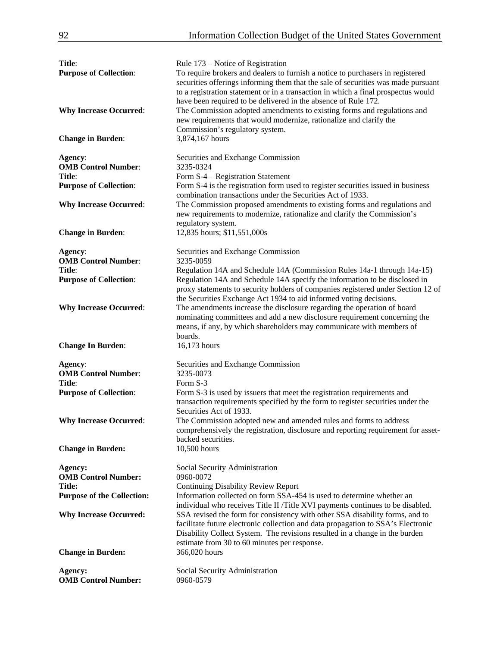| Title:<br><b>Purpose of Collection:</b><br><b>Why Increase Occurred:</b> | Rule 173 – Notice of Registration<br>To require brokers and dealers to furnish a notice to purchasers in registered<br>securities offerings informing them that the sale of securities was made pursuant<br>to a registration statement or in a transaction in which a final prospectus would<br>have been required to be delivered in the absence of Rule 172.<br>The Commission adopted amendments to existing forms and regulations and |
|--------------------------------------------------------------------------|--------------------------------------------------------------------------------------------------------------------------------------------------------------------------------------------------------------------------------------------------------------------------------------------------------------------------------------------------------------------------------------------------------------------------------------------|
| <b>Change in Burden:</b>                                                 | new requirements that would modernize, rationalize and clarify the<br>Commission's regulatory system.<br>3,874,167 hours                                                                                                                                                                                                                                                                                                                   |
|                                                                          |                                                                                                                                                                                                                                                                                                                                                                                                                                            |
| Agency:<br><b>OMB Control Number:</b><br>Title:                          | Securities and Exchange Commission<br>3235-0324<br>Form S-4 - Registration Statement                                                                                                                                                                                                                                                                                                                                                       |
| <b>Purpose of Collection:</b>                                            | Form S-4 is the registration form used to register securities issued in business<br>combination transactions under the Securities Act of 1933.                                                                                                                                                                                                                                                                                             |
| <b>Why Increase Occurred:</b>                                            | The Commission proposed amendments to existing forms and regulations and<br>new requirements to modernize, rationalize and clarify the Commission's<br>regulatory system.                                                                                                                                                                                                                                                                  |
| <b>Change in Burden:</b>                                                 | 12,835 hours; \$11,551,000s                                                                                                                                                                                                                                                                                                                                                                                                                |
| Agency:<br><b>OMB Control Number:</b>                                    | Securities and Exchange Commission<br>3235-0059                                                                                                                                                                                                                                                                                                                                                                                            |
| Title:<br><b>Purpose of Collection:</b>                                  | Regulation 14A and Schedule 14A (Commission Rules 14a-1 through 14a-15)<br>Regulation 14A and Schedule 14A specify the information to be disclosed in<br>proxy statements to security holders of companies registered under Section 12 of                                                                                                                                                                                                  |
| <b>Why Increase Occurred:</b>                                            | the Securities Exchange Act 1934 to aid informed voting decisions.<br>The amendments increase the disclosure regarding the operation of board<br>nominating committees and add a new disclosure requirement concerning the<br>means, if any, by which shareholders may communicate with members of<br>boards.                                                                                                                              |
| <b>Change In Burden:</b>                                                 | 16,173 hours                                                                                                                                                                                                                                                                                                                                                                                                                               |
| Agency:<br><b>OMB Control Number:</b><br>Title:                          | Securities and Exchange Commission<br>3235-0073<br>Form S-3                                                                                                                                                                                                                                                                                                                                                                                |
| <b>Purpose of Collection:</b>                                            | Form S-3 is used by issuers that meet the registration requirements and<br>transaction requirements specified by the form to register securities under the<br>Securities Act of 1933.                                                                                                                                                                                                                                                      |
| <b>Why Increase Occurred:</b>                                            | The Commission adopted new and amended rules and forms to address<br>comprehensively the registration, disclosure and reporting requirement for asset-<br>backed securities.                                                                                                                                                                                                                                                               |
| <b>Change in Burden:</b>                                                 | 10,500 hours                                                                                                                                                                                                                                                                                                                                                                                                                               |
| Agency:<br><b>OMB Control Number:</b>                                    | Social Security Administration<br>0960-0072                                                                                                                                                                                                                                                                                                                                                                                                |
| <b>Title:</b><br><b>Purpose of the Collection:</b>                       | <b>Continuing Disability Review Report</b><br>Information collected on form SSA-454 is used to determine whether an                                                                                                                                                                                                                                                                                                                        |
| <b>Why Increase Occurred:</b>                                            | individual who receives Title II /Title XVI payments continues to be disabled.<br>SSA revised the form for consistency with other SSA disability forms, and to<br>facilitate future electronic collection and data propagation to SSA's Electronic<br>Disability Collect System. The revisions resulted in a change in the burden<br>estimate from 30 to 60 minutes per response.                                                          |
| <b>Change in Burden:</b>                                                 | 366,020 hours                                                                                                                                                                                                                                                                                                                                                                                                                              |
| Agency:<br><b>OMB Control Number:</b>                                    | Social Security Administration<br>0960-0579                                                                                                                                                                                                                                                                                                                                                                                                |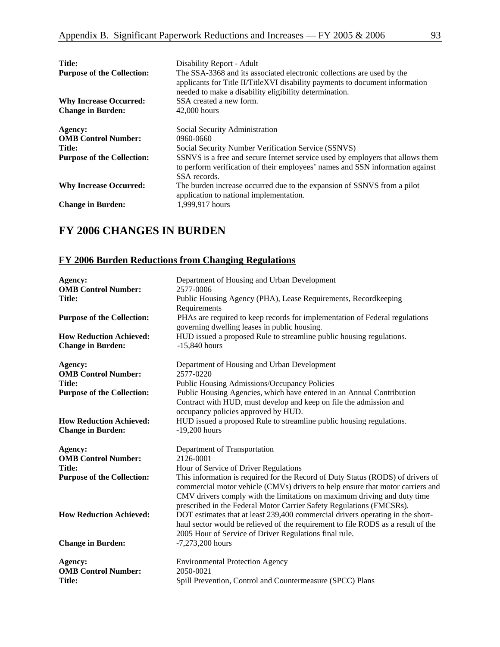| <b>Title:</b><br><b>Purpose of the Collection:</b> | Disability Report - Adult<br>The SSA-3368 and its associated electronic collections are used by the<br>applicants for Title II/TitleXVI disability payments to document information<br>needed to make a disability eligibility determination. |
|----------------------------------------------------|-----------------------------------------------------------------------------------------------------------------------------------------------------------------------------------------------------------------------------------------------|
| <b>Why Increase Occurred:</b>                      | SSA created a new form.                                                                                                                                                                                                                       |
| <b>Change in Burden:</b>                           | $42,000$ hours                                                                                                                                                                                                                                |
|                                                    |                                                                                                                                                                                                                                               |
| Agency:                                            | Social Security Administration                                                                                                                                                                                                                |
| <b>OMB Control Number:</b>                         | $0960 - 0660$                                                                                                                                                                                                                                 |
| Title:                                             | Social Security Number Verification Service (SSNVS)                                                                                                                                                                                           |
| <b>Purpose of the Collection:</b>                  | SSNVS is a free and secure Internet service used by employers that allows them<br>to perform verification of their employees' names and SSN information against<br>SSA records.                                                               |
| <b>Why Increase Occurred:</b>                      | The burden increase occurred due to the expansion of SSNVS from a pilot<br>application to national implementation.                                                                                                                            |
| <b>Change in Burden:</b>                           | 1,999,917 hours                                                                                                                                                                                                                               |

# **FY 2006 CHANGES IN BURDEN**

### **FY 2006 Burden Reductions from Changing Regulations**

| Department of Housing and Urban Development<br>2577-0006                                                                                                                                                                                                                                                                                                       |
|----------------------------------------------------------------------------------------------------------------------------------------------------------------------------------------------------------------------------------------------------------------------------------------------------------------------------------------------------------------|
| Public Housing Agency (PHA), Lease Requirements, Recordkeeping<br>Requirements                                                                                                                                                                                                                                                                                 |
| PHAs are required to keep records for implementation of Federal regulations<br>governing dwelling leases in public housing.                                                                                                                                                                                                                                    |
| HUD issued a proposed Rule to streamline public housing regulations.<br>$-15,840$ hours                                                                                                                                                                                                                                                                        |
| Department of Housing and Urban Development<br>2577-0220                                                                                                                                                                                                                                                                                                       |
| <b>Public Housing Admissions/Occupancy Policies</b>                                                                                                                                                                                                                                                                                                            |
| Public Housing Agencies, which have entered in an Annual Contribution<br>Contract with HUD, must develop and keep on file the admission and<br>occupancy policies approved by HUD.                                                                                                                                                                             |
| HUD issued a proposed Rule to streamline public housing regulations.<br>$-19,200$ hours                                                                                                                                                                                                                                                                        |
| Department of Transportation                                                                                                                                                                                                                                                                                                                                   |
| 2126-0001                                                                                                                                                                                                                                                                                                                                                      |
| Hour of Service of Driver Regulations<br>This information is required for the Record of Duty Status (RODS) of drivers of<br>commercial motor vehicle (CMVs) drivers to help ensure that motor carriers and<br>CMV drivers comply with the limitations on maximum driving and duty time<br>prescribed in the Federal Motor Carrier Safety Regulations (FMCSRs). |
| DOT estimates that at least 239,400 commercial drivers operating in the short-<br>haul sector would be relieved of the requirement to file RODS as a result of the<br>2005 Hour of Service of Driver Regulations final rule.                                                                                                                                   |
| $-7,273,200$ hours                                                                                                                                                                                                                                                                                                                                             |
| <b>Environmental Protection Agency</b><br>2050-0021<br>Spill Prevention, Control and Countermeasure (SPCC) Plans                                                                                                                                                                                                                                               |
|                                                                                                                                                                                                                                                                                                                                                                |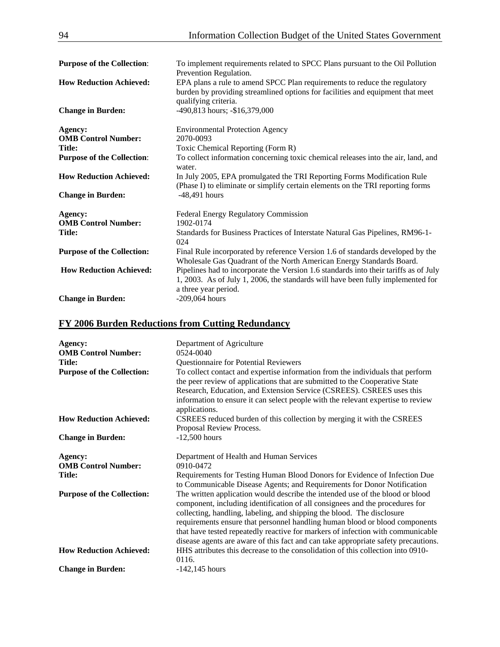| <b>Purpose of the Collection:</b> | To implement requirements related to SPCC Plans pursuant to the Oil Pollution<br>Prevention Regulation.                                                                                         |
|-----------------------------------|-------------------------------------------------------------------------------------------------------------------------------------------------------------------------------------------------|
| <b>How Reduction Achieved:</b>    | EPA plans a rule to amend SPCC Plan requirements to reduce the regulatory<br>burden by providing streamlined options for facilities and equipment that meet<br>qualifying criteria.             |
| <b>Change in Burden:</b>          | -490,813 hours; -\$16,379,000                                                                                                                                                                   |
| Agency:                           | <b>Environmental Protection Agency</b>                                                                                                                                                          |
| <b>OMB Control Number:</b>        | 2070-0093                                                                                                                                                                                       |
| Title:                            | Toxic Chemical Reporting (Form R)                                                                                                                                                               |
| <b>Purpose of the Collection:</b> | To collect information concerning toxic chemical releases into the air, land, and<br>water.                                                                                                     |
| <b>How Reduction Achieved:</b>    | In July 2005, EPA promulgated the TRI Reporting Forms Modification Rule<br>(Phase I) to eliminate or simplify certain elements on the TRI reporting forms                                       |
| <b>Change in Burden:</b>          | $-48,491$ hours                                                                                                                                                                                 |
| Agency:                           | <b>Federal Energy Regulatory Commission</b>                                                                                                                                                     |
| <b>OMB Control Number:</b>        | 1902-0174                                                                                                                                                                                       |
| <b>Title:</b>                     | Standards for Business Practices of Interstate Natural Gas Pipelines, RM96-1-<br>024                                                                                                            |
| <b>Purpose of the Collection:</b> | Final Rule incorporated by reference Version 1.6 of standards developed by the<br>Wholesale Gas Quadrant of the North American Energy Standards Board.                                          |
| <b>How Reduction Achieved:</b>    | Pipelines had to incorporate the Version 1.6 standards into their tariffs as of July<br>1, 2003. As of July 1, 2006, the standards will have been fully implemented for<br>a three year period. |
| <b>Change in Burden:</b>          | $-209,064$ hours                                                                                                                                                                                |

## **FY 2006 Burden Reductions from Cutting Redundancy**

| Agency:<br><b>OMB Control Number:</b><br><b>Title:</b><br><b>Purpose of the Collection:</b> | Department of Agriculture<br>0524-0040<br>Questionnaire for Potential Reviewers<br>To collect contact and expertise information from the individuals that perform<br>the peer review of applications that are submitted to the Cooperative State<br>Research, Education, and Extension Service (CSREES). CSREES uses this<br>information to ensure it can select people with the relevant expertise to review<br>applications.                                                                  |
|---------------------------------------------------------------------------------------------|-------------------------------------------------------------------------------------------------------------------------------------------------------------------------------------------------------------------------------------------------------------------------------------------------------------------------------------------------------------------------------------------------------------------------------------------------------------------------------------------------|
| <b>How Reduction Achieved:</b>                                                              | CSREES reduced burden of this collection by merging it with the CSREES<br>Proposal Review Process.                                                                                                                                                                                                                                                                                                                                                                                              |
| <b>Change in Burden:</b>                                                                    | $-12,500$ hours                                                                                                                                                                                                                                                                                                                                                                                                                                                                                 |
| Agency:<br><b>OMB Control Number:</b><br><b>Title:</b>                                      | Department of Health and Human Services<br>0910-0472<br>Requirements for Testing Human Blood Donors for Evidence of Infection Due<br>to Communicable Disease Agents; and Requirements for Donor Notification                                                                                                                                                                                                                                                                                    |
| <b>Purpose of the Collection:</b>                                                           | The written application would describe the intended use of the blood or blood<br>component, including identification of all consignees and the procedures for<br>collecting, handling, labeling, and shipping the blood. The disclosure<br>requirements ensure that personnel handling human blood or blood components<br>that have tested repeatedly reactive for markers of infection with communicable<br>disease agents are aware of this fact and can take appropriate safety precautions. |
| <b>How Reduction Achieved:</b>                                                              | HHS attributes this decrease to the consolidation of this collection into 0910-<br>0116.                                                                                                                                                                                                                                                                                                                                                                                                        |
| <b>Change in Burden:</b>                                                                    | $-142,145$ hours                                                                                                                                                                                                                                                                                                                                                                                                                                                                                |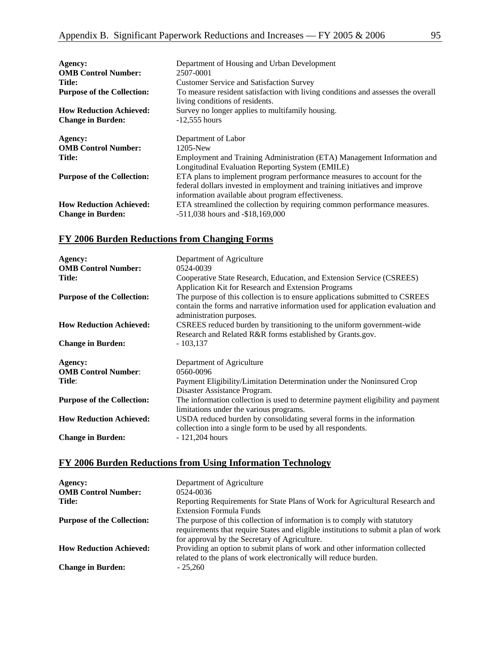| Agency:<br><b>OMB Control Number:</b><br><b>Title:</b><br><b>Purpose of the Collection:</b> | Department of Housing and Urban Development<br>2507-0001<br><b>Customer Service and Satisfaction Survey</b><br>To measure resident satisfaction with living conditions and assesses the overall<br>living conditions of residents.                              |
|---------------------------------------------------------------------------------------------|-----------------------------------------------------------------------------------------------------------------------------------------------------------------------------------------------------------------------------------------------------------------|
| <b>How Reduction Achieved:</b>                                                              | Survey no longer applies to multifamily housing.                                                                                                                                                                                                                |
| <b>Change in Burden:</b>                                                                    | $-12,555$ hours                                                                                                                                                                                                                                                 |
| Agency:<br><b>OMB Control Number:</b><br>Title:                                             | Department of Labor<br>$1205$ -New<br>Employment and Training Administration (ETA) Management Information and                                                                                                                                                   |
| <b>Purpose of the Collection:</b>                                                           | Longitudinal Evaluation Reporting System (EMILE)<br>ETA plans to implement program performance measures to account for the<br>federal dollars invested in employment and training initiatives and improve<br>information available about program effectiveness. |
| <b>How Reduction Achieved:</b>                                                              | ETA streamlined the collection by requiring common performance measures.                                                                                                                                                                                        |
| <b>Change in Burden:</b>                                                                    | $-511,038$ hours and $-18,169,000$                                                                                                                                                                                                                              |

### **FY 2006 Burden Reductions from Changing Forms**

| Agency:<br><b>OMB Control Number:</b><br>Title: | Department of Agriculture<br>0524-0039<br>Cooperative State Research, Education, and Extension Service (CSREES)<br>Application Kit for Research and Extension Programs                      |
|-------------------------------------------------|---------------------------------------------------------------------------------------------------------------------------------------------------------------------------------------------|
| <b>Purpose of the Collection:</b>               | The purpose of this collection is to ensure applications submitted to CSREES<br>contain the forms and narrative information used for application evaluation and<br>administration purposes. |
| <b>How Reduction Achieved:</b>                  | CSREES reduced burden by transitioning to the uniform government-wide<br>Research and Related R&R forms established by Grants.gov.                                                          |
| <b>Change in Burden:</b>                        | $-103,137$                                                                                                                                                                                  |
| Agency:                                         | Department of Agriculture                                                                                                                                                                   |
| <b>OMB Control Number:</b>                      | 0560-0096                                                                                                                                                                                   |
| Title:                                          | Payment Eligibility/Limitation Determination under the Noninsured Crop<br>Disaster Assistance Program.                                                                                      |
| <b>Purpose of the Collection:</b>               | The information collection is used to determine payment eligibility and payment<br>limitations under the various programs.                                                                  |
| <b>How Reduction Achieved:</b>                  | USDA reduced burden by consolidating several forms in the information<br>collection into a single form to be used by all respondents.                                                       |
| <b>Change in Burden:</b>                        | $-121,204$ hours                                                                                                                                                                            |

### **FY 2006 Burden Reductions from Using Information Technology**

| Agency:<br><b>OMB Control Number:</b> | Department of Agriculture<br>0524-0036                                                                                                                                                                            |
|---------------------------------------|-------------------------------------------------------------------------------------------------------------------------------------------------------------------------------------------------------------------|
| Title:                                | Reporting Requirements for State Plans of Work for Agricultural Research and<br><b>Extension Formula Funds</b>                                                                                                    |
| <b>Purpose of the Collection:</b>     | The purpose of this collection of information is to comply with statutory<br>requirements that require States and eligible institutions to submit a plan of work<br>for approval by the Secretary of Agriculture. |
| <b>How Reduction Achieved:</b>        | Providing an option to submit plans of work and other information collected<br>related to the plans of work electronically will reduce burden.                                                                    |
| <b>Change in Burden:</b>              | $-25.260$                                                                                                                                                                                                         |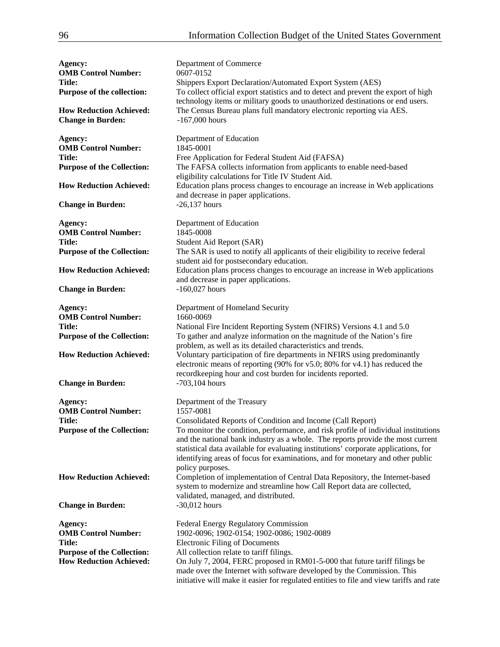| Agency:<br><b>OMB Control Number:</b><br><b>Title:</b><br>Purpose of the collection:<br><b>How Reduction Achieved:</b><br><b>Change in Burden:</b>        | Department of Commerce<br>0607-0152<br>Shippers Export Declaration/Automated Export System (AES)<br>To collect official export statistics and to detect and prevent the export of high<br>technology items or military goods to unauthorized destinations or end users.<br>The Census Bureau plans full mandatory electronic reporting via AES.<br>$-167,000$ hours                                                                                                                                                                                                                                                                                                                             |
|-----------------------------------------------------------------------------------------------------------------------------------------------------------|-------------------------------------------------------------------------------------------------------------------------------------------------------------------------------------------------------------------------------------------------------------------------------------------------------------------------------------------------------------------------------------------------------------------------------------------------------------------------------------------------------------------------------------------------------------------------------------------------------------------------------------------------------------------------------------------------|
| Agency:<br><b>OMB Control Number:</b><br>Title:<br><b>Purpose of the Collection:</b><br><b>How Reduction Achieved:</b><br><b>Change in Burden:</b>        | Department of Education<br>1845-0001<br>Free Application for Federal Student Aid (FAFSA)<br>The FAFSA collects information from applicants to enable need-based<br>eligibility calculations for Title IV Student Aid.<br>Education plans process changes to encourage an increase in Web applications<br>and decrease in paper applications.<br>$-26,137$ hours                                                                                                                                                                                                                                                                                                                                 |
| Agency:<br><b>OMB Control Number:</b><br><b>Title:</b><br><b>Purpose of the Collection:</b><br><b>How Reduction Achieved:</b><br><b>Change in Burden:</b> | Department of Education<br>1845-0008<br>Student Aid Report (SAR)<br>The SAR is used to notify all applicants of their eligibility to receive federal<br>student aid for postsecondary education.<br>Education plans process changes to encourage an increase in Web applications<br>and decrease in paper applications.<br>$-160,027$ hours                                                                                                                                                                                                                                                                                                                                                     |
| Agency:<br><b>OMB Control Number:</b><br>Title:<br><b>Purpose of the Collection:</b><br><b>How Reduction Achieved:</b><br><b>Change in Burden:</b>        | Department of Homeland Security<br>1660-0069<br>National Fire Incident Reporting System (NFIRS) Versions 4.1 and 5.0<br>To gather and analyze information on the magnitude of the Nation's fire<br>problem, as well as its detailed characteristics and trends.<br>Voluntary participation of fire departments in NFIRS using predominantly<br>electronic means of reporting (90% for v5.0; 80% for v4.1) has reduced the<br>recordkeeping hour and cost burden for incidents reported.<br>$-703,104$ hours                                                                                                                                                                                     |
| Agency:<br><b>OMB Control Number:</b><br><b>Title:</b><br><b>Purpose of the Collection:</b><br><b>How Reduction Achieved:</b><br><b>Change in Burden:</b> | Department of the Treasury<br>1557-0081<br>Consolidated Reports of Condition and Income (Call Report)<br>To monitor the condition, performance, and risk profile of individual institutions<br>and the national bank industry as a whole. The reports provide the most current<br>statistical data available for evaluating institutions' corporate applications, for<br>identifying areas of focus for examinations, and for monetary and other public<br>policy purposes.<br>Completion of implementation of Central Data Repository, the Internet-based<br>system to modernize and streamline how Call Report data are collected,<br>validated, managed, and distributed.<br>$-30,012$ hours |
| Agency:<br><b>OMB Control Number:</b><br><b>Title:</b><br><b>Purpose of the Collection:</b><br><b>How Reduction Achieved:</b>                             | Federal Energy Regulatory Commission<br>1902-0096; 1902-0154; 1902-0086; 1902-0089<br>Electronic Filing of Documents<br>All collection relate to tariff filings.<br>On July 7, 2004, FERC proposed in RM01-5-000 that future tariff filings be<br>made over the Internet with software developed by the Commission. This<br>initiative will make it easier for regulated entities to file and view tariffs and rate                                                                                                                                                                                                                                                                             |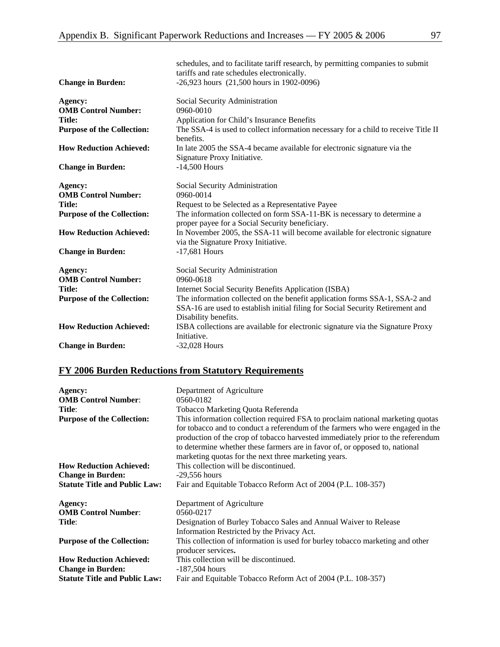|                                   | schedules, and to facilitate tariff research, by permitting companies to submit<br>tariffs and rate schedules electronically. |
|-----------------------------------|-------------------------------------------------------------------------------------------------------------------------------|
| <b>Change in Burden:</b>          | $-26,923$ hours $(21,500$ hours in 1902-0096)                                                                                 |
| Agency:                           | Social Security Administration                                                                                                |
| <b>OMB Control Number:</b>        | 0960-0010                                                                                                                     |
| <b>Title:</b>                     | Application for Child's Insurance Benefits                                                                                    |
| <b>Purpose of the Collection:</b> | The SSA-4 is used to collect information necessary for a child to receive Title II<br>benefits.                               |
| <b>How Reduction Achieved:</b>    | In late 2005 the SSA-4 became available for electronic signature via the<br>Signature Proxy Initiative.                       |
| <b>Change in Burden:</b>          | $-14,500$ Hours                                                                                                               |
| Agency:                           | Social Security Administration                                                                                                |
| <b>OMB Control Number:</b>        | 0960-0014                                                                                                                     |
| <b>Title:</b>                     | Request to be Selected as a Representative Payee                                                                              |
| <b>Purpose of the Collection:</b> | The information collected on form SSA-11-BK is necessary to determine a<br>proper payee for a Social Security beneficiary.    |
| <b>How Reduction Achieved:</b>    | In November 2005, the SSA-11 will become available for electronic signature<br>via the Signature Proxy Initiative.            |
| <b>Change in Burden:</b>          | $-17,681$ Hours                                                                                                               |
| Agency:                           | Social Security Administration                                                                                                |
| <b>OMB Control Number:</b>        | 0960-0618                                                                                                                     |
| <b>Title:</b>                     | Internet Social Security Benefits Application (ISBA)                                                                          |
| <b>Purpose of the Collection:</b> | The information collected on the benefit application forms SSA-1, SSA-2 and                                                   |
|                                   | SSA-16 are used to establish initial filing for Social Security Retirement and<br>Disability benefits.                        |
| <b>How Reduction Achieved:</b>    | ISBA collections are available for electronic signature via the Signature Proxy<br>Initiative.                                |
| <b>Change in Burden:</b>          | $-32,028$ Hours                                                                                                               |

# **FY 2006 Burden Reductions from Statutory Requirements**

| Agency:                              | Department of Agriculture                                                                                                                                                                                                                                                                                                                                                                  |
|--------------------------------------|--------------------------------------------------------------------------------------------------------------------------------------------------------------------------------------------------------------------------------------------------------------------------------------------------------------------------------------------------------------------------------------------|
| <b>OMB Control Number:</b>           | 0560-0182                                                                                                                                                                                                                                                                                                                                                                                  |
| Title:                               | Tobacco Marketing Quota Referenda                                                                                                                                                                                                                                                                                                                                                          |
| <b>Purpose of the Collection:</b>    | This information collection required FSA to proclaim national marketing quotas<br>for tobacco and to conduct a referendum of the farmers who were engaged in the<br>production of the crop of tobacco harvested immediately prior to the referendum<br>to determine whether these farmers are in favor of, or opposed to, national<br>marketing quotas for the next three marketing years. |
| <b>How Reduction Achieved:</b>       | This collection will be discontinued.                                                                                                                                                                                                                                                                                                                                                      |
| <b>Change in Burden:</b>             | $-29,556$ hours                                                                                                                                                                                                                                                                                                                                                                            |
| <b>Statute Title and Public Law:</b> | Fair and Equitable Tobacco Reform Act of 2004 (P.L. 108-357)                                                                                                                                                                                                                                                                                                                               |
| Agency:                              | Department of Agriculture                                                                                                                                                                                                                                                                                                                                                                  |
| <b>OMB Control Number:</b>           | 0560-0217                                                                                                                                                                                                                                                                                                                                                                                  |
| Title:                               | Designation of Burley Tobacco Sales and Annual Waiver to Release                                                                                                                                                                                                                                                                                                                           |
|                                      | Information Restricted by the Privacy Act.                                                                                                                                                                                                                                                                                                                                                 |
| <b>Purpose of the Collection:</b>    | This collection of information is used for burley tobacco marketing and other<br>producer services.                                                                                                                                                                                                                                                                                        |
| <b>How Reduction Achieved:</b>       | This collection will be discontinued.                                                                                                                                                                                                                                                                                                                                                      |
| <b>Change in Burden:</b>             | $-187,504$ hours                                                                                                                                                                                                                                                                                                                                                                           |
| <b>Statute Title and Public Law:</b> | Fair and Equitable Tobacco Reform Act of 2004 (P.L. 108-357)                                                                                                                                                                                                                                                                                                                               |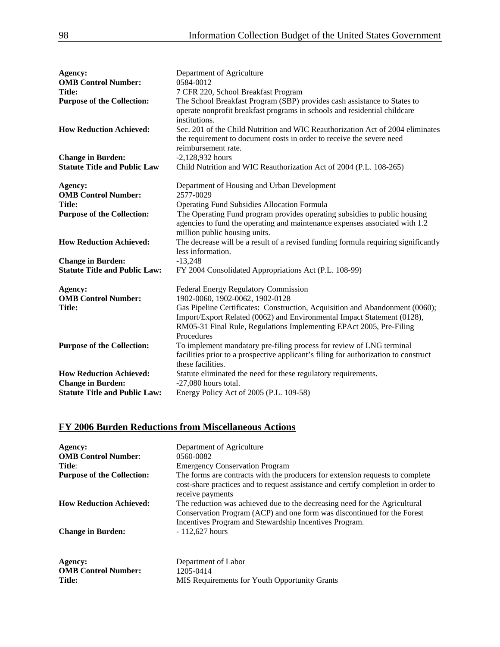| Agency:                              | Department of Agriculture                                                                                                                             |
|--------------------------------------|-------------------------------------------------------------------------------------------------------------------------------------------------------|
| <b>OMB Control Number:</b>           | 0584-0012                                                                                                                                             |
| <b>Title:</b>                        | 7 CFR 220, School Breakfast Program                                                                                                                   |
| <b>Purpose of the Collection:</b>    | The School Breakfast Program (SBP) provides cash assistance to States to<br>operate nonprofit breakfast programs in schools and residential childcare |
|                                      | institutions.                                                                                                                                         |
| <b>How Reduction Achieved:</b>       | Sec. 201 of the Child Nutrition and WIC Reauthorization Act of 2004 eliminates                                                                        |
|                                      | the requirement to document costs in order to receive the severe need                                                                                 |
|                                      | reimbursement rate.                                                                                                                                   |
| <b>Change in Burden:</b>             | $-2,128,932$ hours                                                                                                                                    |
| <b>Statute Title and Public Law</b>  | Child Nutrition and WIC Reauthorization Act of 2004 (P.L. 108-265)                                                                                    |
|                                      |                                                                                                                                                       |
| Agency:                              | Department of Housing and Urban Development                                                                                                           |
| <b>OMB Control Number:</b>           | 2577-0029                                                                                                                                             |
| Title:                               | <b>Operating Fund Subsidies Allocation Formula</b>                                                                                                    |
| <b>Purpose of the Collection:</b>    | The Operating Fund program provides operating subsidies to public housing                                                                             |
|                                      | agencies to fund the operating and maintenance expenses associated with 1.2                                                                           |
|                                      | million public housing units.                                                                                                                         |
| <b>How Reduction Achieved:</b>       | The decrease will be a result of a revised funding formula requiring significantly                                                                    |
|                                      | less information.                                                                                                                                     |
| <b>Change in Burden:</b>             | $-13,248$                                                                                                                                             |
| <b>Statute Title and Public Law:</b> | FY 2004 Consolidated Appropriations Act (P.L. 108-99)                                                                                                 |
| Agency:                              | Federal Energy Regulatory Commission                                                                                                                  |
| <b>OMB Control Number:</b>           | 1902-0060, 1902-0062, 1902-0128                                                                                                                       |
| <b>Title:</b>                        | Gas Pipeline Certificates: Construction, Acquisition and Abandonment (0060);                                                                          |
|                                      | Import/Export Related (0062) and Environmental Impact Statement (0128),                                                                               |
|                                      | RM05-31 Final Rule, Regulations Implementing EPAct 2005, Pre-Filing                                                                                   |
|                                      | Procedures                                                                                                                                            |
| <b>Purpose of the Collection:</b>    | To implement mandatory pre-filing process for review of LNG terminal                                                                                  |
|                                      | facilities prior to a prospective applicant's filing for authorization to construct                                                                   |
|                                      | these facilities.                                                                                                                                     |
| <b>How Reduction Achieved:</b>       | Statute eliminated the need for these regulatory requirements.                                                                                        |
| <b>Change in Burden:</b>             | $-27,080$ hours total.                                                                                                                                |
| <b>Statute Title and Public Law:</b> | Energy Policy Act of 2005 (P.L. 109-58)                                                                                                               |

### **FY 2006 Burden Reductions from Miscellaneous Actions**

| Agency:<br><b>OMB Control Number:</b><br>Title:<br><b>Purpose of the Collection:</b> | Department of Agriculture<br>0560-0082<br><b>Emergency Conservation Program</b><br>The forms are contracts with the producers for extension requests to complete<br>cost-share practices and to request assistance and certify completion in order to<br>receive payments |
|--------------------------------------------------------------------------------------|---------------------------------------------------------------------------------------------------------------------------------------------------------------------------------------------------------------------------------------------------------------------------|
| <b>How Reduction Achieved:</b>                                                       | The reduction was achieved due to the decreasing need for the Agricultural<br>Conservation Program (ACP) and one form was discontinued for the Forest<br>Incentives Program and Stewardship Incentives Program.                                                           |
| <b>Change in Burden:</b>                                                             | $-112,627$ hours                                                                                                                                                                                                                                                          |
| Agency:                                                                              | Department of Labor                                                                                                                                                                                                                                                       |
| <b>OMB Control Number:</b><br>Title:                                                 | 1205-0414<br>MIS Requirements for Youth Opportunity Grants                                                                                                                                                                                                                |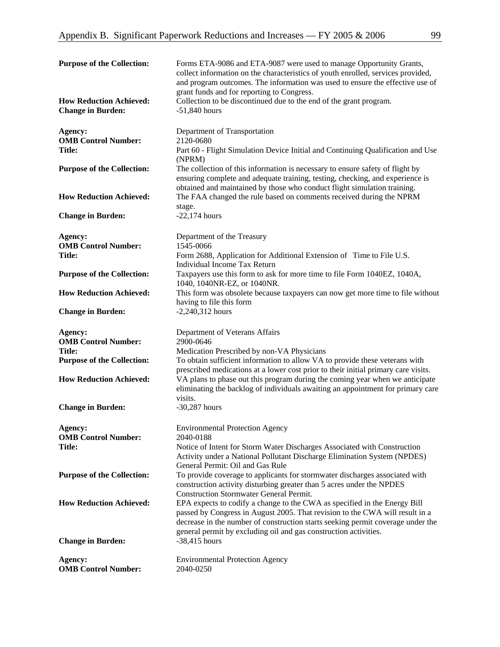| <b>Purpose of the Collection:</b>                          | Forms ETA-9086 and ETA-9087 were used to manage Opportunity Grants,<br>collect information on the characteristics of youth enrolled, services provided,<br>and program outcomes. The information was used to ensure the effective use of<br>grant funds and for reporting to Congress.                                                                             |
|------------------------------------------------------------|--------------------------------------------------------------------------------------------------------------------------------------------------------------------------------------------------------------------------------------------------------------------------------------------------------------------------------------------------------------------|
| <b>How Reduction Achieved:</b><br><b>Change in Burden:</b> | Collection to be discontinued due to the end of the grant program.<br>$-51,840$ hours                                                                                                                                                                                                                                                                              |
| Agency:<br><b>OMB Control Number:</b>                      | Department of Transportation<br>2120-0680                                                                                                                                                                                                                                                                                                                          |
| <b>Title:</b>                                              | Part 60 - Flight Simulation Device Initial and Continuing Qualification and Use<br>(NPRM)                                                                                                                                                                                                                                                                          |
| <b>Purpose of the Collection:</b>                          | The collection of this information is necessary to ensure safety of flight by<br>ensuring complete and adequate training, testing, checking, and experience is<br>obtained and maintained by those who conduct flight simulation training.                                                                                                                         |
| <b>How Reduction Achieved:</b>                             | The FAA changed the rule based on comments received during the NPRM                                                                                                                                                                                                                                                                                                |
| <b>Change in Burden:</b>                                   | stage.<br>$-22,174$ hours                                                                                                                                                                                                                                                                                                                                          |
| Agency:<br><b>OMB Control Number:</b><br><b>Title:</b>     | Department of the Treasury<br>1545-0066<br>Form 2688, Application for Additional Extension of Time to File U.S.                                                                                                                                                                                                                                                    |
| <b>Purpose of the Collection:</b>                          | Individual Income Tax Return<br>Taxpayers use this form to ask for more time to file Form 1040EZ, 1040A,<br>1040, 1040NR-EZ, or 1040NR.                                                                                                                                                                                                                            |
| <b>How Reduction Achieved:</b>                             | This form was obsolete because taxpayers can now get more time to file without<br>having to file this form                                                                                                                                                                                                                                                         |
| <b>Change in Burden:</b>                                   | $-2,240,312$ hours                                                                                                                                                                                                                                                                                                                                                 |
| Agency:                                                    | Department of Veterans Affairs                                                                                                                                                                                                                                                                                                                                     |
| <b>OMB Control Number:</b><br><b>Title:</b>                | 2900-0646<br>Medication Prescribed by non-VA Physicians                                                                                                                                                                                                                                                                                                            |
| <b>Purpose of the Collection:</b>                          | To obtain sufficient information to allow VA to provide these veterans with                                                                                                                                                                                                                                                                                        |
| <b>How Reduction Achieved:</b>                             | prescribed medications at a lower cost prior to their initial primary care visits.<br>VA plans to phase out this program during the coming year when we anticipate<br>eliminating the backlog of individuals awaiting an appointment for primary care<br>visits.                                                                                                   |
| <b>Change in Burden:</b>                                   | $-30,287$ hours                                                                                                                                                                                                                                                                                                                                                    |
| Agency:                                                    | <b>Environmental Protection Agency</b>                                                                                                                                                                                                                                                                                                                             |
| <b>OMB Control Number:</b><br><b>Title:</b>                | 2040-0188<br>Notice of Intent for Storm Water Discharges Associated with Construction<br>Activity under a National Pollutant Discharge Elimination System (NPDES)<br>General Permit: Oil and Gas Rule                                                                                                                                                              |
| <b>Purpose of the Collection:</b>                          | To provide coverage to applicants for stormwater discharges associated with<br>construction activity disturbing greater than 5 acres under the NPDES                                                                                                                                                                                                               |
| <b>How Reduction Achieved:</b>                             | <b>Construction Stormwater General Permit.</b><br>EPA expects to codify a change to the CWA as specified in the Energy Bill<br>passed by Congress in August 2005. That revision to the CWA will result in a<br>decrease in the number of construction starts seeking permit coverage under the<br>general permit by excluding oil and gas construction activities. |
| <b>Change in Burden:</b>                                   | $-38,415$ hours                                                                                                                                                                                                                                                                                                                                                    |
| Agency:<br><b>OMB Control Number:</b>                      | <b>Environmental Protection Agency</b><br>2040-0250                                                                                                                                                                                                                                                                                                                |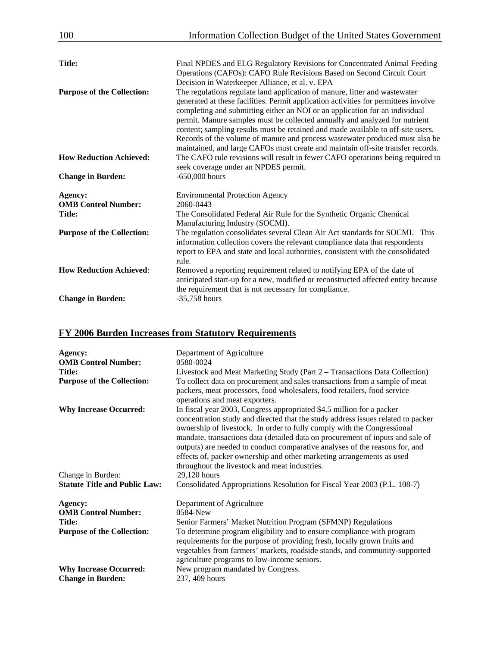| <b>Title:</b><br><b>Purpose of the Collection:</b> | Final NPDES and ELG Regulatory Revisions for Concentrated Animal Feeding<br>Operations (CAFOs): CAFO Rule Revisions Based on Second Circuit Court<br>Decision in Waterkeeper Alliance, et al. v. EPA<br>The regulations regulate land application of manure, litter and wastewater<br>generated at these facilities. Permit application activities for permittees involve<br>completing and submitting either an NOI or an application for an individual<br>permit. Manure samples must be collected annually and analyzed for nutrient<br>content; sampling results must be retained and made available to off-site users.<br>Records of the volume of manure and process wastewater produced must also be |
|----------------------------------------------------|-------------------------------------------------------------------------------------------------------------------------------------------------------------------------------------------------------------------------------------------------------------------------------------------------------------------------------------------------------------------------------------------------------------------------------------------------------------------------------------------------------------------------------------------------------------------------------------------------------------------------------------------------------------------------------------------------------------|
| <b>How Reduction Achieved:</b>                     | maintained, and large CAFOs must create and maintain off-site transfer records.<br>The CAFO rule revisions will result in fewer CAFO operations being required to<br>seek coverage under an NPDES permit.                                                                                                                                                                                                                                                                                                                                                                                                                                                                                                   |
| <b>Change in Burden:</b>                           | $-650,000$ hours                                                                                                                                                                                                                                                                                                                                                                                                                                                                                                                                                                                                                                                                                            |
| Agency:<br><b>OMB Control Number:</b>              | <b>Environmental Protection Agency</b><br>2060-0443                                                                                                                                                                                                                                                                                                                                                                                                                                                                                                                                                                                                                                                         |
| <b>Title:</b>                                      | The Consolidated Federal Air Rule for the Synthetic Organic Chemical<br>Manufacturing Industry (SOCMI).                                                                                                                                                                                                                                                                                                                                                                                                                                                                                                                                                                                                     |
| <b>Purpose of the Collection:</b>                  | The regulation consolidates several Clean Air Act standards for SOCMI. This<br>information collection covers the relevant compliance data that respondents<br>report to EPA and state and local authorities, consistent with the consolidated<br>rule.                                                                                                                                                                                                                                                                                                                                                                                                                                                      |
| <b>How Reduction Achieved:</b>                     | Removed a reporting requirement related to notifying EPA of the date of<br>anticipated start-up for a new, modified or reconstructed affected entity because<br>the requirement that is not necessary for compliance.                                                                                                                                                                                                                                                                                                                                                                                                                                                                                       |
| <b>Change in Burden:</b>                           | $-35,758$ hours                                                                                                                                                                                                                                                                                                                                                                                                                                                                                                                                                                                                                                                                                             |

## **FY 2006 Burden Increases from Statutory Requirements**

| Agency:<br><b>OMB Control Number:</b><br><b>Title:</b><br><b>Purpose of the Collection:</b> | Department of Agriculture<br>0580-0024<br>Livestock and Meat Marketing Study (Part 2 – Transactions Data Collection)<br>To collect data on procurement and sales transactions from a sample of meat<br>packers, meat processors, food wholesalers, food retailers, food service<br>operations and meat exporters.                                                                                                                                                                                                               |
|---------------------------------------------------------------------------------------------|---------------------------------------------------------------------------------------------------------------------------------------------------------------------------------------------------------------------------------------------------------------------------------------------------------------------------------------------------------------------------------------------------------------------------------------------------------------------------------------------------------------------------------|
| <b>Why Increase Occurred:</b>                                                               | In fiscal year 2003, Congress appropriated \$4.5 million for a packer<br>concentration study and directed that the study address issues related to packer<br>ownership of livestock. In order to fully comply with the Congressional<br>mandate, transactions data (detailed data on procurement of inputs and sale of<br>outputs) are needed to conduct comparative analyses of the reasons for, and<br>effects of, packer ownership and other marketing arrangements as used<br>throughout the livestock and meat industries. |
| Change in Burden:                                                                           | $29,120$ hours                                                                                                                                                                                                                                                                                                                                                                                                                                                                                                                  |
| <b>Statute Title and Public Law:</b>                                                        | Consolidated Appropriations Resolution for Fiscal Year 2003 (P.L. 108-7)                                                                                                                                                                                                                                                                                                                                                                                                                                                        |
| Agency:                                                                                     | Department of Agriculture                                                                                                                                                                                                                                                                                                                                                                                                                                                                                                       |
| <b>OMB Control Number:</b>                                                                  | 0584-New                                                                                                                                                                                                                                                                                                                                                                                                                                                                                                                        |
| <b>Title:</b>                                                                               | Senior Farmers' Market Nutrition Program (SFMNP) Regulations                                                                                                                                                                                                                                                                                                                                                                                                                                                                    |
| <b>Purpose of the Collection:</b>                                                           | To determine program eligibility and to ensure compliance with program<br>requirements for the purpose of providing fresh, locally grown fruits and<br>vegetables from farmers' markets, roadside stands, and community-supported<br>agriculture programs to low-income seniors.                                                                                                                                                                                                                                                |
| <b>Why Increase Occurred:</b><br><b>Change in Burden:</b>                                   | New program mandated by Congress.<br>237, 409 hours                                                                                                                                                                                                                                                                                                                                                                                                                                                                             |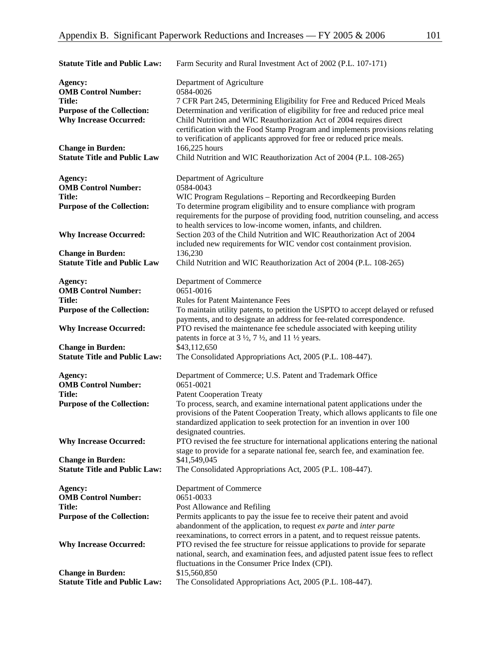| <b>Statute Title and Public Law:</b>                                                        | Farm Security and Rural Investment Act of 2002 (P.L. 107-171)                                                                                                                                                                                                                                                   |
|---------------------------------------------------------------------------------------------|-----------------------------------------------------------------------------------------------------------------------------------------------------------------------------------------------------------------------------------------------------------------------------------------------------------------|
| Agency:<br><b>OMB Control Number:</b><br><b>Title:</b>                                      | Department of Agriculture<br>0584-0026<br>7 CFR Part 245, Determining Eligibility for Free and Reduced Priced Meals                                                                                                                                                                                             |
| <b>Purpose of the Collection:</b><br><b>Why Increase Occurred:</b>                          | Determination and verification of eligibility for free and reduced price meal<br>Child Nutrition and WIC Reauthorization Act of 2004 requires direct<br>certification with the Food Stamp Program and implements provisions relating<br>to verification of applicants approved for free or reduced price meals. |
| <b>Change in Burden:</b><br><b>Statute Title and Public Law</b>                             | 166,225 hours<br>Child Nutrition and WIC Reauthorization Act of 2004 (P.L. 108-265)                                                                                                                                                                                                                             |
| Agency:<br><b>OMB Control Number:</b>                                                       | Department of Agriculture<br>0584-0043                                                                                                                                                                                                                                                                          |
| Title:<br><b>Purpose of the Collection:</b>                                                 | WIC Program Regulations – Reporting and Recordkeeping Burden<br>To determine program eligibility and to ensure compliance with program<br>requirements for the purpose of providing food, nutrition counseling, and access<br>to health services to low-income women, infants, and children.                    |
| <b>Why Increase Occurred:</b>                                                               | Section 203 of the Child Nutrition and WIC Reauthorization Act of 2004<br>included new requirements for WIC vendor cost containment provision.                                                                                                                                                                  |
| <b>Change in Burden:</b><br><b>Statute Title and Public Law</b>                             | 136,230<br>Child Nutrition and WIC Reauthorization Act of 2004 (P.L. 108-265)                                                                                                                                                                                                                                   |
| Agency:<br><b>OMB Control Number:</b><br><b>Title:</b>                                      | Department of Commerce<br>0651-0016<br><b>Rules for Patent Maintenance Fees</b>                                                                                                                                                                                                                                 |
| <b>Purpose of the Collection:</b>                                                           | To maintain utility patents, to petition the USPTO to accept delayed or refused<br>payments, and to designate an address for fee-related correspondence.                                                                                                                                                        |
| <b>Why Increase Occurred:</b><br><b>Change in Burden:</b>                                   | PTO revised the maintenance fee schedule associated with keeping utility<br>patents in force at $3\frac{1}{2}$ , $7\frac{1}{2}$ , and $11\frac{1}{2}$ years.<br>\$43,112,650                                                                                                                                    |
| <b>Statute Title and Public Law:</b>                                                        | The Consolidated Appropriations Act, 2005 (P.L. 108-447).                                                                                                                                                                                                                                                       |
| Agency:<br><b>OMB Control Number:</b><br><b>Title:</b>                                      | Department of Commerce; U.S. Patent and Trademark Office<br>0651-0021<br><b>Patent Cooperation Treaty</b>                                                                                                                                                                                                       |
| <b>Purpose of the Collection:</b>                                                           | To process, search, and examine international patent applications under the<br>provisions of the Patent Cooperation Treaty, which allows applicants to file one<br>standardized application to seek protection for an invention in over 100<br>designated countries.                                            |
| <b>Why Increase Occurred:</b>                                                               | PTO revised the fee structure for international applications entering the national<br>stage to provide for a separate national fee, search fee, and examination fee.<br>\$41,549,045                                                                                                                            |
| <b>Change in Burden:</b><br><b>Statute Title and Public Law:</b>                            | The Consolidated Appropriations Act, 2005 (P.L. 108-447).                                                                                                                                                                                                                                                       |
| Agency:<br><b>OMB Control Number:</b><br><b>Title:</b><br><b>Purpose of the Collection:</b> | Department of Commerce<br>0651-0033<br>Post Allowance and Refiling<br>Permits applicants to pay the issue fee to receive their patent and avoid<br>abandonment of the application, to request ex parte and inter parte<br>reexaminations, to correct errors in a patent, and to request reissue patents.        |
| <b>Why Increase Occurred:</b>                                                               | PTO revised the fee structure for reissue applications to provide for separate<br>national, search, and examination fees, and adjusted patent issue fees to reflect<br>fluctuations in the Consumer Price Index (CPI).                                                                                          |
| <b>Change in Burden:</b><br><b>Statute Title and Public Law:</b>                            | \$15,560,850<br>The Consolidated Appropriations Act, 2005 (P.L. 108-447).                                                                                                                                                                                                                                       |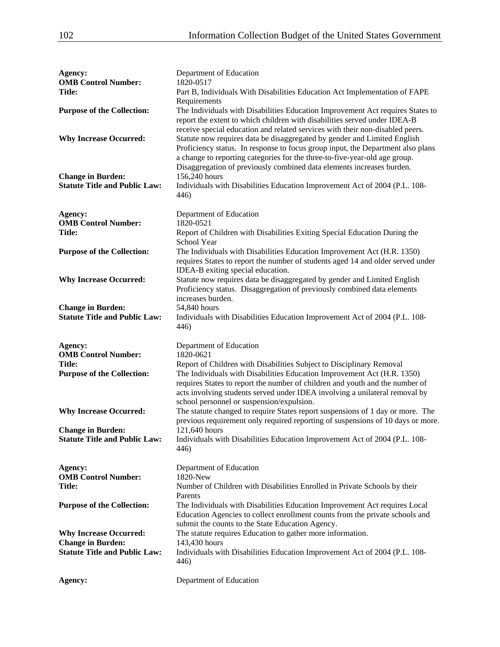| Agency:<br><b>OMB Control Number:</b><br><b>Title:</b><br><b>Purpose of the Collection:</b><br><b>Why Increase Occurred:</b><br><b>Change in Burden:</b><br><b>Statute Title and Public Law:</b> | Department of Education<br>1820-0517<br>Part B, Individuals With Disabilities Education Act Implementation of FAPE<br>Requirements<br>The Individuals with Disabilities Education Improvement Act requires States to<br>report the extent to which children with disabilities served under IDEA-B<br>receive special education and related services with their non-disabled peers.<br>Statute now requires data be disaggregated by gender and Limited English<br>Proficiency status. In response to focus group input, the Department also plans<br>a change to reporting categories for the three-to-five-year-old age group.<br>Disaggregation of previously combined data elements increases burden.<br>156,240 hours<br>Individuals with Disabilities Education Improvement Act of 2004 (P.L. 108-<br>446) |
|--------------------------------------------------------------------------------------------------------------------------------------------------------------------------------------------------|-----------------------------------------------------------------------------------------------------------------------------------------------------------------------------------------------------------------------------------------------------------------------------------------------------------------------------------------------------------------------------------------------------------------------------------------------------------------------------------------------------------------------------------------------------------------------------------------------------------------------------------------------------------------------------------------------------------------------------------------------------------------------------------------------------------------|
| Agency:<br><b>OMB Control Number:</b><br><b>Title:</b>                                                                                                                                           | Department of Education<br>1820-0521<br>Report of Children with Disabilities Exiting Special Education During the                                                                                                                                                                                                                                                                                                                                                                                                                                                                                                                                                                                                                                                                                               |
| <b>Purpose of the Collection:</b>                                                                                                                                                                | School Year<br>The Individuals with Disabilities Education Improvement Act (H.R. 1350)<br>requires States to report the number of students aged 14 and older served under<br>IDEA-B exiting special education.                                                                                                                                                                                                                                                                                                                                                                                                                                                                                                                                                                                                  |
| <b>Why Increase Occurred:</b>                                                                                                                                                                    | Statute now requires data be disaggregated by gender and Limited English<br>Proficiency status. Disaggregation of previously combined data elements<br>increases burden.                                                                                                                                                                                                                                                                                                                                                                                                                                                                                                                                                                                                                                        |
| <b>Change in Burden:</b><br><b>Statute Title and Public Law:</b>                                                                                                                                 | 54,840 hours<br>Individuals with Disabilities Education Improvement Act of 2004 (P.L. 108-<br>446)                                                                                                                                                                                                                                                                                                                                                                                                                                                                                                                                                                                                                                                                                                              |
| Agency:<br><b>OMB Control Number:</b>                                                                                                                                                            | Department of Education<br>1820-0621                                                                                                                                                                                                                                                                                                                                                                                                                                                                                                                                                                                                                                                                                                                                                                            |
| <b>Title:</b><br><b>Purpose of the Collection:</b>                                                                                                                                               | Report of Children with Disabilities Subject to Disciplinary Removal<br>The Individuals with Disabilities Education Improvement Act (H.R. 1350)<br>requires States to report the number of children and youth and the number of<br>acts involving students served under IDEA involving a unilateral removal by<br>school personnel or suspension/expulsion.                                                                                                                                                                                                                                                                                                                                                                                                                                                     |
| <b>Why Increase Occurred:</b>                                                                                                                                                                    | The statute changed to require States report suspensions of 1 day or more. The<br>previous requirement only required reporting of suspensions of 10 days or more.                                                                                                                                                                                                                                                                                                                                                                                                                                                                                                                                                                                                                                               |
| <b>Change in Burden:</b><br><b>Statute Title and Public Law:</b>                                                                                                                                 | 121,640 hours<br>Individuals with Disabilities Education Improvement Act of 2004 (P.L. 108-<br>446)                                                                                                                                                                                                                                                                                                                                                                                                                                                                                                                                                                                                                                                                                                             |
| Agency:<br><b>OMB Control Number:</b><br><b>Title:</b>                                                                                                                                           | Department of Education<br>1820-New<br>Number of Children with Disabilities Enrolled in Private Schools by their<br>Parents                                                                                                                                                                                                                                                                                                                                                                                                                                                                                                                                                                                                                                                                                     |
| <b>Purpose of the Collection:</b>                                                                                                                                                                | The Individuals with Disabilities Education Improvement Act requires Local<br>Education Agencies to collect enrollment counts from the private schools and<br>submit the counts to the State Education Agency.                                                                                                                                                                                                                                                                                                                                                                                                                                                                                                                                                                                                  |
| <b>Why Increase Occurred:</b><br><b>Change in Burden:</b>                                                                                                                                        | The statute requires Education to gather more information.<br>143,430 hours                                                                                                                                                                                                                                                                                                                                                                                                                                                                                                                                                                                                                                                                                                                                     |
| <b>Statute Title and Public Law:</b>                                                                                                                                                             | Individuals with Disabilities Education Improvement Act of 2004 (P.L. 108-<br>446)                                                                                                                                                                                                                                                                                                                                                                                                                                                                                                                                                                                                                                                                                                                              |
| Agency:                                                                                                                                                                                          | Department of Education                                                                                                                                                                                                                                                                                                                                                                                                                                                                                                                                                                                                                                                                                                                                                                                         |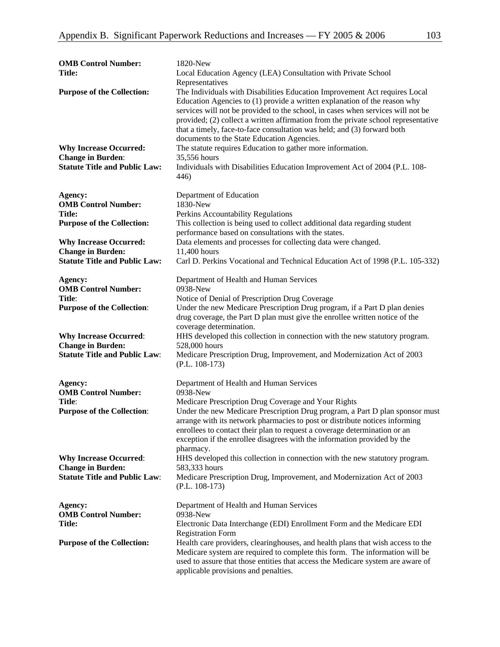| <b>OMB Control Number:</b><br>Title:                                                                                                   | 1820-New<br>Local Education Agency (LEA) Consultation with Private School                                                                                                                                                                                                                                                                                                                                                                                                                                                                                                                                                                |
|----------------------------------------------------------------------------------------------------------------------------------------|------------------------------------------------------------------------------------------------------------------------------------------------------------------------------------------------------------------------------------------------------------------------------------------------------------------------------------------------------------------------------------------------------------------------------------------------------------------------------------------------------------------------------------------------------------------------------------------------------------------------------------------|
| <b>Purpose of the Collection:</b><br><b>Why Increase Occurred:</b><br><b>Change in Burden:</b><br><b>Statute Title and Public Law:</b> | Representatives<br>The Individuals with Disabilities Education Improvement Act requires Local<br>Education Agencies to (1) provide a written explanation of the reason why<br>services will not be provided to the school, in cases when services will not be<br>provided; (2) collect a written affirmation from the private school representative<br>that a timely, face-to-face consultation was held; and (3) forward both<br>documents to the State Education Agencies.<br>The statute requires Education to gather more information.<br>35,556 hours<br>Individuals with Disabilities Education Improvement Act of 2004 (P.L. 108- |
|                                                                                                                                        | 446)                                                                                                                                                                                                                                                                                                                                                                                                                                                                                                                                                                                                                                     |
| Agency:<br><b>OMB Control Number:</b><br>Title:<br><b>Purpose of the Collection:</b>                                                   | Department of Education<br>1830-New<br>Perkins Accountability Regulations<br>This collection is being used to collect additional data regarding student<br>performance based on consultations with the states.                                                                                                                                                                                                                                                                                                                                                                                                                           |
| <b>Why Increase Occurred:</b><br><b>Change in Burden:</b>                                                                              | Data elements and processes for collecting data were changed.<br>11,400 hours                                                                                                                                                                                                                                                                                                                                                                                                                                                                                                                                                            |
| <b>Statute Title and Public Law:</b>                                                                                                   | Carl D. Perkins Vocational and Technical Education Act of 1998 (P.L. 105-332)                                                                                                                                                                                                                                                                                                                                                                                                                                                                                                                                                            |
| Agency:<br><b>OMB Control Number:</b><br>Title:<br><b>Purpose of the Collection:</b>                                                   | Department of Health and Human Services<br>0938-New<br>Notice of Denial of Prescription Drug Coverage<br>Under the new Medicare Prescription Drug program, if a Part D plan denies<br>drug coverage, the Part D plan must give the enrollee written notice of the<br>coverage determination.                                                                                                                                                                                                                                                                                                                                             |
| <b>Why Increase Occurred:</b><br><b>Change in Burden:</b><br><b>Statute Title and Public Law:</b>                                      | HHS developed this collection in connection with the new statutory program.<br>528,000 hours<br>Medicare Prescription Drug, Improvement, and Modernization Act of 2003<br>$(P.L. 108-173)$                                                                                                                                                                                                                                                                                                                                                                                                                                               |
| Agency:<br><b>OMB Control Number:</b><br>Title:<br><b>Purpose of the Collection:</b>                                                   | Department of Health and Human Services<br>0938-New<br>Medicare Prescription Drug Coverage and Your Rights<br>Under the new Medicare Prescription Drug program, a Part D plan sponsor must<br>arrange with its network pharmacies to post or distribute notices informing<br>enrollees to contact their plan to request a coverage determination or an                                                                                                                                                                                                                                                                                   |
| <b>Why Increase Occurred:</b><br><b>Change in Burden:</b><br><b>Statute Title and Public Law:</b>                                      | exception if the enrollee disagrees with the information provided by the<br>pharmacy.<br>HHS developed this collection in connection with the new statutory program.<br>583,333 hours<br>Medicare Prescription Drug, Improvement, and Modernization Act of 2003<br>$(P.L. 108-173)$                                                                                                                                                                                                                                                                                                                                                      |
| Agency:<br><b>OMB Control Number:</b><br><b>Title:</b>                                                                                 | Department of Health and Human Services<br>0938-New<br>Electronic Data Interchange (EDI) Enrollment Form and the Medicare EDI                                                                                                                                                                                                                                                                                                                                                                                                                                                                                                            |
| <b>Purpose of the Collection:</b>                                                                                                      | <b>Registration Form</b><br>Health care providers, clearinghouses, and health plans that wish access to the<br>Medicare system are required to complete this form. The information will be<br>used to assure that those entities that access the Medicare system are aware of<br>applicable provisions and penalties.                                                                                                                                                                                                                                                                                                                    |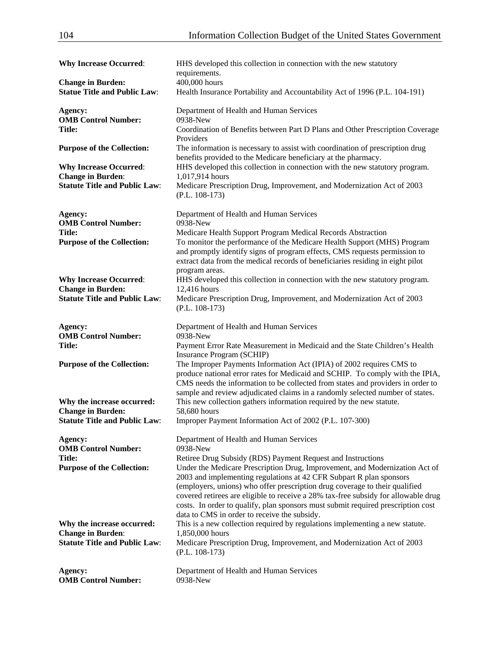| <b>Why Increase Occurred:</b>                                                                                             | HHS developed this collection in connection with the new statutory<br>requirements.                                                                                                                                                                                                                                                                                                                                                                                                                                                                                               |
|---------------------------------------------------------------------------------------------------------------------------|-----------------------------------------------------------------------------------------------------------------------------------------------------------------------------------------------------------------------------------------------------------------------------------------------------------------------------------------------------------------------------------------------------------------------------------------------------------------------------------------------------------------------------------------------------------------------------------|
| <b>Change in Burden:</b><br><b>Statue Title and Public Law:</b>                                                           | 400,000 hours<br>Health Insurance Portability and Accountability Act of 1996 (P.L. 104-191)                                                                                                                                                                                                                                                                                                                                                                                                                                                                                       |
| Agency:<br><b>OMB Control Number:</b><br><b>Title:</b>                                                                    | Department of Health and Human Services<br>0938-New<br>Coordination of Benefits between Part D Plans and Other Prescription Coverage<br>Providers                                                                                                                                                                                                                                                                                                                                                                                                                                 |
| <b>Purpose of the Collection:</b>                                                                                         | The information is necessary to assist with coordination of prescription drug<br>benefits provided to the Medicare beneficiary at the pharmacy.                                                                                                                                                                                                                                                                                                                                                                                                                                   |
| <b>Why Increase Occurred:</b><br><b>Change in Burden:</b><br><b>Statute Title and Public Law:</b>                         | HHS developed this collection in connection with the new statutory program.<br>1,017,914 hours<br>Medicare Prescription Drug, Improvement, and Modernization Act of 2003<br>$(P.L. 108-173)$                                                                                                                                                                                                                                                                                                                                                                                      |
| Agency:<br><b>OMB Control Number:</b><br><b>Title:</b><br><b>Purpose of the Collection:</b>                               | Department of Health and Human Services<br>0938-New<br>Medicare Health Support Program Medical Records Abstraction<br>To monitor the performance of the Medicare Health Support (MHS) Program                                                                                                                                                                                                                                                                                                                                                                                     |
| <b>Why Increase Occurred:</b><br><b>Change in Burden:</b><br><b>Statute Title and Public Law:</b>                         | and promptly identify signs of program effects, CMS requests permission to<br>extract data from the medical records of beneficiaries residing in eight pilot<br>program areas.<br>HHS developed this collection in connection with the new statutory program.<br>12,416 hours<br>Medicare Prescription Drug, Improvement, and Modernization Act of 2003<br>$(P.L. 108-173)$                                                                                                                                                                                                       |
| Agency:<br><b>OMB Control Number:</b><br><b>Title:</b>                                                                    | Department of Health and Human Services<br>0938-New<br>Payment Error Rate Measurement in Medicaid and the State Children's Health                                                                                                                                                                                                                                                                                                                                                                                                                                                 |
| <b>Purpose of the Collection:</b>                                                                                         | Insurance Program (SCHIP)<br>The Improper Payments Information Act (IPIA) of 2002 requires CMS to<br>produce national error rates for Medicaid and SCHIP. To comply with the IPIA,<br>CMS needs the information to be collected from states and providers in order to<br>sample and review adjudicated claims in a randomly selected number of states.                                                                                                                                                                                                                            |
| Why the increase occurred:<br><b>Change in Burden:</b>                                                                    | This new collection gathers information required by the new statute.<br>58,680 hours                                                                                                                                                                                                                                                                                                                                                                                                                                                                                              |
| <b>Statute Title and Public Law:</b>                                                                                      | Improper Payment Information Act of 2002 (P.L. 107-300)                                                                                                                                                                                                                                                                                                                                                                                                                                                                                                                           |
| Agency:<br><b>OMB Control Number:</b><br><b>Title:</b><br><b>Purpose of the Collection:</b><br>Why the increase occurred: | Department of Health and Human Services<br>0938-New<br>Retiree Drug Subsidy (RDS) Payment Request and Instructions<br>Under the Medicare Prescription Drug, Improvement, and Modernization Act of<br>2003 and implementing regulations at 42 CFR Subpart R plan sponsors<br>(employers, unions) who offer prescription drug coverage to their qualified<br>covered retirees are eligible to receive a 28% tax-free subsidy for allowable drug<br>costs. In order to qualify, plan sponsors must submit required prescription cost<br>data to CMS in order to receive the subsidy. |
| <b>Change in Burden:</b><br><b>Statute Title and Public Law:</b>                                                          | This is a new collection required by regulations implementing a new statute.<br>1,850,000 hours<br>Medicare Prescription Drug, Improvement, and Modernization Act of 2003<br>$(P.L. 108-173)$                                                                                                                                                                                                                                                                                                                                                                                     |
| Agency:<br><b>OMB Control Number:</b>                                                                                     | Department of Health and Human Services<br>0938-New                                                                                                                                                                                                                                                                                                                                                                                                                                                                                                                               |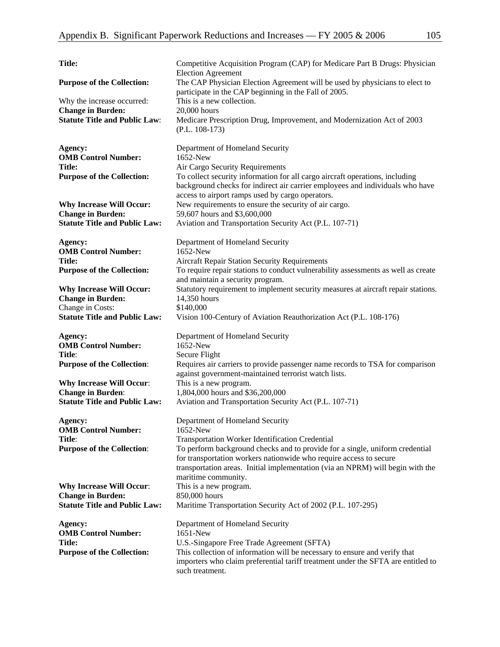| <b>Title:</b>                               | Competitive Acquisition Program (CAP) for Medicare Part B Drugs: Physician<br><b>Election Agreement</b>                                              |
|---------------------------------------------|------------------------------------------------------------------------------------------------------------------------------------------------------|
| <b>Purpose of the Collection:</b>           | The CAP Physician Election Agreement will be used by physicians to elect to<br>participate in the CAP beginning in the Fall of 2005.                 |
| Why the increase occurred:                  | This is a new collection.                                                                                                                            |
| <b>Change in Burden:</b>                    | 20,000 hours                                                                                                                                         |
| <b>Statute Title and Public Law:</b>        | Medicare Prescription Drug, Improvement, and Modernization Act of 2003                                                                               |
|                                             | $(P.L. 108-173)$                                                                                                                                     |
| Agency:                                     | Department of Homeland Security                                                                                                                      |
| <b>OMB Control Number:</b><br><b>Title:</b> | 1652-New<br>Air Cargo Security Requirements                                                                                                          |
| <b>Purpose of the Collection:</b>           | To collect security information for all cargo aircraft operations, including                                                                         |
|                                             | background checks for indirect air carrier employees and individuals who have                                                                        |
|                                             | access to airport ramps used by cargo operators.                                                                                                     |
| <b>Why Increase Will Occur:</b>             | New requirements to ensure the security of air cargo.                                                                                                |
| <b>Change in Burden:</b>                    | 59,607 hours and \$3,600,000                                                                                                                         |
| <b>Statute Title and Public Law:</b>        | Aviation and Transportation Security Act (P.L. 107-71)                                                                                               |
| Agency:                                     | Department of Homeland Security                                                                                                                      |
| <b>OMB Control Number:</b>                  | 1652-New                                                                                                                                             |
| <b>Title:</b>                               | <b>Aircraft Repair Station Security Requirements</b><br>To require repair stations to conduct vulnerability assessments as well as create            |
| <b>Purpose of the Collection:</b>           | and maintain a security program.                                                                                                                     |
| <b>Why Increase Will Occur:</b>             | Statutory requirement to implement security measures at aircraft repair stations.                                                                    |
| <b>Change in Burden:</b>                    | 14,350 hours                                                                                                                                         |
| Change in Costs:                            | \$140,000                                                                                                                                            |
| <b>Statute Title and Public Law:</b>        | Vision 100-Century of Aviation Reauthorization Act (P.L. 108-176)                                                                                    |
| Agency:                                     | Department of Homeland Security                                                                                                                      |
| <b>OMB Control Number:</b>                  | 1652-New                                                                                                                                             |
| Title:                                      | Secure Flight                                                                                                                                        |
| <b>Purpose of the Collection:</b>           | Requires air carriers to provide passenger name records to TSA for comparison<br>against government-maintained terrorist watch lists.                |
| <b>Why Increase Will Occur:</b>             | This is a new program.                                                                                                                               |
| <b>Change in Burden:</b>                    | 1,804,000 hours and \$36,200,000                                                                                                                     |
| <b>Statute Title and Public Law:</b>        | Aviation and Transportation Security Act (P.L. 107-71)                                                                                               |
| Agency:                                     | Department of Homeland Security                                                                                                                      |
| <b>OMB Control Number:</b>                  | 1652-New                                                                                                                                             |
| Title:                                      | <b>Transportation Worker Identification Credential</b>                                                                                               |
| <b>Purpose of the Collection:</b>           | To perform background checks and to provide for a single, uniform credential                                                                         |
|                                             | for transportation workers nationwide who require access to secure<br>transportation areas. Initial implementation (via an NPRM) will begin with the |
|                                             | maritime community.                                                                                                                                  |
| <b>Why Increase Will Occur:</b>             | This is a new program.                                                                                                                               |
| <b>Change in Burden:</b>                    | 850,000 hours                                                                                                                                        |
| <b>Statute Title and Public Law:</b>        | Maritime Transportation Security Act of 2002 (P.L. 107-295)                                                                                          |
| Agency:                                     | Department of Homeland Security                                                                                                                      |
| <b>OMB Control Number:</b>                  | $1651$ -New                                                                                                                                          |
| <b>Title:</b>                               | U.S.-Singapore Free Trade Agreement (SFTA)                                                                                                           |
| <b>Purpose of the Collection:</b>           | This collection of information will be necessary to ensure and verify that                                                                           |
|                                             | importers who claim preferential tariff treatment under the SFTA are entitled to                                                                     |
|                                             | such treatment.                                                                                                                                      |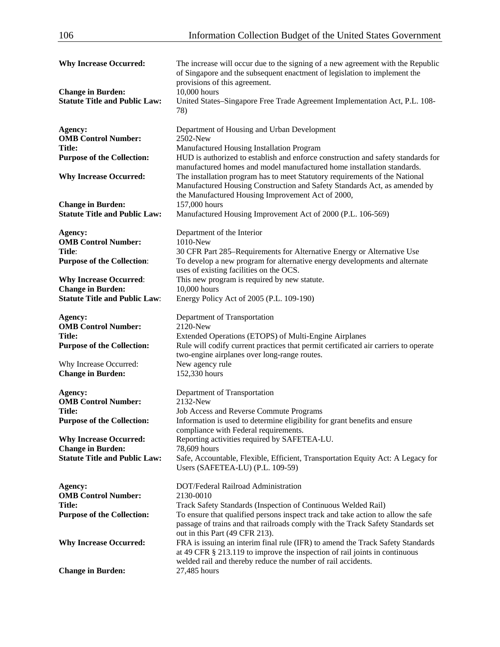| <b>Why Increase Occurred:</b><br><b>Change in Burden:</b><br><b>Statute Title and Public Law:</b>                            | The increase will occur due to the signing of a new agreement with the Republic<br>of Singapore and the subsequent enactment of legislation to implement the<br>provisions of this agreement.<br>10,000 hours<br>United States-Singapore Free Trade Agreement Implementation Act, P.L. 108-<br>78)                                                                                                                             |
|------------------------------------------------------------------------------------------------------------------------------|--------------------------------------------------------------------------------------------------------------------------------------------------------------------------------------------------------------------------------------------------------------------------------------------------------------------------------------------------------------------------------------------------------------------------------|
| Agency:<br><b>OMB Control Number:</b><br><b>Title:</b><br><b>Purpose of the Collection:</b><br><b>Why Increase Occurred:</b> | Department of Housing and Urban Development<br>2502-New<br>Manufactured Housing Installation Program<br>HUD is authorized to establish and enforce construction and safety standards for<br>manufactured homes and model manufactured home installation standards.<br>The installation program has to meet Statutory requirements of the National<br>Manufactured Housing Construction and Safety Standards Act, as amended by |
| <b>Change in Burden:</b><br><b>Statute Title and Public Law:</b>                                                             | the Manufactured Housing Improvement Act of 2000,<br>157,000 hours<br>Manufactured Housing Improvement Act of 2000 (P.L. 106-569)                                                                                                                                                                                                                                                                                              |
| Agency:<br><b>OMB Control Number:</b><br>Title:<br><b>Purpose of the Collection:</b><br><b>Why Increase Occurred:</b>        | Department of the Interior<br>1010-New<br>30 CFR Part 285–Requirements for Alternative Energy or Alternative Use<br>To develop a new program for alternative energy developments and alternate<br>uses of existing facilities on the OCS.<br>This new program is required by new statute.                                                                                                                                      |
| <b>Change in Burden:</b><br><b>Statute Title and Public Law:</b><br>Agency:                                                  | 10,000 hours<br>Energy Policy Act of 2005 (P.L. 109-190)<br>Department of Transportation                                                                                                                                                                                                                                                                                                                                       |
| <b>OMB Control Number:</b><br><b>Title:</b><br><b>Purpose of the Collection:</b>                                             | 2120-New<br>Extended Operations (ETOPS) of Multi-Engine Airplanes<br>Rule will codify current practices that permit certificated air carriers to operate<br>two-engine airplanes over long-range routes.                                                                                                                                                                                                                       |
| Why Increase Occurred:<br><b>Change in Burden:</b><br>Agency:                                                                | New agency rule<br>152,330 hours<br>Department of Transportation                                                                                                                                                                                                                                                                                                                                                               |
| <b>OMB Control Number:</b><br><b>Title:</b><br><b>Purpose of the Collection:</b>                                             | 2132-New<br>Job Access and Reverse Commute Programs<br>Information is used to determine eligibility for grant benefits and ensure<br>compliance with Federal requirements.                                                                                                                                                                                                                                                     |
| <b>Why Increase Occurred:</b><br><b>Change in Burden:</b><br><b>Statute Title and Public Law:</b>                            | Reporting activities required by SAFETEA-LU.<br>78,609 hours<br>Safe, Accountable, Flexible, Efficient, Transportation Equity Act: A Legacy for<br>Users (SAFETEA-LU) (P.L. 109-59)                                                                                                                                                                                                                                            |
| Agency:<br><b>OMB Control Number:</b><br><b>Title:</b><br><b>Purpose of the Collection:</b>                                  | DOT/Federal Railroad Administration<br>2130-0010<br>Track Safety Standards (Inspection of Continuous Welded Rail)<br>To ensure that qualified persons inspect track and take action to allow the safe<br>passage of trains and that railroads comply with the Track Safety Standards set                                                                                                                                       |
| <b>Why Increase Occurred:</b><br><b>Change in Burden:</b>                                                                    | out in this Part (49 CFR 213).<br>FRA is issuing an interim final rule (IFR) to amend the Track Safety Standards<br>at 49 CFR § 213.119 to improve the inspection of rail joints in continuous<br>welded rail and thereby reduce the number of rail accidents.<br>27,485 hours                                                                                                                                                 |
|                                                                                                                              |                                                                                                                                                                                                                                                                                                                                                                                                                                |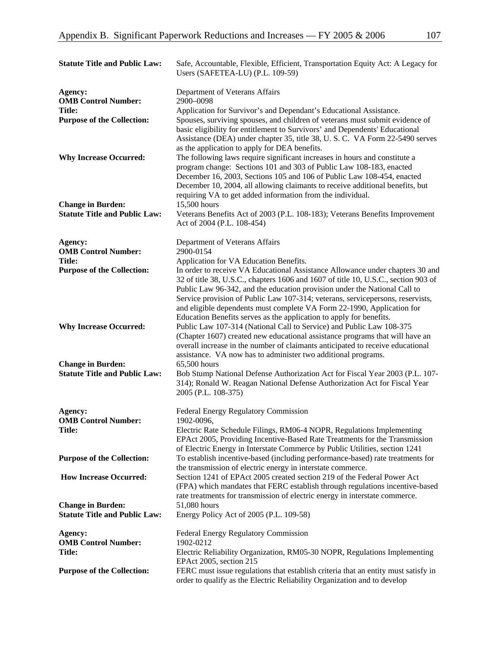| <b>Statute Title and Public Law:</b>  | Safe, Accountable, Flexible, Efficient, Transportation Equity Act: A Legacy for<br>Users (SAFETEA-LU) (P.L. 109-59)                                                                                                                                                                                                                                                                                                                                                                                                        |
|---------------------------------------|----------------------------------------------------------------------------------------------------------------------------------------------------------------------------------------------------------------------------------------------------------------------------------------------------------------------------------------------------------------------------------------------------------------------------------------------------------------------------------------------------------------------------|
| Agency:<br><b>OMB Control Number:</b> | Department of Veterans Affairs<br>2900-0098                                                                                                                                                                                                                                                                                                                                                                                                                                                                                |
| <b>Title:</b>                         | Application for Survivor's and Dependant's Educational Assistance.                                                                                                                                                                                                                                                                                                                                                                                                                                                         |
| <b>Purpose of the Collection:</b>     | Spouses, surviving spouses, and children of veterans must submit evidence of                                                                                                                                                                                                                                                                                                                                                                                                                                               |
| <b>Why Increase Occurred:</b>         | basic eligibility for entitlement to Survivors' and Dependents' Educational<br>Assistance (DEA) under chapter 35, title 38, U.S.C. VA Form 22-5490 serves<br>as the application to apply for DEA benefits.<br>The following laws require significant increases in hours and constitute a<br>program change: Sections 101 and 303 of Public Law 108-183, enacted<br>December 16, 2003, Sections 105 and 106 of Public Law 108-454, enacted<br>December 10, 2004, all allowing claimants to receive additional benefits, but |
|                                       | requiring VA to get added information from the individual.                                                                                                                                                                                                                                                                                                                                                                                                                                                                 |
| <b>Change in Burden:</b>              | 15,500 hours                                                                                                                                                                                                                                                                                                                                                                                                                                                                                                               |
| <b>Statute Title and Public Law:</b>  | Veterans Benefits Act of 2003 (P.L. 108-183); Veterans Benefits Improvement                                                                                                                                                                                                                                                                                                                                                                                                                                                |
|                                       | Act of 2004 (P.L. 108-454)                                                                                                                                                                                                                                                                                                                                                                                                                                                                                                 |
| Agency:                               | Department of Veterans Affairs                                                                                                                                                                                                                                                                                                                                                                                                                                                                                             |
| <b>OMB Control Number:</b>            | 2900-0154                                                                                                                                                                                                                                                                                                                                                                                                                                                                                                                  |
| <b>Title:</b>                         | Application for VA Education Benefits.                                                                                                                                                                                                                                                                                                                                                                                                                                                                                     |
| <b>Purpose of the Collection:</b>     | In order to receive VA Educational Assistance Allowance under chapters 30 and<br>32 of title 38, U.S.C., chapters 1606 and 1607 of title 10, U.S.C., section 903 of<br>Public Law 96-342, and the education provision under the National Call to                                                                                                                                                                                                                                                                           |
|                                       | Service provision of Public Law 107-314; veterans, servicepersons, reservists,                                                                                                                                                                                                                                                                                                                                                                                                                                             |
|                                       | and eligible dependents must complete VA Form 22-1990, Application for                                                                                                                                                                                                                                                                                                                                                                                                                                                     |
|                                       | Education Benefits serves as the application to apply for benefits.                                                                                                                                                                                                                                                                                                                                                                                                                                                        |
| <b>Why Increase Occurred:</b>         | Public Law 107-314 (National Call to Service) and Public Law 108-375<br>(Chapter 1607) created new educational assistance programs that will have an<br>overall increase in the number of claimants anticipated to receive educational<br>assistance. VA now has to administer two additional programs.                                                                                                                                                                                                                    |
| <b>Change in Burden:</b>              | 65,500 hours                                                                                                                                                                                                                                                                                                                                                                                                                                                                                                               |
| <b>Statute Title and Public Law:</b>  | Bob Stump National Defense Authorization Act for Fiscal Year 2003 (P.L. 107-<br>314); Ronald W. Reagan National Defense Authorization Act for Fiscal Year<br>2005 (P.L. 108-375)                                                                                                                                                                                                                                                                                                                                           |
| Agency:<br><b>OMB Control Number:</b> | Federal Energy Regulatory Commission                                                                                                                                                                                                                                                                                                                                                                                                                                                                                       |
| <b>Title:</b>                         | 1902-0096,<br>Electric Rate Schedule Filings, RM06-4 NOPR, Regulations Implementing                                                                                                                                                                                                                                                                                                                                                                                                                                        |
|                                       | EPAct 2005, Providing Incentive-Based Rate Treatments for the Transmission                                                                                                                                                                                                                                                                                                                                                                                                                                                 |
|                                       | of Electric Energy in Interstate Commerce by Public Utilities, section 1241                                                                                                                                                                                                                                                                                                                                                                                                                                                |
| <b>Purpose of the Collection:</b>     | To establish incentive-based (including performance-based) rate treatments for                                                                                                                                                                                                                                                                                                                                                                                                                                             |
|                                       | the transmission of electric energy in interstate commerce.                                                                                                                                                                                                                                                                                                                                                                                                                                                                |
| <b>How Increase Occurred:</b>         | Section 1241 of EPAct 2005 created section 219 of the Federal Power Act                                                                                                                                                                                                                                                                                                                                                                                                                                                    |
|                                       | (FPA) which mandates that FERC establish through regulations incentive-based                                                                                                                                                                                                                                                                                                                                                                                                                                               |
| <b>Change in Burden:</b>              | rate treatments for transmission of electric energy in interstate commerce.<br>51,080 hours                                                                                                                                                                                                                                                                                                                                                                                                                                |
| <b>Statute Title and Public Law:</b>  | Energy Policy Act of 2005 (P.L. 109-58)                                                                                                                                                                                                                                                                                                                                                                                                                                                                                    |
|                                       |                                                                                                                                                                                                                                                                                                                                                                                                                                                                                                                            |
| Agency:                               | Federal Energy Regulatory Commission                                                                                                                                                                                                                                                                                                                                                                                                                                                                                       |
| <b>OMB Control Number:</b>            | 1902-0212                                                                                                                                                                                                                                                                                                                                                                                                                                                                                                                  |
| <b>Title:</b>                         | Electric Reliability Organization, RM05-30 NOPR, Regulations Implementing                                                                                                                                                                                                                                                                                                                                                                                                                                                  |
| <b>Purpose of the Collection:</b>     | EPAct 2005, section 215<br>FERC must issue regulations that establish criteria that an entity must satisfy in                                                                                                                                                                                                                                                                                                                                                                                                              |
|                                       | order to qualify as the Electric Reliability Organization and to develop                                                                                                                                                                                                                                                                                                                                                                                                                                                   |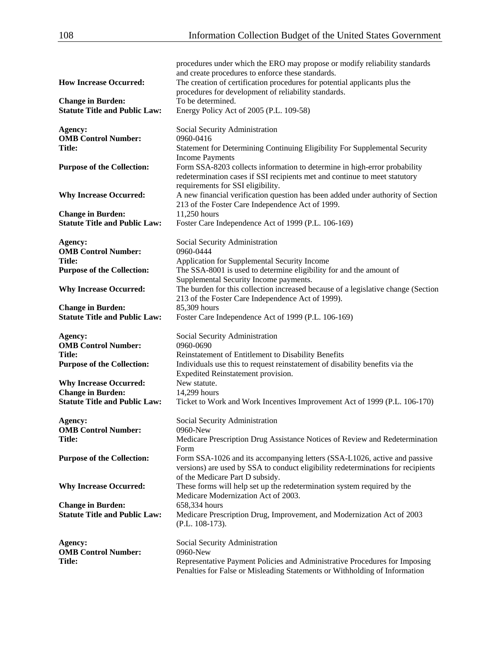| <b>How Increase Occurred:</b><br><b>Change in Burden:</b><br><b>Statute Title and Public Law:</b> | procedures under which the ERO may propose or modify reliability standards<br>and create procedures to enforce these standards.<br>The creation of certification procedures for potential applicants plus the<br>procedures for development of reliability standards.<br>To be determined.<br>Energy Policy Act of 2005 (P.L. 109-58) |
|---------------------------------------------------------------------------------------------------|---------------------------------------------------------------------------------------------------------------------------------------------------------------------------------------------------------------------------------------------------------------------------------------------------------------------------------------|
| Agency:<br><b>OMB Control Number:</b><br><b>Title:</b>                                            | Social Security Administration<br>0960-0416<br>Statement for Determining Continuing Eligibility For Supplemental Security                                                                                                                                                                                                             |
| <b>Purpose of the Collection:</b>                                                                 | <b>Income Payments</b><br>Form SSA-8203 collects information to determine in high-error probability<br>redetermination cases if SSI recipients met and continue to meet statutory                                                                                                                                                     |
| <b>Why Increase Occurred:</b>                                                                     | requirements for SSI eligibility.<br>A new financial verification question has been added under authority of Section<br>213 of the Foster Care Independence Act of 1999.                                                                                                                                                              |
| <b>Change in Burden:</b><br><b>Statute Title and Public Law:</b>                                  | 11,250 hours<br>Foster Care Independence Act of 1999 (P.L. 106-169)                                                                                                                                                                                                                                                                   |
| Agency:<br><b>OMB Control Number:</b><br><b>Title:</b>                                            | Social Security Administration<br>0960-0444<br>Application for Supplemental Security Income                                                                                                                                                                                                                                           |
| <b>Purpose of the Collection:</b>                                                                 | The SSA-8001 is used to determine eligibility for and the amount of<br>Supplemental Security Income payments.                                                                                                                                                                                                                         |
| <b>Why Increase Occurred:</b>                                                                     | The burden for this collection increased because of a legislative change (Section<br>213 of the Foster Care Independence Act of 1999).                                                                                                                                                                                                |
| <b>Change in Burden:</b><br><b>Statute Title and Public Law:</b>                                  | 85,309 hours<br>Foster Care Independence Act of 1999 (P.L. 106-169)                                                                                                                                                                                                                                                                   |
| Agency:<br><b>OMB Control Number:</b>                                                             | Social Security Administration<br>0960-0690                                                                                                                                                                                                                                                                                           |
| Title:<br><b>Purpose of the Collection:</b>                                                       | Reinstatement of Entitlement to Disability Benefits<br>Individuals use this to request reinstatement of disability benefits via the<br>Expedited Reinstatement provision.                                                                                                                                                             |
| <b>Why Increase Occurred:</b><br><b>Change in Burden:</b>                                         | New statute.<br>14,299 hours                                                                                                                                                                                                                                                                                                          |
| <b>Statute Title and Public Law:</b>                                                              | Ticket to Work and Work Incentives Improvement Act of 1999 (P.L. 106-170)                                                                                                                                                                                                                                                             |
| Agency:<br><b>OMB Control Number:</b>                                                             | Social Security Administration<br>0960-New                                                                                                                                                                                                                                                                                            |
| Title:                                                                                            | Medicare Prescription Drug Assistance Notices of Review and Redetermination<br>Form                                                                                                                                                                                                                                                   |
| <b>Purpose of the Collection:</b>                                                                 | Form SSA-1026 and its accompanying letters (SSA-L1026, active and passive<br>versions) are used by SSA to conduct eligibility redeterminations for recipients<br>of the Medicare Part D subsidy.                                                                                                                                      |
| <b>Why Increase Occurred:</b>                                                                     | These forms will help set up the redetermination system required by the<br>Medicare Modernization Act of 2003.                                                                                                                                                                                                                        |
| <b>Change in Burden:</b><br><b>Statute Title and Public Law:</b>                                  | 658,334 hours<br>Medicare Prescription Drug, Improvement, and Modernization Act of 2003<br>$(P.L. 108-173).$                                                                                                                                                                                                                          |
| Agency:<br><b>OMB Control Number:</b>                                                             | Social Security Administration<br>0960-New                                                                                                                                                                                                                                                                                            |
| Title:                                                                                            | Representative Payment Policies and Administrative Procedures for Imposing<br>Penalties for False or Misleading Statements or Withholding of Information                                                                                                                                                                              |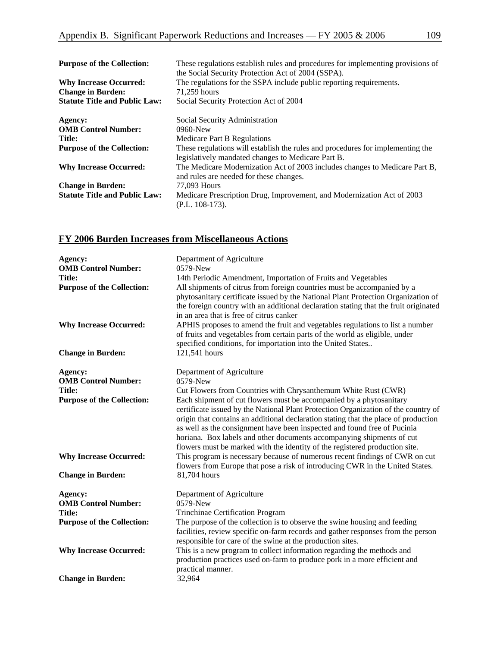| <b>Purpose of the Collection:</b>    | These regulations establish rules and procedures for implementing provisions of                                        |  |
|--------------------------------------|------------------------------------------------------------------------------------------------------------------------|--|
|                                      | the Social Security Protection Act of 2004 (SSPA).                                                                     |  |
| <b>Why Increase Occurred:</b>        | The regulations for the SSPA include public reporting requirements.                                                    |  |
| <b>Change in Burden:</b>             | 71.259 hours                                                                                                           |  |
| <b>Statute Title and Public Law:</b> | Social Security Protection Act of 2004                                                                                 |  |
| Agency:                              | Social Security Administration                                                                                         |  |
| <b>OMB Control Number:</b>           | $0960$ -New                                                                                                            |  |
| <b>Title:</b>                        | <b>Medicare Part B Regulations</b>                                                                                     |  |
| <b>Purpose of the Collection:</b>    | These regulations will establish the rules and procedures for implementing the                                         |  |
|                                      | legislatively mandated changes to Medicare Part B.                                                                     |  |
| <b>Why Increase Occurred:</b>        | The Medicare Modernization Act of 2003 includes changes to Medicare Part B,<br>and rules are needed for these changes. |  |
| <b>Change in Burden:</b>             | 77,093 Hours                                                                                                           |  |
| <b>Statute Title and Public Law:</b> | Medicare Prescription Drug, Improvement, and Modernization Act of 2003<br>(P.L. 108-173).                              |  |

## **FY 2006 Burden Increases from Miscellaneous Actions**

| Agency:<br><b>OMB Control Number:</b><br><b>Title:</b><br><b>Purpose of the Collection:</b><br><b>Why Increase Occurred:</b> | Department of Agriculture<br>0579-New<br>14th Periodic Amendment, Importation of Fruits and Vegetables<br>All shipments of citrus from foreign countries must be accompanied by a<br>phytosanitary certificate issued by the National Plant Protection Organization of<br>the foreign country with an additional declaration stating that the fruit originated<br>in an area that is free of citrus canker<br>APHIS proposes to amend the fruit and vegetables regulations to list a number<br>of fruits and vegetables from certain parts of the world as eligible, under |
|------------------------------------------------------------------------------------------------------------------------------|----------------------------------------------------------------------------------------------------------------------------------------------------------------------------------------------------------------------------------------------------------------------------------------------------------------------------------------------------------------------------------------------------------------------------------------------------------------------------------------------------------------------------------------------------------------------------|
| <b>Change in Burden:</b>                                                                                                     | specified conditions, for importation into the United States<br>121,541 hours                                                                                                                                                                                                                                                                                                                                                                                                                                                                                              |
| Agency:<br><b>OMB Control Number:</b>                                                                                        | Department of Agriculture<br>0579-New                                                                                                                                                                                                                                                                                                                                                                                                                                                                                                                                      |
| <b>Title:</b>                                                                                                                | Cut Flowers from Countries with Chrysanthemum White Rust (CWR)                                                                                                                                                                                                                                                                                                                                                                                                                                                                                                             |
| <b>Purpose of the Collection:</b>                                                                                            | Each shipment of cut flowers must be accompanied by a phytosanitary<br>certificate issued by the National Plant Protection Organization of the country of<br>origin that contains an additional declaration stating that the place of production<br>as well as the consignment have been inspected and found free of Pucinia<br>horiana. Box labels and other documents accompanying shipments of cut<br>flowers must be marked with the identity of the registered production site.                                                                                       |
| <b>Why Increase Occurred:</b>                                                                                                | This program is necessary because of numerous recent findings of CWR on cut<br>flowers from Europe that pose a risk of introducing CWR in the United States.                                                                                                                                                                                                                                                                                                                                                                                                               |
| <b>Change in Burden:</b>                                                                                                     | 81,704 hours                                                                                                                                                                                                                                                                                                                                                                                                                                                                                                                                                               |
| Agency:<br><b>OMB Control Number:</b>                                                                                        | Department of Agriculture<br>0579-New                                                                                                                                                                                                                                                                                                                                                                                                                                                                                                                                      |
| <b>Title:</b><br><b>Purpose of the Collection:</b>                                                                           | Trinchinae Certification Program<br>The purpose of the collection is to observe the swine housing and feeding                                                                                                                                                                                                                                                                                                                                                                                                                                                              |
| <b>Why Increase Occurred:</b>                                                                                                | facilities, review specific on-farm records and gather responses from the person<br>responsible for care of the swine at the production sites.<br>This is a new program to collect information regarding the methods and<br>production practices used on-farm to produce pork in a more efficient and<br>practical manner.                                                                                                                                                                                                                                                 |
| <b>Change in Burden:</b>                                                                                                     | 32,964                                                                                                                                                                                                                                                                                                                                                                                                                                                                                                                                                                     |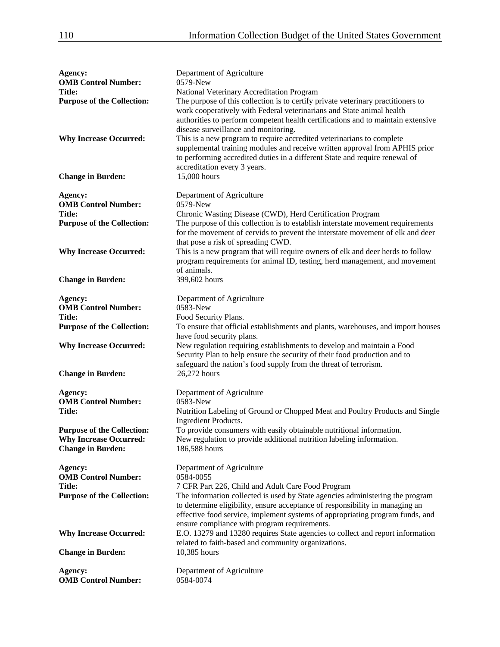| Agency:<br><b>OMB Control Number:</b><br>Title:<br><b>Purpose of the Collection:</b><br><b>Why Increase Occurred:</b><br><b>Change in Burden:</b> | Department of Agriculture<br>0579-New<br>National Veterinary Accreditation Program<br>The purpose of this collection is to certify private veterinary practitioners to<br>work cooperatively with Federal veterinarians and State animal health<br>authorities to perform competent health certifications and to maintain extensive<br>disease surveillance and monitoring.<br>This is a new program to require accredited veterinarians to complete<br>supplemental training modules and receive written approval from APHIS prior<br>to performing accredited duties in a different State and require renewal of<br>accreditation every 3 years.<br>15,000 hours |
|---------------------------------------------------------------------------------------------------------------------------------------------------|--------------------------------------------------------------------------------------------------------------------------------------------------------------------------------------------------------------------------------------------------------------------------------------------------------------------------------------------------------------------------------------------------------------------------------------------------------------------------------------------------------------------------------------------------------------------------------------------------------------------------------------------------------------------|
|                                                                                                                                                   |                                                                                                                                                                                                                                                                                                                                                                                                                                                                                                                                                                                                                                                                    |
| Agency:<br><b>OMB Control Number:</b><br>Title:<br><b>Purpose of the Collection:</b>                                                              | Department of Agriculture<br>0579-New<br>Chronic Wasting Disease (CWD), Herd Certification Program<br>The purpose of this collection is to establish interstate movement requirements<br>for the movement of cervids to prevent the interstate movement of elk and deer                                                                                                                                                                                                                                                                                                                                                                                            |
| <b>Why Increase Occurred:</b>                                                                                                                     | that pose a risk of spreading CWD.<br>This is a new program that will require owners of elk and deer herds to follow<br>program requirements for animal ID, testing, herd management, and movement<br>of animals.                                                                                                                                                                                                                                                                                                                                                                                                                                                  |
| <b>Change in Burden:</b>                                                                                                                          | 399,602 hours                                                                                                                                                                                                                                                                                                                                                                                                                                                                                                                                                                                                                                                      |
| Agency:<br><b>OMB Control Number:</b>                                                                                                             | Department of Agriculture<br>0583-New                                                                                                                                                                                                                                                                                                                                                                                                                                                                                                                                                                                                                              |
| Title:<br><b>Purpose of the Collection:</b>                                                                                                       | Food Security Plans.<br>To ensure that official establishments and plants, warehouses, and import houses<br>have food security plans.                                                                                                                                                                                                                                                                                                                                                                                                                                                                                                                              |
| <b>Why Increase Occurred:</b>                                                                                                                     | New regulation requiring establishments to develop and maintain a Food<br>Security Plan to help ensure the security of their food production and to<br>safeguard the nation's food supply from the threat of terrorism.                                                                                                                                                                                                                                                                                                                                                                                                                                            |
| <b>Change in Burden:</b>                                                                                                                          | 26,272 hours                                                                                                                                                                                                                                                                                                                                                                                                                                                                                                                                                                                                                                                       |
| Agency:<br><b>OMB Control Number:</b><br><b>Title:</b>                                                                                            | Department of Agriculture<br>0583-New<br>Nutrition Labeling of Ground or Chopped Meat and Poultry Products and Single<br><b>Ingredient Products.</b>                                                                                                                                                                                                                                                                                                                                                                                                                                                                                                               |
| <b>Purpose of the Collection:</b><br><b>Why Increase Occurred:</b><br><b>Change in Burden:</b>                                                    | To provide consumers with easily obtainable nutritional information.<br>New regulation to provide additional nutrition labeling information.<br>186,588 hours                                                                                                                                                                                                                                                                                                                                                                                                                                                                                                      |
| Agency:<br><b>OMB Control Number:</b><br>Title:                                                                                                   | Department of Agriculture<br>0584-0055<br>7 CFR Part 226, Child and Adult Care Food Program                                                                                                                                                                                                                                                                                                                                                                                                                                                                                                                                                                        |
| <b>Purpose of the Collection:</b>                                                                                                                 | The information collected is used by State agencies administering the program<br>to determine eligibility, ensure acceptance of responsibility in managing an<br>effective food service, implement systems of appropriating program funds, and<br>ensure compliance with program requirements.                                                                                                                                                                                                                                                                                                                                                                     |
| <b>Why Increase Occurred:</b>                                                                                                                     | E.O. 13279 and 13280 requires State agencies to collect and report information<br>related to faith-based and community organizations.                                                                                                                                                                                                                                                                                                                                                                                                                                                                                                                              |
| <b>Change in Burden:</b>                                                                                                                          | 10,385 hours                                                                                                                                                                                                                                                                                                                                                                                                                                                                                                                                                                                                                                                       |
| Agency:<br><b>OMB Control Number:</b>                                                                                                             | Department of Agriculture<br>0584-0074                                                                                                                                                                                                                                                                                                                                                                                                                                                                                                                                                                                                                             |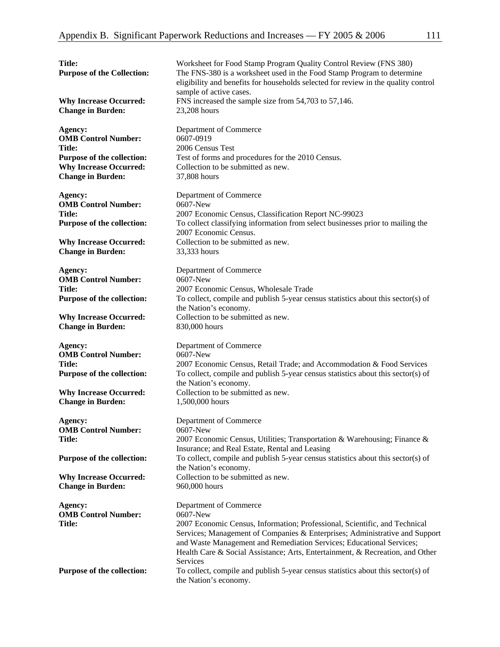| <b>Title:</b><br><b>Purpose of the Collection:</b>                                                                                                | Worksheet for Food Stamp Program Quality Control Review (FNS 380)<br>The FNS-380 is a worksheet used in the Food Stamp Program to determine<br>eligibility and benefits for households selected for review in the quality control<br>sample of active cases.                                                                                                         |
|---------------------------------------------------------------------------------------------------------------------------------------------------|----------------------------------------------------------------------------------------------------------------------------------------------------------------------------------------------------------------------------------------------------------------------------------------------------------------------------------------------------------------------|
| <b>Why Increase Occurred:</b><br><b>Change in Burden:</b>                                                                                         | FNS increased the sample size from 54,703 to 57,146.<br>23,208 hours                                                                                                                                                                                                                                                                                                 |
| Agency:<br><b>OMB Control Number:</b><br><b>Title:</b><br>Purpose of the collection:<br><b>Why Increase Occurred:</b><br><b>Change in Burden:</b> | Department of Commerce<br>0607-0919<br>2006 Census Test<br>Test of forms and procedures for the 2010 Census.<br>Collection to be submitted as new.<br>37,808 hours                                                                                                                                                                                                   |
| Agency:<br><b>OMB Control Number:</b><br><b>Title:</b><br>Purpose of the collection:<br><b>Why Increase Occurred:</b>                             | Department of Commerce<br>0607-New<br>2007 Economic Census, Classification Report NC-99023<br>To collect classifying information from select businesses prior to mailing the<br>2007 Economic Census.<br>Collection to be submitted as new.                                                                                                                          |
| <b>Change in Burden:</b>                                                                                                                          | 33,333 hours                                                                                                                                                                                                                                                                                                                                                         |
| Agency:<br><b>OMB Control Number:</b><br><b>Title:</b><br>Purpose of the collection:                                                              | Department of Commerce<br>0607-New<br>2007 Economic Census, Wholesale Trade<br>To collect, compile and publish 5-year census statistics about this sector(s) of<br>the Nation's economy.                                                                                                                                                                             |
| <b>Why Increase Occurred:</b><br><b>Change in Burden:</b>                                                                                         | Collection to be submitted as new.<br>830,000 hours                                                                                                                                                                                                                                                                                                                  |
| Agency:<br><b>OMB Control Number:</b><br><b>Title:</b><br>Purpose of the collection:                                                              | Department of Commerce<br>0607-New<br>2007 Economic Census, Retail Trade; and Accommodation & Food Services<br>To collect, compile and publish 5-year census statistics about this sector(s) of                                                                                                                                                                      |
| <b>Why Increase Occurred:</b><br><b>Change in Burden:</b>                                                                                         | the Nation's economy.<br>Collection to be submitted as new.<br>1,500,000 hours                                                                                                                                                                                                                                                                                       |
| Agency:<br><b>OMB Control Number:</b><br><b>Title:</b>                                                                                            | Department of Commerce<br>0607-New<br>2007 Economic Census, Utilities; Transportation & Warehousing; Finance &<br>Insurance; and Real Estate, Rental and Leasing                                                                                                                                                                                                     |
| Purpose of the collection:                                                                                                                        | To collect, compile and publish 5-year census statistics about this sector(s) of<br>the Nation's economy.                                                                                                                                                                                                                                                            |
| <b>Why Increase Occurred:</b><br><b>Change in Burden:</b>                                                                                         | Collection to be submitted as new.<br>960,000 hours                                                                                                                                                                                                                                                                                                                  |
| Agency:<br><b>OMB Control Number:</b><br><b>Title:</b>                                                                                            | Department of Commerce<br>0607-New<br>2007 Economic Census, Information; Professional, Scientific, and Technical<br>Services; Management of Companies & Enterprises; Administrative and Support<br>and Waste Management and Remediation Services; Educational Services;<br>Health Care & Social Assistance; Arts, Entertainment, & Recreation, and Other<br>Services |
| Purpose of the collection:                                                                                                                        | To collect, compile and publish 5-year census statistics about this sector(s) of<br>the Nation's economy.                                                                                                                                                                                                                                                            |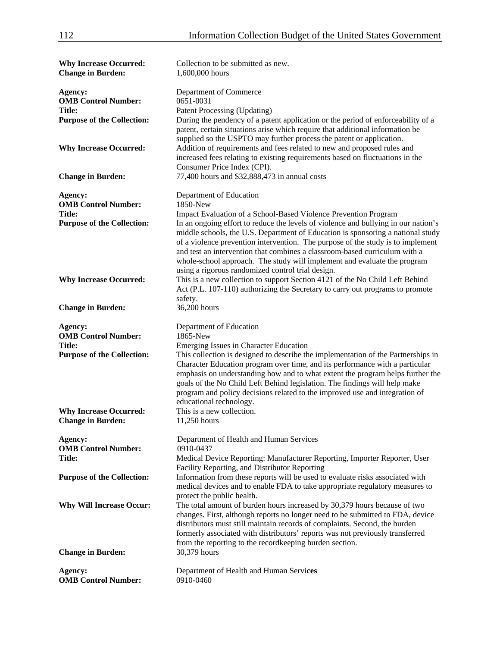| <b>Why Increase Occurred:</b><br><b>Change in Burden:</b> | Collection to be submitted as new.<br>1,600,000 hours                                                                                                                                                                                     |
|-----------------------------------------------------------|-------------------------------------------------------------------------------------------------------------------------------------------------------------------------------------------------------------------------------------------|
| Agency:<br><b>OMB Control Number:</b>                     | Department of Commerce<br>0651-0031                                                                                                                                                                                                       |
| Title:                                                    | Patent Processing (Updating)                                                                                                                                                                                                              |
| <b>Purpose of the Collection:</b>                         | During the pendency of a patent application or the period of enforceability of a<br>patent, certain situations arise which require that additional information be<br>supplied so the USPTO may further process the patent or application. |
| <b>Why Increase Occurred:</b>                             | Addition of requirements and fees related to new and proposed rules and<br>increased fees relating to existing requirements based on fluctuations in the<br>Consumer Price Index (CPI).                                                   |
| <b>Change in Burden:</b>                                  | 77,400 hours and \$32,888,473 in annual costs                                                                                                                                                                                             |
| Agency:                                                   | Department of Education                                                                                                                                                                                                                   |
| <b>OMB Control Number:</b>                                | 1850-New                                                                                                                                                                                                                                  |
| Title:                                                    | Impact Evaluation of a School-Based Violence Prevention Program                                                                                                                                                                           |
| <b>Purpose of the Collection:</b>                         | In an ongoing effort to reduce the levels of violence and bullying in our nation's                                                                                                                                                        |
|                                                           | middle schools, the U.S. Department of Education is sponsoring a national study                                                                                                                                                           |
|                                                           | of a violence prevention intervention. The purpose of the study is to implement<br>and test an intervention that combines a classroom-based curriculum with a                                                                             |
|                                                           | whole-school approach. The study will implement and evaluate the program                                                                                                                                                                  |
|                                                           | using a rigorous randomized control trial design.                                                                                                                                                                                         |
| <b>Why Increase Occurred:</b>                             | This is a new collection to support Section 4121 of the No Child Left Behind                                                                                                                                                              |
|                                                           | Act (P.L. 107-110) authorizing the Secretary to carry out programs to promote                                                                                                                                                             |
|                                                           | safety.                                                                                                                                                                                                                                   |
| <b>Change in Burden:</b>                                  | 36,200 hours                                                                                                                                                                                                                              |
|                                                           |                                                                                                                                                                                                                                           |
|                                                           |                                                                                                                                                                                                                                           |
| Agency:<br><b>OMB Control Number:</b>                     | Department of Education<br>1865-New                                                                                                                                                                                                       |
| Title:                                                    | Emerging Issues in Character Education                                                                                                                                                                                                    |
| <b>Purpose of the Collection:</b>                         | This collection is designed to describe the implementation of the Partnerships in                                                                                                                                                         |
|                                                           | Character Education program over time, and its performance with a particular                                                                                                                                                              |
|                                                           | emphasis on understanding how and to what extent the program helps further the                                                                                                                                                            |
|                                                           | goals of the No Child Left Behind legislation. The findings will help make                                                                                                                                                                |
|                                                           | program and policy decisions related to the improved use and integration of                                                                                                                                                               |
|                                                           | educational technology.                                                                                                                                                                                                                   |
| <b>Why Increase Occurred:</b>                             | This is a new collection.                                                                                                                                                                                                                 |
| <b>Change in Burden:</b>                                  | 11,250 hours                                                                                                                                                                                                                              |
| Agency:                                                   | Department of Health and Human Services                                                                                                                                                                                                   |
| <b>OMB Control Number:</b>                                | 0910-0437                                                                                                                                                                                                                                 |
| <b>Title:</b>                                             | Medical Device Reporting: Manufacturer Reporting, Importer Reporter, User                                                                                                                                                                 |
|                                                           | Facility Reporting, and Distributor Reporting                                                                                                                                                                                             |
| <b>Purpose of the Collection:</b>                         | Information from these reports will be used to evaluate risks associated with                                                                                                                                                             |
|                                                           | medical devices and to enable FDA to take appropriate regulatory measures to                                                                                                                                                              |
| <b>Why Will Increase Occur:</b>                           | protect the public health.<br>The total amount of burden hours increased by 30,379 hours because of two                                                                                                                                   |
|                                                           | changes. First, although reports no longer need to be submitted to FDA, device                                                                                                                                                            |
|                                                           | distributors must still maintain records of complaints. Second, the burden                                                                                                                                                                |
|                                                           | formerly associated with distributors' reports was not previously transferred                                                                                                                                                             |
|                                                           | from the reporting to the recordkeeping burden section.                                                                                                                                                                                   |
| <b>Change in Burden:</b>                                  | 30,379 hours                                                                                                                                                                                                                              |
| Agency:                                                   | Department of Health and Human Services                                                                                                                                                                                                   |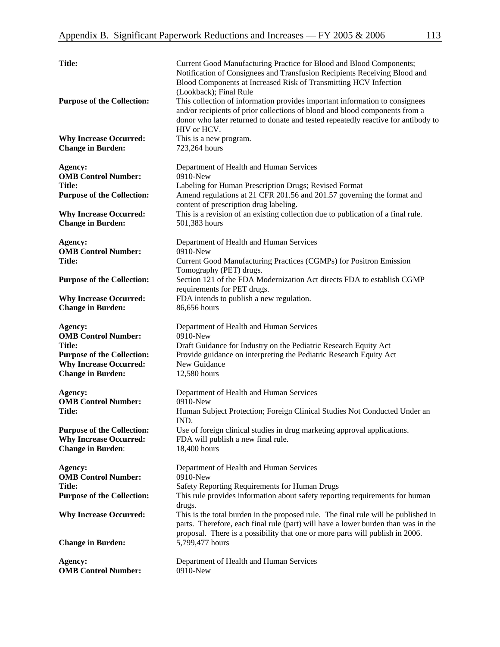| <b>Title:</b>                                             | Current Good Manufacturing Practice for Blood and Blood Components;<br>Notification of Consignees and Transfusion Recipients Receiving Blood and<br>Blood Components at Increased Risk of Transmitting HCV Infection                                                                     |
|-----------------------------------------------------------|------------------------------------------------------------------------------------------------------------------------------------------------------------------------------------------------------------------------------------------------------------------------------------------|
| <b>Purpose of the Collection:</b>                         | (Lookback); Final Rule<br>This collection of information provides important information to consignees<br>and/or recipients of prior collections of blood and blood components from a<br>donor who later returned to donate and tested repeatedly reactive for antibody to<br>HIV or HCV. |
| <b>Why Increase Occurred:</b><br><b>Change in Burden:</b> | This is a new program.<br>723,264 hours                                                                                                                                                                                                                                                  |
| Agency:<br><b>OMB Control Number:</b><br><b>Title:</b>    | Department of Health and Human Services<br>0910-New<br>Labeling for Human Prescription Drugs; Revised Format                                                                                                                                                                             |
| <b>Purpose of the Collection:</b>                         | Amend regulations at 21 CFR 201.56 and 201.57 governing the format and<br>content of prescription drug labeling.                                                                                                                                                                         |
| <b>Why Increase Occurred:</b><br><b>Change in Burden:</b> | This is a revision of an existing collection due to publication of a final rule.<br>501,383 hours                                                                                                                                                                                        |
| Agency:<br><b>OMB Control Number:</b>                     | Department of Health and Human Services<br>0910-New                                                                                                                                                                                                                                      |
| Title:                                                    | Current Good Manufacturing Practices (CGMPs) for Positron Emission                                                                                                                                                                                                                       |
| <b>Purpose of the Collection:</b>                         | Tomography (PET) drugs.<br>Section 121 of the FDA Modernization Act directs FDA to establish CGMP<br>requirements for PET drugs.                                                                                                                                                         |
| <b>Why Increase Occurred:</b><br><b>Change in Burden:</b> | FDA intends to publish a new regulation.<br>86,656 hours                                                                                                                                                                                                                                 |
| Agency:<br><b>OMB Control Number:</b><br>Title:           | Department of Health and Human Services<br>0910-New                                                                                                                                                                                                                                      |
| <b>Purpose of the Collection:</b>                         | Draft Guidance for Industry on the Pediatric Research Equity Act<br>Provide guidance on interpreting the Pediatric Research Equity Act                                                                                                                                                   |
| <b>Why Increase Occurred:</b><br><b>Change in Burden:</b> | New Guidance<br>12,580 hours                                                                                                                                                                                                                                                             |
|                                                           |                                                                                                                                                                                                                                                                                          |
| Agency:                                                   | Department of Health and Human Services<br>0910-New                                                                                                                                                                                                                                      |
| <b>OMB Control Number:</b><br><b>Title:</b>               | Human Subject Protection; Foreign Clinical Studies Not Conducted Under an                                                                                                                                                                                                                |
| <b>Purpose of the Collection:</b>                         | IND.<br>Use of foreign clinical studies in drug marketing approval applications.                                                                                                                                                                                                         |
| <b>Why Increase Occurred:</b><br><b>Change in Burden:</b> | FDA will publish a new final rule.<br>18,400 hours                                                                                                                                                                                                                                       |
| Agency:                                                   | Department of Health and Human Services                                                                                                                                                                                                                                                  |
| <b>OMB Control Number:</b><br><b>Title:</b>               | 0910-New<br>Safety Reporting Requirements for Human Drugs                                                                                                                                                                                                                                |
| <b>Purpose of the Collection:</b>                         | This rule provides information about safety reporting requirements for human                                                                                                                                                                                                             |
| <b>Why Increase Occurred:</b>                             | drugs.<br>This is the total burden in the proposed rule. The final rule will be published in<br>parts. Therefore, each final rule (part) will have a lower burden than was in the                                                                                                        |
| <b>Change in Burden:</b>                                  | proposal. There is a possibility that one or more parts will publish in 2006.<br>5,799,477 hours                                                                                                                                                                                         |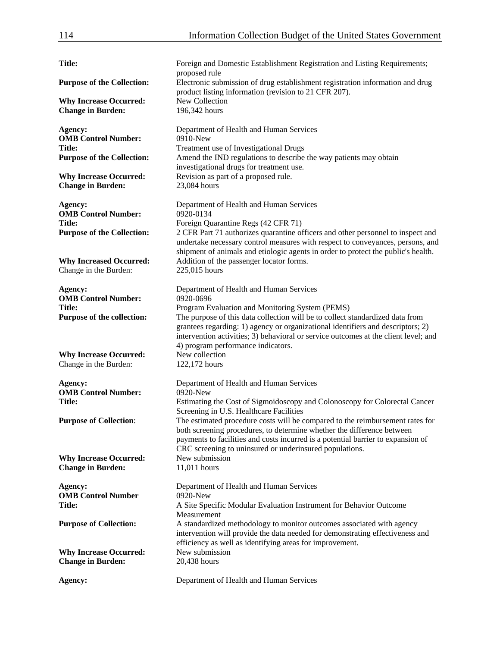| <b>Title:</b>                                             | Foreign and Domestic Establishment Registration and Listing Requirements;<br>proposed rule                                                                                                                                                                                                                 |
|-----------------------------------------------------------|------------------------------------------------------------------------------------------------------------------------------------------------------------------------------------------------------------------------------------------------------------------------------------------------------------|
| <b>Purpose of the Collection:</b>                         | Electronic submission of drug establishment registration information and drug<br>product listing information (revision to 21 CFR 207).                                                                                                                                                                     |
| <b>Why Increase Occurred:</b><br><b>Change in Burden:</b> | New Collection<br>196,342 hours                                                                                                                                                                                                                                                                            |
| Agency:<br><b>OMB Control Number:</b>                     | Department of Health and Human Services<br>0910-New                                                                                                                                                                                                                                                        |
| <b>Title:</b><br><b>Purpose of the Collection:</b>        | Treatment use of Investigational Drugs<br>Amend the IND regulations to describe the way patients may obtain                                                                                                                                                                                                |
| <b>Why Increase Occurred:</b><br><b>Change in Burden:</b> | investigational drugs for treatment use.<br>Revision as part of a proposed rule.<br>23,084 hours                                                                                                                                                                                                           |
| Agency:<br><b>OMB Control Number:</b>                     | Department of Health and Human Services<br>0920-0134                                                                                                                                                                                                                                                       |
| Title:<br><b>Purpose of the Collection:</b>               | Foreign Quarantine Regs (42 CFR 71)<br>2 CFR Part 71 authorizes quarantine officers and other personnel to inspect and<br>undertake necessary control measures with respect to conveyances, persons, and                                                                                                   |
| <b>Why Increased Occurred:</b><br>Change in the Burden:   | shipment of animals and etiologic agents in order to protect the public's health.<br>Addition of the passenger locator forms.<br>225,015 hours                                                                                                                                                             |
| Agency:<br><b>OMB Control Number:</b>                     | Department of Health and Human Services<br>0920-0696                                                                                                                                                                                                                                                       |
| <b>Title:</b><br>Purpose of the collection:               | Program Evaluation and Monitoring System (PEMS)<br>The purpose of this data collection will be to collect standardized data from<br>grantees regarding: 1) agency or organizational identifiers and descriptors; 2)<br>intervention activities; 3) behavioral or service outcomes at the client level; and |
| <b>Why Increase Occurred:</b><br>Change in the Burden:    | 4) program performance indicators.<br>New collection<br>122,172 hours                                                                                                                                                                                                                                      |
| Agency:<br><b>OMB Control Number:</b><br><b>Title:</b>    | Department of Health and Human Services<br>0920-New<br>Estimating the Cost of Sigmoidoscopy and Colonoscopy for Colorectal Cancer                                                                                                                                                                          |
| <b>Purpose of Collection:</b>                             | Screening in U.S. Healthcare Facilities<br>The estimated procedure costs will be compared to the reimbursement rates for<br>both screening procedures, to determine whether the difference between<br>payments to facilities and costs incurred is a potential barrier to expansion of                     |
| <b>Why Increase Occurred:</b><br><b>Change in Burden:</b> | CRC screening to uninsured or underinsured populations.<br>New submission<br>11,011 hours                                                                                                                                                                                                                  |
| Agency:<br><b>OMB Control Number</b>                      | Department of Health and Human Services<br>0920-New                                                                                                                                                                                                                                                        |
| <b>Title:</b>                                             | A Site Specific Modular Evaluation Instrument for Behavior Outcome<br>Measurement                                                                                                                                                                                                                          |
| <b>Purpose of Collection:</b>                             | A standardized methodology to monitor outcomes associated with agency<br>intervention will provide the data needed for demonstrating effectiveness and                                                                                                                                                     |
| <b>Why Increase Occurred:</b><br><b>Change in Burden:</b> | efficiency as well as identifying areas for improvement.<br>New submission<br>20,438 hours                                                                                                                                                                                                                 |
| Agency:                                                   | Department of Health and Human Services                                                                                                                                                                                                                                                                    |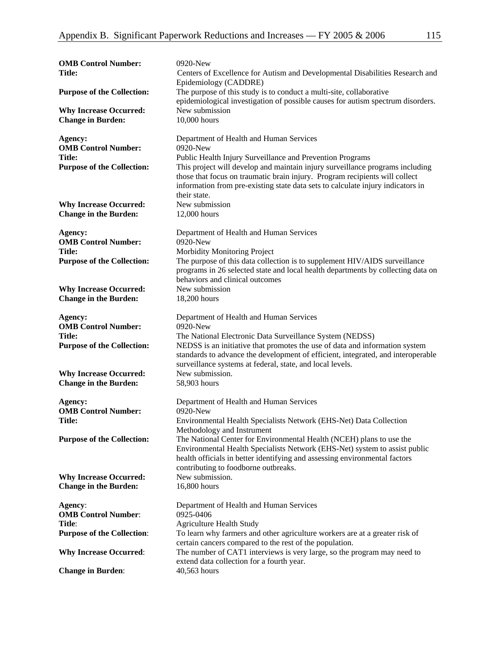| <b>OMB Control Number:</b><br><b>Title:</b>                                                                                                                  | 0920-New<br>Centers of Excellence for Autism and Developmental Disabilities Research and<br>Epidemiology (CADDRE)                                                                                                                                                                                                                                                                   |
|--------------------------------------------------------------------------------------------------------------------------------------------------------------|-------------------------------------------------------------------------------------------------------------------------------------------------------------------------------------------------------------------------------------------------------------------------------------------------------------------------------------------------------------------------------------|
| <b>Purpose of the Collection:</b>                                                                                                                            | The purpose of this study is to conduct a multi-site, collaborative<br>epidemiological investigation of possible causes for autism spectrum disorders.                                                                                                                                                                                                                              |
| <b>Why Increase Occurred:</b><br><b>Change in Burden:</b>                                                                                                    | New submission<br>10,000 hours                                                                                                                                                                                                                                                                                                                                                      |
| Agency:<br><b>OMB Control Number:</b><br><b>Title:</b><br><b>Purpose of the Collection:</b>                                                                  | Department of Health and Human Services<br>0920-New<br>Public Health Injury Surveillance and Prevention Programs<br>This project will develop and maintain injury surveillance programs including<br>those that focus on traumatic brain injury. Program recipients will collect<br>information from pre-existing state data sets to calculate injury indicators in<br>their state. |
| <b>Why Increase Occurred:</b><br><b>Change in the Burden:</b>                                                                                                | New submission<br>12,000 hours                                                                                                                                                                                                                                                                                                                                                      |
| Agency:<br><b>OMB Control Number:</b><br><b>Title:</b><br><b>Purpose of the Collection:</b>                                                                  | Department of Health and Human Services<br>0920-New<br>Morbidity Monitoring Project<br>The purpose of this data collection is to supplement HIV/AIDS surveillance<br>programs in 26 selected state and local health departments by collecting data on                                                                                                                               |
| <b>Why Increase Occurred:</b><br><b>Change in the Burden:</b>                                                                                                | behaviors and clinical outcomes<br>New submission<br>18,200 hours                                                                                                                                                                                                                                                                                                                   |
| Agency:<br><b>OMB Control Number:</b><br><b>Title:</b><br><b>Purpose of the Collection:</b><br><b>Why Increase Occurred:</b><br><b>Change in the Burden:</b> | Department of Health and Human Services<br>0920-New<br>The National Electronic Data Surveillance System (NEDSS)<br>NEDSS is an initiative that promotes the use of data and information system<br>standards to advance the development of efficient, integrated, and interoperable<br>surveillance systems at federal, state, and local levels.<br>New submission.<br>58,903 hours  |
| Agency:<br><b>OMB Control Number:</b><br><b>Title:</b><br><b>Purpose of the Collection:</b>                                                                  | Department of Health and Human Services<br>0920-New<br>Environmental Health Specialists Network (EHS-Net) Data Collection<br>Methodology and Instrument<br>The National Center for Environmental Health (NCEH) plans to use the<br>Environmental Health Specialists Network (EHS-Net) system to assist public                                                                       |
| <b>Why Increase Occurred:</b><br><b>Change in the Burden:</b>                                                                                                | health officials in better identifying and assessing environmental factors<br>contributing to foodborne outbreaks.<br>New submission.<br>16,800 hours                                                                                                                                                                                                                               |
| Agency:<br><b>OMB Control Number:</b><br>Title:                                                                                                              | Department of Health and Human Services<br>0925-0406                                                                                                                                                                                                                                                                                                                                |
| <b>Purpose of the Collection:</b>                                                                                                                            | <b>Agriculture Health Study</b><br>To learn why farmers and other agriculture workers are at a greater risk of<br>certain cancers compared to the rest of the population.                                                                                                                                                                                                           |
| <b>Why Increase Occurred:</b>                                                                                                                                | The number of CAT1 interviews is very large, so the program may need to<br>extend data collection for a fourth year.                                                                                                                                                                                                                                                                |
| <b>Change in Burden:</b>                                                                                                                                     | 40,563 hours                                                                                                                                                                                                                                                                                                                                                                        |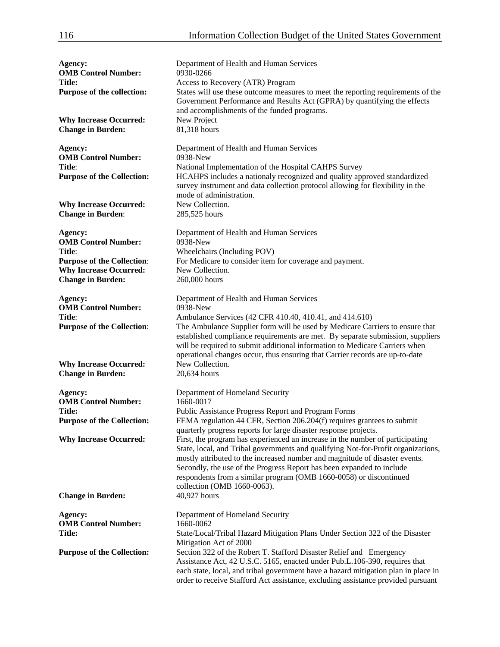| Agency:<br><b>OMB Control Number:</b><br><b>Title:</b><br>Purpose of the collection:                                                              | Department of Health and Human Services<br>0930-0266<br>Access to Recovery (ATR) Program<br>States will use these outcome measures to meet the reporting requirements of the<br>Government Performance and Results Act (GPRA) by quantifying the effects                                                                                                                                                                |
|---------------------------------------------------------------------------------------------------------------------------------------------------|-------------------------------------------------------------------------------------------------------------------------------------------------------------------------------------------------------------------------------------------------------------------------------------------------------------------------------------------------------------------------------------------------------------------------|
| <b>Why Increase Occurred:</b><br><b>Change in Burden:</b>                                                                                         | and accomplishments of the funded programs.<br>New Project<br>81,318 hours                                                                                                                                                                                                                                                                                                                                              |
| Agency:<br><b>OMB Control Number:</b><br>Title:<br><b>Purpose of the Collection:</b>                                                              | Department of Health and Human Services<br>0938-New<br>National Implementation of the Hospital CAHPS Survey<br>HCAHPS includes a nationaly recognized and quality approved standardized<br>survey instrument and data collection protocol allowing for flexibility in the<br>mode of administration.                                                                                                                    |
| <b>Why Increase Occurred:</b><br><b>Change in Burden:</b>                                                                                         | New Collection.<br>285,525 hours                                                                                                                                                                                                                                                                                                                                                                                        |
| Agency:<br><b>OMB Control Number:</b><br>Title:<br><b>Purpose of the Collection:</b><br><b>Why Increase Occurred:</b><br><b>Change in Burden:</b> | Department of Health and Human Services<br>0938-New<br>Wheelchairs (Including POV)<br>For Medicare to consider item for coverage and payment.<br>New Collection.<br>260,000 hours                                                                                                                                                                                                                                       |
| Agency:<br><b>OMB Control Number:</b><br>Title:                                                                                                   | Department of Health and Human Services<br>0938-New<br>Ambulance Services (42 CFR 410.40, 410.41, and 414.610)                                                                                                                                                                                                                                                                                                          |
| <b>Purpose of the Collection:</b><br><b>Why Increase Occurred:</b><br><b>Change in Burden:</b>                                                    | The Ambulance Supplier form will be used by Medicare Carriers to ensure that<br>established compliance requirements are met. By separate submission, suppliers<br>will be required to submit additional information to Medicare Carriers when<br>operational changes occur, thus ensuring that Carrier records are up-to-date<br>New Collection.<br>20,634 hours                                                        |
| Agency:<br><b>OMB Control Number:</b><br>Title:<br><b>Purpose of the Collection:</b><br><b>Why Increase Occurred:</b>                             | Department of Homeland Security<br>1660-0017<br>Public Assistance Progress Report and Program Forms<br>FEMA regulation 44 CFR, Section 206.204(f) requires grantees to submit<br>quarterly progress reports for large disaster response projects.<br>First, the program has experienced an increase in the number of participating<br>State, local, and Tribal governments and qualifying Not-for-Profit organizations, |
| <b>Change in Burden:</b>                                                                                                                          | mostly attributed to the increased number and magnitude of disaster events.<br>Secondly, the use of the Progress Report has been expanded to include<br>respondents from a similar program (OMB 1660-0058) or discontinued<br>collection (OMB 1660-0063).<br>40,927 hours                                                                                                                                               |
| Agency:<br><b>OMB Control Number:</b><br><b>Title:</b>                                                                                            | Department of Homeland Security<br>1660-0062<br>State/Local/Tribal Hazard Mitigation Plans Under Section 322 of the Disaster                                                                                                                                                                                                                                                                                            |
| <b>Purpose of the Collection:</b>                                                                                                                 | Mitigation Act of 2000<br>Section 322 of the Robert T. Stafford Disaster Relief and Emergency<br>Assistance Act, 42 U.S.C. 5165, enacted under Pub.L.106-390, requires that<br>each state, local, and tribal government have a hazard mitigation plan in place in<br>order to receive Stafford Act assistance, excluding assistance provided pursuant                                                                   |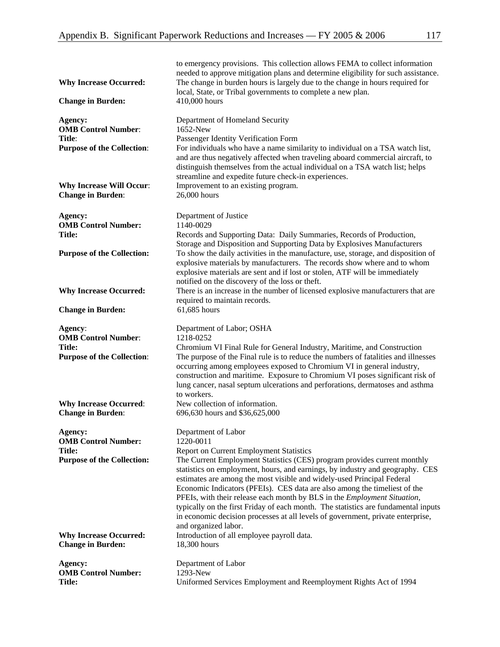| <b>Why Increase Occurred:</b><br><b>Change in Burden:</b>                                                                                         | to emergency provisions. This collection allows FEMA to collect information<br>needed to approve mitigation plans and determine eligibility for such assistance.<br>The change in burden hours is largely due to the change in hours required for<br>local, State, or Tribal governments to complete a new plan.<br>410,000 hours                                                                                                                                                                                                                                                                                                                                                                                                                  |
|---------------------------------------------------------------------------------------------------------------------------------------------------|----------------------------------------------------------------------------------------------------------------------------------------------------------------------------------------------------------------------------------------------------------------------------------------------------------------------------------------------------------------------------------------------------------------------------------------------------------------------------------------------------------------------------------------------------------------------------------------------------------------------------------------------------------------------------------------------------------------------------------------------------|
| Agency:<br><b>OMB Control Number:</b><br>Title:<br><b>Purpose of the Collection:</b>                                                              | Department of Homeland Security<br>1652-New<br>Passenger Identity Verification Form<br>For individuals who have a name similarity to individual on a TSA watch list,<br>and are thus negatively affected when traveling aboard commercial aircraft, to<br>distinguish themselves from the actual individual on a TSA watch list; helps<br>streamline and expedite future check-in experiences.                                                                                                                                                                                                                                                                                                                                                     |
| <b>Why Increase Will Occur:</b><br><b>Change in Burden:</b>                                                                                       | Improvement to an existing program.<br>26,000 hours                                                                                                                                                                                                                                                                                                                                                                                                                                                                                                                                                                                                                                                                                                |
| Agency:<br><b>OMB Control Number:</b><br><b>Title:</b>                                                                                            | Department of Justice<br>1140-0029<br>Records and Supporting Data: Daily Summaries, Records of Production,<br>Storage and Disposition and Supporting Data by Explosives Manufacturers                                                                                                                                                                                                                                                                                                                                                                                                                                                                                                                                                              |
| <b>Purpose of the Collection:</b>                                                                                                                 | To show the daily activities in the manufacture, use, storage, and disposition of<br>explosive materials by manufacturers. The records show where and to whom<br>explosive materials are sent and if lost or stolen, ATF will be immediately<br>notified on the discovery of the loss or theft.                                                                                                                                                                                                                                                                                                                                                                                                                                                    |
| <b>Why Increase Occurred:</b>                                                                                                                     | There is an increase in the number of licensed explosive manufacturers that are<br>required to maintain records.                                                                                                                                                                                                                                                                                                                                                                                                                                                                                                                                                                                                                                   |
| <b>Change in Burden:</b>                                                                                                                          | 61,685 hours                                                                                                                                                                                                                                                                                                                                                                                                                                                                                                                                                                                                                                                                                                                                       |
| Agency:<br><b>OMB Control Number:</b><br><b>Title:</b><br><b>Purpose of the Collection:</b>                                                       | Department of Labor; OSHA<br>1218-0252<br>Chromium VI Final Rule for General Industry, Maritime, and Construction<br>The purpose of the Final rule is to reduce the numbers of fatalities and illnesses<br>occurring among employees exposed to Chromium VI in general industry,<br>construction and maritime. Exposure to Chromium VI poses significant risk of<br>lung cancer, nasal septum ulcerations and perforations, dermatoses and asthma<br>to workers.<br>New collection of information.                                                                                                                                                                                                                                                 |
| <b>Why Increase Occurred:</b><br><b>Change in Burden:</b>                                                                                         | 696,630 hours and \$36,625,000                                                                                                                                                                                                                                                                                                                                                                                                                                                                                                                                                                                                                                                                                                                     |
| Agency:<br><b>OMB Control Number:</b><br>Title:<br><b>Purpose of the Collection:</b><br><b>Why Increase Occurred:</b><br><b>Change in Burden:</b> | Department of Labor<br>1220-0011<br>Report on Current Employment Statistics<br>The Current Employment Statistics (CES) program provides current monthly<br>statistics on employment, hours, and earnings, by industry and geography. CES<br>estimates are among the most visible and widely-used Principal Federal<br>Economic Indicators (PFEIs). CES data are also among the timeliest of the<br>PFEIs, with their release each month by BLS in the <i>Employment Situation</i> ,<br>typically on the first Friday of each month. The statistics are fundamental inputs<br>in economic decision processes at all levels of government, private enterprise,<br>and organized labor.<br>Introduction of all employee payroll data.<br>18,300 hours |
| Agency:<br><b>OMB Control Number:</b><br><b>Title:</b>                                                                                            | Department of Labor<br>1293-New<br>Uniformed Services Employment and Reemployment Rights Act of 1994                                                                                                                                                                                                                                                                                                                                                                                                                                                                                                                                                                                                                                               |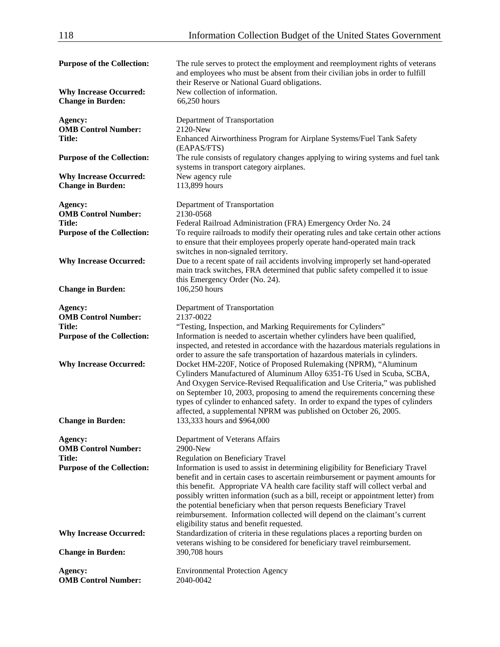| <b>Purpose of the Collection:</b>                         | The rule serves to protect the employment and reemployment rights of veterans<br>and employees who must be absent from their civilian jobs in order to fulfill<br>their Reserve or National Guard obligations.                                                                                                                                                                                                                                                |
|-----------------------------------------------------------|---------------------------------------------------------------------------------------------------------------------------------------------------------------------------------------------------------------------------------------------------------------------------------------------------------------------------------------------------------------------------------------------------------------------------------------------------------------|
| <b>Why Increase Occurred:</b><br><b>Change in Burden:</b> | New collection of information.<br>66,250 hours                                                                                                                                                                                                                                                                                                                                                                                                                |
| Agency:                                                   | Department of Transportation                                                                                                                                                                                                                                                                                                                                                                                                                                  |
| <b>OMB Control Number:</b>                                | 2120-New                                                                                                                                                                                                                                                                                                                                                                                                                                                      |
| Title:                                                    | Enhanced Airworthiness Program for Airplane Systems/Fuel Tank Safety<br>(EAPAS/FTS)                                                                                                                                                                                                                                                                                                                                                                           |
| <b>Purpose of the Collection:</b>                         | The rule consists of regulatory changes applying to wiring systems and fuel tank<br>systems in transport category airplanes.                                                                                                                                                                                                                                                                                                                                  |
| <b>Why Increase Occurred:</b>                             | New agency rule                                                                                                                                                                                                                                                                                                                                                                                                                                               |
| <b>Change in Burden:</b>                                  | 113,899 hours                                                                                                                                                                                                                                                                                                                                                                                                                                                 |
| Agency:                                                   | Department of Transportation                                                                                                                                                                                                                                                                                                                                                                                                                                  |
| <b>OMB Control Number:</b>                                | 2130-0568                                                                                                                                                                                                                                                                                                                                                                                                                                                     |
| <b>Title:</b>                                             | Federal Railroad Administration (FRA) Emergency Order No. 24                                                                                                                                                                                                                                                                                                                                                                                                  |
| <b>Purpose of the Collection:</b>                         | To require railroads to modify their operating rules and take certain other actions                                                                                                                                                                                                                                                                                                                                                                           |
|                                                           | to ensure that their employees properly operate hand-operated main track<br>switches in non-signaled territory.                                                                                                                                                                                                                                                                                                                                               |
| <b>Why Increase Occurred:</b>                             | Due to a recent spate of rail accidents involving improperly set hand-operated                                                                                                                                                                                                                                                                                                                                                                                |
|                                                           | main track switches, FRA determined that public safety compelled it to issue                                                                                                                                                                                                                                                                                                                                                                                  |
|                                                           | this Emergency Order (No. 24).                                                                                                                                                                                                                                                                                                                                                                                                                                |
| <b>Change in Burden:</b>                                  | 106,250 hours                                                                                                                                                                                                                                                                                                                                                                                                                                                 |
| Agency:                                                   | Department of Transportation                                                                                                                                                                                                                                                                                                                                                                                                                                  |
| <b>OMB Control Number:</b>                                | 2137-0022                                                                                                                                                                                                                                                                                                                                                                                                                                                     |
| <b>Title:</b>                                             | "Testing, Inspection, and Marking Requirements for Cylinders"                                                                                                                                                                                                                                                                                                                                                                                                 |
| <b>Purpose of the Collection:</b>                         | Information is needed to ascertain whether cylinders have been qualified,<br>inspected, and retested in accordance with the hazardous materials regulations in<br>order to assure the safe transportation of hazardous materials in cylinders.                                                                                                                                                                                                                |
| <b>Why Increase Occurred:</b>                             | Docket HM-220F, Notice of Proposed Rulemaking (NPRM), "Aluminum<br>Cylinders Manufactured of Aluminum Alloy 6351-T6 Used in Scuba, SCBA,<br>And Oxygen Service-Revised Requalification and Use Criteria," was published<br>on September 10, 2003, proposing to amend the requirements concerning these<br>types of cylinder to enhanced safety. In order to expand the types of cylinders<br>affected, a supplemental NPRM was published on October 26, 2005. |
| <b>Change in Burden:</b>                                  | 133,333 hours and \$964,000                                                                                                                                                                                                                                                                                                                                                                                                                                   |
| Agency:                                                   | Department of Veterans Affairs                                                                                                                                                                                                                                                                                                                                                                                                                                |
| <b>OMB Control Number:</b>                                | 2900-New                                                                                                                                                                                                                                                                                                                                                                                                                                                      |
| <b>Title:</b>                                             | Regulation on Beneficiary Travel                                                                                                                                                                                                                                                                                                                                                                                                                              |
| <b>Purpose of the Collection:</b>                         | Information is used to assist in determining eligibility for Beneficiary Travel                                                                                                                                                                                                                                                                                                                                                                               |
|                                                           | benefit and in certain cases to ascertain reimbursement or payment amounts for<br>this benefit. Appropriate VA health care facility staff will collect verbal and                                                                                                                                                                                                                                                                                             |
|                                                           | possibly written information (such as a bill, receipt or appointment letter) from                                                                                                                                                                                                                                                                                                                                                                             |
|                                                           | the potential beneficiary when that person requests Beneficiary Travel                                                                                                                                                                                                                                                                                                                                                                                        |
|                                                           | reimbursement. Information collected will depend on the claimant's current                                                                                                                                                                                                                                                                                                                                                                                    |
|                                                           | eligibility status and benefit requested.                                                                                                                                                                                                                                                                                                                                                                                                                     |
| <b>Why Increase Occurred:</b>                             | Standardization of criteria in these regulations places a reporting burden on<br>veterans wishing to be considered for beneficiary travel reimbursement.                                                                                                                                                                                                                                                                                                      |
| <b>Change in Burden:</b>                                  | 390,708 hours                                                                                                                                                                                                                                                                                                                                                                                                                                                 |
| Agency:                                                   | <b>Environmental Protection Agency</b>                                                                                                                                                                                                                                                                                                                                                                                                                        |
| <b>OMB Control Number:</b>                                | 2040-0042                                                                                                                                                                                                                                                                                                                                                                                                                                                     |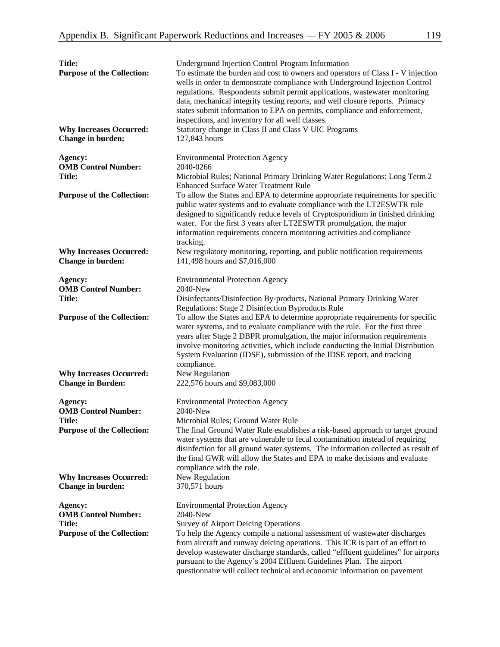| <b>Title:</b><br><b>Purpose of the Collection:</b><br><b>Why Increases Occurred:</b> | Underground Injection Control Program Information<br>To estimate the burden and cost to owners and operators of Class I - V injection<br>wells in order to demonstrate compliance with Underground Injection Control<br>regulations. Respondents submit permit applications, wastewater monitoring<br>data, mechanical integrity testing reports, and well closure reports. Primacy<br>states submit information to EPA on permits, compliance and enforcement,<br>inspections, and inventory for all well classes.<br>Statutory change in Class II and Class V UIC Programs |
|--------------------------------------------------------------------------------------|------------------------------------------------------------------------------------------------------------------------------------------------------------------------------------------------------------------------------------------------------------------------------------------------------------------------------------------------------------------------------------------------------------------------------------------------------------------------------------------------------------------------------------------------------------------------------|
| <b>Change in burden:</b>                                                             | 127,843 hours                                                                                                                                                                                                                                                                                                                                                                                                                                                                                                                                                                |
| Agency:<br><b>OMB Control Number:</b><br><b>Title:</b>                               | <b>Environmental Protection Agency</b><br>2040-0266<br>Microbial Rules; National Primary Drinking Water Regulations: Long Term 2<br><b>Enhanced Surface Water Treatment Rule</b>                                                                                                                                                                                                                                                                                                                                                                                             |
| <b>Purpose of the Collection:</b>                                                    | To allow the States and EPA to determine appropriate requirements for specific<br>public water systems and to evaluate compliance with the LT2ESWTR rule<br>designed to significantly reduce levels of Cryptosporidium in finished drinking<br>water. For the first 3 years after LT2ESWTR promulgation, the major<br>information requirements concern monitoring activities and compliance<br>tracking.                                                                                                                                                                     |
| <b>Why Increases Occurred:</b><br><b>Change in burden:</b>                           | New regulatory monitoring, reporting, and public notification requirements<br>141,498 hours and \$7,016,000                                                                                                                                                                                                                                                                                                                                                                                                                                                                  |
| Agency:<br><b>OMB Control Number:</b><br><b>Title:</b>                               | <b>Environmental Protection Agency</b><br>2040-New<br>Disinfectants/Disinfection By-products, National Primary Drinking Water<br>Regulations: Stage 2 Disinfection Byproducts Rule                                                                                                                                                                                                                                                                                                                                                                                           |
| <b>Purpose of the Collection:</b>                                                    | To allow the States and EPA to determine appropriate requirements for specific<br>water systems, and to evaluate compliance with the rule. For the first three<br>years after Stage 2 DBPR promulgation, the major information requirements<br>involve monitoring activities, which include conducting the Initial Distribution<br>System Evaluation (IDSE), submission of the IDSE report, and tracking<br>compliance.                                                                                                                                                      |
| <b>Why Increases Occurred:</b><br><b>Change in Burden:</b>                           | New Regulation<br>222,576 hours and \$9,083,000                                                                                                                                                                                                                                                                                                                                                                                                                                                                                                                              |
| Agency:<br><b>OMB Control Number:</b>                                                | <b>Environmental Protection Agency</b><br>2040-New                                                                                                                                                                                                                                                                                                                                                                                                                                                                                                                           |
| Title:<br><b>Purpose of the Collection:</b>                                          | Microbial Rules: Ground Water Rule<br>The final Ground Water Rule establishes a risk-based approach to target ground<br>water systems that are vulnerable to fecal contamination instead of requiring<br>disinfection for all ground water systems. The information collected as result of<br>the final GWR will allow the States and EPA to make decisions and evaluate<br>compliance with the rule.                                                                                                                                                                        |
| <b>Why Increases Occurred:</b><br><b>Change in burden:</b>                           | New Regulation<br>370,571 hours                                                                                                                                                                                                                                                                                                                                                                                                                                                                                                                                              |
| Agency:<br><b>OMB Control Number:</b>                                                | <b>Environmental Protection Agency</b><br>2040-New                                                                                                                                                                                                                                                                                                                                                                                                                                                                                                                           |
| <b>Title:</b><br><b>Purpose of the Collection:</b>                                   | <b>Survey of Airport Deicing Operations</b><br>To help the Agency compile a national assessment of wastewater discharges<br>from aircraft and runway deicing operations. This ICR is part of an effort to<br>develop wastewater discharge standards, called "effluent guidelines" for airports<br>pursuant to the Agency's 2004 Effluent Guidelines Plan. The airport<br>questionnaire will collect technical and economic information on pavement                                                                                                                           |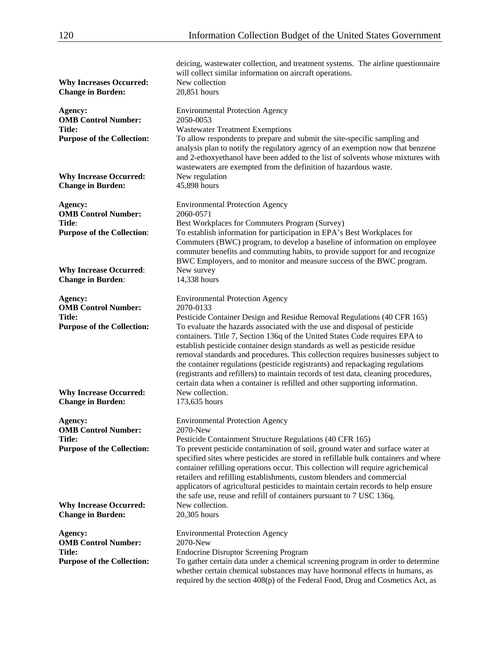| <b>Why Increases Occurred:</b><br><b>Change in Burden:</b>                                                            | deicing, wastewater collection, and treatment systems. The airline questionnaire<br>will collect similar information on aircraft operations.<br>New collection<br>20,851 hours                                                                                                                                                                                                                                                                                                                                                                                                    |
|-----------------------------------------------------------------------------------------------------------------------|-----------------------------------------------------------------------------------------------------------------------------------------------------------------------------------------------------------------------------------------------------------------------------------------------------------------------------------------------------------------------------------------------------------------------------------------------------------------------------------------------------------------------------------------------------------------------------------|
| Agency:<br><b>OMB Control Number:</b><br>Title:<br><b>Purpose of the Collection:</b>                                  | <b>Environmental Protection Agency</b><br>2050-0053<br><b>Wastewater Treatment Exemptions</b><br>To allow respondents to prepare and submit the site-specific sampling and<br>analysis plan to notify the regulatory agency of an exemption now that benzene<br>and 2-ethoxyethanol have been added to the list of solvents whose mixtures with                                                                                                                                                                                                                                   |
| <b>Why Increase Occurred:</b><br><b>Change in Burden:</b>                                                             | wastewaters are exempted from the definition of hazardous waste.<br>New regulation<br>45,898 hours                                                                                                                                                                                                                                                                                                                                                                                                                                                                                |
| Agency:<br><b>OMB Control Number:</b><br>Title:<br><b>Purpose of the Collection:</b><br><b>Why Increase Occurred:</b> | <b>Environmental Protection Agency</b><br>2060-0571<br>Best Workplaces for Commuters Program (Survey)<br>To establish information for participation in EPA's Best Workplaces for<br>Commuters (BWC) program, to develop a baseline of information on employee<br>commuter benefits and commuting habits, to provide support for and recognize<br>BWC Employers, and to monitor and measure success of the BWC program.<br>New survey                                                                                                                                              |
| <b>Change in Burden:</b>                                                                                              | 14,338 hours                                                                                                                                                                                                                                                                                                                                                                                                                                                                                                                                                                      |
| Agency:<br><b>OMB Control Number:</b><br><b>Title:</b>                                                                | <b>Environmental Protection Agency</b><br>2070-0133<br>Pesticide Container Design and Residue Removal Regulations (40 CFR 165)                                                                                                                                                                                                                                                                                                                                                                                                                                                    |
| <b>Purpose of the Collection:</b>                                                                                     | To evaluate the hazards associated with the use and disposal of pesticide<br>containers. Title 7, Section 136q of the United States Code requires EPA to<br>establish pesticide container design standards as well as pesticide residue<br>removal standards and procedures. This collection requires businesses subject to<br>the container regulations (pesticide registrants) and repackaging regulations<br>(registrants and refillers) to maintain records of test data, cleaning procedures,<br>certain data when a container is refilled and other supporting information. |
| <b>Why Increase Occurred:</b><br><b>Change in Burden:</b>                                                             | New collection.<br>173,635 hours                                                                                                                                                                                                                                                                                                                                                                                                                                                                                                                                                  |
| <b>Agency:</b><br><b>OMB Control Number:</b>                                                                          | <b>Environmental Protection Agency</b><br>2070-New                                                                                                                                                                                                                                                                                                                                                                                                                                                                                                                                |
| <b>Title:</b><br><b>Purpose of the Collection:</b>                                                                    | Pesticide Containment Structure Regulations (40 CFR 165)<br>To prevent pesticide contamination of soil, ground water and surface water at<br>specified sites where pesticides are stored in refillable bulk containers and where<br>container refilling operations occur. This collection will require agrichemical<br>retailers and refilling establishments, custom blenders and commercial<br>applicators of agricultural pesticides to maintain certain records to help ensure<br>the safe use, reuse and refill of containers pursuant to 7 USC 136q.                        |
| <b>Why Increase Occurred:</b><br><b>Change in Burden:</b>                                                             | New collection.<br>20,305 hours                                                                                                                                                                                                                                                                                                                                                                                                                                                                                                                                                   |
| Agency:<br><b>OMB Control Number:</b>                                                                                 | <b>Environmental Protection Agency</b><br>2070-New                                                                                                                                                                                                                                                                                                                                                                                                                                                                                                                                |
| <b>Title:</b><br><b>Purpose of the Collection:</b>                                                                    | <b>Endocrine Disruptor Screening Program</b><br>To gather certain data under a chemical screening program in order to determine<br>whether certain chemical substances may have hormonal effects in humans, as<br>required by the section 408(p) of the Federal Food, Drug and Cosmetics Act, as                                                                                                                                                                                                                                                                                  |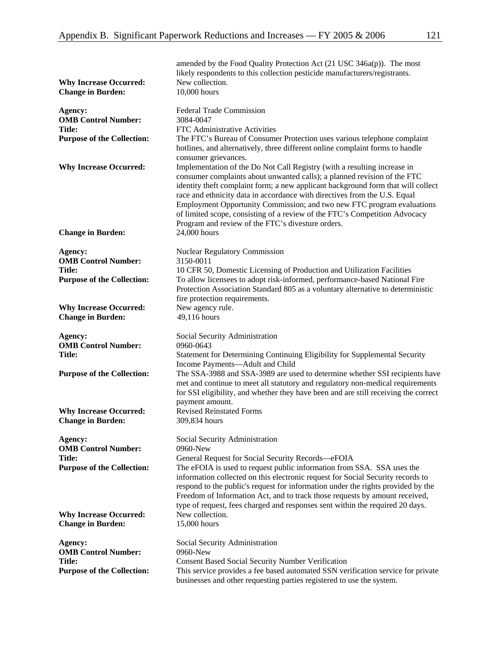| <b>Why Increase Occurred:</b><br><b>Change in Burden:</b> | amended by the Food Quality Protection Act (21 USC 346a(p)). The most<br>likely respondents to this collection pesticide manufacturers/registrants.<br>New collection.<br>10,000 hours                                                                                                                                                                                                                                                                                                                                                             |
|-----------------------------------------------------------|----------------------------------------------------------------------------------------------------------------------------------------------------------------------------------------------------------------------------------------------------------------------------------------------------------------------------------------------------------------------------------------------------------------------------------------------------------------------------------------------------------------------------------------------------|
| Agency:<br><b>OMB Control Number:</b><br><b>Title:</b>    | <b>Federal Trade Commission</b><br>3084-0047<br>FTC Administrative Activities                                                                                                                                                                                                                                                                                                                                                                                                                                                                      |
| <b>Purpose of the Collection:</b>                         | The FTC's Bureau of Consumer Protection uses various telephone complaint<br>hotlines, and alternatively, three different online complaint forms to handle<br>consumer grievances.                                                                                                                                                                                                                                                                                                                                                                  |
| <b>Why Increase Occurred:</b><br><b>Change in Burden:</b> | Implementation of the Do Not Call Registry (with a resulting increase in<br>consumer complaints about unwanted calls); a planned revision of the FTC<br>identity theft complaint form; a new applicant background form that will collect<br>race and ethnicity data in accordance with directives from the U.S. Equal<br>Employment Opportunity Commission; and two new FTC program evaluations<br>of limited scope, consisting of a review of the FTC's Competition Advocacy<br>Program and review of the FTC's divesture orders.<br>24,000 hours |
|                                                           |                                                                                                                                                                                                                                                                                                                                                                                                                                                                                                                                                    |
| Agency:<br><b>OMB Control Number:</b>                     | <b>Nuclear Regulatory Commission</b><br>3150-0011                                                                                                                                                                                                                                                                                                                                                                                                                                                                                                  |
| <b>Title:</b>                                             | 10 CFR 50, Domestic Licensing of Production and Utilization Facilities                                                                                                                                                                                                                                                                                                                                                                                                                                                                             |
| <b>Purpose of the Collection:</b>                         | To allow licensees to adopt risk-informed, performance-based National Fire<br>Protection Association Standard 805 as a voluntary alternative to deterministic<br>fire protection requirements.                                                                                                                                                                                                                                                                                                                                                     |
| <b>Why Increase Occurred:</b><br><b>Change in Burden:</b> | New agency rule.<br>49,116 hours                                                                                                                                                                                                                                                                                                                                                                                                                                                                                                                   |
| Agency:<br><b>OMB Control Number:</b>                     | Social Security Administration<br>0960-0643                                                                                                                                                                                                                                                                                                                                                                                                                                                                                                        |
| <b>Title:</b>                                             | Statement for Determining Continuing Eligibility for Supplemental Security<br>Income Payments-Adult and Child                                                                                                                                                                                                                                                                                                                                                                                                                                      |
| <b>Purpose of the Collection:</b>                         | The SSA-3988 and SSA-3989 are used to determine whether SSI recipients have<br>met and continue to meet all statutory and regulatory non-medical requirements<br>for SSI eligibility, and whether they have been and are still receiving the correct<br>payment amount.                                                                                                                                                                                                                                                                            |
| <b>Why Increase Occurred:</b><br><b>Change in Burden:</b> | <b>Revised Reinstated Forms</b><br>309,834 hours                                                                                                                                                                                                                                                                                                                                                                                                                                                                                                   |
| Agency:<br><b>OMB Control Number:</b><br>Title:           | Social Security Administration<br>0960-New<br>General Request for Social Security Records-eFOIA                                                                                                                                                                                                                                                                                                                                                                                                                                                    |
| <b>Purpose of the Collection:</b>                         | The eFOIA is used to request public information from SSA. SSA uses the<br>information collected on this electronic request for Social Security records to<br>respond to the public's request for information under the rights provided by the<br>Freedom of Information Act, and to track those requests by amount received,                                                                                                                                                                                                                       |
| <b>Why Increase Occurred:</b><br><b>Change in Burden:</b> | type of request, fees charged and responses sent within the required 20 days.<br>New collection.<br>15,000 hours                                                                                                                                                                                                                                                                                                                                                                                                                                   |
| Agency:                                                   | Social Security Administration                                                                                                                                                                                                                                                                                                                                                                                                                                                                                                                     |
| <b>OMB Control Number:</b>                                | 0960-New                                                                                                                                                                                                                                                                                                                                                                                                                                                                                                                                           |
| Title:<br><b>Purpose of the Collection:</b>               | <b>Consent Based Social Security Number Verification</b><br>This service provides a fee based automated SSN verification service for private<br>businesses and other requesting parties registered to use the system.                                                                                                                                                                                                                                                                                                                              |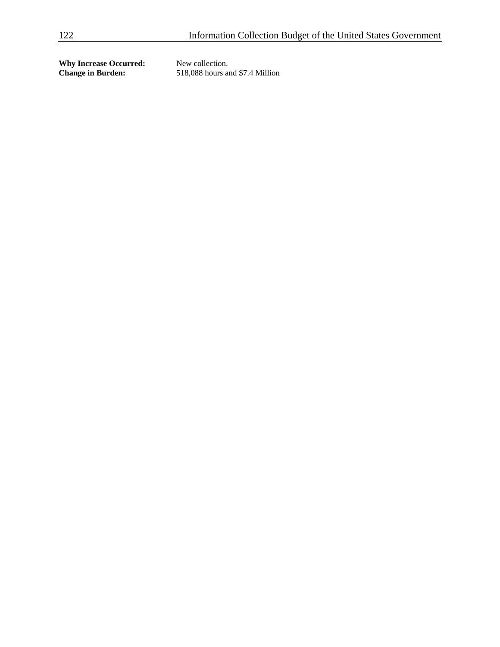**Why Increase Occurred:** New collection.<br> **Change in Burden:** 518,088 hours as

**Change in Burden:** 518,088 hours and \$7.4 Million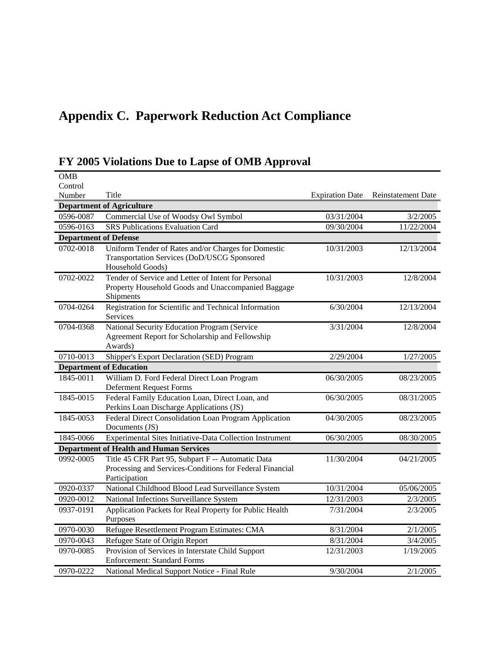## **Appendix C. Paperwork Reduction Act Compliance**

| <b>OMB</b> |                                                                                                                                |                        |                           |
|------------|--------------------------------------------------------------------------------------------------------------------------------|------------------------|---------------------------|
| Control    |                                                                                                                                |                        |                           |
| Number     | Title                                                                                                                          | <b>Expiration Date</b> | <b>Reinstatement Date</b> |
|            | <b>Department of Agriculture</b>                                                                                               |                        |                           |
| 0596-0087  | Commercial Use of Woodsy Owl Symbol                                                                                            | 03/31/2004             | 3/2/2005                  |
| 0596-0163  | <b>SRS Publications Evaluation Card</b>                                                                                        | 09/30/2004             | 11/22/2004                |
|            | <b>Department of Defense</b>                                                                                                   |                        |                           |
| 0702-0018  | Uniform Tender of Rates and/or Charges for Domestic<br>Transportation Services (DoD/USCG Sponsored<br>Household Goods)         | 10/31/2003             | 12/13/2004                |
| 0702-0022  | Tender of Service and Letter of Intent for Personal<br>Property Household Goods and Unaccompanied Baggage<br>Shipments         | 10/31/2003             | 12/8/2004                 |
| 0704-0264  | Registration for Scientific and Technical Information<br>Services                                                              | 6/30/2004              | 12/13/2004                |
| 0704-0368  | National Security Education Program (Service<br>Agreement Report for Scholarship and Fellowship<br>Awards)                     | 3/31/2004              | 12/8/2004                 |
| 0710-0013  | Shipper's Export Declaration (SED) Program                                                                                     | 2/29/2004              | 1/27/2005                 |
|            | <b>Department of Education</b>                                                                                                 |                        |                           |
| 1845-0011  | William D. Ford Federal Direct Loan Program<br><b>Deferment Request Forms</b>                                                  | 06/30/2005             | 08/23/2005                |
| 1845-0015  | Federal Family Education Loan, Direct Loan, and<br>Perkins Loan Discharge Applications (JS)                                    | 06/30/2005             | 08/31/2005                |
| 1845-0053  | Federal Direct Consolidation Loan Program Application<br>Documents (JS)                                                        | 04/30/2005             | 08/23/2005                |
| 1845-0066  | Experimental Sites Initiative-Data Collection Instrument                                                                       | 06/30/2005             | 08/30/2005                |
|            | <b>Department of Health and Human Services</b>                                                                                 |                        |                           |
| 0992-0005  | Title 45 CFR Part 95, Subpart F -- Automatic Data<br>Processing and Services-Conditions for Federal Financial<br>Participation | 11/30/2004             | 04/21/2005                |
| 0920-0337  | National Childhood Blood Lead Surveillance System                                                                              | 10/31/2004             | 05/06/2005                |
| 0920-0012  | National Infections Surveillance System                                                                                        | 12/31/2003             | 2/3/2005                  |
| 0937-0191  | Application Packets for Real Property for Public Health<br>Purposes                                                            | 7/31/2004              | 2/3/2005                  |
| 0970-0030  | Refugee Resettlement Program Estimates: CMA                                                                                    | 8/31/2004              | 2/1/2005                  |
| 0970-0043  | Refugee State of Origin Report                                                                                                 | 8/31/2004              | 3/4/2005                  |
| 0970-0085  | Provision of Services in Interstate Child Support<br><b>Enforcement: Standard Forms</b>                                        | 12/31/2003             | 1/19/2005                 |
| 0970-0222  | National Medical Support Notice - Final Rule                                                                                   | 9/30/2004              | 2/1/2005                  |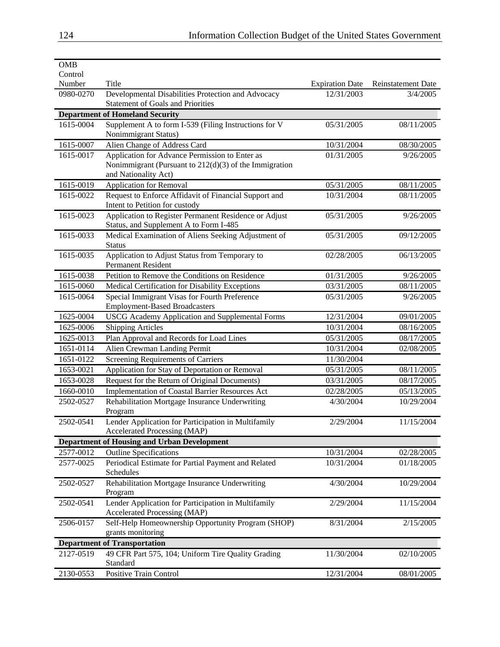| <b>OMB</b> |                                                                                                                                  |                        |                           |
|------------|----------------------------------------------------------------------------------------------------------------------------------|------------------------|---------------------------|
| Control    |                                                                                                                                  |                        |                           |
| Number     | Title                                                                                                                            | <b>Expiration Date</b> | <b>Reinstatement Date</b> |
| 0980-0270  | Developmental Disabilities Protection and Advocacy<br><b>Statement of Goals and Priorities</b>                                   | 12/31/2003             | 3/4/2005                  |
|            | <b>Department of Homeland Security</b>                                                                                           |                        |                           |
| 1615-0004  | Supplement A to form I-539 (Filing Instructions for V                                                                            | 05/31/2005             | 08/11/2005                |
|            | Nonimmigrant Status)                                                                                                             |                        |                           |
| 1615-0007  | Alien Change of Address Card                                                                                                     | 10/31/2004             | 08/30/2005                |
| 1615-0017  | Application for Advance Permission to Enter as<br>Nonimmigrant (Pursuant to 212(d)(3) of the Immigration<br>and Nationality Act) | 01/31/2005             | 9/26/2005                 |
| 1615-0019  | <b>Application for Removal</b>                                                                                                   | 05/31/2005             | 08/11/2005                |
| 1615-0022  | Request to Enforce Affidavit of Financial Support and<br>Intent to Petition for custody                                          | 10/31/2004             | 08/11/2005                |
| 1615-0023  | Application to Register Permanent Residence or Adjust<br>Status, and Supplement A to Form I-485                                  | 05/31/2005             | 9/26/2005                 |
| 1615-0033  | Medical Examination of Aliens Seeking Adjustment of<br><b>Status</b>                                                             | 05/31/2005             | 09/12/2005                |
| 1615-0035  | Application to Adjust Status from Temporary to<br><b>Permanent Resident</b>                                                      | 02/28/2005             | 06/13/2005                |
| 1615-0038  | Petition to Remove the Conditions on Residence                                                                                   | 01/31/2005             | 9/26/2005                 |
| 1615-0060  | Medical Certification for Disability Exceptions                                                                                  | 03/31/2005             | 08/11/2005                |
| 1615-0064  | Special Immigrant Visas for Fourth Preference<br><b>Employment-Based Broadcasters</b>                                            | 05/31/2005             | 9/26/2005                 |
| 1625-0004  | USCG Academy Application and Supplemental Forms                                                                                  | 12/31/2004             | 09/01/2005                |
| 1625-0006  | <b>Shipping Articles</b>                                                                                                         | 10/31/2004             | 08/16/2005                |
| 1625-0013  | Plan Approval and Records for Load Lines                                                                                         | 05/31/2005             | 08/17/2005                |
| 1651-0114  | Alien Crewman Landing Permit                                                                                                     | 10/31/2004             | 02/08/2005                |
| 1651-0122  | Screening Requirements of Carriers                                                                                               | 11/30/2004             |                           |
| 1653-0021  | Application for Stay of Deportation or Removal                                                                                   | 05/31/2005             | 08/11/2005                |
| 1653-0028  | Request for the Return of Original Documents)                                                                                    | 03/31/2005             | 08/17/2005                |
| 1660-0010  | Implementation of Coastal Barrier Resources Act                                                                                  | 02/28/2005             | 05/13/2005                |
| 2502-0527  | Rehabilitation Mortgage Insurance Underwriting<br>Program                                                                        | 4/30/2004              | 10/29/2004                |
| 2502-0541  | Lender Application for Participation in Multifamily<br>Accelerated Processing (MAP)                                              | 2/29/2004              | 11/15/2004                |
|            | <b>Department of Housing and Urban Development</b>                                                                               |                        |                           |
| 2577-0012  | <b>Outline Specifications</b>                                                                                                    | 10/31/2004             | 02/28/2005                |
| 2577-0025  | Periodical Estimate for Partial Payment and Related<br>Schedules                                                                 | 10/31/2004             | 01/18/2005                |
| 2502-0527  | Rehabilitation Mortgage Insurance Underwriting<br>Program                                                                        | 4/30/2004              | 10/29/2004                |
| 2502-0541  | Lender Application for Participation in Multifamily<br>Accelerated Processing (MAP)                                              | 2/29/2004              | 11/15/2004                |
| 2506-0157  | Self-Help Homeownership Opportunity Program (SHOP)<br>grants monitoring                                                          | 8/31/2004              | 2/15/2005                 |
|            | <b>Department of Transportation</b>                                                                                              |                        |                           |
| 2127-0519  | 49 CFR Part 575, 104; Uniform Tire Quality Grading<br>Standard                                                                   | 11/30/2004             | 02/10/2005                |
| 2130-0553  | Positive Train Control                                                                                                           | 12/31/2004             | 08/01/2005                |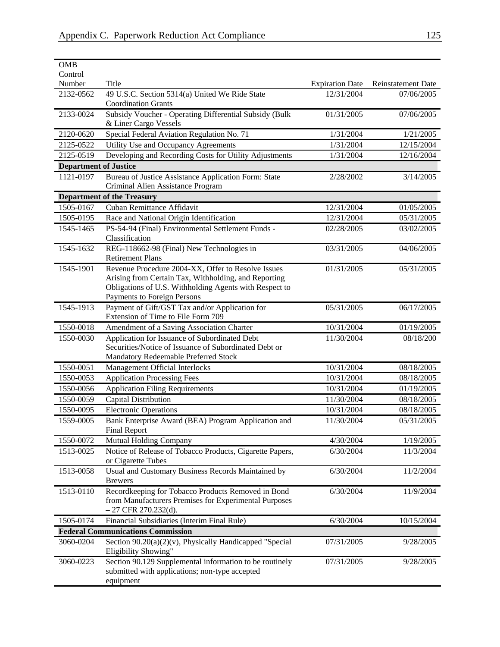| <b>OMB</b>                   |                                                                                                                                      |                        |                           |
|------------------------------|--------------------------------------------------------------------------------------------------------------------------------------|------------------------|---------------------------|
| Control                      |                                                                                                                                      |                        |                           |
| Number                       | Title                                                                                                                                | <b>Expiration Date</b> | <b>Reinstatement Date</b> |
| 2132-0562                    | 49 U.S.C. Section 5314(a) United We Ride State<br><b>Coordination Grants</b>                                                         | 12/31/2004             | 07/06/2005                |
| 2133-0024                    | Subsidy Voucher - Operating Differential Subsidy (Bulk<br>& Liner Cargo Vessels                                                      | 01/31/2005             | 07/06/2005                |
| 2120-0620                    | Special Federal Aviation Regulation No. 71                                                                                           | 1/31/2004              | 1/21/2005                 |
| 2125-0522                    | Utility Use and Occupancy Agreements                                                                                                 | 1/31/2004              | 12/15/2004                |
| 2125-0519                    | Developing and Recording Costs for Utility Adjustments                                                                               | 1/31/2004              | 12/16/2004                |
| <b>Department of Justice</b> |                                                                                                                                      |                        |                           |
| 1121-0197                    | Bureau of Justice Assistance Application Form: State<br>Criminal Alien Assistance Program                                            | 2/28/2002              | 3/14/2005                 |
|                              | <b>Department of the Treasury</b>                                                                                                    |                        |                           |
| 1505-0167                    | Cuban Remittance Affidavit                                                                                                           | 12/31/2004             | 01/05/2005                |
| 1505-0195                    | Race and National Origin Identification                                                                                              | 12/31/2004             | 05/31/2005                |
| 1545-1465                    | PS-54-94 (Final) Environmental Settlement Funds -                                                                                    | 02/28/2005             | 03/02/2005                |
|                              | Classification                                                                                                                       |                        |                           |
| 1545-1632                    | REG-118662-98 (Final) New Technologies in                                                                                            | 03/31/2005             | 04/06/2005                |
|                              | <b>Retirement Plans</b>                                                                                                              |                        |                           |
| 1545-1901                    | Revenue Procedure 2004-XX, Offer to Resolve Issues                                                                                   | 01/31/2005             | 05/31/2005                |
|                              | Arising from Certain Tax, Withholding, and Reporting<br>Obligations of U.S. Withholding Agents with Respect to                       |                        |                           |
|                              | Payments to Foreign Persons                                                                                                          |                        |                           |
| 1545-1913                    | Payment of Gift/GST Tax and/or Application for                                                                                       | 05/31/2005             | 06/17/2005                |
|                              | Extension of Time to File Form 709                                                                                                   |                        |                           |
| 1550-0018                    | Amendment of a Saving Association Charter                                                                                            | 10/31/2004             | 01/19/2005                |
| 1550-0030                    | Application for Issuance of Subordinated Debt                                                                                        | 11/30/2004             | 08/18/200                 |
|                              | Securities/Notice of Issuance of Subordinated Debt or                                                                                |                        |                           |
|                              | Mandatory Redeemable Preferred Stock                                                                                                 |                        |                           |
| 1550-0051                    | Management Official Interlocks                                                                                                       | 10/31/2004             | 08/18/2005                |
| 1550-0053                    | <b>Application Processing Fees</b>                                                                                                   | 10/31/2004             | 08/18/2005                |
| 1550-0056                    | <b>Application Filing Requirements</b>                                                                                               | 10/31/2004             | 01/19/2005                |
| 1550-0059                    | Capital Distribution                                                                                                                 | 11/30/2004             | 08/18/2005                |
| 1550-0095                    | <b>Electronic Operations</b>                                                                                                         | 10/31/2004             | 08/18/2005                |
| 1559-0005                    | Bank Enterprise Award (BEA) Program Application and<br><b>Final Report</b>                                                           | 11/30/2004             | 05/31/2005                |
| 1550-0072                    | Mutual Holding Company                                                                                                               | 4/30/2004              | 1/19/2005                 |
| 1513-0025                    | Notice of Release of Tobacco Products, Cigarette Papers,<br>or Cigarette Tubes                                                       | 6/30/2004              | 11/3/2004                 |
| 1513-0058                    | Usual and Customary Business Records Maintained by<br><b>Brewers</b>                                                                 | 6/30/2004              | 11/2/2004                 |
| 1513-0110                    | Recordkeeping for Tobacco Products Removed in Bond<br>from Manufacturers Premises for Experimental Purposes<br>$-27$ CFR 270.232(d). | 6/30/2004              | 11/9/2004                 |
| 1505-0174                    | Financial Subsidiaries (Interim Final Rule)                                                                                          | 6/30/2004              | 10/15/2004                |
|                              | <b>Federal Communications Commission</b>                                                                                             |                        |                           |
| 3060-0204                    | Section 90.20(a)(2)(v), Physically Handicapped "Special<br>Eligibility Showing"                                                      | 07/31/2005             | 9/28/2005                 |
| 3060-0223                    | Section 90.129 Supplemental information to be routinely<br>submitted with applications; non-type accepted<br>equipment               | 07/31/2005             | 9/28/2005                 |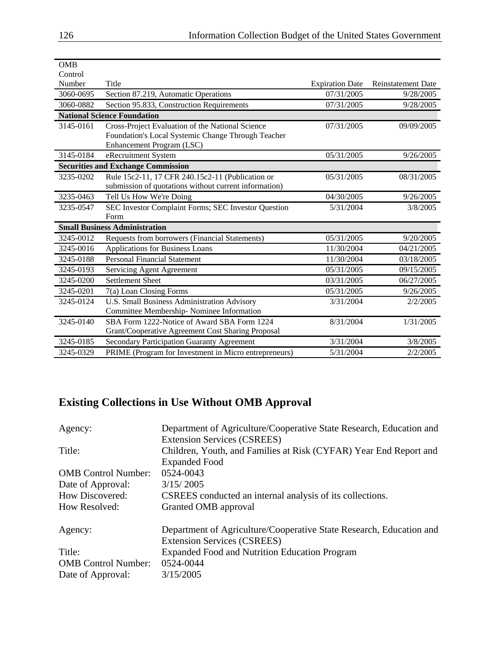| <b>OMB</b> |                                                       |                        |                           |
|------------|-------------------------------------------------------|------------------------|---------------------------|
| Control    |                                                       |                        |                           |
| Number     | Title                                                 | <b>Expiration Date</b> | <b>Reinstatement Date</b> |
| 3060-0695  | Section 87.219, Automatic Operations                  | 07/31/2005             | 9/28/2005                 |
| 3060-0882  | Section 95.833, Construction Requirements             | 07/31/2005             | 9/28/2005                 |
|            | <b>National Science Foundation</b>                    |                        |                           |
| 3145-0161  | Cross-Project Evaluation of the National Science      | 07/31/2005             | 09/09/2005                |
|            | Foundation's Local Systemic Change Through Teacher    |                        |                           |
|            | Enhancement Program (LSC)                             |                        |                           |
| 3145-0184  | eRecruitment System                                   | 05/31/2005             | 9/26/2005                 |
|            | <b>Securities and Exchange Commission</b>             |                        |                           |
| 3235-0202  | Rule 15c2-11, 17 CFR 240.15c2-11 (Publication or      | 05/31/2005             | 08/31/2005                |
|            | submission of quotations without current information) |                        |                           |
| 3235-0463  | Tell Us How We're Doing                               | 04/30/2005             | 9/26/2005                 |
| 3235-0547  | SEC Investor Complaint Forms; SEC Investor Question   | 5/31/2004              | 3/8/2005                  |
|            | Form                                                  |                        |                           |
|            | <b>Small Business Administration</b>                  |                        |                           |
| 3245-0012  | Requests from borrowers (Financial Statements)        | 05/31/2005             | 9/20/2005                 |
| 3245-0016  | Applications for Business Loans                       | 11/30/2004             | 04/21/2005                |
| 3245-0188  | <b>Personal Financial Statement</b>                   | 11/30/2004             | 03/18/2005                |
| 3245-0193  | Servicing Agent Agreement                             | 05/31/2005             | 09/15/2005                |
| 3245-0200  | <b>Settlement Sheet</b>                               | 03/31/2005             | 06/27/2005                |
| 3245-0201  | 7(a) Loan Closing Forms                               | 05/31/2005             | 9/26/2005                 |
| 3245-0124  | <b>U.S. Small Business Administration Advisory</b>    | 3/31/2004              | 2/2/2005                  |
|            | Committee Membership-Nominee Information              |                        |                           |
| 3245-0140  | SBA Form 1222-Notice of Award SBA Form 1224           | 8/31/2004              | 1/31/2005                 |
|            | Grant/Cooperative Agreement Cost Sharing Proposal     |                        |                           |
| 3245-0185  | <b>Secondary Participation Guaranty Agreement</b>     | 3/31/2004              | 3/8/2005                  |
| 3245-0329  | PRIME (Program for Investment in Micro entrepreneurs) | 5/31/2004              | 2/2/2005                  |

## **Existing Collections in Use Without OMB Approval**

| Agency:                    | Department of Agriculture/Cooperative State Research, Education and |
|----------------------------|---------------------------------------------------------------------|
|                            | <b>Extension Services (CSREES)</b>                                  |
| Title:                     | Children, Youth, and Families at Risk (CYFAR) Year End Report and   |
|                            | <b>Expanded Food</b>                                                |
| <b>OMB</b> Control Number: | 0524-0043                                                           |
| Date of Approval:          | 3/15/2005                                                           |
| How Discovered:            | CSREES conducted an internal analysis of its collections.           |
| How Resolved:              | Granted OMB approval                                                |
| Agency:                    | Department of Agriculture/Cooperative State Research, Education and |
|                            | <b>Extension Services (CSREES)</b>                                  |
| Title:                     | <b>Expanded Food and Nutrition Education Program</b>                |
| <b>OMB</b> Control Number: | 0524-0044                                                           |
| Date of Approval:          | 3/15/2005                                                           |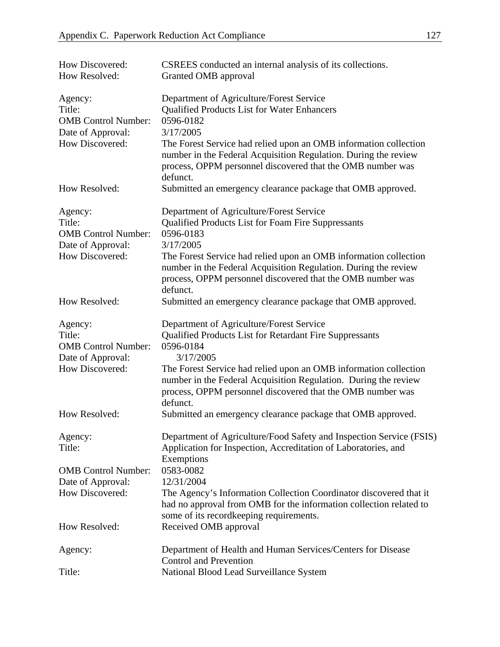| How Discovered:<br>How Resolved:                                     | CSREES conducted an internal analysis of its collections.<br>Granted OMB approval                                                                                                                             |
|----------------------------------------------------------------------|---------------------------------------------------------------------------------------------------------------------------------------------------------------------------------------------------------------|
| Agency:<br>Title:<br><b>OMB</b> Control Number:<br>Date of Approval: | Department of Agriculture/Forest Service<br><b>Qualified Products List for Water Enhancers</b><br>0596-0182<br>3/17/2005                                                                                      |
| How Discovered:                                                      | The Forest Service had relied upon an OMB information collection<br>number in the Federal Acquisition Regulation. During the review<br>process, OPPM personnel discovered that the OMB number was<br>defunct. |
| How Resolved:                                                        | Submitted an emergency clearance package that OMB approved.                                                                                                                                                   |
| Agency:                                                              | Department of Agriculture/Forest Service                                                                                                                                                                      |
| Title:<br><b>OMB</b> Control Number:<br>Date of Approval:            | Qualified Products List for Foam Fire Suppressants<br>0596-0183<br>3/17/2005                                                                                                                                  |
| How Discovered:                                                      | The Forest Service had relied upon an OMB information collection<br>number in the Federal Acquisition Regulation. During the review<br>process, OPPM personnel discovered that the OMB number was<br>defunct. |
| How Resolved:                                                        | Submitted an emergency clearance package that OMB approved.                                                                                                                                                   |
| Agency:<br>Title:<br><b>OMB</b> Control Number:<br>Date of Approval: | Department of Agriculture/Forest Service<br>Qualified Products List for Retardant Fire Suppressants<br>0596-0184<br>3/17/2005                                                                                 |
| How Discovered:                                                      | The Forest Service had relied upon an OMB information collection<br>number in the Federal Acquisition Regulation. During the review<br>process, OPPM personnel discovered that the OMB number was<br>defunct. |
| How Resolved:                                                        | Submitted an emergency clearance package that OMB approved.                                                                                                                                                   |
| Agency:<br>Title:                                                    | Department of Agriculture/Food Safety and Inspection Service (FSIS)<br>Application for Inspection, Accreditation of Laboratories, and<br>Exemptions                                                           |
| <b>OMB</b> Control Number:                                           | 0583-0082                                                                                                                                                                                                     |
| Date of Approval:<br>How Discovered:                                 | 12/31/2004<br>The Agency's Information Collection Coordinator discovered that it<br>had no approval from OMB for the information collection related to<br>some of its record keeping requirements.            |
| How Resolved:                                                        | Received OMB approval                                                                                                                                                                                         |
| Agency:                                                              | Department of Health and Human Services/Centers for Disease<br><b>Control and Prevention</b>                                                                                                                  |
| Title:                                                               | National Blood Lead Surveillance System                                                                                                                                                                       |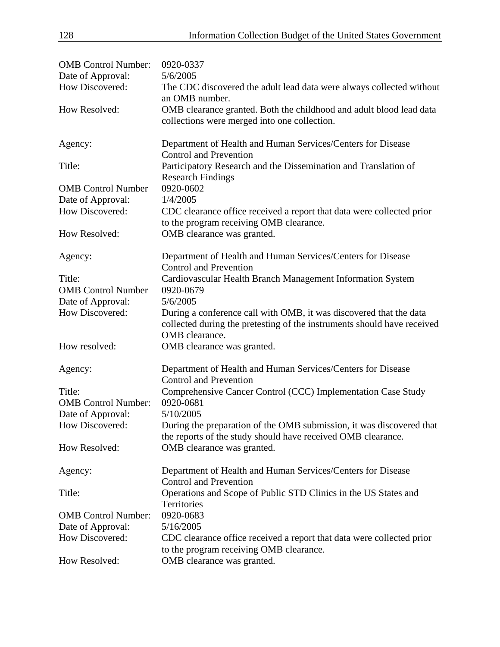| 0920-0337                                                                                                                                                       |
|-----------------------------------------------------------------------------------------------------------------------------------------------------------------|
| 5/6/2005                                                                                                                                                        |
| The CDC discovered the adult lead data were always collected without<br>an OMB number.                                                                          |
| OMB clearance granted. Both the childhood and adult blood lead data                                                                                             |
| collections were merged into one collection.                                                                                                                    |
| Department of Health and Human Services/Centers for Disease                                                                                                     |
| <b>Control and Prevention</b>                                                                                                                                   |
| Participatory Research and the Dissemination and Translation of                                                                                                 |
| <b>Research Findings</b>                                                                                                                                        |
| 0920-0602                                                                                                                                                       |
| 1/4/2005                                                                                                                                                        |
| CDC clearance office received a report that data were collected prior<br>to the program receiving OMB clearance.                                                |
| OMB clearance was granted.                                                                                                                                      |
| Department of Health and Human Services/Centers for Disease                                                                                                     |
| <b>Control and Prevention</b>                                                                                                                                   |
| Cardiovascular Health Branch Management Information System                                                                                                      |
| 0920-0679                                                                                                                                                       |
| 5/6/2005                                                                                                                                                        |
| During a conference call with OMB, it was discovered that the data<br>collected during the pretesting of the instruments should have received<br>OMB clearance. |
| OMB clearance was granted.                                                                                                                                      |
| Department of Health and Human Services/Centers for Disease                                                                                                     |
| <b>Control and Prevention</b>                                                                                                                                   |
| Comprehensive Cancer Control (CCC) Implementation Case Study                                                                                                    |
| 0920-0681                                                                                                                                                       |
| 5/10/2005                                                                                                                                                       |
| During the preparation of the OMB submission, it was discovered that                                                                                            |
| the reports of the study should have received OMB clearance.                                                                                                    |
| OMB clearance was granted.                                                                                                                                      |
| Department of Health and Human Services/Centers for Disease                                                                                                     |
| <b>Control and Prevention</b>                                                                                                                                   |
| Operations and Scope of Public STD Clinics in the US States and                                                                                                 |
| Territories                                                                                                                                                     |
| 0920-0683                                                                                                                                                       |
| 5/16/2005                                                                                                                                                       |
| CDC clearance office received a report that data were collected prior<br>to the program receiving OMB clearance.                                                |
| OMB clearance was granted.                                                                                                                                      |
|                                                                                                                                                                 |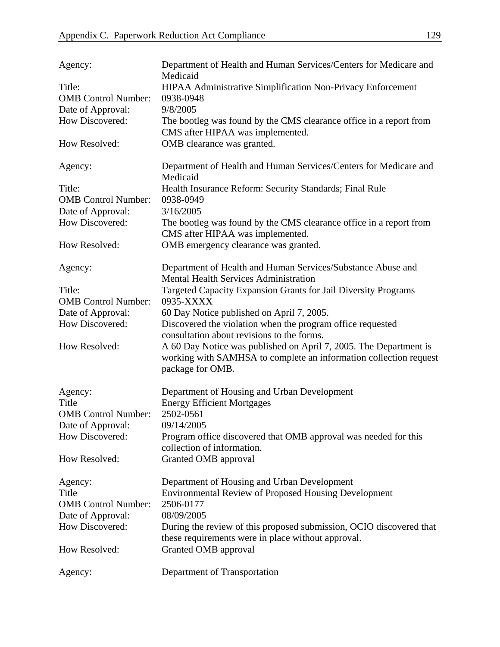| Agency:                    | Department of Health and Human Services/Centers for Medicare and<br>Medicaid                                                                               |
|----------------------------|------------------------------------------------------------------------------------------------------------------------------------------------------------|
| Title:                     | <b>HIPAA Administrative Simplification Non-Privacy Enforcement</b>                                                                                         |
| <b>OMB</b> Control Number: | 0938-0948                                                                                                                                                  |
| Date of Approval:          | 9/8/2005                                                                                                                                                   |
| How Discovered:            | The bootleg was found by the CMS clearance office in a report from                                                                                         |
|                            | CMS after HIPAA was implemented.                                                                                                                           |
| How Resolved:              | OMB clearance was granted.                                                                                                                                 |
| Agency:                    | Department of Health and Human Services/Centers for Medicare and<br>Medicaid                                                                               |
| Title:                     | Health Insurance Reform: Security Standards; Final Rule                                                                                                    |
| <b>OMB</b> Control Number: | 0938-0949                                                                                                                                                  |
| Date of Approval:          | 3/16/2005                                                                                                                                                  |
| How Discovered:            | The bootleg was found by the CMS clearance office in a report from<br>CMS after HIPAA was implemented.                                                     |
| How Resolved:              | OMB emergency clearance was granted.                                                                                                                       |
| Agency:                    | Department of Health and Human Services/Substance Abuse and<br><b>Mental Health Services Administration</b>                                                |
| Title:                     | Targeted Capacity Expansion Grants for Jail Diversity Programs                                                                                             |
| <b>OMB</b> Control Number: | 0935-XXXX                                                                                                                                                  |
| Date of Approval:          | 60 Day Notice published on April 7, 2005.                                                                                                                  |
| How Discovered:            | Discovered the violation when the program office requested                                                                                                 |
|                            | consultation about revisions to the forms.                                                                                                                 |
| How Resolved:              | A 60 Day Notice was published on April 7, 2005. The Department is<br>working with SAMHSA to complete an information collection request<br>package for OMB. |
| Agency:                    | Department of Housing and Urban Development                                                                                                                |
| Title                      | <b>Energy Efficient Mortgages</b>                                                                                                                          |
| <b>OMB</b> Control Number: | 2502-0561                                                                                                                                                  |
| Date of Approval:          | 09/14/2005                                                                                                                                                 |
| How Discovered:            | Program office discovered that OMB approval was needed for this<br>collection of information.                                                              |
| How Resolved:              | Granted OMB approval                                                                                                                                       |
| Agency:                    | Department of Housing and Urban Development                                                                                                                |
| Title                      | <b>Environmental Review of Proposed Housing Development</b>                                                                                                |
| <b>OMB</b> Control Number: | 2506-0177                                                                                                                                                  |
| Date of Approval:          | 08/09/2005                                                                                                                                                 |
| How Discovered:            | During the review of this proposed submission, OCIO discovered that<br>these requirements were in place without approval.                                  |
| How Resolved:              | Granted OMB approval                                                                                                                                       |
| Agency:                    | Department of Transportation                                                                                                                               |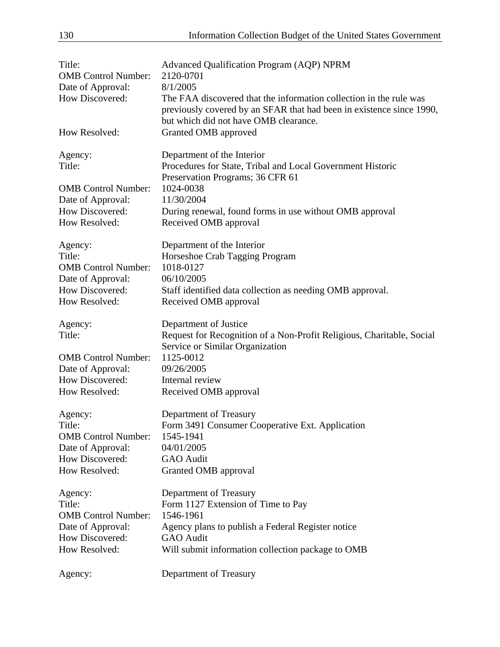| Title:<br><b>OMB</b> Control Number:<br>Date of Approval:<br>How Discovered:<br>How Resolved:            | <b>Advanced Qualification Program (AQP) NPRM</b><br>2120-0701<br>8/1/2005<br>The FAA discovered that the information collection in the rule was<br>previously covered by an SFAR that had been in existence since 1990,<br>but which did not have OMB clearance.<br>Granted OMB approved |
|----------------------------------------------------------------------------------------------------------|------------------------------------------------------------------------------------------------------------------------------------------------------------------------------------------------------------------------------------------------------------------------------------------|
| Agency:<br>Title:<br><b>OMB</b> Control Number:<br>Date of Approval:<br>How Discovered:<br>How Resolved: | Department of the Interior<br>Procedures for State, Tribal and Local Government Historic<br>Preservation Programs; 36 CFR 61<br>1024-0038<br>11/30/2004<br>During renewal, found forms in use without OMB approval<br>Received OMB approval                                              |
| Agency:<br>Title:<br><b>OMB</b> Control Number:<br>Date of Approval:<br>How Discovered:<br>How Resolved: | Department of the Interior<br>Horseshoe Crab Tagging Program<br>1018-0127<br>06/10/2005<br>Staff identified data collection as needing OMB approval.<br>Received OMB approval                                                                                                            |
| Agency:<br>Title:<br><b>OMB</b> Control Number:<br>Date of Approval:<br>How Discovered:<br>How Resolved: | Department of Justice<br>Request for Recognition of a Non-Profit Religious, Charitable, Social<br>Service or Similar Organization<br>1125-0012<br>09/26/2005<br>Internal review<br>Received OMB approval                                                                                 |
| Agency:<br>Title:<br><b>OMB</b> Control Number:<br>Date of Approval:<br>How Discovered:<br>How Resolved: | Department of Treasury<br>Form 3491 Consumer Cooperative Ext. Application<br>1545-1941<br>04/01/2005<br>GAO Audit<br>Granted OMB approval                                                                                                                                                |
| Agency:<br>Title:<br><b>OMB</b> Control Number:<br>Date of Approval:<br>How Discovered:<br>How Resolved: | Department of Treasury<br>Form 1127 Extension of Time to Pay<br>1546-1961<br>Agency plans to publish a Federal Register notice<br><b>GAO</b> Audit<br>Will submit information collection package to OMB                                                                                  |
| Agency:                                                                                                  | Department of Treasury                                                                                                                                                                                                                                                                   |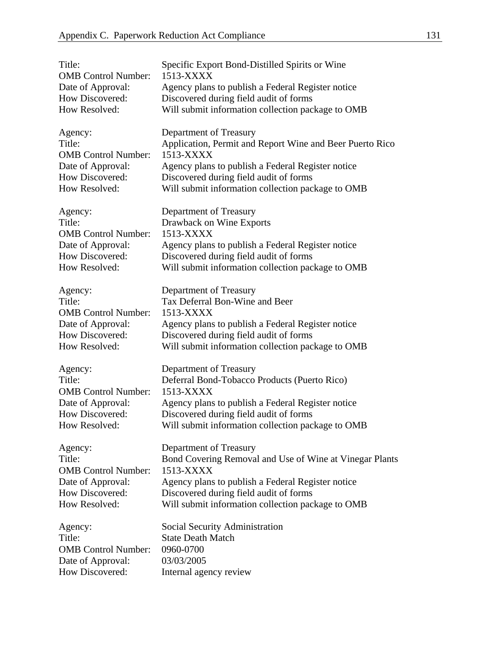| Title:<br><b>OMB</b> Control Number: | Specific Export Bond-Distilled Spirits or Wine<br>1513-XXXX                                 |
|--------------------------------------|---------------------------------------------------------------------------------------------|
| Date of Approval:<br>How Discovered: | Agency plans to publish a Federal Register notice                                           |
| How Resolved:                        | Discovered during field audit of forms<br>Will submit information collection package to OMB |
|                                      |                                                                                             |
| Agency:                              | Department of Treasury                                                                      |
| Title:                               | Application, Permit and Report Wine and Beer Puerto Rico                                    |
| <b>OMB</b> Control Number:           | 1513-XXXX                                                                                   |
| Date of Approval:                    | Agency plans to publish a Federal Register notice                                           |
| How Discovered:                      | Discovered during field audit of forms                                                      |
| How Resolved:                        | Will submit information collection package to OMB                                           |
| Agency:                              | Department of Treasury                                                                      |
| Title:                               | Drawback on Wine Exports                                                                    |
| <b>OMB</b> Control Number:           | 1513-XXXX                                                                                   |
| Date of Approval:                    | Agency plans to publish a Federal Register notice                                           |
| How Discovered:                      | Discovered during field audit of forms                                                      |
| How Resolved:                        | Will submit information collection package to OMB                                           |
|                                      |                                                                                             |
| Agency:<br>Title:                    | Department of Treasury<br>Tax Deferral Bon-Wine and Beer                                    |
| <b>OMB</b> Control Number:           | 1513-XXXX                                                                                   |
| Date of Approval:                    | Agency plans to publish a Federal Register notice                                           |
| How Discovered:                      | Discovered during field audit of forms                                                      |
| How Resolved:                        | Will submit information collection package to OMB                                           |
|                                      |                                                                                             |
| Agency:                              | Department of Treasury                                                                      |
| Title:                               | Deferral Bond-Tobacco Products (Puerto Rico)                                                |
| <b>OMB</b> Control Number:           | 1513-XXXX                                                                                   |
| Date of Approval:<br>How Discovered: | Agency plans to publish a Federal Register notice                                           |
| How Resolved:                        | Discovered during field audit of forms<br>Will submit information collection package to OMB |
|                                      |                                                                                             |
| Agency:                              | Department of Treasury                                                                      |
| Title:                               | Bond Covering Removal and Use of Wine at Vinegar Plants                                     |
| <b>OMB</b> Control Number:           | 1513-XXXX                                                                                   |
| Date of Approval:                    | Agency plans to publish a Federal Register notice                                           |
| How Discovered:                      | Discovered during field audit of forms                                                      |
| How Resolved:                        | Will submit information collection package to OMB                                           |
| Agency:                              | Social Security Administration                                                              |
| Title:                               | <b>State Death Match</b>                                                                    |
| <b>OMB</b> Control Number:           | 0960-0700                                                                                   |
| Date of Approval:                    | 03/03/2005                                                                                  |
| How Discovered:                      | Internal agency review                                                                      |
|                                      |                                                                                             |